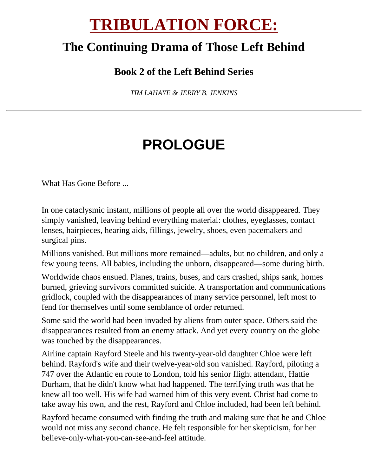## **TRIBULATION FORCE:**

#### **The Continuing Drama of Those Left Behind**

#### **Book 2 of the Left Behind Series**

*TIM LAHAYE & JERRY B. JENKINS*

## **PROLOGUE**

What Has Gone Before ...

In one cataclysmic instant, millions of people all over the world disappeared. They simply vanished, leaving behind everything material: clothes, eyeglasses, contact lenses, hairpieces, hearing aids, fillings, jewelry, shoes, even pacemakers and surgical pins.

Millions vanished. But millions more remained—adults, but no children, and only a few young teens. All babies, including the unborn, disappeared—some during birth.

Worldwide chaos ensued. Planes, trains, buses, and cars crashed, ships sank, homes burned, grieving survivors committed suicide. A transportation and communications gridlock, coupled with the disappearances of many service personnel, left most to fend for themselves until some semblance of order returned.

Some said the world had been invaded by aliens from outer space. Others said the disappearances resulted from an enemy attack. And yet every country on the globe was touched by the disappearances.

Airline captain Rayford Steele and his twenty-year-old daughter Chloe were left behind. Rayford's wife and their twelve-year-old son vanished. Rayford, piloting a 747 over the Atlantic en route to London, told his senior flight attendant, Hattie Durham, that he didn't know what had happened. The terrifying truth was that he knew all too well. His wife had warned him of this very event. Christ had come to take away his own, and the rest, Rayford and Chloe included, had been left behind.

Rayford became consumed with finding the truth and making sure that he and Chloe would not miss any second chance. He felt responsible for her skepticism, for her believe-only-what-you-can-see-and-feel attitude.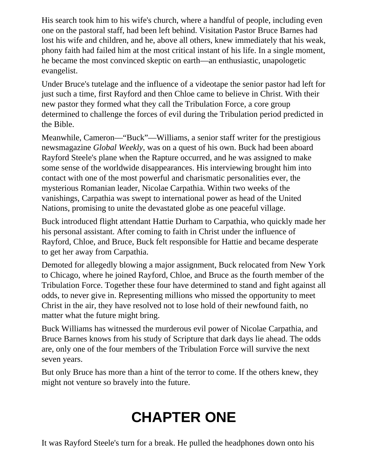His search took him to his wife's church, where a handful of people, including even one on the pastoral staff, had been left behind. Visitation Pastor Bruce Barnes had lost his wife and children, and he, above all others, knew immediately that his weak, phony faith had failed him at the most critical instant of his life. In a single moment, he became the most convinced skeptic on earth—an enthusiastic, unapologetic evangelist.

Under Bruce's tutelage and the influence of a videotape the senior pastor had left for just such a time, first Rayford and then Chloe came to believe in Christ. With their new pastor they formed what they call the Tribulation Force, a core group determined to challenge the forces of evil during the Tribulation period predicted in the Bible.

Meanwhile, Cameron—"Buck"—Williams, a senior staff writer for the prestigious newsmagazine *Global Weekly*, was on a quest of his own. Buck had been aboard Rayford Steele's plane when the Rapture occurred, and he was assigned to make some sense of the worldwide disappearances. His interviewing brought him into contact with one of the most powerful and charismatic personalities ever, the mysterious Romanian leader, Nicolae Carpathia. Within two weeks of the vanishings, Carpathia was swept to international power as head of the United Nations, promising to unite the devastated globe as one peaceful village.

Buck introduced flight attendant Hattie Durham to Carpathia, who quickly made her his personal assistant. After coming to faith in Christ under the influence of Rayford, Chloe, and Bruce, Buck felt responsible for Hattie and became desperate to get her away from Carpathia.

Demoted for allegedly blowing a major assignment, Buck relocated from New York to Chicago, where he joined Rayford, Chloe, and Bruce as the fourth member of the Tribulation Force. Together these four have determined to stand and fight against all odds, to never give in. Representing millions who missed the opportunity to meet Christ in the air, they have resolved not to lose hold of their newfound faith, no matter what the future might bring.

Buck Williams has witnessed the murderous evil power of Nicolae Carpathia, and Bruce Barnes knows from his study of Scripture that dark days lie ahead. The odds are, only one of the four members of the Tribulation Force will survive the next seven years.

But only Bruce has more than a hint of the terror to come. If the others knew, they might not venture so bravely into the future.

# **CHAPTER ONE**

It was Rayford Steele's turn for a break. He pulled the headphones down onto his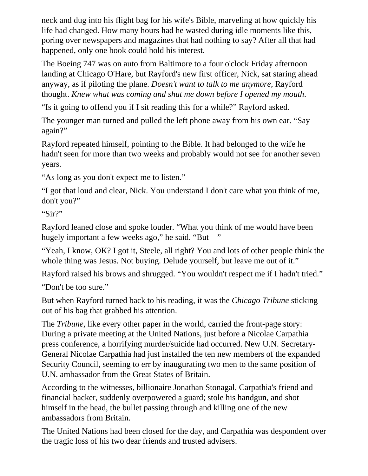neck and dug into his flight bag for his wife's Bible, marveling at how quickly his life had changed. How many hours had he wasted during idle moments like this, poring over newspapers and magazines that had nothing to say? After all that had happened, only one book could hold his interest.

The Boeing 747 was on auto from Baltimore to a four o'clock Friday afternoon landing at Chicago O'Hare, but Rayford's new first officer, Nick, sat staring ahead anyway, as if piloting the plane. *Doesn't want to talk to me anymore*, Rayford thought. *Knew what was coming and shut me down before I opened my mouth*.

"Is it going to offend you if I sit reading this for a while?" Rayford asked.

The younger man turned and pulled the left phone away from his own ear. "Say again?"

Rayford repeated himself, pointing to the Bible. It had belonged to the wife he hadn't seen for more than two weeks and probably would not see for another seven years.

"As long as you don't expect me to listen."

"I got that loud and clear, Nick. You understand I don't care what you think of me, don't you?"

"Sir?"

Rayford leaned close and spoke louder. "What you think of me would have been hugely important a few weeks ago," he said. "But—"

"Yeah, I know, OK? I got it, Steele, all right? You and lots of other people think the whole thing was Jesus. Not buying. Delude yourself, but leave me out of it."

Rayford raised his brows and shrugged. "You wouldn't respect me if I hadn't tried."

"Don't be too sure."

But when Rayford turned back to his reading, it was the *Chicago Tribune* sticking out of his bag that grabbed his attention.

The *Tribune*, like every other paper in the world, carried the front-page story: During a private meeting at the United Nations, just before a Nicolae Carpathia press conference, a horrifying murder/suicide had occurred. New U.N. Secretary-General Nicolae Carpathia had just installed the ten new members of the expanded Security Council, seeming to err by inaugurating two men to the same position of U.N. ambassador from the Great States of Britain.

According to the witnesses, billionaire Jonathan Stonagal, Carpathia's friend and financial backer, suddenly overpowered a guard; stole his handgun, and shot himself in the head, the bullet passing through and killing one of the new ambassadors from Britain.

The United Nations had been closed for the day, and Carpathia was despondent over the tragic loss of his two dear friends and trusted advisers.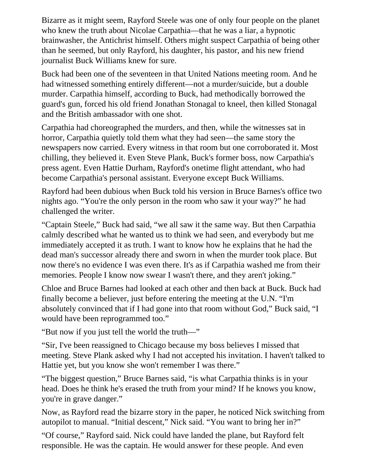Bizarre as it might seem, Rayford Steele was one of only four people on the planet who knew the truth about Nicolae Carpathia—that he was a liar, a hypnotic brainwasher, the Antichrist himself. Others might suspect Carpathia of being other than he seemed, but only Rayford, his daughter, his pastor, and his new friend journalist Buck Williams knew for sure.

Buck had been one of the seventeen in that United Nations meeting room. And he had witnessed something entirely different—not a murder/suicide, but a double murder. Carpathia himself, according to Buck, had methodically borrowed the guard's gun, forced his old friend Jonathan Stonagal to kneel, then killed Stonagal and the British ambassador with one shot.

Carpathia had choreographed the murders, and then, while the witnesses sat in horror, Carpathia quietly told them what they had seen—the same story the newspapers now carried. Every witness in that room but one corroborated it. Most chilling, they believed it. Even Steve Plank, Buck's former boss, now Carpathia's press agent. Even Hattie Durham, Rayford's onetime flight attendant, who had become Carpathia's personal assistant. Everyone except Buck Williams.

Rayford had been dubious when Buck told his version in Bruce Barnes's office two nights ago. "You're the only person in the room who saw it your way?" he had challenged the writer.

"Captain Steele," Buck had said, "we all saw it the same way. But then Carpathia calmly described what he wanted us to think we had seen, and everybody but me immediately accepted it as truth. I want to know how he explains that he had the dead man's successor already there and sworn in when the murder took place. But now there's no evidence I was even there. It's as if Carpathia washed me from their memories. People I know now swear I wasn't there, and they aren't joking."

Chloe and Bruce Barnes had looked at each other and then back at Buck. Buck had finally become a believer, just before entering the meeting at the U.N. "I'm absolutely convinced that if I had gone into that room without God," Buck said, "I would have been reprogrammed too."

"But now if you just tell the world the truth—"

"Sir, I've been reassigned to Chicago because my boss believes I missed that meeting. Steve Plank asked why I had not accepted his invitation. I haven't talked to Hattie yet, but you know she won't remember I was there."

"The biggest question," Bruce Barnes said, "is what Carpathia thinks is in your head. Does he think he's erased the truth from your mind? If he knows you know, you're in grave danger."

Now, as Rayford read the bizarre story in the paper, he noticed Nick switching from autopilot to manual. "Initial descent," Nick said. "You want to bring her in?"

"Of course," Rayford said. Nick could have landed the plane, but Rayford felt responsible. He was the captain. He would answer for these people. And even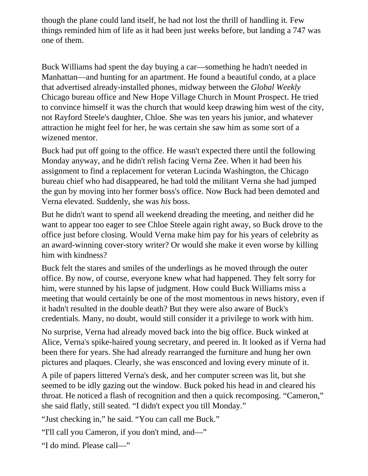though the plane could land itself, he had not lost the thrill of handling it. Few things reminded him of life as it had been just weeks before, but landing a 747 was one of them.

Buck Williams had spent the day buying a car—something he hadn't needed in Manhattan—and hunting for an apartment. He found a beautiful condo, at a place that advertised already-installed phones, midway between the *Global Weekly*  Chicago bureau office and New Hope Village Church in Mount Prospect. He tried to convince himself it was the church that would keep drawing him west of the city, not Rayford Steele's daughter, Chloe. She was ten years his junior, and whatever attraction he might feel for her, he was certain she saw him as some sort of a wizened mentor.

Buck had put off going to the office. He wasn't expected there until the following Monday anyway, and he didn't relish facing Verna Zee. When it had been his assignment to find a replacement for veteran Lucinda Washington, the Chicago bureau chief who had disappeared, he had told the militant Verna she had jumped the gun by moving into her former boss's office. Now Buck had been demoted and Verna elevated. Suddenly, she was *his* boss.

But he didn't want to spend all weekend dreading the meeting, and neither did he want to appear too eager to see Chloe Steele again right away, so Buck drove to the office just before closing. Would Verna make him pay for his years of celebrity as an award-winning cover-story writer? Or would she make it even worse by killing him with kindness?

Buck felt the stares and smiles of the underlings as he moved through the outer office. By now, of course, everyone knew what had happened. They felt sorry for him, were stunned by his lapse of judgment. How could Buck Williams miss a meeting that would certainly be one of the most momentous in news history, even if it hadn't resulted in the double death? But they were also aware of Buck's credentials. Many, no doubt, would still consider it a privilege to work with him.

No surprise, Verna had already moved back into the big office. Buck winked at Alice, Verna's spike-haired young secretary, and peered in. It looked as if Verna had been there for years. She had already rearranged the furniture and hung her own pictures and plaques. Clearly, she was ensconced and loving every minute of it.

A pile of papers littered Verna's desk, and her computer screen was lit, but she seemed to be idly gazing out the window. Buck poked his head in and cleared his throat. He noticed a flash of recognition and then a quick recomposing. "Cameron," she said flatly, still seated. "I didn't expect you till Monday."

"Just checking in," he said. "You can call me Buck."

"I'll call you Cameron, if you don't mind, and—"

"I do mind. Please call—"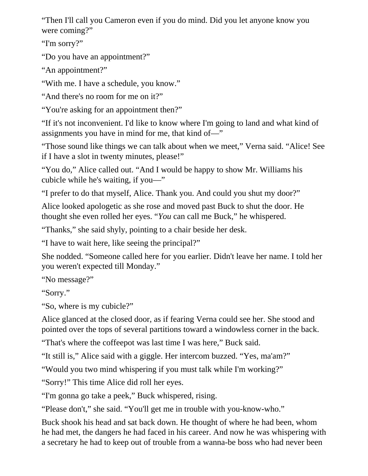"Then I'll call you Cameron even if you do mind. Did you let anyone know you were coming?"

"I'm sorry?"

"Do you have an appointment?"

"An appointment?"

"With me. I have a schedule, you know."

"And there's no room for me on it?"

"You're asking for an appointment then?"

"If it's not inconvenient. I'd like to know where I'm going to land and what kind of assignments you have in mind for me, that kind of—"

"Those sound like things we can talk about when we meet," Verna said. "Alice! See if I have a slot in twenty minutes, please!"

"You do," Alice called out. "And I would be happy to show Mr. Williams his cubicle while he's waiting, if you—"

"I prefer to do that myself, Alice. Thank you. And could you shut my door?"

Alice looked apologetic as she rose and moved past Buck to shut the door. He thought she even rolled her eyes. "*You* can call me Buck," he whispered.

"Thanks," she said shyly, pointing to a chair beside her desk.

"I have to wait here, like seeing the principal?"

She nodded. "Someone called here for you earlier. Didn't leave her name. I told her you weren't expected till Monday."

"No message?"

"Sorry."

"So, where is my cubicle?"

Alice glanced at the closed door, as if fearing Verna could see her. She stood and pointed over the tops of several partitions toward a windowless corner in the back.

"That's where the coffeepot was last time I was here," Buck said.

"It still is," Alice said with a giggle. Her intercom buzzed. "Yes, ma'am?"

"Would you two mind whispering if you must talk while I'm working?"

"Sorry!" This time Alice did roll her eyes.

"I'm gonna go take a peek," Buck whispered, rising.

"Please don't," she said. "You'll get me in trouble with you-know-who."

Buck shook his head and sat back down. He thought of where he had been, whom he had met, the dangers he had faced in his career. And now he was whispering with a secretary he had to keep out of trouble from a wanna-be boss who had never been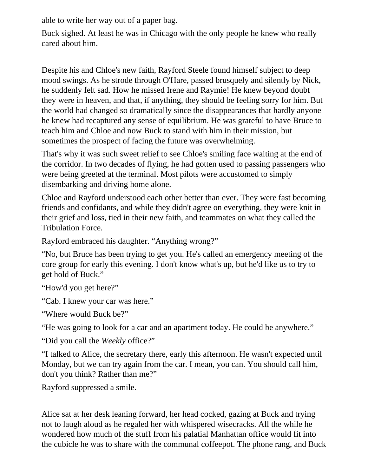able to write her way out of a paper bag.

Buck sighed. At least he was in Chicago with the only people he knew who really cared about him.

Despite his and Chloe's new faith, Rayford Steele found himself subject to deep mood swings. As he strode through O'Hare, passed brusquely and silently by Nick, he suddenly felt sad. How he missed Irene and Raymie! He knew beyond doubt they were in heaven, and that, if anything, they should be feeling sorry for him. But the world had changed so dramatically since the disappearances that hardly anyone he knew had recaptured any sense of equilibrium. He was grateful to have Bruce to teach him and Chloe and now Buck to stand with him in their mission, but sometimes the prospect of facing the future was overwhelming.

That's why it was such sweet relief to see Chloe's smiling face waiting at the end of the corridor. In two decades of flying, he had gotten used to passing passengers who were being greeted at the terminal. Most pilots were accustomed to simply disembarking and driving home alone.

Chloe and Rayford understood each other better than ever. They were fast becoming friends and confidants, and while they didn't agree on everything, they were knit in their grief and loss, tied in their new faith, and teammates on what they called the Tribulation Force.

Rayford embraced his daughter. "Anything wrong?"

"No, but Bruce has been trying to get you. He's called an emergency meeting of the core group for early this evening. I don't know what's up, but he'd like us to try to get hold of Buck."

"How'd you get here?"

"Cab. I knew your car was here."

"Where would Buck be?"

"He was going to look for a car and an apartment today. He could be anywhere."

"Did you call the *Weekly* office?"

"I talked to Alice, the secretary there, early this afternoon. He wasn't expected until Monday, but we can try again from the car. I mean, you can. You should call him, don't you think? Rather than me?"

Rayford suppressed a smile.

Alice sat at her desk leaning forward, her head cocked, gazing at Buck and trying not to laugh aloud as he regaled her with whispered wisecracks. All the while he wondered how much of the stuff from his palatial Manhattan office would fit into the cubicle he was to share with the communal coffeepot. The phone rang, and Buck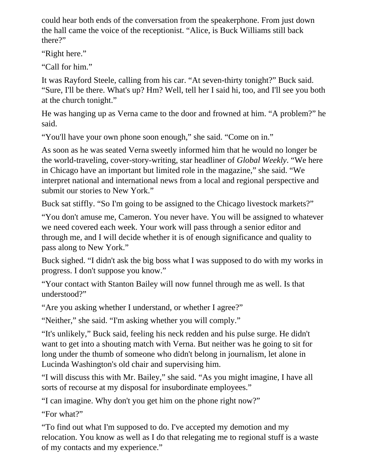could hear both ends of the conversation from the speakerphone. From just down the hall came the voice of the receptionist. "Alice, is Buck Williams still back there?"

"Right here."

"Call for him."

It was Rayford Steele, calling from his car. "At seven-thirty tonight?" Buck said. "Sure, I'll be there. What's up? Hm? Well, tell her I said hi, too, and I'll see you both at the church tonight."

He was hanging up as Verna came to the door and frowned at him. "A problem?" he said.

"You'll have your own phone soon enough," she said. "Come on in."

As soon as he was seated Verna sweetly informed him that he would no longer be the world-traveling, cover-story-writing, star headliner of *Global Weekly*. "We here in Chicago have an important but limited role in the magazine," she said. "We interpret national and international news from a local and regional perspective and submit our stories to New York."

Buck sat stiffly. "So I'm going to be assigned to the Chicago livestock markets?"

"You don't amuse me, Cameron. You never have. You will be assigned to whatever we need covered each week. Your work will pass through a senior editor and through me, and I will decide whether it is of enough significance and quality to pass along to New York."

Buck sighed. "I didn't ask the big boss what I was supposed to do with my works in progress. I don't suppose you know."

"Your contact with Stanton Bailey will now funnel through me as well. Is that understood?"

"Are you asking whether I understand, or whether I agree?"

"Neither," she said. "I'm asking whether you will comply."

"It's unlikely," Buck said, feeling his neck redden and his pulse surge. He didn't want to get into a shouting match with Verna. But neither was he going to sit for long under the thumb of someone who didn't belong in journalism, let alone in Lucinda Washington's old chair and supervising him.

"I will discuss this with Mr. Bailey," she said. "As you might imagine, I have all sorts of recourse at my disposal for insubordinate employees."

"I can imagine. Why don't you get him on the phone right now?"

"For what?"

"To find out what I'm supposed to do. I've accepted my demotion and my relocation. You know as well as I do that relegating me to regional stuff is a waste of my contacts and my experience."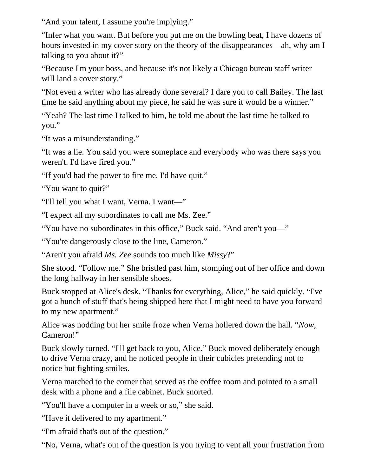"And your talent, I assume you're implying."

"Infer what you want. But before you put me on the bowling beat, I have dozens of hours invested in my cover story on the theory of the disappearances—ah, why am I talking to you about it?"

"Because I'm your boss, and because it's not likely a Chicago bureau staff writer will land a cover story."

"Not even a writer who has already done several? I dare you to call Bailey. The last time he said anything about my piece, he said he was sure it would be a winner."

"Yeah? The last time I talked to him, he told me about the last time he talked to you."

"It was a misunderstanding."

"It was a lie. You said you were someplace and everybody who was there says you weren't. I'd have fired you."

"If you'd had the power to fire me, I'd have quit."

"You want to quit?"

"I'll tell you what I want, Verna. I want—"

"I expect all my subordinates to call me Ms. Zee."

"You have no subordinates in this office," Buck said. "And aren't you—"

"You're dangerously close to the line, Cameron."

"Aren't you afraid *Ms. Zee* sounds too much like *Missy*?"

She stood. "Follow me." She bristled past him, stomping out of her office and down the long hallway in her sensible shoes.

Buck stopped at Alice's desk. "Thanks for everything, Alice," he said quickly. "I've got a bunch of stuff that's being shipped here that I might need to have you forward to my new apartment."

Alice was nodding but her smile froze when Verna hollered down the hall. "*Now*, Cameron!"

Buck slowly turned. "I'll get back to you, Alice." Buck moved deliberately enough to drive Verna crazy, and he noticed people in their cubicles pretending not to notice but fighting smiles.

Verna marched to the corner that served as the coffee room and pointed to a small desk with a phone and a file cabinet. Buck snorted.

"You'll have a computer in a week or so," she said.

"Have it delivered to my apartment."

"I'm afraid that's out of the question."

"No, Verna, what's out of the question is you trying to vent all your frustration from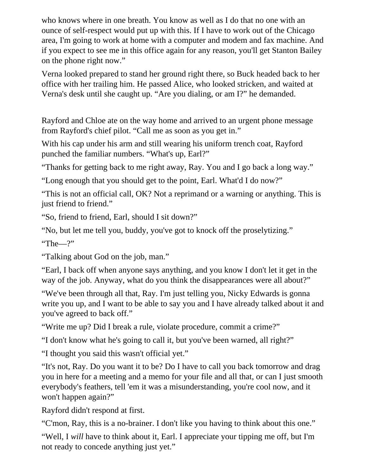who knows where in one breath. You know as well as I do that no one with an ounce of self-respect would put up with this. If I have to work out of the Chicago area, I'm going to work at home with a computer and modem and fax machine. And if you expect to see me in this office again for any reason, you'll get Stanton Bailey on the phone right now."

Verna looked prepared to stand her ground right there, so Buck headed back to her office with her trailing him. He passed Alice, who looked stricken, and waited at Verna's desk until she caught up. "Are you dialing, or am I?" he demanded.

Rayford and Chloe ate on the way home and arrived to an urgent phone message from Rayford's chief pilot. "Call me as soon as you get in."

With his cap under his arm and still wearing his uniform trench coat, Rayford punched the familiar numbers. "What's up, Earl?"

"Thanks for getting back to me right away, Ray. You and I go back a long way."

"Long enough that you should get to the point, Earl. What'd I do now?"

"This is not an official call, OK? Not a reprimand or a warning or anything. This is just friend to friend."

"So, friend to friend, Earl, should I sit down?"

"No, but let me tell you, buddy, you've got to knock off the proselytizing."

"The $-$ ?"

"Talking about God on the job, man."

"Earl, I back off when anyone says anything, and you know I don't let it get in the way of the job. Anyway, what do you think the disappearances were all about?"

"We've been through all that, Ray. I'm just telling you, Nicky Edwards is gonna write you up, and I want to be able to say you and I have already talked about it and you've agreed to back off."

"Write me up? Did I break a rule, violate procedure, commit a crime?"

"I don't know what he's going to call it, but you've been warned, all right?"

"I thought you said this wasn't official yet."

"It's not, Ray. Do you want it to be? Do I have to call you back tomorrow and drag you in here for a meeting and a memo for your file and all that, or can I just smooth everybody's feathers, tell 'em it was a misunderstanding, you're cool now, and it won't happen again?"

Rayford didn't respond at first.

"C'mon, Ray, this is a no-brainer. I don't like you having to think about this one."

"Well, I *will* have to think about it, Earl. I appreciate your tipping me off, but I'm not ready to concede anything just yet."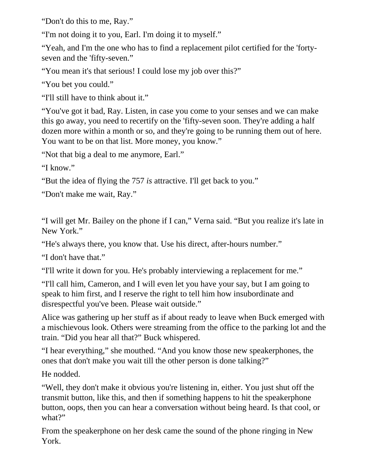"Don't do this to me, Ray."

"I'm not doing it to you, Earl. I'm doing it to myself."

"Yeah, and I'm the one who has to find a replacement pilot certified for the 'fortyseven and the 'fifty-seven."

"You mean it's that serious! I could lose my job over this?"

"You bet you could."

"I'll still have to think about it."

"You've got it bad, Ray. Listen, in case you come to your senses and we can make this go away, you need to recertify on the 'fifty-seven soon. They're adding a half dozen more within a month or so, and they're going to be running them out of here. You want to be on that list. More money, you know."

"Not that big a deal to me anymore, Earl."

"I know."

"But the idea of flying the 757 *is* attractive. I'll get back to you."

"Don't make me wait, Ray."

"I will get Mr. Bailey on the phone if I can," Verna said. "But you realize it's late in New York."

"He's always there, you know that. Use his direct, after-hours number."

"I don't have that."

"I'll write it down for you. He's probably interviewing a replacement for me."

"I'll call him, Cameron, and I will even let you have your say, but I am going to speak to him first, and I reserve the right to tell him how insubordinate and disrespectful you've been. Please wait outside."

Alice was gathering up her stuff as if about ready to leave when Buck emerged with a mischievous look. Others were streaming from the office to the parking lot and the train. "Did you hear all that?" Buck whispered.

"I hear everything," she mouthed. "And you know those new speakerphones, the ones that don't make you wait till the other person is done talking?"

He nodded.

"Well, they don't make it obvious you're listening in, either. You just shut off the transmit button, like this, and then if something happens to hit the speakerphone button, oops, then you can hear a conversation without being heard. Is that cool, or what?"

From the speakerphone on her desk came the sound of the phone ringing in New York.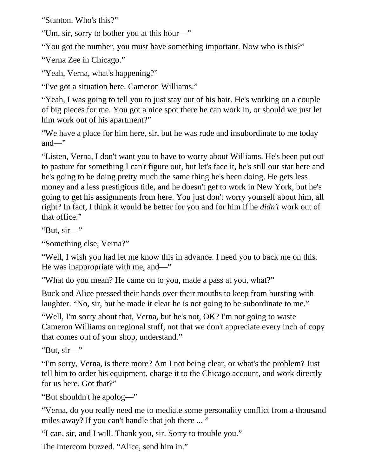"Stanton. Who's this?"

"Um, sir, sorry to bother you at this hour—"

"You got the number, you must have something important. Now who is this?"

"Verna Zee in Chicago."

"Yeah, Verna, what's happening?"

"I've got a situation here. Cameron Williams."

"Yeah, I was going to tell you to just stay out of his hair. He's working on a couple of big pieces for me. You got a nice spot there he can work in, or should we just let him work out of his apartment?"

"We have a place for him here, sir, but he was rude and insubordinate to me today and—"

"Listen, Verna, I don't want you to have to worry about Williams. He's been put out to pasture for something I can't figure out, but let's face it, he's still our star here and he's going to be doing pretty much the same thing he's been doing. He gets less money and a less prestigious title, and he doesn't get to work in New York, but he's going to get his assignments from here. You just don't worry yourself about him, all right? In fact, I think it would be better for you and for him if he *didn't* work out of that office."

"But, sir—"

"Something else, Verna?"

"Well, I wish you had let me know this in advance. I need you to back me on this. He was inappropriate with me, and—"

"What do you mean? He came on to you, made a pass at you, what?"

Buck and Alice pressed their hands over their mouths to keep from bursting with laughter. "No, sir, but he made it clear he is not going to be subordinate to me."

"Well, I'm sorry about that, Verna, but he's not, OK? I'm not going to waste Cameron Williams on regional stuff, not that we don't appreciate every inch of copy that comes out of your shop, understand."

"But, sir—"

"I'm sorry, Verna, is there more? Am I not being clear, or what's the problem? Just tell him to order his equipment, charge it to the Chicago account, and work directly for us here. Got that?"

"But shouldn't he apolog—"

"Verna, do you really need me to mediate some personality conflict from a thousand miles away? If you can't handle that job there ... "

"I can, sir, and I will. Thank you, sir. Sorry to trouble you."

The intercom buzzed. "Alice, send him in."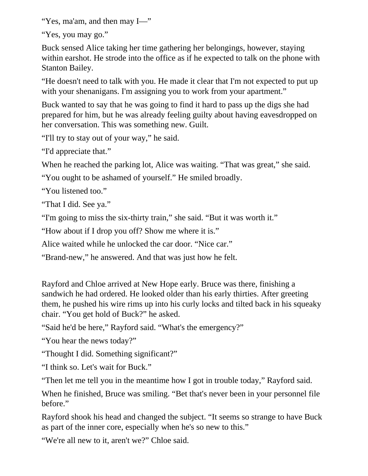"Yes, ma'am, and then may I—"

"Yes, you may go."

Buck sensed Alice taking her time gathering her belongings, however, staying within earshot. He strode into the office as if he expected to talk on the phone with Stanton Bailey.

"He doesn't need to talk with you. He made it clear that I'm not expected to put up with your shenanigans. I'm assigning you to work from your apartment."

Buck wanted to say that he was going to find it hard to pass up the digs she had prepared for him, but he was already feeling guilty about having eavesdropped on her conversation. This was something new. Guilt.

"I'll try to stay out of your way," he said.

"I'd appreciate that."

When he reached the parking lot, Alice was waiting. "That was great," she said.

"You ought to be ashamed of yourself." He smiled broadly.

"You listened too."

"That I did. See ya."

"I'm going to miss the six-thirty train," she said. "But it was worth it."

"How about if I drop you off? Show me where it is."

Alice waited while he unlocked the car door. "Nice car."

"Brand-new," he answered. And that was just how he felt.

Rayford and Chloe arrived at New Hope early. Bruce was there, finishing a sandwich he had ordered. He looked older than his early thirties. After greeting them, he pushed his wire rims up into his curly locks and tilted back in his squeaky chair. "You get hold of Buck?" he asked.

"Said he'd be here," Rayford said. "What's the emergency?"

"You hear the news today?"

"Thought I did. Something significant?"

"I think so. Let's wait for Buck."

"Then let me tell you in the meantime how I got in trouble today," Rayford said.

When he finished, Bruce was smiling. "Bet that's never been in your personnel file before."

Rayford shook his head and changed the subject. "It seems so strange to have Buck as part of the inner core, especially when he's so new to this."

"We're all new to it, aren't we?" Chloe said.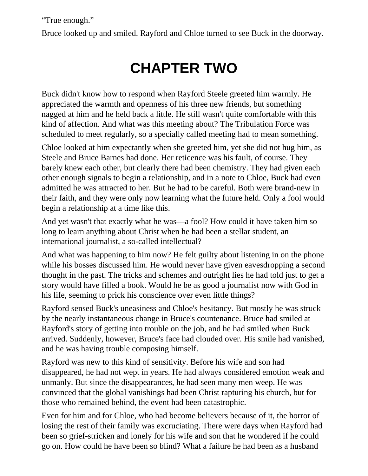"True enough."

Bruce looked up and smiled. Rayford and Chloe turned to see Buck in the doorway.

#### **CHAPTER TWO**

Buck didn't know how to respond when Rayford Steele greeted him warmly. He appreciated the warmth and openness of his three new friends, but something nagged at him and he held back a little. He still wasn't quite comfortable with this kind of affection. And what was this meeting about? The Tribulation Force was scheduled to meet regularly, so a specially called meeting had to mean something.

Chloe looked at him expectantly when she greeted him, yet she did not hug him, as Steele and Bruce Barnes had done. Her reticence was his fault, of course. They barely knew each other, but clearly there had been chemistry. They had given each other enough signals to begin a relationship, and in a note to Chloe, Buck had even admitted he was attracted to her. But he had to be careful. Both were brand-new in their faith, and they were only now learning what the future held. Only a fool would begin a relationship at a time like this.

And yet wasn't that exactly what he was—a fool? How could it have taken him so long to learn anything about Christ when he had been a stellar student, an international journalist, a so-called intellectual?

And what was happening to him now? He felt guilty about listening in on the phone while his bosses discussed him. He would never have given eavesdropping a second thought in the past. The tricks and schemes and outright lies he had told just to get a story would have filled a book. Would he be as good a journalist now with God in his life, seeming to prick his conscience over even little things?

Rayford sensed Buck's uneasiness and Chloe's hesitancy. But mostly he was struck by the nearly instantaneous change in Bruce's countenance. Bruce had smiled at Rayford's story of getting into trouble on the job, and he had smiled when Buck arrived. Suddenly, however, Bruce's face had clouded over. His smile had vanished, and he was having trouble composing himself.

Rayford was new to this kind of sensitivity. Before his wife and son had disappeared, he had not wept in years. He had always considered emotion weak and unmanly. But since the disappearances, he had seen many men weep. He was convinced that the global vanishings had been Christ rapturing his church, but for those who remained behind, the event had been catastrophic.

Even for him and for Chloe, who had become believers because of it, the horror of losing the rest of their family was excruciating. There were days when Rayford had been so grief-stricken and lonely for his wife and son that he wondered if he could go on. How could he have been so blind? What a failure he had been as a husband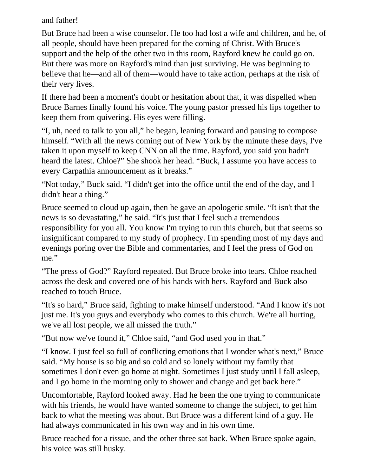and father!

But Bruce had been a wise counselor. He too had lost a wife and children, and he, of all people, should have been prepared for the coming of Christ. With Bruce's support and the help of the other two in this room, Rayford knew he could go on. But there was more on Rayford's mind than just surviving. He was beginning to believe that he—and all of them—would have to take action, perhaps at the risk of their very lives.

If there had been a moment's doubt or hesitation about that, it was dispelled when Bruce Barnes finally found his voice. The young pastor pressed his lips together to keep them from quivering. His eyes were filling.

"I, uh, need to talk to you all," he began, leaning forward and pausing to compose himself. "With all the news coming out of New York by the minute these days, I've taken it upon myself to keep CNN on all the time. Rayford, you said you hadn't heard the latest. Chloe?" She shook her head. "Buck, I assume you have access to every Carpathia announcement as it breaks."

"Not today," Buck said. "I didn't get into the office until the end of the day, and I didn't hear a thing."

Bruce seemed to cloud up again, then he gave an apologetic smile. "It isn't that the news is so devastating," he said. "It's just that I feel such a tremendous responsibility for you all. You know I'm trying to run this church, but that seems so insignificant compared to my study of prophecy. I'm spending most of my days and evenings poring over the Bible and commentaries, and I feel the press of God on me."

"The press of God?" Rayford repeated. But Bruce broke into tears. Chloe reached across the desk and covered one of his hands with hers. Rayford and Buck also reached to touch Bruce.

"It's so hard," Bruce said, fighting to make himself understood. "And I know it's not just me. It's you guys and everybody who comes to this church. We're all hurting, we've all lost people, we all missed the truth."

"But now we've found it," Chloe said, "and God used you in that."

"I know. I just feel so full of conflicting emotions that I wonder what's next," Bruce said. "My house is so big and so cold and so lonely without my family that sometimes I don't even go home at night. Sometimes I just study until I fall asleep, and I go home in the morning only to shower and change and get back here."

Uncomfortable, Rayford looked away. Had he been the one trying to communicate with his friends, he would have wanted someone to change the subject, to get him back to what the meeting was about. But Bruce was a different kind of a guy. He had always communicated in his own way and in his own time.

Bruce reached for a tissue, and the other three sat back. When Bruce spoke again, his voice was still husky.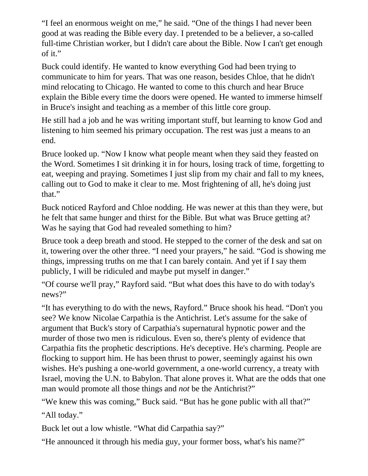"I feel an enormous weight on me," he said. "One of the things I had never been good at was reading the Bible every day. I pretended to be a believer, a so-called full-time Christian worker, but I didn't care about the Bible. Now I can't get enough of it."

Buck could identify. He wanted to know everything God had been trying to communicate to him for years. That was one reason, besides Chloe, that he didn't mind relocating to Chicago. He wanted to come to this church and hear Bruce explain the Bible every time the doors were opened. He wanted to immerse himself in Bruce's insight and teaching as a member of this little core group.

He still had a job and he was writing important stuff, but learning to know God and listening to him seemed his primary occupation. The rest was just a means to an end.

Bruce looked up. "Now I know what people meant when they said they feasted on the Word. Sometimes I sit drinking it in for hours, losing track of time, forgetting to eat, weeping and praying. Sometimes I just slip from my chair and fall to my knees, calling out to God to make it clear to me. Most frightening of all, he's doing just that."

Buck noticed Rayford and Chloe nodding. He was newer at this than they were, but he felt that same hunger and thirst for the Bible. But what was Bruce getting at? Was he saying that God had revealed something to him?

Bruce took a deep breath and stood. He stepped to the corner of the desk and sat on it, towering over the other three. "I need your prayers," he said. "God is showing me things, impressing truths on me that I can barely contain. And yet if I say them publicly, I will be ridiculed and maybe put myself in danger."

"Of course we'll pray," Rayford said. "But what does this have to do with today's news?"

"It has everything to do with the news, Rayford." Bruce shook his head. "Don't you see? We know Nicolae Carpathia is the Antichrist. Let's assume for the sake of argument that Buck's story of Carpathia's supernatural hypnotic power and the murder of those two men is ridiculous. Even so, there's plenty of evidence that Carpathia fits the prophetic descriptions. He's deceptive. He's charming. People are flocking to support him. He has been thrust to power, seemingly against his own wishes. He's pushing a one-world government, a one-world currency, a treaty with Israel, moving the U.N. to Babylon. That alone proves it. What are the odds that one man would promote all those things and *not* be the Antichrist?"

"We knew this was coming," Buck said. "But has he gone public with all that?" "All today."

Buck let out a low whistle. "What did Carpathia say?"

"He announced it through his media guy, your former boss, what's his name?"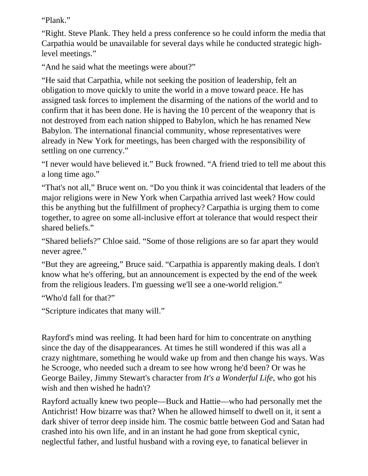"Plank."

"Right. Steve Plank. They held a press conference so he could inform the media that Carpathia would be unavailable for several days while he conducted strategic highlevel meetings."

"And he said what the meetings were about?"

"He said that Carpathia, while not seeking the position of leadership, felt an obligation to move quickly to unite the world in a move toward peace. He has assigned task forces to implement the disarming of the nations of the world and to confirm that it has been done. He is having the 10 percent of the weaponry that is not destroyed from each nation shipped to Babylon, which he has renamed New Babylon. The international financial community, whose representatives were already in New York for meetings, has been charged with the responsibility of settling on one currency."

"I never would have believed it." Buck frowned. "A friend tried to tell me about this a long time ago."

"That's not all," Bruce went on. "Do you think it was coincidental that leaders of the major religions were in New York when Carpathia arrived last week? How could this be anything but the fulfillment of prophecy? Carpathia is urging them to come together, to agree on some all-inclusive effort at tolerance that would respect their shared beliefs."

"Shared beliefs?" Chloe said. "Some of those religions are so far apart they would never agree."

"But they are agreeing," Bruce said. "Carpathia is apparently making deals. I don't know what he's offering, but an announcement is expected by the end of the week from the religious leaders. I'm guessing we'll see a one-world religion."

"Who'd fall for that?"

"Scripture indicates that many will."

Rayford's mind was reeling. It had been hard for him to concentrate on anything since the day of the disappearances. At times he still wondered if this was all a crazy nightmare, something he would wake up from and then change his ways. Was he Scrooge, who needed such a dream to see how wrong he'd been? Or was he George Bailey, Jimmy Stewart's character from *It's a Wonderful Life*, who got his wish and then wished he hadn't?

Rayford actually knew two people—Buck and Hattie—who had personally met the Antichrist! How bizarre was that? When he allowed himself to dwell on it, it sent a dark shiver of terror deep inside him. The cosmic battle between God and Satan had crashed into his own life, and in an instant he had gone from skeptical cynic, neglectful father, and lustful husband with a roving eye, to fanatical believer in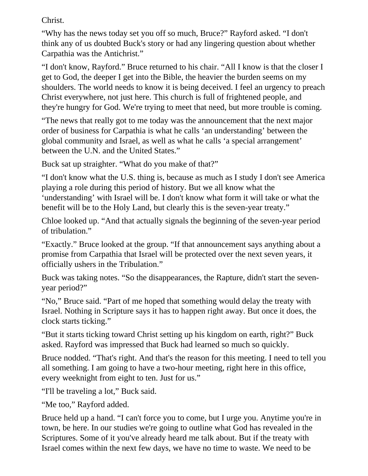Christ.

"Why has the news today set you off so much, Bruce?" Rayford asked. "I don't think any of us doubted Buck's story or had any lingering question about whether Carpathia was the Antichrist."

"I don't know, Rayford." Bruce returned to his chair. "All I know is that the closer I get to God, the deeper I get into the Bible, the heavier the burden seems on my shoulders. The world needs to know it is being deceived. I feel an urgency to preach Christ everywhere, not just here. This church is full of frightened people, and they're hungry for God. We're trying to meet that need, but more trouble is coming.

"The news that really got to me today was the announcement that the next major order of business for Carpathia is what he calls 'an understanding' between the global community and Israel, as well as what he calls 'a special arrangement' between the U.N. and the United States."

Buck sat up straighter. "What do you make of that?"

"I don't know what the U.S. thing is, because as much as I study I don't see America playing a role during this period of history. But we all know what the 'understanding' with Israel will be. I don't know what form it will take or what the benefit will be to the Holy Land, but clearly this is the seven-year treaty."

Chloe looked up. "And that actually signals the beginning of the seven-year period of tribulation."

"Exactly." Bruce looked at the group. "If that announcement says anything about a promise from Carpathia that Israel will be protected over the next seven years, it officially ushers in the Tribulation."

Buck was taking notes. "So the disappearances, the Rapture, didn't start the sevenyear period?"

"No," Bruce said. "Part of me hoped that something would delay the treaty with Israel. Nothing in Scripture says it has to happen right away. But once it does, the clock starts ticking."

"But it starts ticking toward Christ setting up his kingdom on earth, right?" Buck asked. Rayford was impressed that Buck had learned so much so quickly.

Bruce nodded. "That's right. And that's the reason for this meeting. I need to tell you all something. I am going to have a two-hour meeting, right here in this office, every weeknight from eight to ten. Just for us."

"I'll be traveling a lot," Buck said.

"Me too," Rayford added.

Bruce held up a hand. "I can't force you to come, but I urge you. Anytime you're in town, be here. In our studies we're going to outline what God has revealed in the Scriptures. Some of it you've already heard me talk about. But if the treaty with Israel comes within the next few days, we have no time to waste. We need to be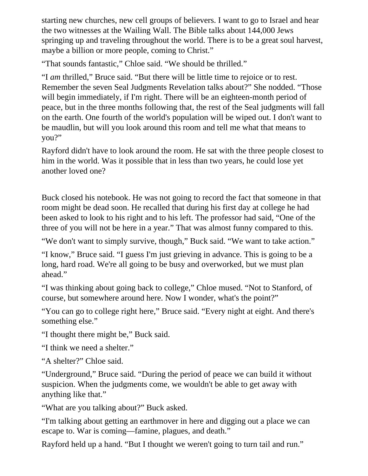starting new churches, new cell groups of believers. I want to go to Israel and hear the two witnesses at the Wailing Wall. The Bible talks about 144,000 Jews springing up and traveling throughout the world. There is to be a great soul harvest, maybe a billion or more people, coming to Christ."

"That sounds fantastic," Chloe said. "We should be thrilled."

"I *am* thrilled," Bruce said. "But there will be little time to rejoice or to rest. Remember the seven Seal Judgments Revelation talks about?" She nodded. "Those will begin immediately, if I'm right. There will be an eighteen-month period of peace, but in the three months following that, the rest of the Seal judgments will fall on the earth. One fourth of the world's population will be wiped out. I don't want to be maudlin, but will you look around this room and tell me what that means to you?"

Rayford didn't have to look around the room. He sat with the three people closest to him in the world. Was it possible that in less than two years, he could lose yet another loved one?

Buck closed his notebook. He was not going to record the fact that someone in that room might be dead soon. He recalled that during his first day at college he had been asked to look to his right and to his left. The professor had said, "One of the three of you will not be here in a year." That was almost funny compared to this.

"We don't want to simply survive, though," Buck said. "We want to take action."

"I know," Bruce said. "I guess I'm just grieving in advance. This is going to be a long, hard road. We're all going to be busy and overworked, but we must plan ahead."

"I was thinking about going back to college," Chloe mused. "Not to Stanford, of course, but somewhere around here. Now I wonder, what's the point?"

"You can go to college right here," Bruce said. "Every night at eight. And there's something else."

"I thought there might be," Buck said.

"I think we need a shelter."

"A shelter?" Chloe said.

"Underground," Bruce said. "During the period of peace we can build it without suspicion. When the judgments come, we wouldn't be able to get away with anything like that."

"What are you talking about?" Buck asked.

"I'm talking about getting an earthmover in here and digging out a place we can escape to. War is coming—famine, plagues, and death."

Rayford held up a hand. "But I thought we weren't going to turn tail and run."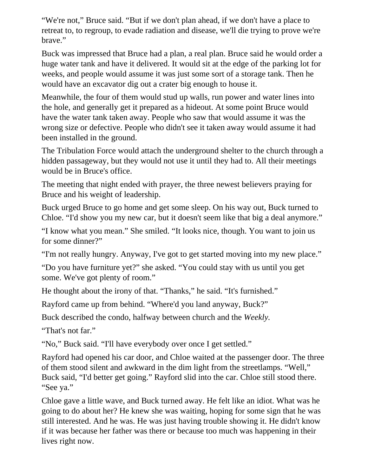"We're not," Bruce said. "But if we don't plan ahead, if we don't have a place to retreat to, to regroup, to evade radiation and disease, we'll die trying to prove we're brave."

Buck was impressed that Bruce had a plan, a real plan. Bruce said he would order a huge water tank and have it delivered. It would sit at the edge of the parking lot for weeks, and people would assume it was just some sort of a storage tank. Then he would have an excavator dig out a crater big enough to house it.

Meanwhile, the four of them would stud up walls, run power and water lines into the hole, and generally get it prepared as a hideout. At some point Bruce would have the water tank taken away. People who saw that would assume it was the wrong size or defective. People who didn't see it taken away would assume it had been installed in the ground.

The Tribulation Force would attach the underground shelter to the church through a hidden passageway, but they would not use it until they had to. All their meetings would be in Bruce's office.

The meeting that night ended with prayer, the three newest believers praying for Bruce and his weight of leadership.

Buck urged Bruce to go home and get some sleep. On his way out, Buck turned to Chloe. "I'd show you my new car, but it doesn't seem like that big a deal anymore."

"I know what you mean." She smiled. "It looks nice, though. You want to join us for some dinner?"

"I'm not really hungry. Anyway, I've got to get started moving into my new place."

"Do you have furniture yet?" she asked. "You could stay with us until you get some. We've got plenty of room."

He thought about the irony of that. "Thanks," he said. "It's furnished."

Rayford came up from behind. "Where'd you land anyway, Buck?"

Buck described the condo, halfway between church and the *Weekly.*

"That's not far."

"No," Buck said. "I'll have everybody over once I get settled."

Rayford had opened his car door, and Chloe waited at the passenger door. The three of them stood silent and awkward in the dim light from the streetlamps. "Well," Buck said, "I'd better get going." Rayford slid into the car. Chloe still stood there. "See ya."

Chloe gave a little wave, and Buck turned away. He felt like an idiot. What was he going to do about her? He knew she was waiting, hoping for some sign that he was still interested. And he was. He was just having trouble showing it. He didn't know if it was because her father was there or because too much was happening in their lives right now.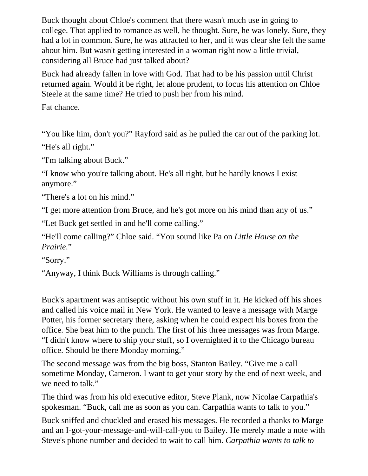Buck thought about Chloe's comment that there wasn't much use in going to college. That applied to romance as well, he thought. Sure, he was lonely. Sure, they had a lot in common. Sure, he was attracted to her, and it was clear she felt the same about him. But wasn't getting interested in a woman right now a little trivial, considering all Bruce had just talked about?

Buck had already fallen in love with God. That had to be his passion until Christ returned again. Would it be right, let alone prudent, to focus his attention on Chloe Steele at the same time? He tried to push her from his mind.

Fat chance.

"You like him, don't you?" Rayford said as he pulled the car out of the parking lot.

"He's all right."

"I'm talking about Buck."

"I know who you're talking about. He's all right, but he hardly knows I exist anymore."

"There's a lot on his mind."

"I get more attention from Bruce, and he's got more on his mind than any of us."

"Let Buck get settled in and he'll come calling."

"He'll come calling?" Chloe said. "You sound like Pa on *Little House on the Prairie*."

"Sorry."

"Anyway, I think Buck Williams is through calling."

Buck's apartment was antiseptic without his own stuff in it. He kicked off his shoes and called his voice mail in New York. He wanted to leave a message with Marge Potter, his former secretary there, asking when he could expect his boxes from the office. She beat him to the punch. The first of his three messages was from Marge. "I didn't know where to ship your stuff, so I overnighted it to the Chicago bureau office. Should be there Monday morning."

The second message was from the big boss, Stanton Bailey. "Give me a call sometime Monday, Cameron. I want to get your story by the end of next week, and we need to talk."

The third was from his old executive editor, Steve Plank, now Nicolae Carpathia's spokesman. "Buck, call me as soon as you can. Carpathia wants to talk to you."

Buck sniffed and chuckled and erased his messages. He recorded a thanks to Marge and an I-got-your-message-and-will-call-you to Bailey. He merely made a note with Steve's phone number and decided to wait to call him. *Carpathia wants to talk to*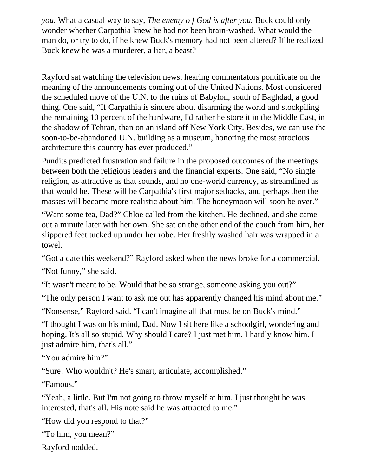*you.* What a casual way to say, *The enemy o f God is after you.* Buck could only wonder whether Carpathia knew he had not been brain-washed. What would the man do, or try to do, if he knew Buck's memory had not been altered? If he realized Buck knew he was a murderer, a liar, a beast?

Rayford sat watching the television news, hearing commentators pontificate on the meaning of the announcements coming out of the United Nations. Most considered the scheduled move of the U.N. to the ruins of Babylon, south of Baghdad, a good thing. One said, "If Carpathia is sincere about disarming the world and stockpiling the remaining 10 percent of the hardware, I'd rather he store it in the Middle East, in the shadow of Tehran, than on an island off New York City. Besides, we can use the soon-to-be-abandoned U.N. building as a museum, honoring the most atrocious architecture this country has ever produced."

Pundits predicted frustration and failure in the proposed outcomes of the meetings between both the religious leaders and the financial experts. One said, "No single religion, as attractive as that sounds, and no one-world currency, as streamlined as that would be. These will be Carpathia's first major setbacks, and perhaps then the masses will become more realistic about him. The honeymoon will soon be over."

"Want some tea, Dad?" Chloe called from the kitchen. He declined, and she came out a minute later with her own. She sat on the other end of the couch from him, her slippered feet tucked up under her robe. Her freshly washed hair was wrapped in a towel.

"Got a date this weekend?" Rayford asked when the news broke for a commercial.

"Not funny," she said.

"It wasn't meant to be. Would that be so strange, someone asking you out?"

"The only person I want to ask me out has apparently changed his mind about me."

"Nonsense," Rayford said. "I can't imagine all that must be on Buck's mind."

"I thought I was on his mind, Dad. Now I sit here like a schoolgirl, wondering and hoping. It's all so stupid. Why should I care? I just met him. I hardly know him. I just admire him, that's all."

"You admire him?"

"Sure! Who wouldn't? He's smart, articulate, accomplished."

"Famous."

"Yeah, a little. But I'm not going to throw myself at him. I just thought he was interested, that's all. His note said he was attracted to me."

"How did you respond to that?"

"To him, you mean?"

Rayford nodded.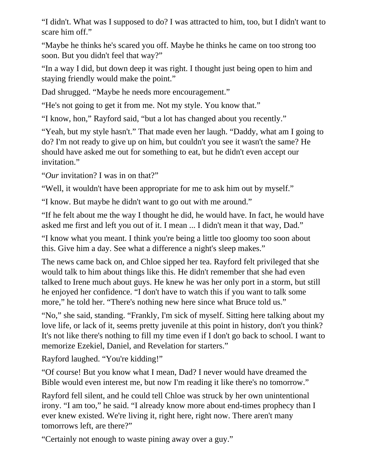"I didn't. What was I supposed to do? I was attracted to him, too, but I didn't want to scare him off."

"Maybe he thinks he's scared you off. Maybe he thinks he came on too strong too soon. But you didn't feel that way?"

"In a way I did, but down deep it was right. I thought just being open to him and staying friendly would make the point."

Dad shrugged. "Maybe he needs more encouragement."

"He's not going to get it from me. Not my style. You know that."

"I know, hon," Rayford said, "but a lot has changed about you recently."

"Yeah, but my style hasn't." That made even her laugh. "Daddy, what am I going to do? I'm not ready to give up on him, but couldn't you see it wasn't the same? He should have asked me out for something to eat, but he didn't even accept our invitation."

"*Our* invitation? I was in on that?"

"Well, it wouldn't have been appropriate for me to ask him out by myself."

"I know. But maybe he didn't want to go out with me around."

"If he felt about me the way I thought he did, he would have. In fact, he would have asked me first and left you out of it. I mean ... I didn't mean it that way, Dad."

"I know what you meant. I think you're being a little too gloomy too soon about this. Give him a day. See what a difference a night's sleep makes."

The news came back on, and Chloe sipped her tea. Rayford felt privileged that she would talk to him about things like this. He didn't remember that she had even talked to Irene much about guys. He knew he was her only port in a storm, but still he enjoyed her confidence. "I don't have to watch this if you want to talk some more," he told her. "There's nothing new here since what Bruce told us."

"No," she said, standing. "Frankly, I'm sick of myself. Sitting here talking about my love life, or lack of it, seems pretty juvenile at this point in history, don't you think? It's not like there's nothing to fill my time even if I don't go back to school. I want to memorize Ezekiel, Daniel, and Revelation for starters."

Rayford laughed. "You're kidding!"

"Of course! But you know what I mean, Dad? I never would have dreamed the Bible would even interest me, but now I'm reading it like there's no tomorrow."

Rayford fell silent, and he could tell Chloe was struck by her own unintentional irony. "I am too," he said. "I already know more about end-times prophecy than I ever knew existed. We're living it, right here, right now. There aren't many tomorrows left, are there?"

"Certainly not enough to waste pining away over a guy."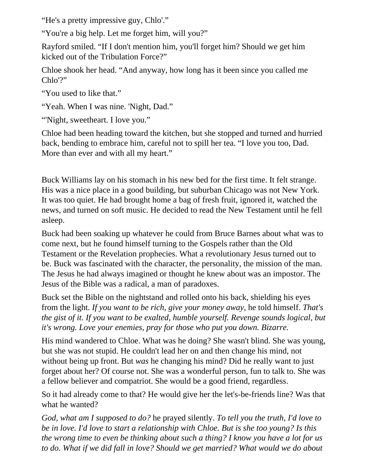"He's a pretty impressive guy, Chlo'."

"You're a big help. Let me forget him, will you?"

Rayford smiled. "If I don't mention him, you'll forget him? Should we get him kicked out of the Tribulation Force?"

Chloe shook her head. "And anyway, how long has it been since you called me Chlo'?"

"You used to like that."

"Yeah. When I was nine. 'Night, Dad."

"'Night, sweetheart. I love you."

Chloe had been heading toward the kitchen, but she stopped and turned and hurried back, bending to embrace him, careful not to spill her tea. "I love you too, Dad. More than ever and with all my heart."

Buck Williams lay on his stomach in his new bed for the first time. It felt strange. His was a nice place in a good building, but suburban Chicago was not New York. It was too quiet. He had brought home a bag of fresh fruit, ignored it, watched the news, and turned on soft music. He decided to read the New Testament until he fell asleep.

Buck had been soaking up whatever he could from Bruce Barnes about what was to come next, but he found himself turning to the Gospels rather than the Old Testament or the Revelation prophecies. What a revolutionary Jesus turned out to be. Buck was fascinated with the character, the personality, the mission of the man. The Jesus he had always imagined or thought he knew about was an impostor. The Jesus of the Bible was a radical, a man of paradoxes.

Buck set the Bible on the nightstand and rolled onto his back, shielding his eyes from the light. *If you want to be rich, give your money away,* he told himself. *That's the gist of it. If you want to be exalted, humble yourself. Revenge sounds logical, but it's wrong. Love your enemies, pray for those who put you down. Bizarre.*

His mind wandered to Chloe. What was he doing? She wasn't blind. She was young, but she was not stupid. He couldn't lead her on and then change his mind, not without being up front. But *was* he changing his mind? Did he really want to just forget about her? Of course not. She was a wonderful person, fun to talk to. She was a fellow believer and compatriot. She would be a good friend, regardless.

So it had already come to that? He would give her the let's-be-friends line? Was that what he wanted?

*God, what am I supposed to do?* he prayed silently. *To tell you the truth, I'd love to be in love. I'd love to start a relationship with Chloe. But is she too young? Is this the wrong time to even be thinking about such a thing? I know you have a lot for us*  to do. What if we did fall in love? Should we get married? What would we do about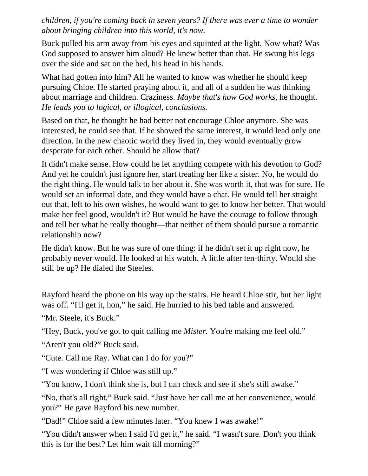*children, if you're coming back in seven years? If there was ever a time to wonder about bringing children into this world, it's now.*

Buck pulled his arm away from his eyes and squinted at the light. Now what? Was God supposed to answer him aloud? He knew better than that. He swung his legs over the side and sat on the bed, his head in his hands.

What had gotten into him? All he wanted to know was whether he should keep pursuing Chloe. He started praying about it, and all of a sudden he was thinking about marriage and children. Craziness. *Maybe that's how God works,* he thought. *He leads you to logical, or illogical, conclusions.*

Based on that, he thought he had better not encourage Chloe anymore. She was interested, he could see that. If he showed the same interest, it would lead only one direction. In the new chaotic world they lived in, they would eventually grow desperate for each other. Should he allow that?

It didn't make sense. How could he let anything compete with his devotion to God? And yet he couldn't just ignore her, start treating her like a sister. No, he would do the right thing. He would talk to her about it. She was worth it, that was for sure. He would set an informal date, and they would have a chat. He would tell her straight out that, left to his own wishes, he would want to get to know her better. That would make her feel good, wouldn't it? But would he have the courage to follow through and tell her what he really thought—that neither of them should pursue a romantic relationship now?

He didn't know. But he was sure of one thing: if he didn't set it up right now, he probably never would. He looked at his watch. A little after ten-thirty. Would she still be up? He dialed the Steeles.

Rayford heard the phone on his way up the stairs. He heard Chloe stir, but her light was off. "I'll get it, hon," he said. He hurried to his bed table and answered.

"Mr. Steele, it's Buck."

"Hey, Buck, you've got to quit calling me *Mister.* You're making me feel old."

"Aren't you old?" Buck said.

"Cute. Call me Ray. What can I do for you?"

"I was wondering if Chloe was still up."

"You know, I don't think she is, but I can check and see if she's still awake."

"No, that's all right," Buck said. "Just have her call me at her convenience, would you?" He gave Rayford his new number.

"Dad!" Chloe said a few minutes later. "You knew I was awake!"

"You didn't answer when I said I'd get it," he said. "I wasn't sure. Don't you think this is for the best? Let him wait till morning?"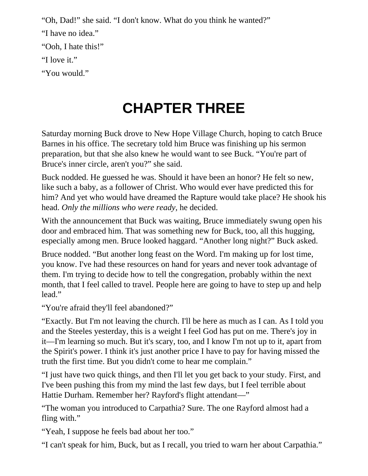"Oh, Dad!" she said. "I don't know. What do you think he wanted?"

"I have no idea."

"Ooh, I hate this!"

"I love it."

"You would."

# **CHAPTER THREE**

Saturday morning Buck drove to New Hope Village Church, hoping to catch Bruce Barnes in his office. The secretary told him Bruce was finishing up his sermon preparation, but that she also knew he would want to see Buck. "You're part of Bruce's inner circle, aren't you?" she said.

Buck nodded. He guessed he was. Should it have been an honor? He felt so new, like such a baby, as a follower of Christ. Who would ever have predicted this for him? And yet who would have dreamed the Rapture would take place? He shook his head. *Only the millions who were ready,* he decided.

With the announcement that Buck was waiting, Bruce immediately swung open his door and embraced him. That was something new for Buck, too, all this hugging, especially among men. Bruce looked haggard. "Another long night?" Buck asked.

Bruce nodded. "But another long feast on the Word. I'm making up for lost time, you know. I've had these resources on hand for years and never took advantage of them. I'm trying to decide how to tell the congregation, probably within the next month, that I feel called to travel. People here are going to have to step up and help lead."

"You're afraid they'll feel abandoned?"

"Exactly. But I'm not leaving the church. I'll be here as much as I can. As I told you and the Steeles yesterday, this is a weight I feel God has put on me. There's joy in it—I'm learning so much. But it's scary, too, and I know I'm not up to it, apart from the Spirit's power. I think it's just another price I have to pay for having missed the truth the first time. But you didn't come to hear me complain."

"I just have two quick things, and then I'll let you get back to your study. First, and I've been pushing this from my mind the last few days, but I feel terrible about Hattie Durham. Remember her? Rayford's flight attendant—"

"The woman you introduced to Carpathia? Sure. The one Rayford almost had a fling with."

"Yeah, I suppose he feels bad about her too."

"I can't speak for him, Buck, but as I recall, you tried to warn her about Carpathia."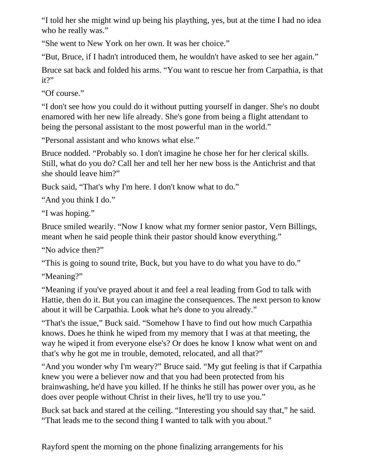"I told her she might wind up being his plaything, yes, but at the time I had no idea who he really was."

"She went to New York on her own. It was her choice."

"But, Bruce, if I hadn't introduced them, he wouldn't have asked to see her again."

Bruce sat back and folded his arms. "You want to rescue her from Carpathia, is that it?"

"Of course."

"I don't see how you could do it without putting yourself in danger. She's no doubt enamored with her new life already. She's gone from being a flight attendant to being the personal assistant to the most powerful man in the world."

"Personal assistant and who knows what else."

Bruce nodded. "Probably so. I don't imagine he chose her for her clerical skills. Still, what do you do? Call her and tell her her new boss is the Antichrist and that she should leave him?"

Buck said, "That's why I'm here. I don't know what to do."

"And you think I do."

"I was hoping."

Bruce smiled wearily. "Now I know what my former senior pastor, Vern Billings, meant when he said people think their pastor should know everything."

"No advice then?"

"This is going to sound trite, Buck, but you have to do what you have to do."

"Meaning?"

"Meaning if you've prayed about it and feel a real leading from God to talk with Hattie, then do it. But you can imagine the consequences. The next person to know about it will be Carpathia. Look what he's done to you already."

"That's the issue," Buck said. "Somehow I have to find out how much Carpathia knows. Does he think he wiped from my memory that I was at that meeting, the way he wiped it from everyone else's? Or does he know I know what went on and that's why he got me in trouble, demoted, relocated, and all that?"

"And you wonder why I'm weary?" Bruce said. "My gut feeling is that if Carpathia knew you were a believer now and that you had been protected from his brainwashing, he'd have you killed. If he thinks he still has power over you, as he does over people without Christ in their lives, he'll try to use you."

Buck sat back and stared at the ceiling. "Interesting you should say that," he said. "That leads me to the second thing I wanted to talk with you about."

Rayford spent the morning on the phone finalizing arrangements for his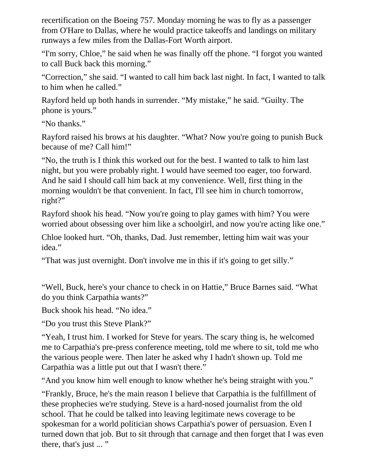recertification on the Boeing 757. Monday morning he was to fly as a passenger from O'Hare to Dallas, where he would practice takeoffs and landings on military runways a few miles from the Dallas-Fort Worth airport.

"I'm sorry, Chloe," he said when he was finally off the phone. "I forgot you wanted to call Buck back this morning."

"Correction," she said. "I wanted to call him back last night. In fact, I wanted to talk to him when he called."

Rayford held up both hands in surrender. "My mistake," he said. "Guilty. The phone is yours."

"No thanks."

Rayford raised his brows at his daughter. "What? Now you're going to punish Buck because of me? Call him!"

"No, the truth is I think this worked out for the best. I wanted to talk to him last night, but you were probably right. I would have seemed too eager, too forward. And he said I should call him back at my convenience. Well, first thing in the morning wouldn't be that convenient. In fact, I'll see him in church tomorrow, right?"

Rayford shook his head. "Now you're going to play games with him? You were worried about obsessing over him like a schoolgirl, and now you're acting like one."

Chloe looked hurt. "Oh, thanks, Dad. Just remember, letting him wait was your idea."

"That was just overnight. Don't involve me in this if it's going to get silly."

"Well, Buck, here's your chance to check in on Hattie," Bruce Barnes said. "What do you think Carpathia wants?"

Buck shook his head. "No idea."

"Do you trust this Steve Plank?"

"Yeah, I trust him. I worked for Steve for years. The scary thing is, he welcomed me to Carpathia's pre-press conference meeting, told me where to sit, told me who the various people were. Then later he asked why I hadn't shown up. Told me Carpathia was a little put out that I wasn't there."

"And you know him well enough to know whether he's being straight with you."

"Frankly, Bruce, he's the main reason I believe that Carpathia is the fulfillment of these prophecies we're studying. Steve is a hard-nosed journalist from the old school. That he could be talked into leaving legitimate news coverage to be spokesman for a world politician shows Carpathia's power of persuasion. Even I turned down that job. But to sit through that carnage and then forget that I was even there, that's just ... "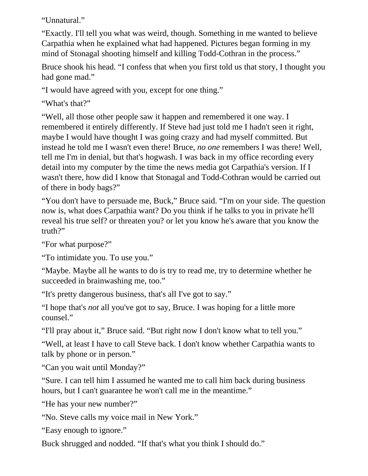"Unnatural."

"Exactly. I'll tell you what was weird, though. Something in me wanted to believe Carpathia when he explained what had happened. Pictures began forming in my mind of Stonagal shooting himself and killing Todd-Cothran in the process."

Bruce shook his head. "I confess that when you first told us that story, I thought you had gone mad."

"I would have agreed with you, except for one thing."

"What's that?"

"Well, all those other people saw it happen and remembered it one way. I remembered it entirely differently. If Steve had just told me I hadn't seen it right, maybe I would have thought I was going crazy and had myself committed. But instead he told me I wasn't even there! Bruce, *no one* remembers I was there! Well, tell me I'm in denial, but that's hogwash. I was back in my office recording every detail into my computer by the time the news media got Carpathia's version. If I wasn't there, how did I know that Stonagal and Todd-Cothran would be carried out of there in body bags?"

"You don't have to persuade me, Buck," Bruce said. "I'm on your side. The question now is, what does Carpathia want? Do you think if he talks to you in private he'll reveal his true self? or threaten you? or let you know he's aware that you know the truth?"

"For what purpose?"

"To intimidate you. To use you."

"Maybe. Maybe all he wants to do is try to read me, try to determine whether he succeeded in brainwashing me, too."

"It's pretty dangerous business, that's all I've got to say."

"I hope that's *not* all you've got to say, Bruce. I was hoping for a little more counsel."

"I'll pray about it," Bruce said. "But right now I don't know what to tell you."

"Well, at least I have to call Steve back. I don't know whether Carpathia wants to talk by phone or in person."

"Can you wait until Monday?"

"Sure. I can tell him I assumed he wanted me to call him back during business hours, but I can't guarantee he won't call me in the meantime."

"He has your new number?"

"No. Steve calls my voice mail in New York."

"Easy enough to ignore."

Buck shrugged and nodded. "If that's what you think I should do."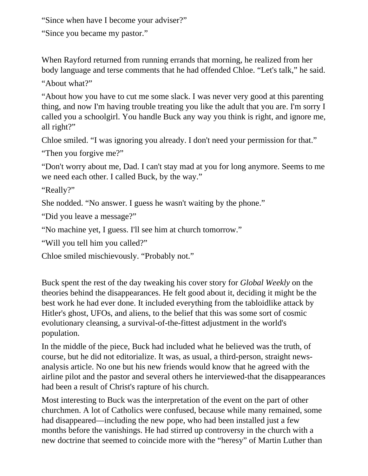"Since when have I become your adviser?"

"Since you became my pastor."

When Rayford returned from running errands that morning, he realized from her body language and terse comments that he had offended Chloe. "Let's talk," he said.

"About what?"

"About how you have to cut me some slack. I was never very good at this parenting thing, and now I'm having trouble treating you like the adult that you are. I'm sorry I called you a schoolgirl. You handle Buck any way you think is right, and ignore me, all right?"

Chloe smiled. "I was ignoring you already. I don't need your permission for that."

"Then you forgive me?"

"Don't worry about me, Dad. I can't stay mad at you for long anymore. Seems to me we need each other. I called Buck, by the way."

"Really?"

She nodded. "No answer. I guess he wasn't waiting by the phone."

"Did you leave a message?"

"No machine yet, I guess. I'll see him at church tomorrow."

"Will you tell him you called?"

Chloe smiled mischievously. "Probably not."

Buck spent the rest of the day tweaking his cover story for *Global Weekly* on the theories behind the disappearances. He felt good about it, deciding it might be the best work he had ever done. It included everything from the tabloidlike attack by Hitler's ghost, UFOs, and aliens, to the belief that this was some sort of cosmic evolutionary cleansing, a survival-of-the-fittest adjustment in the world's population.

In the middle of the piece, Buck had included what he believed was the truth, of course, but he did not editorialize. It was, as usual, a third-person, straight newsanalysis article. No one but his new friends would know that he agreed with the airline pilot and the pastor and several others he interviewed-that the disappearances had been a result of Christ's rapture of his church.

Most interesting to Buck was the interpretation of the event on the part of other churchmen. A lot of Catholics were confused, because while many remained, some had disappeared—including the new pope, who had been installed just a few months before the vanishings. He had stirred up controversy in the church with a new doctrine that seemed to coincide more with the "heresy" of Martin Luther than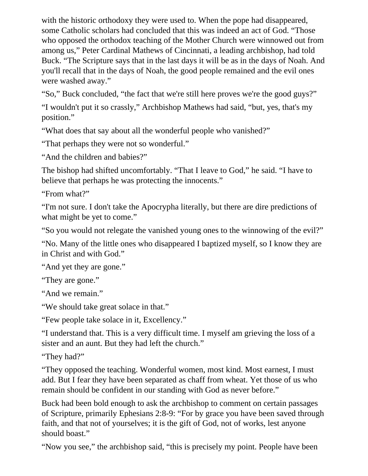with the historic orthodoxy they were used to. When the pope had disappeared, some Catholic scholars had concluded that this was indeed an act of God. "Those who opposed the orthodox teaching of the Mother Church were winnowed out from among us," Peter Cardinal Mathews of Cincinnati, a leading archbishop, had told Buck. "The Scripture says that in the last days it will be as in the days of Noah. And you'll recall that in the days of Noah, the good people remained and the evil ones were washed away."

"So," Buck concluded, "the fact that we're still here proves we're the good guys?"

"I wouldn't put it so crassly," Archbishop Mathews had said, "but, yes, that's my position."

"What does that say about all the wonderful people who vanished?"

"That perhaps they were not so wonderful."

"And the children and babies?"

The bishop had shifted uncomfortably. "That I leave to God," he said. "I have to believe that perhaps he was protecting the innocents."

"From what?"

"I'm not sure. I don't take the Apocrypha literally, but there are dire predictions of what might be yet to come."

"So you would not relegate the vanished young ones to the winnowing of the evil?"

"No. Many of the little ones who disappeared I baptized myself, so I know they are in Christ and with God."

"And yet they are gone."

"They are gone."

"And we remain."

"We should take great solace in that."

"Few people take solace in it, Excellency."

"I understand that. This is a very difficult time. I myself am grieving the loss of a sister and an aunt. But they had left the church."

"They had?"

"They opposed the teaching. Wonderful women, most kind. Most earnest, I must add. But I fear they have been separated as chaff from wheat. Yet those of us who remain should be confident in our standing with God as never before."

Buck had been bold enough to ask the archbishop to comment on certain passages of Scripture, primarily Ephesians 2:8-9: "For by grace you have been saved through faith, and that not of yourselves; it is the gift of God, not of works, lest anyone should boast."

"Now you see," the archbishop said, "this is precisely my point. People have been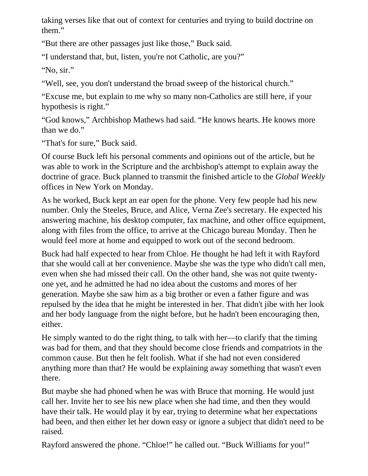taking verses like that out of context for centuries and trying to build doctrine on them."

"But there are other passages just like those," Buck said.

"I understand that, but, listen, you're not Catholic, are you?"

"No, sir."

"Well, see, you don't understand the broad sweep of the historical church."

"Excuse me, but explain to me why so many non-Catholics are still here, if your hypothesis is right."

"God knows," Archbishop Mathews had said. "He knows hearts. He knows more than we do."

"That's for sure," Buck said.

Of course Buck left his personal comments and opinions out of the article, but he was able to work in the Scripture and the archbishop's attempt to explain away the doctrine of grace. Buck planned to transmit the finished article to the *Global Weekly*  offices in New York on Monday.

As he worked, Buck kept an ear open for the phone. Very few people had his new number. Only the Steeles, Bruce, and Alice, Verna Zee's secretary. He expected his answering machine, his desktop computer, fax machine, and other office equipment, along with files from the office, to arrive at the Chicago bureau Monday. Then he would feel more at home and equipped to work out of the second bedroom.

Buck had half expected to hear from Chloe. He thought he had left it with Rayford that she would call at her convenience. Maybe she was the type who didn't call men, even when she had missed their call. On the other hand, she was not quite twentyone yet, and he admitted he had no idea about the customs and mores of her generation. Maybe she saw him as a big brother or even a father figure and was repulsed by the idea that he might be interested in her. That didn't jibe with her look and her body language from the night before, but he hadn't been encouraging then, either.

He simply wanted to do the right thing, to talk with her—to clarify that the timing was bad for them, and that they should become close friends and compatriots in the common cause. But then he felt foolish. What if she had not even considered anything more than that? He would be explaining away something that wasn't even there.

But maybe she had phoned when he was with Bruce that morning. He would just call her. Invite her to see his new place when she had time, and then they would have their talk. He would play it by ear, trying to determine what her expectations had been, and then either let her down easy or ignore a subject that didn't need to be raised.

Rayford answered the phone. "Chloe!" he called out. "Buck Williams for you!"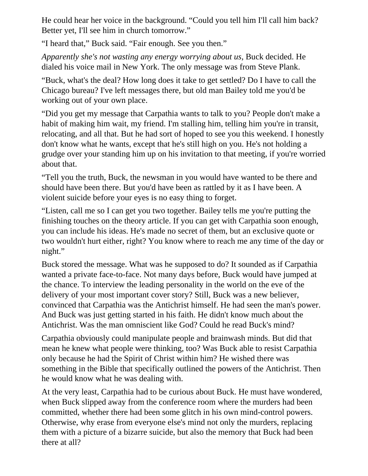He could hear her voice in the background. "Could you tell him I'll call him back? Better yet, I'll see him in church tomorrow."

"I heard that," Buck said. "Fair enough. See you then."

*Apparently she's not wasting any energy worrying about us,* Buck decided. He dialed his voice mail in New York. The only message was from Steve Plank.

"Buck, what's the deal? How long does it take to get settled? Do I have to call the Chicago bureau? I've left messages there, but old man Bailey told me you'd be working out of your own place.

"Did you get my message that Carpathia wants to talk to you? People don't make a habit of making him wait, my friend. I'm stalling him, telling him you're in transit, relocating, and all that. But he had sort of hoped to see you this weekend. I honestly don't know what he wants, except that he's still high on you. He's not holding a grudge over your standing him up on his invitation to that meeting, if you're worried about that.

"Tell you the truth, Buck, the newsman in you would have wanted to be there and should have been there. But you'd have been as rattled by it as I have been. A violent suicide before your eyes is no easy thing to forget.

"Listen, call me so I can get you two together. Bailey tells me you're putting the finishing touches on the theory article. If you can get with Carpathia soon enough, you can include his ideas. He's made no secret of them, but an exclusive quote or two wouldn't hurt either, right? You know where to reach me any time of the day or night."

Buck stored the message. What was he supposed to do? It sounded as if Carpathia wanted a private face-to-face. Not many days before, Buck would have jumped at the chance. To interview the leading personality in the world on the eve of the delivery of your most important cover story? Still, Buck was a new believer, convinced that Carpathia was the Antichrist himself. He had seen the man's power. And Buck was just getting started in his faith. He didn't know much about the Antichrist. Was the man omniscient like God? Could he read Buck's mind?

Carpathia obviously could manipulate people and brainwash minds. But did that mean he knew what people were thinking, too? Was Buck able to resist Carpathia only because he had the Spirit of Christ within him? He wished there was something in the Bible that specifically outlined the powers of the Antichrist. Then he would know what he was dealing with.

At the very least, Carpathia had to be curious about Buck. He must have wondered, when Buck slipped away from the conference room where the murders had been committed, whether there had been some glitch in his own mind-control powers. Otherwise, why erase from everyone else's mind not only the murders, replacing them with a picture of a bizarre suicide, but also the memory that Buck had been there at all?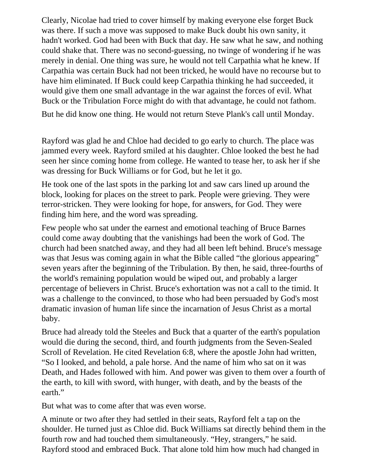Clearly, Nicolae had tried to cover himself by making everyone else forget Buck was there. If such a move was supposed to make Buck doubt his own sanity, it hadn't worked. God had been with Buck that day. He saw what he saw, and nothing could shake that. There was no second-guessing, no twinge of wondering if he was merely in denial. One thing was sure, he would not tell Carpathia what he knew. If Carpathia was certain Buck had not been tricked, he would have no recourse but to have him eliminated. If Buck could keep Carpathia thinking he had succeeded, it would give them one small advantage in the war against the forces of evil. What Buck or the Tribulation Force might do with that advantage, he could not fathom.

But he did know one thing. He would not return Steve Plank's call until Monday.

Rayford was glad he and Chloe had decided to go early to church. The place was jammed every week. Rayford smiled at his daughter. Chloe looked the best he had seen her since coming home from college. He wanted to tease her, to ask her if she was dressing for Buck Williams or for God, but he let it go.

He took one of the last spots in the parking lot and saw cars lined up around the block, looking for places on the street to park. People were grieving. They were terror-stricken. They were looking for hope, for answers, for God. They were finding him here, and the word was spreading.

Few people who sat under the earnest and emotional teaching of Bruce Barnes could come away doubting that the vanishings had been the work of God. The church had been snatched away, and they had all been left behind. Bruce's message was that Jesus was coming again in what the Bible called "the glorious appearing" seven years after the beginning of the Tribulation. By then, he said, three-fourths of the world's remaining population would be wiped out, and probably a larger percentage of believers in Christ. Bruce's exhortation was not a call to the timid. It was a challenge to the convinced, to those who had been persuaded by God's most dramatic invasion of human life since the incarnation of Jesus Christ as a mortal baby.

Bruce had already told the Steeles and Buck that a quarter of the earth's population would die during the second, third, and fourth judgments from the Seven-Sealed Scroll of Revelation. He cited Revelation 6:8, where the apostle John had written, "So I looked, and behold, a pale horse. And the name of him who sat on it was Death, and Hades followed with him. And power was given to them over a fourth of the earth, to kill with sword, with hunger, with death, and by the beasts of the earth."

But what was to come after that was even worse.

A minute or two after they had settled in their seats, Rayford felt a tap on the shoulder. He turned just as Chloe did. Buck Williams sat directly behind them in the fourth row and had touched them simultaneously. "Hey, strangers," he said. Rayford stood and embraced Buck. That alone told him how much had changed in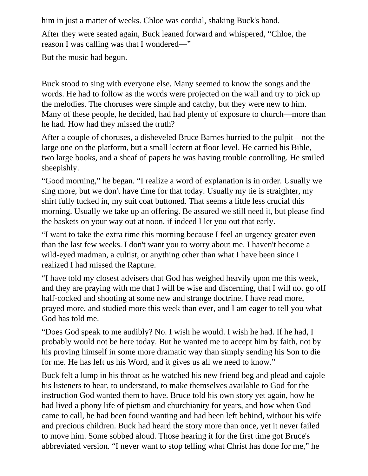him in just a matter of weeks. Chloe was cordial, shaking Buck's hand.

After they were seated again, Buck leaned forward and whispered, "Chloe, the reason I was calling was that I wondered—"

But the music had begun.

Buck stood to sing with everyone else. Many seemed to know the songs and the words. He had to follow as the words were projected on the wall and try to pick up the melodies. The choruses were simple and catchy, but they were new to him. Many of these people, he decided, had had plenty of exposure to church—more than he had. How had they missed the truth?

After a couple of choruses, a disheveled Bruce Barnes hurried to the pulpit—not the large one on the platform, but a small lectern at floor level. He carried his Bible, two large books, and a sheaf of papers he was having trouble controlling. He smiled sheepishly.

"Good morning," he began. "I realize a word of explanation is in order. Usually we sing more, but we don't have time for that today. Usually my tie is straighter, my shirt fully tucked in, my suit coat buttoned. That seems a little less crucial this morning. Usually we take up an offering. Be assured we still need it, but please find the baskets on your way out at noon, if indeed I let you out that early.

"I want to take the extra time this morning because I feel an urgency greater even than the last few weeks. I don't want you to worry about me. I haven't become a wild-eyed madman, a cultist, or anything other than what I have been since I realized I had missed the Rapture.

"I have told my closest advisers that God has weighed heavily upon me this week, and they are praying with me that I will be wise and discerning, that I will not go off half-cocked and shooting at some new and strange doctrine. I have read more, prayed more, and studied more this week than ever, and I am eager to tell you what God has told me.

"Does God speak to me audibly? No. I wish he would. I wish he had. If he had, I probably would not be here today. But he wanted me to accept him by faith, not by his proving himself in some more dramatic way than simply sending his Son to die for me. He has left us his Word, and it gives us all we need to know."

Buck felt a lump in his throat as he watched his new friend beg and plead and cajole his listeners to hear, to understand, to make themselves available to God for the instruction God wanted them to have. Bruce told his own story yet again, how he had lived a phony life of pietism and churchianity for years, and how when God came to call, he had been found wanting and had been left behind, without his wife and precious children. Buck had heard the story more than once, yet it never failed to move him. Some sobbed aloud. Those hearing it for the first time got Bruce's abbreviated version. "I never want to stop telling what Christ has done for me," he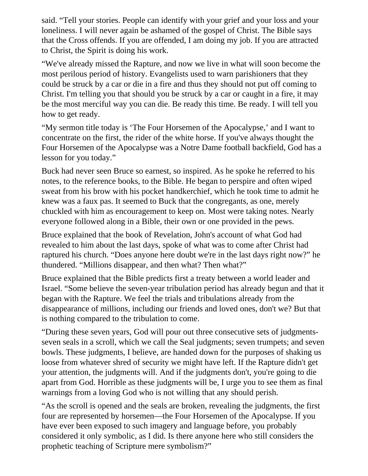said. "Tell your stories. People can identify with your grief and your loss and your loneliness. I will never again be ashamed of the gospel of Christ. The Bible says that the Cross offends. If you are offended, I am doing my job. If you are attracted to Christ, the Spirit is doing his work.

"We've already missed the Rapture, and now we live in what will soon become the most perilous period of history. Evangelists used to warn parishioners that they could be struck by a car or die in a fire and thus they should not put off coming to Christ. I'm telling you that should you be struck by a car or caught in a fire, it may be the most merciful way you can die. Be ready this time. Be ready. I will tell you how to get ready.

"My sermon title today is 'The Four Horsemen of the Apocalypse,' and I want to concentrate on the first, the rider of the white horse. If you've always thought the Four Horsemen of the Apocalypse was a Notre Dame football backfield, God has a lesson for you today."

Buck had never seen Bruce so earnest, so inspired. As he spoke he referred to his notes, to the reference books, to the Bible. He began to perspire and often wiped sweat from his brow with his pocket handkerchief, which he took time to admit he knew was a faux pas. It seemed to Buck that the congregants, as one, merely chuckled with him as encouragement to keep on. Most were taking notes. Nearly everyone followed along in a Bible, their own or one provided in the pews.

Bruce explained that the book of Revelation, John's account of what God had revealed to him about the last days, spoke of what was to come after Christ had raptured his church. "Does anyone here doubt we're in the last days right now?" he thundered. "Millions disappear, and then what? Then what?"

Bruce explained that the Bible predicts first a treaty between a world leader and Israel. "Some believe the seven-year tribulation period has already begun and that it began with the Rapture. We feel the trials and tribulations already from the disappearance of millions, including our friends and loved ones, don't we? But that is nothing compared to the tribulation to come.

"During these seven years, God will pour out three consecutive sets of judgmentsseven seals in a scroll, which we call the Seal judgments; seven trumpets; and seven bowls. These judgments, I believe, are handed down for the purposes of shaking us loose from whatever shred of security we might have left. If the Rapture didn't get your attention, the judgments will. And if the judgments don't, you're going to die apart from God. Horrible as these judgments will be, I urge you to see them as final warnings from a loving God who is not willing that any should perish.

"As the scroll is opened and the seals are broken, revealing the judgments, the first four are represented by horsemen—the Four Horsemen of the Apocalypse. If you have ever been exposed to such imagery and language before, you probably considered it only symbolic, as I did. Is there anyone here who still considers the prophetic teaching of Scripture mere symbolism?"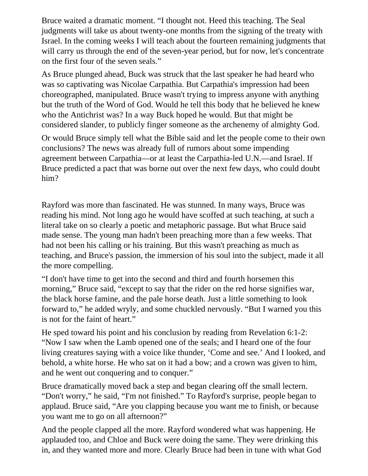Bruce waited a dramatic moment. "I thought not. Heed this teaching. The Seal judgments will take us about twenty-one months from the signing of the treaty with Israel. In the coming weeks I will teach about the fourteen remaining judgments that will carry us through the end of the seven-year period, but for now, let's concentrate on the first four of the seven seals."

As Bruce plunged ahead, Buck was struck that the last speaker he had heard who was so captivating was Nicolae Carpathia. But Carpathia's impression had been choreographed, manipulated. Bruce wasn't trying to impress anyone with anything but the truth of the Word of God. Would he tell this body that he believed he knew who the Antichrist was? In a way Buck hoped he would. But that might be considered slander, to publicly finger someone as the archenemy of almighty God.

Or would Bruce simply tell what the Bible said and let the people come to their own conclusions? The news was already full of rumors about some impending agreement between Carpathia—or at least the Carpathia-led U.N.—and Israel. If Bruce predicted a pact that was borne out over the next few days, who could doubt him?

Rayford was more than fascinated. He was stunned. In many ways, Bruce was reading his mind. Not long ago he would have scoffed at such teaching, at such a literal take on so clearly a poetic and metaphoric passage. But what Bruce said made sense. The young man hadn't been preaching more than a few weeks. That had not been his calling or his training. But this wasn't preaching as much as teaching, and Bruce's passion, the immersion of his soul into the subject, made it all the more compelling.

"I don't have time to get into the second and third and fourth horsemen this morning," Bruce said, "except to say that the rider on the red horse signifies war, the black horse famine, and the pale horse death. Just a little something to look forward to," he added wryly, and some chuckled nervously. "But I warned you this is not for the faint of heart."

He sped toward his point and his conclusion by reading from Revelation 6:1-2: "Now I saw when the Lamb opened one of the seals; and I heard one of the four living creatures saying with a voice like thunder, 'Come and see.' And I looked, and behold, a white horse. He who sat on it had a bow; and a crown was given to him, and he went out conquering and to conquer."

Bruce dramatically moved back a step and began clearing off the small lectern. "Don't worry," he said, "I'm not finished." To Rayford's surprise, people began to applaud. Bruce said, "Are you clapping because you want me to finish, or because you want me to go on all afternoon?"

And the people clapped all the more. Rayford wondered what was happening. He applauded too, and Chloe and Buck were doing the same. They were drinking this in, and they wanted more and more. Clearly Bruce had been in tune with what God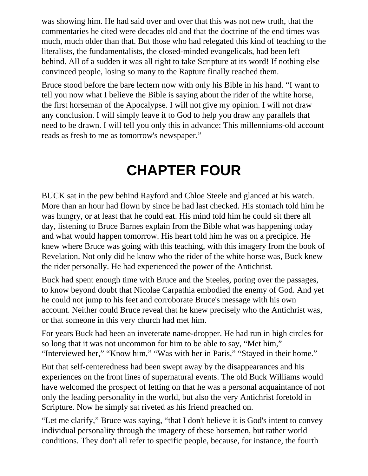was showing him. He had said over and over that this was not new truth, that the commentaries he cited were decades old and that the doctrine of the end times was much, much older than that. But those who had relegated this kind of teaching to the literalists, the fundamentalists, the closed-minded evangelicals, had been left behind. All of a sudden it was all right to take Scripture at its word! If nothing else convinced people, losing so many to the Rapture finally reached them.

Bruce stood before the bare lectern now with only his Bible in his hand. "I want to tell you now what I believe the Bible is saying about the rider of the white horse, the first horseman of the Apocalypse. I will not give my opinion. I will not draw any conclusion. I will simply leave it to God to help you draw any parallels that need to be drawn. I will tell you only this in advance: This millenniums-old account reads as fresh to me as tomorrow's newspaper."

## **CHAPTER FOUR**

BUCK sat in the pew behind Rayford and Chloe Steele and glanced at his watch. More than an hour had flown by since he had last checked. His stomach told him he was hungry, or at least that he could eat. His mind told him he could sit there all day, listening to Bruce Barnes explain from the Bible what was happening today and what would happen tomorrow. His heart told him he was on a precipice. He knew where Bruce was going with this teaching, with this imagery from the book of Revelation. Not only did he know who the rider of the white horse was, Buck knew the rider personally. He had experienced the power of the Antichrist.

Buck had spent enough time with Bruce and the Steeles, poring over the passages, to know beyond doubt that Nicolae Carpathia embodied the enemy of God. And yet he could not jump to his feet and corroborate Bruce's message with his own account. Neither could Bruce reveal that he knew precisely who the Antichrist was, or that someone in this very church had met him.

For years Buck had been an inveterate name-dropper. He had run in high circles for so long that it was not uncommon for him to be able to say, "Met him," "Interviewed her," "Know him," "Was with her in Paris," "Stayed in their home."

But that self-centeredness had been swept away by the disappearances and his experiences on the front lines of supernatural events. The old Buck Williams would have welcomed the prospect of letting on that he was a personal acquaintance of not only the leading personality in the world, but also the very Antichrist foretold in Scripture. Now he simply sat riveted as his friend preached on.

"Let me clarify," Bruce was saying, "that I don't believe it is God's intent to convey individual personality through the imagery of these horsemen, but rather world conditions. They don't all refer to specific people, because, for instance, the fourth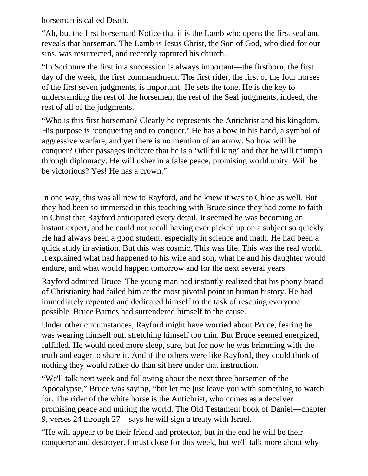horseman is called Death.

"Ah, but the first horseman! Notice that it is the Lamb who opens the first seal and reveals that horseman. The Lamb is Jesus Christ, the Son of God, who died for our sins, was resurrected, and recently raptured his church.

"In Scripture the first in a succession is always important—the firstborn, the first day of the week, the first commandment. The first rider, the first of the four horses of the first seven judgments, is important! He sets the tone. He is the key to understanding the rest of the horsemen, the rest of the Seal judgments, indeed, the rest of all of the judgments.

"Who is this first horseman? Clearly he represents the Antichrist and his kingdom. His purpose is 'conquering and to conquer.' He has a bow in his hand, a symbol of aggressive warfare, and yet there is no mention of an arrow. So how will he conquer? Other passages indicate that he is a 'willful king' and that he will triumph through diplomacy. He will usher in a false peace, promising world unity. Will he be victorious? Yes! He has a crown."

In one way, this was all new to Rayford, and he knew it was to Chloe as well. But they had been so immersed in this teaching with Bruce since they had come to faith in Christ that Rayford anticipated every detail. It seemed he was becoming an instant expert, and he could not recall having ever picked up on a subject so quickly. He had always been a good student, especially in science and math. He had been a quick study in aviation. But this was cosmic. This was life. This was the real world. It explained what had happened to his wife and son, what he and his daughter would endure, and what would happen tomorrow and for the next several years.

Rayford admired Bruce. The young man had instantly realized that his phony brand of Christianity had failed him at the most pivotal point in human history. He had immediately repented and dedicated himself to the task of rescuing everyone possible. Bruce Barnes had surrendered himself to the cause.

Under other circumstances, Rayford might have worried about Bruce, fearing he was wearing himself out, stretching himself too thin. But Bruce seemed energized, fulfilled. He would need more sleep, sure, but for now he was brimming with the truth and eager to share it. And if the others were like Rayford, they could think of nothing they would rather do than sit here under that instruction.

"We'll talk next week and following about the next three horsemen of the Apocalypse," Bruce was saying, "but let me just leave you with something to watch for. The rider of the white horse is the Antichrist, who comes as a deceiver promising peace and uniting the world. The Old Testament book of Daniel—chapter 9, verses 24 through 27—says he will sign a treaty with Israel.

"He will appear to be their friend and protector, but in the end he will be their conqueror and destroyer. I must close for this week, but we'll talk more about why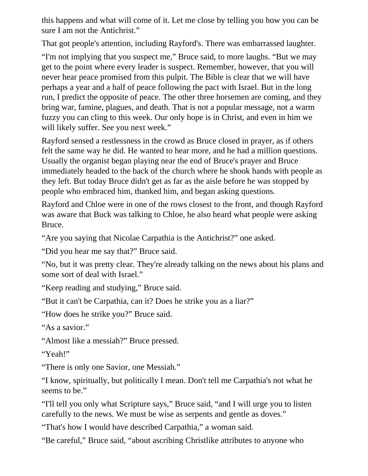this happens and what will come of it. Let me close by telling you how you can be sure I am not the Antichrist."

That got people's attention, including Rayford's. There was embarrassed laughter.

"I'm not implying that you suspect me," Bruce said, to more laughs. "But we may get to the point where every leader is suspect. Remember, however, that you will never hear peace promised from this pulpit. The Bible is clear that we will have perhaps a year and a half of peace following the pact with Israel. But in the long run, I predict the opposite of peace. The other three horsemen are coming, and they bring war, famine, plagues, and death. That is not a popular message, not a warm fuzzy you can cling to this week. Our only hope is in Christ, and even in him we will likely suffer. See you next week."

Rayford sensed a restlessness in the crowd as Bruce closed in prayer, as if others felt the same way he did. He wanted to hear more, and he had a million questions. Usually the organist began playing near the end of Bruce's prayer and Bruce immediately headed to the back of the church where he shook hands with people as they left. But today Bruce didn't get as far as the aisle before he was stopped by people who embraced him, thanked him, and began asking questions.

Rayford and Chloe were in one of the rows closest to the front, and though Rayford was aware that Buck was talking to Chloe, he also heard what people were asking Bruce.

"Are you saying that Nicolae Carpathia is the Antichrist?" one asked.

"Did you hear me say that?" Bruce said.

"No, but it was pretty clear. They're already talking on the news about his plans and some sort of deal with Israel."

"Keep reading and studying," Bruce said.

"But it can't be Carpathia, can it? Does he strike you as a liar?"

"How does he strike you?" Bruce said.

"As a savior."

"Almost like a messiah?" Bruce pressed.

"Yeah!"

"There is only one Savior, one Messiah."

"I know, spiritually, but politically I mean. Don't tell me Carpathia's not what he seems to be."

"I'll tell you only what Scripture says," Bruce said, "and I will urge you to listen carefully to the news. We must be wise as serpents and gentle as doves."

"That's how I would have described Carpathia," a woman said.

"Be careful," Bruce said, "about ascribing Christlike attributes to anyone who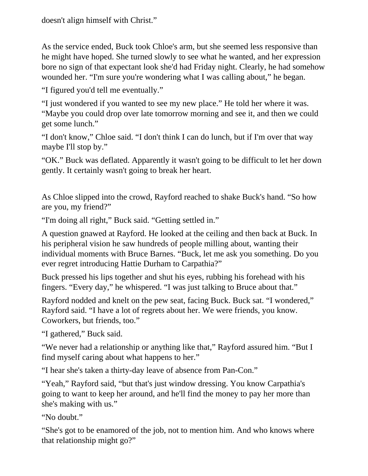As the service ended, Buck took Chloe's arm, but she seemed less responsive than he might have hoped. She turned slowly to see what he wanted, and her expression bore no sign of that expectant look she'd had Friday night. Clearly, he had somehow wounded her. "I'm sure you're wondering what I was calling about," he began.

"I figured you'd tell me eventually."

"I just wondered if you wanted to see my new place." He told her where it was. "Maybe you could drop over late tomorrow morning and see it, and then we could get some lunch."

"I don't know," Chloe said. "I don't think I can do lunch, but if I'm over that way maybe I'll stop by."

"OK." Buck was deflated. Apparently it wasn't going to be difficult to let her down gently. It certainly wasn't going to break her heart.

As Chloe slipped into the crowd, Rayford reached to shake Buck's hand. "So how are you, my friend?"

"I'm doing all right," Buck said. "Getting settled in."

A question gnawed at Rayford. He looked at the ceiling and then back at Buck. In his peripheral vision he saw hundreds of people milling about, wanting their individual moments with Bruce Barnes. "Buck, let me ask you something. Do you ever regret introducing Hattie Durham to Carpathia?"

Buck pressed his lips together and shut his eyes, rubbing his forehead with his fingers. "Every day," he whispered. "I was just talking to Bruce about that."

Rayford nodded and knelt on the pew seat, facing Buck. Buck sat. "I wondered," Rayford said. "I have a lot of regrets about her. We were friends, you know. Coworkers, but friends, too."

"I gathered," Buck said.

"We never had a relationship or anything like that," Rayford assured him. "But I find myself caring about what happens to her."

"I hear she's taken a thirty-day leave of absence from Pan-Con."

"Yeah," Rayford said, "but that's just window dressing. You know Carpathia's going to want to keep her around, and he'll find the money to pay her more than she's making with us."

"No doubt."

"She's got to be enamored of the job, not to mention him. And who knows where that relationship might go?"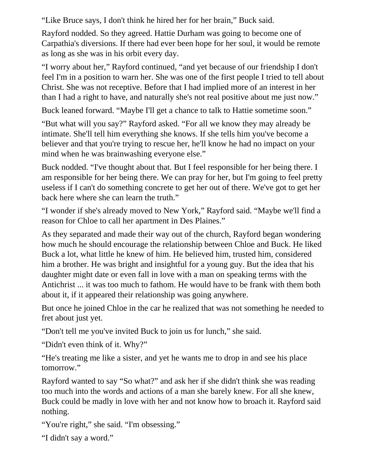"Like Bruce says, I don't think he hired her for her brain," Buck said.

Rayford nodded. So they agreed. Hattie Durham was going to become one of Carpathia's diversions. If there had ever been hope for her soul, it would be remote as long as she was in his orbit every day.

"I worry about her," Rayford continued, "and yet because of our friendship I don't feel I'm in a position to warn her. She was one of the first people I tried to tell about Christ. She was not receptive. Before that I had implied more of an interest in her than I had a right to have, and naturally she's not real positive about me just now."

Buck leaned forward. "Maybe I'll get a chance to talk to Hattie sometime soon."

"But what will you say?" Rayford asked. "For all we know they may already be intimate. She'll tell him everything she knows. If she tells him you've become a believer and that you're trying to rescue her, he'll know he had no impact on your mind when he was brainwashing everyone else."

Buck nodded. "I've thought about that. But I feel responsible for her being there. I am responsible for her being there. We can pray for her, but I'm going to feel pretty useless if I can't do something concrete to get her out of there. We've got to get her back here where she can learn the truth."

"I wonder if she's already moved to New York," Rayford said. "Maybe we'll find a reason for Chloe to call her apartment in Des Plaines."

As they separated and made their way out of the church, Rayford began wondering how much he should encourage the relationship between Chloe and Buck. He liked Buck a lot, what little he knew of him. He believed him, trusted him, considered him a brother. He was bright and insightful for a young guy. But the idea that his daughter might date or even fall in love with a man on speaking terms with the Antichrist ... it was too much to fathom. He would have to be frank with them both about it, if it appeared their relationship was going anywhere.

But once he joined Chloe in the car he realized that was not something he needed to fret about just yet.

"Don't tell me you've invited Buck to join us for lunch," she said.

"Didn't even think of it. Why?"

"He's treating me like a sister, and yet he wants me to drop in and see his place tomorrow."

Rayford wanted to say "So what?" and ask her if she didn't think she was reading too much into the words and actions of a man she barely knew. For all she knew, Buck could be madly in love with her and not know how to broach it. Rayford said nothing.

"You're right," she said. "I'm obsessing."

"I didn't say a word."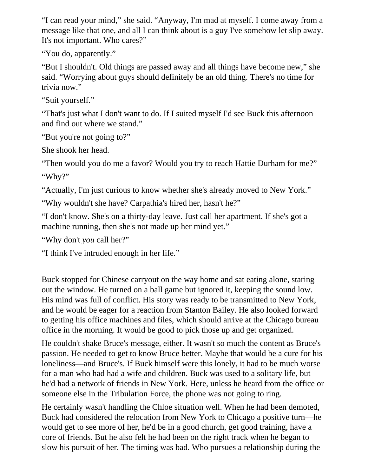"I can read your mind," she said. "Anyway, I'm mad at myself. I come away from a message like that one, and all I can think about is a guy I've somehow let slip away. It's not important. Who cares?"

"You do, apparently."

"But I shouldn't. Old things are passed away and all things have become new," she said. "Worrying about guys should definitely be an old thing. There's no time for trivia now."

"Suit yourself."

"That's just what I don't want to do. If I suited myself I'd see Buck this afternoon and find out where we stand."

"But you're not going to?"

She shook her head.

"Then would you do me a favor? Would you try to reach Hattie Durham for me?" "Why?"

"Actually, I'm just curious to know whether she's already moved to New York."

"Why wouldn't she have? Carpathia's hired her, hasn't he?"

"I don't know. She's on a thirty-day leave. Just call her apartment. If she's got a machine running, then she's not made up her mind yet."

"Why don't *you* call her?"

"I think I've intruded enough in her life."

Buck stopped for Chinese carryout on the way home and sat eating alone, staring out the window. He turned on a ball game but ignored it, keeping the sound low. His mind was full of conflict. His story was ready to be transmitted to New York, and he would be eager for a reaction from Stanton Bailey. He also looked forward to getting his office machines and files, which should arrive at the Chicago bureau office in the morning. It would be good to pick those up and get organized.

He couldn't shake Bruce's message, either. It wasn't so much the content as Bruce's passion. He needed to get to know Bruce better. Maybe that would be a cure for his loneliness—and Bruce's. If Buck himself were this lonely, it had to be much worse for a man who had had a wife and children. Buck was used to a solitary life, but he'd had a network of friends in New York. Here, unless he heard from the office or someone else in the Tribulation Force, the phone was not going to ring.

He certainly wasn't handling the Chloe situation well. When he had been demoted, Buck had considered the relocation from New York to Chicago a positive turn—he would get to see more of her, he'd be in a good church, get good training, have a core of friends. But he also felt he had been on the right track when he began to slow his pursuit of her. The timing was bad. Who pursues a relationship during the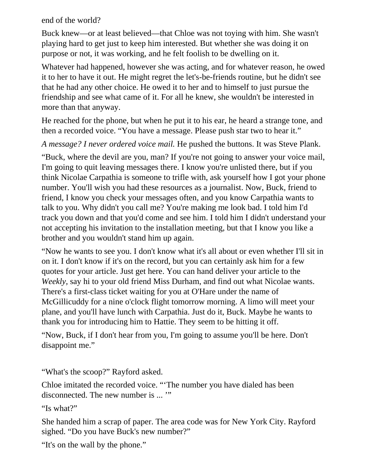end of the world?

Buck knew—or at least believed—that Chloe was not toying with him. She wasn't playing hard to get just to keep him interested. But whether she was doing it on purpose or not, it was working, and he felt foolish to be dwelling on it.

Whatever had happened, however she was acting, and for whatever reason, he owed it to her to have it out. He might regret the let's-be-friends routine, but he didn't see that he had any other choice. He owed it to her and to himself to just pursue the friendship and see what came of it. For all he knew, she wouldn't be interested in more than that anyway.

He reached for the phone, but when he put it to his ear, he heard a strange tone, and then a recorded voice. "You have a message. Please push star two to hear it."

*A message? I never ordered voice mail.* He pushed the buttons. It was Steve Plank.

"Buck, where the devil are you, man? If you're not going to answer your voice mail, I'm going to quit leaving messages there. I know you're unlisted there, but if you think Nicolae Carpathia is someone to trifle with, ask yourself how I got your phone number. You'll wish you had these resources as a journalist. Now, Buck, friend to friend, I know you check your messages often, and you know Carpathia wants to talk to you. Why didn't you call me? You're making me look bad. I told him I'd track you down and that you'd come and see him. I told him I didn't understand your not accepting his invitation to the installation meeting, but that I know you like a brother and you wouldn't stand him up again.

"Now he wants to see you. I don't know what it's all about or even whether I'll sit in on it. I don't know if it's on the record, but you can certainly ask him for a few quotes for your article. Just get here. You can hand deliver your article to the *Weekly,* say hi to your old friend Miss Durham, and find out what Nicolae wants. There's a first-class ticket waiting for you at O'Hare under the name of McGillicuddy for a nine o'clock flight tomorrow morning. A limo will meet your plane, and you'll have lunch with Carpathia. Just do it, Buck. Maybe he wants to thank you for introducing him to Hattie. They seem to be hitting it off.

"Now, Buck, if I don't hear from you, I'm going to assume you'll be here. Don't disappoint me."

"What's the scoop?" Rayford asked.

Chloe imitated the recorded voice. "'The number you have dialed has been disconnected. The new number is ... "

"Is what?"

She handed him a scrap of paper. The area code was for New York City. Rayford sighed. "Do you have Buck's new number?"

"It's on the wall by the phone."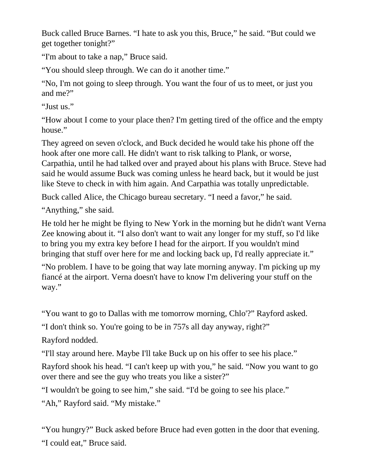Buck called Bruce Barnes. "I hate to ask you this, Bruce," he said. "But could we get together tonight?"

"I'm about to take a nap," Bruce said.

"You should sleep through. We can do it another time."

"No, I'm not going to sleep through. You want the four of us to meet, or just you and me?"

"Just us."

"How about I come to your place then? I'm getting tired of the office and the empty house."

They agreed on seven o'clock, and Buck decided he would take his phone off the hook after one more call. He didn't want to risk talking to Plank, or worse, Carpathia, until he had talked over and prayed about his plans with Bruce. Steve had said he would assume Buck was coming unless he heard back, but it would be just like Steve to check in with him again. And Carpathia was totally unpredictable.

Buck called Alice, the Chicago bureau secretary. "I need a favor," he said.

"Anything," she said.

He told her he might be flying to New York in the morning but he didn't want Verna Zee knowing about it. "I also don't want to wait any longer for my stuff, so I'd like to bring you my extra key before I head for the airport. If you wouldn't mind bringing that stuff over here for me and locking back up, I'd really appreciate it."

"No problem. I have to be going that way late morning anyway. I'm picking up my fiancé at the airport. Verna doesn't have to know I'm delivering your stuff on the way."

"You want to go to Dallas with me tomorrow morning, Chlo'?" Rayford asked.

"I don't think so. You're going to be in 757s all day anyway, right?"

Rayford nodded.

"I'll stay around here. Maybe I'll take Buck up on his offer to see his place."

Rayford shook his head. "I can't keep up with you," he said. "Now you want to go over there and see the guy who treats you like a sister?"

"I wouldn't be going to see him," she said. "I'd be going to see his place."

"Ah," Rayford said. "My mistake."

"You hungry?" Buck asked before Bruce had even gotten in the door that evening. "I could eat," Bruce said.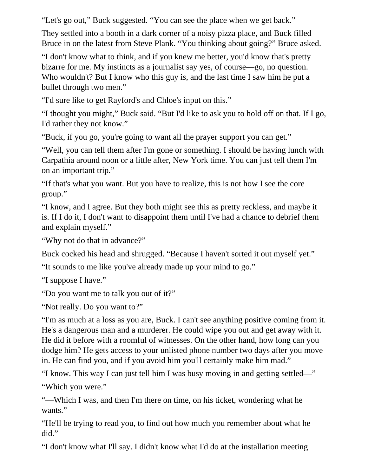"Let's go out," Buck suggested. "You can see the place when we get back."

They settled into a booth in a dark corner of a noisy pizza place, and Buck filled Bruce in on the latest from Steve Plank. "You thinking about going?" Bruce asked.

"I don't know what to think, and if you knew me better, you'd know that's pretty bizarre for me. My instincts as a journalist say yes, of course—go, no question. Who wouldn't? But I know who this guy is, and the last time I saw him he put a bullet through two men."

"I'd sure like to get Rayford's and Chloe's input on this."

"I thought you might," Buck said. "But I'd like to ask you to hold off on that. If I go, I'd rather they not know."

"Buck, if you go, you're going to want all the prayer support you can get."

"Well, you can tell them after I'm gone or something. I should be having lunch with Carpathia around noon or a little after, New York time. You can just tell them I'm on an important trip."

"If that's what you want. But you have to realize, this is not how I see the core group."

"I know, and I agree. But they both might see this as pretty reckless, and maybe it is. If I do it, I don't want to disappoint them until I've had a chance to debrief them and explain myself."

"Why not do that in advance?"

Buck cocked his head and shrugged. "Because I haven't sorted it out myself yet."

"It sounds to me like you've already made up your mind to go."

"I suppose I have."

"Do you want me to talk you out of it?"

"Not really. Do you want to?"

"I'm as much at a loss as you are, Buck. I can't see anything positive coming from it. He's a dangerous man and a murderer. He could wipe you out and get away with it. He did it before with a roomful of witnesses. On the other hand, how long can you dodge him? He gets access to your unlisted phone number two days after you move in. He can find you, and if you avoid him you'll certainly make him mad."

"I know. This way I can just tell him I was busy moving in and getting settled—"

"Which you were."

"—Which I was, and then I'm there on time, on his ticket, wondering what he wants."

"He'll be trying to read you, to find out how much you remember about what he did."

"I don't know what I'll say. I didn't know what I'd do at the installation meeting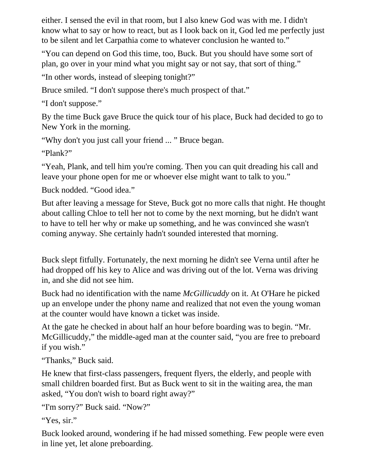either. I sensed the evil in that room, but I also knew God was with me. I didn't know what to say or how to react, but as I look back on it, God led me perfectly just to be silent and let Carpathia come to whatever conclusion he wanted to."

"You can depend on God this time, too, Buck. But you should have some sort of plan, go over in your mind what you might say or not say, that sort of thing."

"In other words, instead of sleeping tonight?"

Bruce smiled. "I don't suppose there's much prospect of that."

"I don't suppose."

By the time Buck gave Bruce the quick tour of his place, Buck had decided to go to New York in the morning.

"Why don't you just call your friend ... " Bruce began.

"Plank?"

"Yeah, Plank, and tell him you're coming. Then you can quit dreading his call and leave your phone open for me or whoever else might want to talk to you."

Buck nodded. "Good idea."

But after leaving a message for Steve, Buck got no more calls that night. He thought about calling Chloe to tell her not to come by the next morning, but he didn't want to have to tell her why or make up something, and he was convinced she wasn't coming anyway. She certainly hadn't sounded interested that morning.

Buck slept fitfully. Fortunately, the next morning he didn't see Verna until after he had dropped off his key to Alice and was driving out of the lot. Verna was driving in, and she did not see him.

Buck had no identification with the name *McGillicuddy* on it. At O'Hare he picked up an envelope under the phony name and realized that not even the young woman at the counter would have known a ticket was inside.

At the gate he checked in about half an hour before boarding was to begin. "Mr. McGillicuddy," the middle-aged man at the counter said, "you are free to preboard if you wish."

"Thanks," Buck said.

He knew that first-class passengers, frequent flyers, the elderly, and people with small children boarded first. But as Buck went to sit in the waiting area, the man asked, "You don't wish to board right away?"

"I'm sorry?" Buck said. "Now?"

"Yes, sir."

Buck looked around, wondering if he had missed something. Few people were even in line yet, let alone preboarding.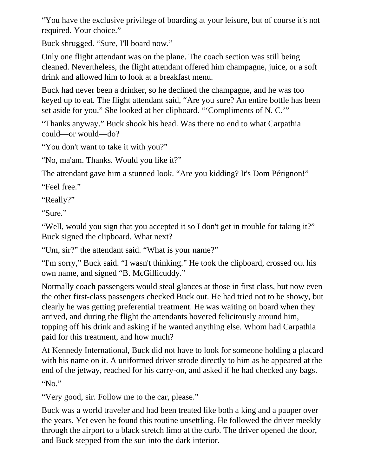"You have the exclusive privilege of boarding at your leisure, but of course it's not required. Your choice."

Buck shrugged. "Sure, I'll board now."

Only one flight attendant was on the plane. The coach section was still being cleaned. Nevertheless, the flight attendant offered him champagne, juice, or a soft drink and allowed him to look at a breakfast menu.

Buck had never been a drinker, so he declined the champagne, and he was too keyed up to eat. The flight attendant said, "Are you sure? An entire bottle has been set aside for you." She looked at her clipboard. "'Compliments of N. C.'"

"Thanks anyway." Buck shook his head. Was there no end to what Carpathia could—or would—do?

"You don't want to take it with you?"

"No, ma'am. Thanks. Would you like it?"

The attendant gave him a stunned look. "Are you kidding? It's Dom Pérignon!"

"Feel free."

"Really?"

"Sure."

"Well, would you sign that you accepted it so I don't get in trouble for taking it?" Buck signed the clipboard. What next?

"Um, sir?" the attendant said. "What is your name?"

"I'm sorry," Buck said. "I wasn't thinking." He took the clipboard, crossed out his own name, and signed "B. McGillicuddy."

Normally coach passengers would steal glances at those in first class, but now even the other first-class passengers checked Buck out. He had tried not to be showy, but clearly he was getting preferential treatment. He was waiting on board when they arrived, and during the flight the attendants hovered felicitously around him, topping off his drink and asking if he wanted anything else. Whom had Carpathia paid for this treatment, and how much?

At Kennedy International, Buck did not have to look for someone holding a placard with his name on it. A uniformed driver strode directly to him as he appeared at the end of the jetway, reached for his carry-on, and asked if he had checked any bags. "No."

"Very good, sir. Follow me to the car, please."

Buck was a world traveler and had been treated like both a king and a pauper over the years. Yet even he found this routine unsettling. He followed the driver meekly through the airport to a black stretch limo at the curb. The driver opened the door, and Buck stepped from the sun into the dark interior.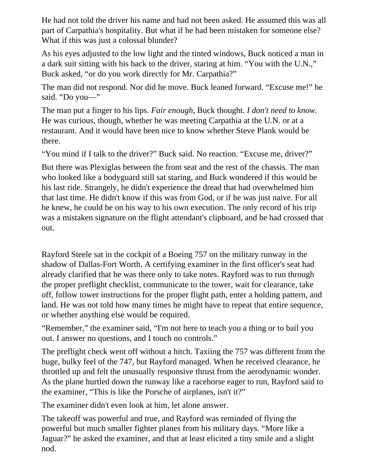He had not told the driver his name and had not been asked. He assumed this was all part of Carpathia's hospitality. But what if he had been mistaken for someone else? What if this was just a colossal blunder?

As his eyes adjusted to the low light and the tinted windows, Buck noticed a man in a dark suit sitting with his back to the driver, staring at him. "You with the U.N.," Buck asked, "or do you work directly for Mr. Carpathia?"

The man did not respond. Nor did he move. Buck leaned forward. "Excuse me!" he said. "Do you-"

The man put a finger to his lips. *Fair enough*, Buck thought. *I don't need to know.*  He was curious, though, whether he was meeting Carpathia at the U.N. or at a restaurant. And it would have been nice to know whether Steve Plank would be there.

"You mind if I talk to the driver?" Buck said. No reaction. "Excuse me, driver?"

But there was Plexiglas between the front seat and the rest of the chassis. The man who looked like a bodyguard still sat staring, and Buck wondered if this would be his last ride. Strangely, he didn't experience the dread that had overwhelmed him that last time. He didn't know if this was from God, or if he was just naive. For all he knew, he could be on his way to his own execution. The only record of his trip was a mistaken signature on the flight attendant's clipboard, and he had crossed that out.

Rayford Steele sat in the cockpit of a Boeing 757 on the military runway in the shadow of Dallas-Fort Worth. A certifying examiner in the first officer's seat had already clarified that he was there only to take notes. Rayford was to run through the proper preflight checklist, communicate to the tower, wait for clearance, take off, follow tower instructions for the proper flight path, enter a holding pattern, and land. He was not told how many times he might have to repeat that entire sequence, or whether anything else would be required.

"Remember," the examiner said, "I'm not here to teach you a thing or to bail you out. I answer no questions, and I touch no controls."

The preflight check went off without a hitch. Taxiing the 757 was different from the huge, bulky feel of the 747, but Rayford managed. When he received clearance, he throttled up and felt the unusually responsive thrust from the aerodynamic wonder. As the plane hurtled down the runway like a racehorse eager to run, Rayford said to the examiner, "This is like the Porsche of airplanes, isn't it?"

The examiner didn't even look at him, let alone answer.

The takeoff was powerful and true, and Rayford was reminded of flying the powerful but much smaller fighter planes from his military days. "More like a Jaguar?" he asked the examiner, and that at least elicited a tiny smile and a slight nod.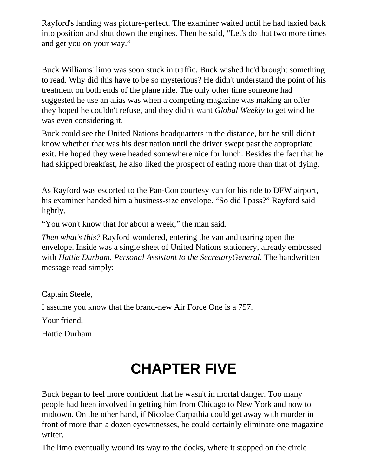Rayford's landing was picture-perfect. The examiner waited until he had taxied back into position and shut down the engines. Then he said, "Let's do that two more times and get you on your way."

Buck Williams' limo was soon stuck in traffic. Buck wished he'd brought something to read. Why did this have to be so mysterious? He didn't understand the point of his treatment on both ends of the plane ride. The only other time someone had suggested he use an alias was when a competing magazine was making an offer they hoped he couldn't refuse, and they didn't want *Global Weekly* to get wind he was even considering it.

Buck could see the United Nations headquarters in the distance, but he still didn't know whether that was his destination until the driver swept past the appropriate exit. He hoped they were headed somewhere nice for lunch. Besides the fact that he had skipped breakfast, he also liked the prospect of eating more than that of dying.

As Rayford was escorted to the Pan-Con courtesy van for his ride to DFW airport, his examiner handed him a business-size envelope. "So did I pass?" Rayford said lightly.

"You won't know that for about a week," the man said.

*Then what's this?* Rayford wondered, entering the van and tearing open the envelope. Inside was a single sheet of United Nations stationery, already embossed with *Hattie Durbam, Personal Assistant to the SecretaryGeneral*. The handwritten message read simply:

Captain Steele,

I assume you know that the brand-new Air Force One is a 757.

Your friend,

Hattie Durham

## **CHAPTER FIVE**

Buck began to feel more confident that he wasn't in mortal danger. Too many people had been involved in getting him from Chicago to New York and now to midtown. On the other hand, if Nicolae Carpathia could get away with murder in front of more than a dozen eyewitnesses, he could certainly eliminate one magazine writer.

The limo eventually wound its way to the docks, where it stopped on the circle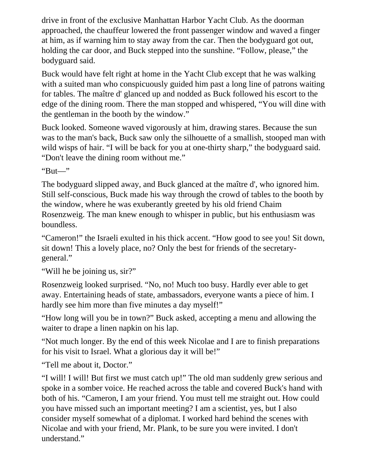drive in front of the exclusive Manhattan Harbor Yacht Club. As the doorman approached, the chauffeur lowered the front passenger window and waved a finger at him, as if warning him to stay away from the car. Then the bodyguard got out, holding the car door, and Buck stepped into the sunshine. "Follow, please," the bodyguard said.

Buck would have felt right at home in the Yacht Club except that he was walking with a suited man who conspicuously guided him past a long line of patrons waiting for tables. The maître d' glanced up and nodded as Buck followed his escort to the edge of the dining room. There the man stopped and whispered, "You will dine with the gentleman in the booth by the window."

Buck looked. Someone waved vigorously at him, drawing stares. Because the sun was to the man's back, Buck saw only the silhouette of a smallish, stooped man with wild wisps of hair. "I will be back for you at one-thirty sharp," the bodyguard said. "Don't leave the dining room without me."

"But—"

The bodyguard slipped away, and Buck glanced at the maître d', who ignored him. Still self-conscious, Buck made his way through the crowd of tables to the booth by the window, where he was exuberantly greeted by his old friend Chaim Rosenzweig. The man knew enough to whisper in public, but his enthusiasm was boundless.

"Cameron!" the Israeli exulted in his thick accent. "How good to see you! Sit down, sit down! This a lovely place, no? Only the best for friends of the secretarygeneral."

"Will he be joining us, sir?"

Rosenzweig looked surprised. "No, no! Much too busy. Hardly ever able to get away. Entertaining heads of state, ambassadors, everyone wants a piece of him. I hardly see him more than five minutes a day myself!"

"How long will you be in town?" Buck asked, accepting a menu and allowing the waiter to drape a linen napkin on his lap.

"Not much longer. By the end of this week Nicolae and I are to finish preparations for his visit to Israel. What a glorious day it will be!"

"Tell me about it, Doctor."

"I will! I will! But first we must catch up!" The old man suddenly grew serious and spoke in a somber voice. He reached across the table and covered Buck's hand with both of his. "Cameron, I am your friend. You must tell me straight out. How could you have missed such an important meeting? I am a scientist, yes, but I also consider myself somewhat of a diplomat. I worked hard behind the scenes with Nicolae and with your friend, Mr. Plank, to be sure you were invited. I don't understand."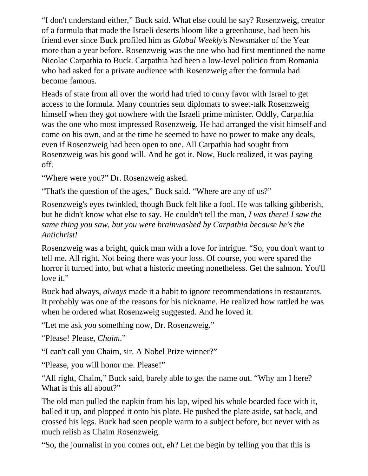"I don't understand either," Buck said. What else could he say? Rosenzweig, creator of a formula that made the Israeli deserts bloom like a greenhouse, had been his friend ever since Buck profiled him as *Global Weekly*'s Newsmaker of the Year more than a year before. Rosenzweig was the one who had first mentioned the name Nicolae Carpathia to Buck. Carpathia had been a low-level politico from Romania who had asked for a private audience with Rosenzweig after the formula had become famous.

Heads of state from all over the world had tried to curry favor with Israel to get access to the formula. Many countries sent diplomats to sweet-talk Rosenzweig himself when they got nowhere with the Israeli prime minister. Oddly, Carpathia was the one who most impressed Rosenzweig. He had arranged the visit himself and come on his own, and at the time he seemed to have no power to make any deals, even if Rosenzweig had been open to one. All Carpathia had sought from Rosenzweig was his good will. And he got it. Now, Buck realized, it was paying off.

"Where were you?" Dr. Rosenzweig asked.

"That's the question of the ages," Buck said. "Where are any of us?"

Rosenzweig's eyes twinkled, though Buck felt like a fool. He was talking gibberish, but he didn't know what else to say. He couldn't tell the man, *I was there! I saw the same thing you saw, but you were brainwashed by Carpathia because he's the Antichrist!*

Rosenzweig was a bright, quick man with a love for intrigue. "So, you don't want to tell me. All right. Not being there was your loss. Of course, you were spared the horror it turned into, but what a historic meeting nonetheless. Get the salmon. You'll love it."

Buck had always, *always* made it a habit to ignore recommendations in restaurants. It probably was one of the reasons for his nickname. He realized how rattled he was when he ordered what Rosenzweig suggested. And he loved it.

"Let me ask *you* something now, Dr. Rosenzweig."

"Please! Please, *Chaim*."

"I can't call you Chaim, sir. A Nobel Prize winner?"

"Please, you will honor me. Please!"

"All right, Chaim," Buck said, barely able to get the name out. "Why am I here? What is this all about?"

The old man pulled the napkin from his lap, wiped his whole bearded face with it, balled it up, and plopped it onto his plate. He pushed the plate aside, sat back, and crossed his legs. Buck had seen people warm to a subject before, but never with as much relish as Chaim Rosenzweig.

"So, the journalist in you comes out, eh? Let me begin by telling you that this is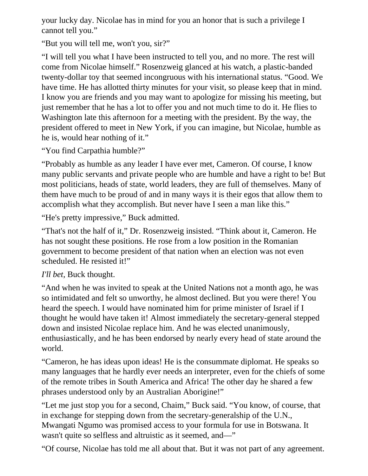your lucky day. Nicolae has in mind for you an honor that is such a privilege I cannot tell you."

"But you will tell me, won't you, sir?"

"I will tell you what I have been instructed to tell you, and no more. The rest will come from Nicolae himself." Rosenzweig glanced at his watch, a plastic-banded twenty-dollar toy that seemed incongruous with his international status. "Good. We have time. He has allotted thirty minutes for your visit, so please keep that in mind. I know you are friends and you may want to apologize for missing his meeting, but just remember that he has a lot to offer you and not much time to do it. He flies to Washington late this afternoon for a meeting with the president. By the way, the president offered to meet in New York, if you can imagine, but Nicolae, humble as he is, would hear nothing of it."

"You find Carpathia humble?"

"Probably as humble as any leader I have ever met, Cameron. Of course, I know many public servants and private people who are humble and have a right to be! But most politicians, heads of state, world leaders, they are full of themselves. Many of them have much to be proud of and in many ways it is their egos that allow them to accomplish what they accomplish. But never have I seen a man like this."

"He's pretty impressive," Buck admitted.

"That's not the half of it," Dr. Rosenzweig insisted. "Think about it, Cameron. He has not sought these positions. He rose from a low position in the Romanian government to become president of that nation when an election was not even scheduled. He resisted it!"

*I'll bet,* Buck thought.

"And when he was invited to speak at the United Nations not a month ago, he was so intimidated and felt so unworthy, he almost declined. But you were there! You heard the speech. I would have nominated him for prime minister of Israel if I thought he would have taken it! Almost immediately the secretary-general stepped down and insisted Nicolae replace him. And he was elected unanimously, enthusiastically, and he has been endorsed by nearly every head of state around the world.

"Cameron, he has ideas upon ideas! He is the consummate diplomat. He speaks so many languages that he hardly ever needs an interpreter, even for the chiefs of some of the remote tribes in South America and Africa! The other day he shared a few phrases understood only by an Australian Aborigine!"

"Let me just stop you for a second, Chaim," Buck said. "You know, of course, that in exchange for stepping down from the secretary-generalship of the U.N., Mwangati Ngumo was promised access to your formula for use in Botswana. It wasn't quite so selfless and altruistic as it seemed, and—"

"Of course, Nicolae has told me all about that. But it was not part of any agreement.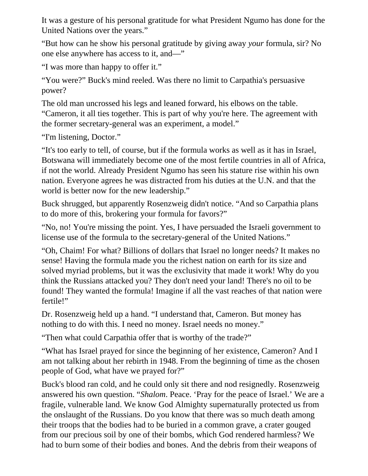It was a gesture of his personal gratitude for what President Ngumo has done for the United Nations over the years."

"But how can he show his personal gratitude by giving away *your* formula, sir? No one else anywhere has access to it, and—"

"I was more than happy to offer it."

"You were?" Buck's mind reeled. Was there no limit to Carpathia's persuasive power?

The old man uncrossed his legs and leaned forward, his elbows on the table. "Cameron, it all ties together. This is part of why you're here. The agreement with the former secretary-general was an experiment, a model."

"I'm listening, Doctor."

"It's too early to tell, of course, but if the formula works as well as it has in Israel, Botswana will immediately become one of the most fertile countries in all of Africa, if not the world. Already President Ngumo has seen his stature rise within his own nation. Everyone agrees he was distracted from his duties at the U.N. and that the world is better now for the new leadership."

Buck shrugged, but apparently Rosenzweig didn't notice. "And so Carpathia plans to do more of this, brokering your formula for favors?"

"No, no! You're missing the point. Yes, I have persuaded the Israeli government to license use of the formula to the secretary-general of the United Nations."

"Oh, Chaim! For what? Billions of dollars that Israel no longer needs? It makes no sense! Having the formula made you the richest nation on earth for its size and solved myriad problems, but it was the exclusivity that made it work! Why do you think the Russians attacked you? They don't need your land! There's no oil to be found! They wanted the formula! Imagine if all the vast reaches of that nation were fertile!"

Dr. Rosenzweig held up a hand. "I understand that, Cameron. But money has nothing to do with this. I need no money. Israel needs no money."

"Then what could Carpathia offer that is worthy of the trade?"

"What has Israel prayed for since the beginning of her existence, Cameron? And I am not talking about her rebirth in 1948. From the beginning of time as the chosen people of God, what have we prayed for?"

Buck's blood ran cold, and he could only sit there and nod resignedly. Rosenzweig answered his own question. "*Shalom*. Peace. 'Pray for the peace of Israel.' We are a fragile, vulnerable land. We know God Almighty supernaturally protected us from the onslaught of the Russians. Do you know that there was so much death among their troops that the bodies had to be buried in a common grave, a crater gouged from our precious soil by one of their bombs, which God rendered harmless? We had to burn some of their bodies and bones. And the debris from their weapons of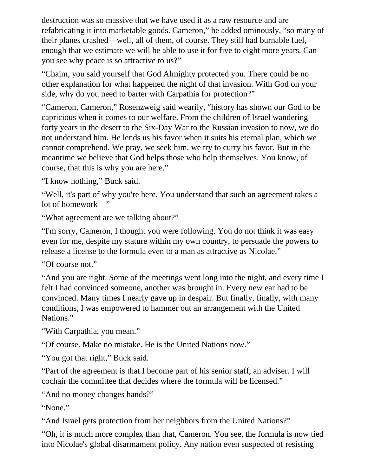destruction was so massive that we have used it as a raw resource and are refabricating it into marketable goods. Cameron," he added ominously, "so many of their planes crashed—well, all of them, of course. They still had burnable fuel, enough that we estimate we will be able to use it for five to eight more years. Can you see why peace is so attractive to us?"

"Chaim, you said yourself that God Almighty protected you. There could be no other explanation for what happened the night of that invasion. With God on your side, why do you need to barter with Carpathia for protection?"

"Cameron, Cameron," Rosenzweig said wearily, "history has shown our God to be capricious when it comes to our welfare. From the children of Israel wandering forty years in the desert to the Six-Day War to the Russian invasion to now, we do not understand him. He lends us his favor when it suits his eternal plan, which we cannot comprehend. We pray, we seek him, we try to curry his favor. But in the meantime we believe that God helps those who help themselves. You know, of course, that this is why you are here."

"I know nothing," Buck said.

"Well, it's part of why you're here. You understand that such an agreement takes a lot of homework—"

"What agreement are we talking about?"

"I'm sorry, Cameron, I thought you were following. You do not think it was easy even for me, despite my stature within my own country, to persuade the powers to release a license to the formula even to a man as attractive as Nicolae."

"Of course not."

"And you are right. Some of the meetings went long into the night, and every time I felt I had convinced someone, another was brought in. Every new ear had to be convinced. Many times I nearly gave up in despair. But finally, finally, with many conditions, I was empowered to hammer out an arrangement with the United Nations."

"With Carpathia, you mean."

"Of course. Make no mistake. He is the United Nations now."

"You got that right," Buck said.

"Part of the agreement is that I become part of his senior staff, an adviser. I will cochair the committee that decides where the formula will be licensed."

"And no money changes hands?"

"None."

"And Israel gets protection from her neighbors from the United Nations?"

"Oh, it is much more complex than that, Cameron. You see, the formula is now tied into Nicolae's global disarmament policy. Any nation even suspected of resisting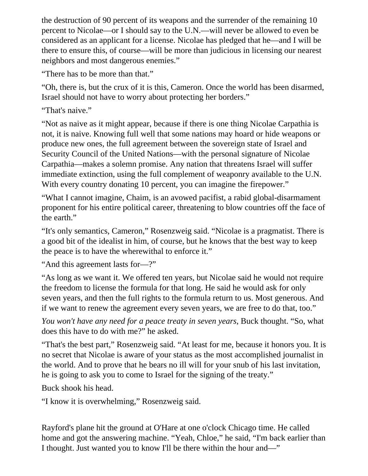the destruction of 90 percent of its weapons and the surrender of the remaining 10 percent to Nicolae—or I should say to the U.N.—will never be allowed to even be considered as an applicant for a license. Nicolae has pledged that he—and I will be there to ensure this, of course—will be more than judicious in licensing our nearest neighbors and most dangerous enemies."

"There has to be more than that."

"Oh, there is, but the crux of it is this, Cameron. Once the world has been disarmed, Israel should not have to worry about protecting her borders."

"That's naive."

"Not as naive as it might appear, because if there is one thing Nicolae Carpathia is not, it is naive. Knowing full well that some nations may hoard or hide weapons or produce new ones, the full agreement between the sovereign state of Israel and Security Council of the United Nations—with the personal signature of Nicolae Carpathia—makes a solemn promise. Any nation that threatens Israel will suffer immediate extinction, using the full complement of weaponry available to the U.N. With every country donating 10 percent, you can imagine the firepower."

"What I cannot imagine, Chaim, is an avowed pacifist, a rabid global-disarmament proponent for his entire political career, threatening to blow countries off the face of the earth."

"It's only semantics, Cameron," Rosenzweig said. "Nicolae is a pragmatist. There is a good bit of the idealist in him, of course, but he knows that the best way to keep the peace is to have the wherewithal to enforce it."

"And this agreement lasts for—?"

"As long as we want it. We offered ten years, but Nicolae said he would not require the freedom to license the formula for that long. He said he would ask for only seven years, and then the full rights to the formula return to us. Most generous. And if we want to renew the agreement every seven years, we are free to do that, too."

*You won't have any need for a peace treaty in seven years*, Buck thought. "So, what does this have to do with me?" he asked.

"That's the best part," Rosenzweig said. "At least for me, because it honors you. It is no secret that Nicolae is aware of your status as the most accomplished journalist in the world. And to prove that he bears no ill will for your snub of his last invitation, he is going to ask you to come to Israel for the signing of the treaty."

Buck shook his head.

"I know it is overwhelming," Rosenzweig said.

Rayford's plane hit the ground at O'Hare at one o'clock Chicago time. He called home and got the answering machine. "Yeah, Chloe," he said, "I'm back earlier than I thought. Just wanted you to know I'll be there within the hour and—"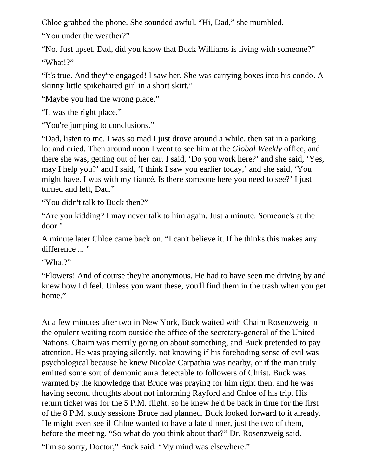Chloe grabbed the phone. She sounded awful. "Hi, Dad," she mumbled.

"You under the weather?"

"No. Just upset. Dad, did you know that Buck Williams is living with someone?" "What!?"

"It's true. And they're engaged! I saw her. She was carrying boxes into his condo. A skinny little spikehaired girl in a short skirt."

"Maybe you had the wrong place."

"It was the right place."

"You're jumping to conclusions."

"Dad, listen to me. I was so mad I just drove around a while, then sat in a parking lot and cried. Then around noon I went to see him at the *Global Weekly* office, and there she was, getting out of her car. I said, 'Do you work here?' and she said, 'Yes, may I help you?' and I said, 'I think I saw you earlier today,' and she said, 'You might have. I was with my fiancé. Is there someone here you need to see?' I just turned and left, Dad."

"You didn't talk to Buck then?"

"Are you kidding? I may never talk to him again. Just a minute. Someone's at the door."

A minute later Chloe came back on. "I can't believe it. If he thinks this makes any difference ... "

"What?"

"Flowers! And of course they're anonymous. He had to have seen me driving by and knew how I'd feel. Unless you want these, you'll find them in the trash when you get home."

At a few minutes after two in New York, Buck waited with Chaim Rosenzweig in the opulent waiting room outside the office of the secretary-general of the United Nations. Chaim was merrily going on about something, and Buck pretended to pay attention. He was praying silently, not knowing if his foreboding sense of evil was psychological because he knew Nicolae Carpathia was nearby, or if the man truly emitted some sort of demonic aura detectable to followers of Christ. Buck was warmed by the knowledge that Bruce was praying for him right then, and he was having second thoughts about not informing Rayford and Chloe of his trip. His return ticket was for the 5 P.M. flight, so he knew he'd be back in time for the first of the 8 P.M. study sessions Bruce had planned. Buck looked forward to it already. He might even see if Chloe wanted to have a late dinner, just the two of them, before the meeting. "So what do you think about that?" Dr. Rosenzweig said.

"I'm so sorry, Doctor," Buck said. "My mind was elsewhere."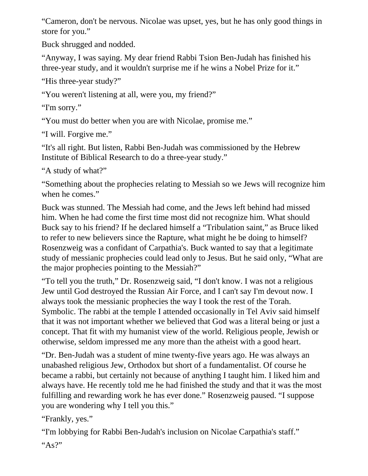"Cameron, don't be nervous. Nicolae was upset, yes, but he has only good things in store for you."

Buck shrugged and nodded.

"Anyway, I was saying. My dear friend Rabbi Tsion Ben-Judah has finished his three-year study, and it wouldn't surprise me if he wins a Nobel Prize for it."

"His three-year study?"

"You weren't listening at all, were you, my friend?"

"I'm sorry."

"You must do better when you are with Nicolae, promise me."

"I will. Forgive me."

"It's all right. But listen, Rabbi Ben-Judah was commissioned by the Hebrew Institute of Biblical Research to do a three-year study."

"A study of what?"

"Something about the prophecies relating to Messiah so we Jews will recognize him when he comes."

Buck was stunned. The Messiah had come, and the Jews left behind had missed him. When he had come the first time most did not recognize him. What should Buck say to his friend? If he declared himself a "Tribulation saint," as Bruce liked to refer to new believers since the Rapture, what might he be doing to himself? Rosenzweig was a confidant of Carpathia's. Buck wanted to say that a legitimate study of messianic prophecies could lead only to Jesus. But he said only, "What are the major prophecies pointing to the Messiah?"

"To tell you the truth," Dr. Rosenzweig said, "I don't know. I was not a religious Jew until God destroyed the Russian Air Force, and I can't say I'm devout now. I always took the messianic prophecies the way I took the rest of the Torah. Symbolic. The rabbi at the temple I attended occasionally in Tel Aviv said himself that it was not important whether we believed that God was a literal being or just a concept. That fit with my humanist view of the world. Religious people, Jewish or otherwise, seldom impressed me any more than the atheist with a good heart.

"Dr. Ben-Judah was a student of mine twenty-five years ago. He was always an unabashed religious Jew, Orthodox but short of a fundamentalist. Of course he became a rabbi, but certainly not because of anything I taught him. I liked him and always have. He recently told me he had finished the study and that it was the most fulfilling and rewarding work he has ever done." Rosenzweig paused. "I suppose you are wondering why I tell you this."

"Frankly, yes."

"I'm lobbying for Rabbi Ben-Judah's inclusion on Nicolae Carpathia's staff."

" $As?$ "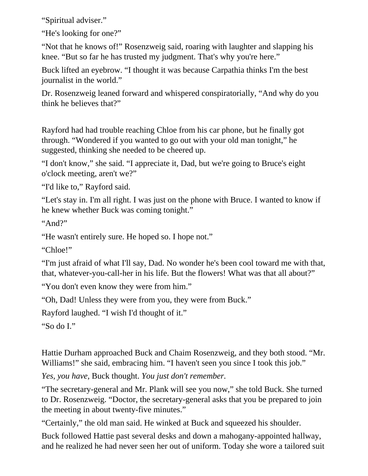"Spiritual adviser."

"He's looking for one?"

"Not that he knows of!" Rosenzweig said, roaring with laughter and slapping his knee. "But so far he has trusted my judgment. That's why you're here."

Buck lifted an eyebrow. "I thought it was because Carpathia thinks I'm the best journalist in the world."

Dr. Rosenzweig leaned forward and whispered conspiratorially, "And why do you think he believes that?"

Rayford had had trouble reaching Chloe from his car phone, but he finally got through. "Wondered if you wanted to go out with your old man tonight," he suggested, thinking she needed to be cheered up.

"I don't know," she said. "I appreciate it, Dad, but we're going to Bruce's eight o'clock meeting, aren't we?"

"I'd like to," Rayford said.

"Let's stay in. I'm all right. I was just on the phone with Bruce. I wanted to know if he knew whether Buck was coming tonight."

"And?"

"He wasn't entirely sure. He hoped so. I hope not."

"Chloe!"

"I'm just afraid of what I'll say, Dad. No wonder he's been cool toward me with that, that, whatever-you-call-her in his life. But the flowers! What was that all about?"

"You don't even know they were from him."

"Oh, Dad! Unless they were from you, they were from Buck."

Rayford laughed. "I wish I'd thought of it."

"So do I."

Hattie Durham approached Buck and Chaim Rosenzweig, and they both stood. "Mr. Williams!" she said, embracing him. "I haven't seen you since I took this job."

*Yes, you have,* Buck thought. *You just don't remember.*

"The secretary-general and Mr. Plank will see you now," she told Buck. She turned to Dr. Rosenzweig. "Doctor, the secretary-general asks that you be prepared to join the meeting in about twenty-five minutes."

"Certainly," the old man said. He winked at Buck and squeezed his shoulder.

Buck followed Hattie past several desks and down a mahogany-appointed hallway, and he realized he had never seen her out of uniform. Today she wore a tailored suit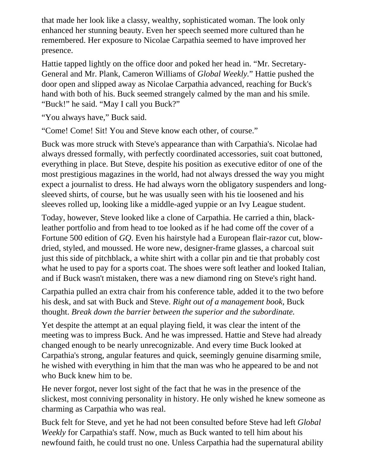that made her look like a classy, wealthy, sophisticated woman. The look only enhanced her stunning beauty. Even her speech seemed more cultured than he remembered. Her exposure to Nicolae Carpathia seemed to have improved her presence.

Hattie tapped lightly on the office door and poked her head in. "Mr. Secretary-General and Mr. Plank, Cameron Williams of *Global Weekly.*" Hattie pushed the door open and slipped away as Nicolae Carpathia advanced, reaching for Buck's hand with both of his. Buck seemed strangely calmed by the man and his smile. "Buck!" he said. "May I call you Buck?"

"You always have," Buck said.

"Come! Come! Sit! You and Steve know each other, of course."

Buck was more struck with Steve's appearance than with Carpathia's. Nicolae had always dressed formally, with perfectly coordinated accessories, suit coat buttoned, everything in place. But Steve, despite his position as executive editor of one of the most prestigious magazines in the world, had not always dressed the way you might expect a journalist to dress. He had always worn the obligatory suspenders and longsleeved shirts, of course, but he was usually seen with his tie loosened and his sleeves rolled up, looking like a middle-aged yuppie or an Ivy League student.

Today, however, Steve looked like a clone of Carpathia. He carried a thin, blackleather portfolio and from head to toe looked as if he had come off the cover of a Fortune 500 edition of *GQ*. Even his hairstyle had a European flair-razor cut, blowdried, styled, and moussed. He wore new, designer-frame glasses, a charcoal suit just this side of pitchblack, a white shirt with a collar pin and tie that probably cost what he used to pay for a sports coat. The shoes were soft leather and looked Italian, and if Buck wasn't mistaken, there was a new diamond ring on Steve's right hand.

Carpathia pulled an extra chair from his conference table, added it to the two before his desk, and sat with Buck and Steve. *Right out of a management book,* Buck thought. *Break down the barrier between the superior and the subordinate.*

Yet despite the attempt at an equal playing field, it was clear the intent of the meeting was to impress Buck. And he was impressed. Hattie and Steve had already changed enough to be nearly unrecognizable. And every time Buck looked at Carpathia's strong, angular features and quick, seemingly genuine disarming smile, he wished with everything in him that the man was who he appeared to be and not who Buck knew him to be.

He never forgot, never lost sight of the fact that he was in the presence of the slickest, most conniving personality in history. He only wished he knew someone as charming as Carpathia who was real.

Buck felt for Steve, and yet he had not been consulted before Steve had left *Global Weekly* for Carpathia's staff. Now, much as Buck wanted to tell him about his newfound faith, he could trust no one. Unless Carpathia had the supernatural ability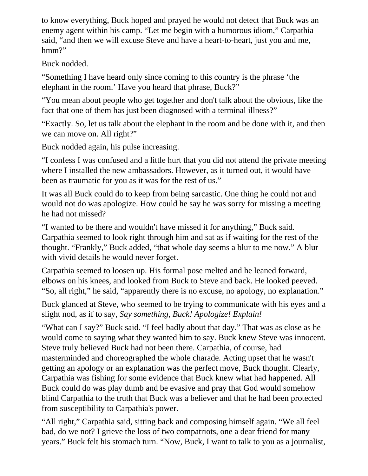to know everything, Buck hoped and prayed he would not detect that Buck was an enemy agent within his camp. "Let me begin with a humorous idiom," Carpathia said, "and then we will excuse Steve and have a heart-to-heart, just you and me, hmm?"

Buck nodded.

"Something I have heard only since coming to this country is the phrase 'the elephant in the room.' Have you heard that phrase, Buck?"

"You mean about people who get together and don't talk about the obvious, like the fact that one of them has just been diagnosed with a terminal illness?"

"Exactly. So, let us talk about the elephant in the room and be done with it, and then we can move on. All right?"

Buck nodded again, his pulse increasing.

"I confess I was confused and a little hurt that you did not attend the private meeting where I installed the new ambassadors. However, as it turned out, it would have been as traumatic for you as it was for the rest of us."

It was all Buck could do to keep from being sarcastic. One thing he could not and would not do was apologize. How could he say he was sorry for missing a meeting he had not missed?

"I wanted to be there and wouldn't have missed it for anything," Buck said. Carpathia seemed to look right through him and sat as if waiting for the rest of the thought. "Frankly," Buck added, "that whole day seems a blur to me now." A blur with vivid details he would never forget.

Carpathia seemed to loosen up. His formal pose melted and he leaned forward, elbows on his knees, and looked from Buck to Steve and back. He looked peeved. "So, all right," he said, "apparently there is no excuse, no apology, no explanation."

Buck glanced at Steve, who seemed to be trying to communicate with his eyes and a slight nod, as if to say, *Say something, Buck! Apologize! Explain!*

"What can I say?" Buck said. "I feel badly about that day." That was as close as he would come to saying what they wanted him to say. Buck knew Steve was innocent. Steve truly believed Buck had not been there. Carpathia, of course, had masterminded and choreographed the whole charade. Acting upset that he wasn't getting an apology or an explanation was the perfect move, Buck thought. Clearly, Carpathia was fishing for some evidence that Buck knew what had happened. All Buck could do was play dumb and be evasive and pray that God would somehow blind Carpathia to the truth that Buck was a believer and that he had been protected from susceptibility to Carpathia's power.

"All right," Carpathia said, sitting back and composing himself again. "We all feel bad, do we not? I grieve the loss of two compatriots, one a dear friend for many years." Buck felt his stomach turn. "Now, Buck, I want to talk to you as a journalist,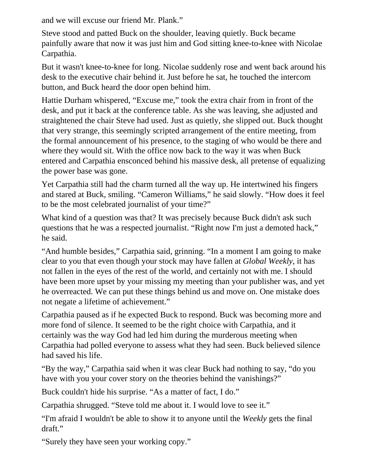and we will excuse our friend Mr. Plank."

Steve stood and patted Buck on the shoulder, leaving quietly. Buck became painfully aware that now it was just him and God sitting knee-to-knee with Nicolae Carpathia.

But it wasn't knee-to-knee for long. Nicolae suddenly rose and went back around his desk to the executive chair behind it. Just before he sat, he touched the intercom button, and Buck heard the door open behind him.

Hattie Durham whispered, "Excuse me," took the extra chair from in front of the desk, and put it back at the conference table. As she was leaving, she adjusted and straightened the chair Steve had used. Just as quietly, she slipped out. Buck thought that very strange, this seemingly scripted arrangement of the entire meeting, from the formal announcement of his presence, to the staging of who would be there and where they would sit. With the office now back to the way it was when Buck entered and Carpathia ensconced behind his massive desk, all pretense of equalizing the power base was gone.

Yet Carpathia still had the charm turned all the way up. He intertwined his fingers and stared at Buck, smiling. "Cameron Williams," he said slowly. "How does it feel to be the most celebrated journalist of your time?"

What kind of a question was that? It was precisely because Buck didn't ask such questions that he was a respected journalist. "Right now I'm just a demoted hack," he said.

"And humble besides," Carpathia said, grinning. "In a moment I am going to make clear to you that even though your stock may have fallen at *Global Weekly*, it has not fallen in the eyes of the rest of the world, and certainly not with me. I should have been more upset by your missing my meeting than your publisher was, and yet he overreacted. We can put these things behind us and move on. One mistake does not negate a lifetime of achievement."

Carpathia paused as if he expected Buck to respond. Buck was becoming more and more fond of silence. It seemed to be the right choice with Carpathia, and it certainly was the way God had led him during the murderous meeting when Carpathia had polled everyone to assess what they had seen. Buck believed silence had saved his life.

"By the way," Carpathia said when it was clear Buck had nothing to say, "do you have with you your cover story on the theories behind the vanishings?"

Buck couldn't hide his surprise. "As a matter of fact, I do."

Carpathia shrugged. "Steve told me about it. I would love to see it."

"I'm afraid I wouldn't be able to show it to anyone until the *Weekly* gets the final draft."

"Surely they have seen your working copy."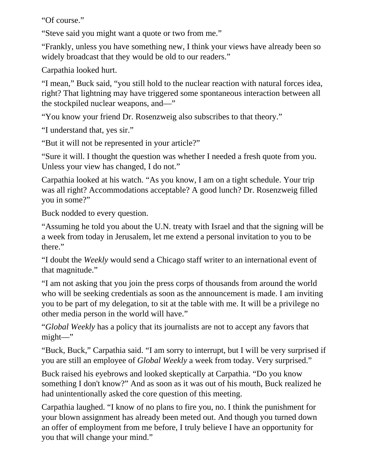"Of course."

"Steve said you might want a quote or two from me."

"Frankly, unless you have something new, I think your views have already been so widely broadcast that they would be old to our readers."

Carpathia looked hurt.

"I mean," Buck said, "you still hold to the nuclear reaction with natural forces idea, right? That lightning may have triggered some spontaneous interaction between all the stockpiled nuclear weapons, and—"

"You know your friend Dr. Rosenzweig also subscribes to that theory."

"I understand that, yes sir."

"But it will not be represented in your article?"

"Sure it will. I thought the question was whether I needed a fresh quote from you. Unless your view has changed, I do not."

Carpathia looked at his watch. "As you know, I am on a tight schedule. Your trip was all right? Accommodations acceptable? A good lunch? Dr. Rosenzweig filled you in some?"

Buck nodded to every question.

"Assuming he told you about the U.N. treaty with Israel and that the signing will be a week from today in Jerusalem, let me extend a personal invitation to you to be there."

"I doubt the *Weekly* would send a Chicago staff writer to an international event of that magnitude."

"I am not asking that you join the press corps of thousands from around the world who will be seeking credentials as soon as the announcement is made. I am inviting you to be part of my delegation, to sit at the table with me. It will be a privilege no other media person in the world will have."

"*Global Weekly* has a policy that its journalists are not to accept any favors that might—"

"Buck, Buck," Carpathia said. "I am sorry to interrupt, but I will be very surprised if you are still an employee of *Global Weekly* a week from today. Very surprised."

Buck raised his eyebrows and looked skeptically at Carpathia. "Do you know something I don't know?" And as soon as it was out of his mouth, Buck realized he had unintentionally asked the core question of this meeting.

Carpathia laughed. "I know of no plans to fire you, no. I think the punishment for your blown assignment has already been meted out. And though you turned down an offer of employment from me before, I truly believe I have an opportunity for you that will change your mind."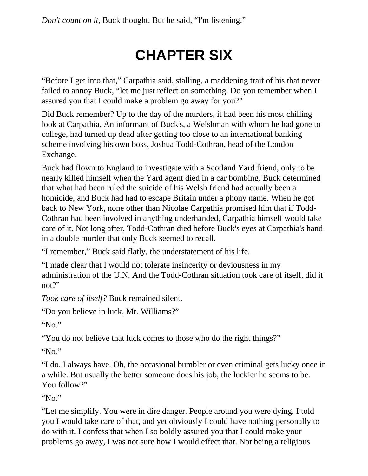*Don't count on it, Buck thought. But he said, "I'm listening."* 

## **CHAPTER SIX**

"Before I get into that," Carpathia said, stalling, a maddening trait of his that never failed to annoy Buck, "let me just reflect on something. Do you remember when I assured you that I could make a problem go away for you?"

Did Buck remember? Up to the day of the murders, it had been his most chilling look at Carpathia. An informant of Buck's, a Welshman with whom he had gone to college, had turned up dead after getting too close to an international banking scheme involving his own boss, Joshua Todd-Cothran, head of the London Exchange.

Buck had flown to England to investigate with a Scotland Yard friend, only to be nearly killed himself when the Yard agent died in a car bombing. Buck determined that what had been ruled the suicide of his Welsh friend had actually been a homicide, and Buck had had to escape Britain under a phony name. When he got back to New York, none other than Nicolae Carpathia promised him that if Todd-Cothran had been involved in anything underhanded, Carpathia himself would take care of it. Not long after, Todd-Cothran died before Buck's eyes at Carpathia's hand in a double murder that only Buck seemed to recall.

"I remember," Buck said flatly, the understatement of his life.

"I made clear that I would not tolerate insincerity or deviousness in my administration of the U.N. And the Todd-Cothran situation took care of itself, did it not?"

*Took care of itself?* Buck remained silent.

"Do you believe in luck, Mr. Williams?"

"No."

"You do not believe that luck comes to those who do the right things?"

"No."

"I do. I always have. Oh, the occasional bumbler or even criminal gets lucky once in a while. But usually the better someone does his job, the luckier he seems to be. You follow?"

"No."

"Let me simplify. You were in dire danger. People around you were dying. I told you I would take care of that, and yet obviously I could have nothing personally to do with it. I confess that when I so boldly assured you that I could make your problems go away, I was not sure how I would effect that. Not being a religious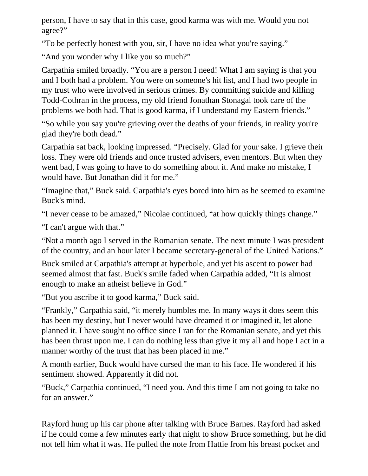person, I have to say that in this case, good karma was with me. Would you not agree?"

"To be perfectly honest with you, sir, I have no idea what you're saying."

"And you wonder why I like you so much?"

Carpathia smiled broadly. "You are a person I need! What I am saying is that you and I both had a problem. You were on someone's hit list, and I had two people in my trust who were involved in serious crimes. By committing suicide and killing Todd-Cothran in the process, my old friend Jonathan Stonagal took care of the problems we both had. That is good karma, if I understand my Eastern friends."

"So while you say you're grieving over the deaths of your friends, in reality you're glad they're both dead."

Carpathia sat back, looking impressed. "Precisely. Glad for your sake. I grieve their loss. They were old friends and once trusted advisers, even mentors. But when they went bad, I was going to have to do something about it. And make no mistake, I would have. But Jonathan did it for me."

"Imagine that," Buck said. Carpathia's eyes bored into him as he seemed to examine Buck's mind.

"I never cease to be amazed," Nicolae continued, "at how quickly things change."

"I can't argue with that."

"Not a month ago I served in the Romanian senate. The next minute I was president of the country, and an hour later I became secretary-general of the United Nations."

Buck smiled at Carpathia's attempt at hyperbole, and yet his ascent to power had seemed almost that fast. Buck's smile faded when Carpathia added, "It is almost enough to make an atheist believe in God."

"But you ascribe it to good karma," Buck said.

"Frankly," Carpathia said, "it merely humbles me. In many ways it does seem this has been my destiny, but I never would have dreamed it or imagined it, let alone planned it. I have sought no office since I ran for the Romanian senate, and yet this has been thrust upon me. I can do nothing less than give it my all and hope I act in a manner worthy of the trust that has been placed in me."

A month earlier, Buck would have cursed the man to his face. He wondered if his sentiment showed. Apparently it did not.

"Buck," Carpathia continued, "I need you. And this time I am not going to take no for an answer."

Rayford hung up his car phone after talking with Bruce Barnes. Rayford had asked if he could come a few minutes early that night to show Bruce something, but he did not tell him what it was. He pulled the note from Hattie from his breast pocket and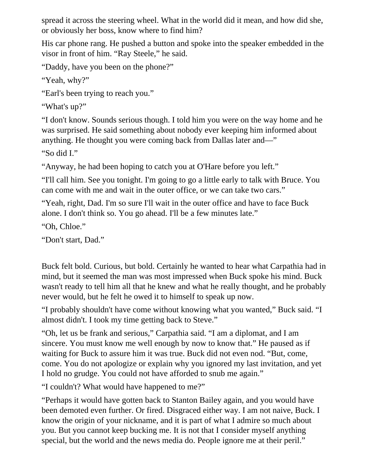spread it across the steering wheel. What in the world did it mean, and how did she, or obviously her boss, know where to find him?

His car phone rang. He pushed a button and spoke into the speaker embedded in the visor in front of him. "Ray Steele," he said.

"Daddy, have you been on the phone?"

"Yeah, why?"

"Earl's been trying to reach you."

"What's up?"

"I don't know. Sounds serious though. I told him you were on the way home and he was surprised. He said something about nobody ever keeping him informed about anything. He thought you were coming back from Dallas later and—"

"So did I."

"Anyway, he had been hoping to catch you at O'Hare before you left."

"I'll call him. See you tonight. I'm going to go a little early to talk with Bruce. You can come with me and wait in the outer office, or we can take two cars."

"Yeah, right, Dad. I'm so sure I'll wait in the outer office and have to face Buck alone. I don't think so. You go ahead. I'll be a few minutes late."

"Oh, Chloe."

"Don't start, Dad."

Buck felt bold. Curious, but bold. Certainly he wanted to hear what Carpathia had in mind, but it seemed the man was most impressed when Buck spoke his mind. Buck wasn't ready to tell him all that he knew and what he really thought, and he probably never would, but he felt he owed it to himself to speak up now.

"I probably shouldn't have come without knowing what you wanted," Buck said. "I almost didn't. I took my time getting back to Steve."

"Oh, let us be frank and serious," Carpathia said. "I am a diplomat, and I am sincere. You must know me well enough by now to know that." He paused as if waiting for Buck to assure him it was true. Buck did not even nod. "But, come, come. You do not apologize or explain why you ignored my last invitation, and yet I hold no grudge. You could not have afforded to snub me again."

"I couldn't? What would have happened to me?"

"Perhaps it would have gotten back to Stanton Bailey again, and you would have been demoted even further. Or fired. Disgraced either way. I am not naive, Buck. I know the origin of your nickname, and it is part of what I admire so much about you. But you cannot keep bucking me. It is not that I consider myself anything special, but the world and the news media do. People ignore me at their peril."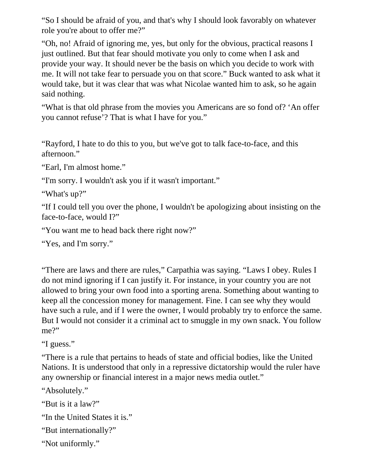"So I should be afraid of you, and that's why I should look favorably on whatever role you're about to offer me?"

"Oh, no! Afraid of ignoring me, yes, but only for the obvious, practical reasons I just outlined. But that fear should motivate you only to come when I ask and provide your way. It should never be the basis on which you decide to work with me. It will not take fear to persuade you on that score." Buck wanted to ask what it would take, but it was clear that was what Nicolae wanted him to ask, so he again said nothing.

"What is that old phrase from the movies you Americans are so fond of? 'An offer you cannot refuse'? That is what I have for you."

"Rayford, I hate to do this to you, but we've got to talk face-to-face, and this afternoon."

"Earl, I'm almost home."

"I'm sorry. I wouldn't ask you if it wasn't important."

```
"What's up?"
```
"If I could tell you over the phone, I wouldn't be apologizing about insisting on the face-to-face, would I?"

"You want me to head back there right now?"

"Yes, and I'm sorry."

"There are laws and there are rules," Carpathia was saying. "Laws I obey. Rules I do not mind ignoring if I can justify it. For instance, in your country you are not allowed to bring your own food into a sporting arena. Something about wanting to keep all the concession money for management. Fine. I can see why they would have such a rule, and if I were the owner, I would probably try to enforce the same. But I would not consider it a criminal act to smuggle in my own snack. You follow me?"

```
"I guess."
```
"There is a rule that pertains to heads of state and official bodies, like the United Nations. It is understood that only in a repressive dictatorship would the ruler have any ownership or financial interest in a major news media outlet."

```
"Absolutely."
```
"But is it a law?"

```
"In the United States it is."
```

```
"But internationally?"
```

```
"Not uniformly."
```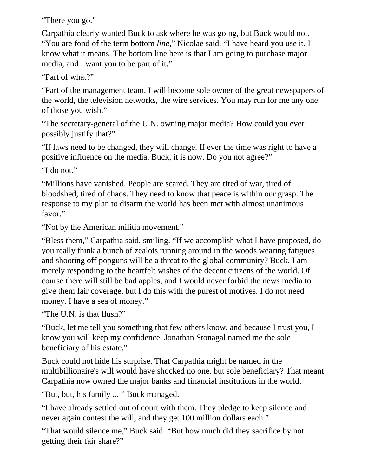"There you go."

Carpathia clearly wanted Buck to ask where he was going, but Buck would not. "You are fond of the term bottom *line*," Nicolae said. "I have heard you use it. I know what it means. The bottom line here is that I am going to purchase major media, and I want you to be part of it."

"Part of what?"

"Part of the management team. I will become sole owner of the great newspapers of the world, the television networks, the wire services. You may run for me any one of those you wish."

"The secretary-general of the U.N. owning major media? How could you ever possibly justify that?"

"If laws need to be changed, they will change. If ever the time was right to have a positive influence on the media, Buck, it is now. Do you not agree?"

"I do not"

"Millions have vanished. People are scared. They are tired of war, tired of bloodshed, tired of chaos. They need to know that peace is within our grasp. The response to my plan to disarm the world has been met with almost unanimous favor."

"Not by the American militia movement."

"Bless them," Carpathia said, smiling. "If we accomplish what I have proposed, do you really think a bunch of zealots running around in the woods wearing fatigues and shooting off popguns will be a threat to the global community? Buck, I am merely responding to the heartfelt wishes of the decent citizens of the world. Of course there will still be bad apples, and I would never forbid the news media to give them fair coverage, but I do this with the purest of motives. I do not need money. I have a sea of money."

"The U.N. is that flush?"

"Buck, let me tell you something that few others know, and because I trust you, I know you will keep my confidence. Jonathan Stonagal named me the sole beneficiary of his estate."

Buck could not hide his surprise. That Carpathia might be named in the multibillionaire's will would have shocked no one, but sole beneficiary? That meant Carpathia now owned the major banks and financial institutions in the world.

"But, but, his family ... " Buck managed.

"I have already settled out of court with them. They pledge to keep silence and never again contest the will, and they get 100 million dollars each."

"That would silence me," Buck said. "But how much did they sacrifice by not getting their fair share?"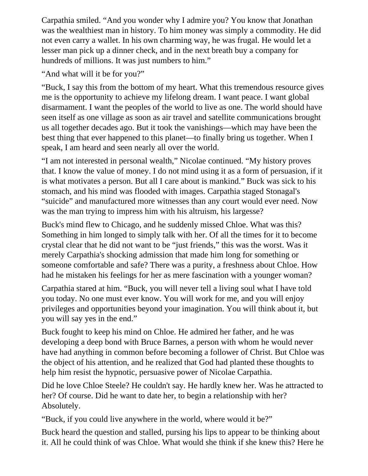Carpathia smiled. "And you wonder why I admire you? You know that Jonathan was the wealthiest man in history. To him money was simply a commodity. He did not even carry a wallet. In his own charming way, he was frugal. He would let a lesser man pick up a dinner check, and in the next breath buy a company for hundreds of millions. It was just numbers to him."

"And what will it be for you?"

"Buck, I say this from the bottom of my heart. What this tremendous resource gives me is the opportunity to achieve my lifelong dream. I want peace. I want global disarmament. I want the peoples of the world to live as one. The world should have seen itself as one village as soon as air travel and satellite communications brought us all together decades ago. But it took the vanishings—which may have been the best thing that ever happened to this planet—to finally bring us together. When I speak, I am heard and seen nearly all over the world.

"I am not interested in personal wealth," Nicolae continued. "My history proves that. I know the value of money. I do not mind using it as a form of persuasion, if it is what motivates a person. But all I care about is mankind." Buck was sick to his stomach, and his mind was flooded with images. Carpathia staged Stonagal's "suicide" and manufactured more witnesses than any court would ever need. Now was the man trying to impress him with his altruism, his largesse?

Buck's mind flew to Chicago, and he suddenly missed Chloe. What was this? Something in him longed to simply talk with her. Of all the times for it to become crystal clear that he did not want to be "just friends," this was the worst. Was it merely Carpathia's shocking admission that made him long for something or someone comfortable and safe? There was a purity, a freshness about Chloe. How had he mistaken his feelings for her as mere fascination with a younger woman?

Carpathia stared at him. "Buck, you will never tell a living soul what I have told you today. No one must ever know. You will work for me, and you will enjoy privileges and opportunities beyond your imagination. You will think about it, but you will say yes in the end."

Buck fought to keep his mind on Chloe. He admired her father, and he was developing a deep bond with Bruce Barnes, a person with whom he would never have had anything in common before becoming a follower of Christ. But Chloe was the object of his attention, and he realized that God had planted these thoughts to help him resist the hypnotic, persuasive power of Nicolae Carpathia.

Did he love Chloe Steele? He couldn't say. He hardly knew her. Was he attracted to her? Of course. Did he want to date her, to begin a relationship with her? Absolutely.

"Buck, if you could live anywhere in the world, where would it be?"

Buck heard the question and stalled, pursing his lips to appear to be thinking about it. All he could think of was Chloe. What would she think if she knew this? Here he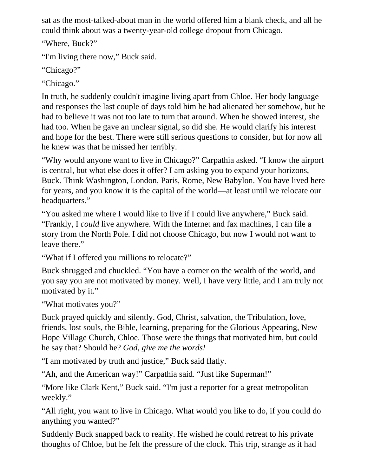sat as the most-talked-about man in the world offered him a blank check, and all he could think about was a twenty-year-old college dropout from Chicago.

"Where, Buck?"

"I'm living there now," Buck said.

"Chicago?"

"Chicago."

In truth, he suddenly couldn't imagine living apart from Chloe. Her body language and responses the last couple of days told him he had alienated her somehow, but he had to believe it was not too late to turn that around. When he showed interest, she had too. When he gave an unclear signal, so did she. He would clarify his interest and hope for the best. There were still serious questions to consider, but for now all he knew was that he missed her terribly.

"Why would anyone want to live in Chicago?" Carpathia asked. "I know the airport is central, but what else does it offer? I am asking you to expand your horizons, Buck. Think Washington, London, Paris, Rome, New Babylon. You have lived here for years, and you know it is the capital of the world—at least until we relocate our headquarters."

"You asked me where I would like to live if I could live anywhere," Buck said. "Frankly, I *could* live anywhere. With the Internet and fax machines, I can file a story from the North Pole. I did not choose Chicago, but now I would not want to leave there."

"What if I offered you millions to relocate?"

Buck shrugged and chuckled. "You have a corner on the wealth of the world, and you say you are not motivated by money. Well, I have very little, and I am truly not motivated by it."

"What motivates you?"

Buck prayed quickly and silently. God, Christ, salvation, the Tribulation, love, friends, lost souls, the Bible, learning, preparing for the Glorious Appearing, New Hope Village Church, Chloe. Those were the things that motivated him, but could he say that? Should he? *God, give me the words!*

"I am motivated by truth and justice," Buck said flatly.

"Ah, and the American way!" Carpathia said. "Just like Superman!"

"More like Clark Kent," Buck said. "I'm just a reporter for a great metropolitan weekly."

"All right, you want to live in Chicago. What would you like to do, if you could do anything you wanted?"

Suddenly Buck snapped back to reality. He wished he could retreat to his private thoughts of Chloe, but he felt the pressure of the clock. This trip, strange as it had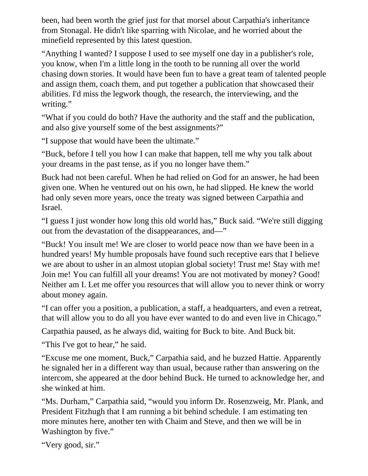been, had been worth the grief just for that morsel about Carpathia's inheritance from Stonagal. He didn't like sparring with Nicolae, and he worried about the minefield represented by this latest question.

"Anything I wanted? I suppose I used to see myself one day in a publisher's role, you know, when I'm a little long in the tooth to be running all over the world chasing down stories. It would have been fun to have a great team of talented people and assign them, coach them, and put together a publication that showcased their abilities. I'd miss the legwork though, the research, the interviewing, and the writing."

"What if you could do both? Have the authority and the staff and the publication, and also give yourself some of the best assignments?"

"I suppose that would have been the ultimate."

"Buck, before I tell you how I can make that happen, tell me why you talk about your dreams in the past tense, as if you no longer have them."

Buck had not been careful. When he had relied on God for an answer, he had been given one. When he ventured out on his own, he had slipped. He knew the world had only seven more years, once the treaty was signed between Carpathia and Israel.

"I guess I just wonder how long this old world has," Buck said. "We're still digging out from the devastation of the disappearances, and—"

"Buck! You insult me! We are closer to world peace now than we have been in a hundred years! My humble proposals have found such receptive ears that I believe we are about to usher in an almost utopian global society! Trust me! Stay with me! Join me! You can fulfill all your dreams! You are not motivated by money? Good! Neither am I. Let me offer you resources that will allow you to never think or worry about money again.

"I can offer you a position, a publication, a staff, a headquarters, and even a retreat, that will allow you to do all you have ever wanted to do and even live in Chicago."

Carpathia paused, as he always did, waiting for Buck to bite. And Buck bit.

"This I've got to hear," he said.

"Excuse me one moment, Buck," Carpathia said, and he buzzed Hattie. Apparently he signaled her in a different way than usual, because rather than answering on the intercom, she appeared at the door behind Buck. He turned to acknowledge her, and she winked at him.

"Ms. Durham," Carpathia said, "would you inform Dr. Rosenzweig, Mr. Plank, and President Fitzhugh that I am running a bit behind schedule. I am estimating ten more minutes here, another ten with Chaim and Steve, and then we will be in Washington by five."

"Very good, sir."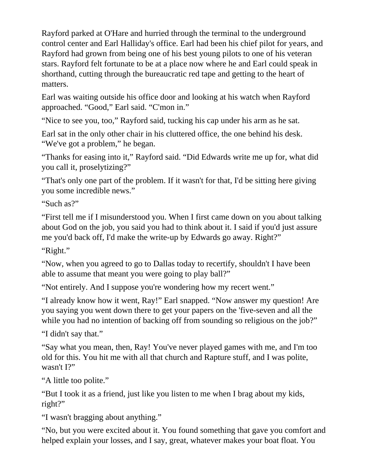Rayford parked at O'Hare and hurried through the terminal to the underground control center and Earl Halliday's office. Earl had been his chief pilot for years, and Rayford had grown from being one of his best young pilots to one of his veteran stars. Rayford felt fortunate to be at a place now where he and Earl could speak in shorthand, cutting through the bureaucratic red tape and getting to the heart of matters.

Earl was waiting outside his office door and looking at his watch when Rayford approached. "Good," Earl said. "C'mon in."

"Nice to see you, too," Rayford said, tucking his cap under his arm as he sat.

Earl sat in the only other chair in his cluttered office, the one behind his desk. "We've got a problem," he began.

"Thanks for easing into it," Rayford said. "Did Edwards write me up for, what did you call it, proselytizing?"

"That's only one part of the problem. If it wasn't for that, I'd be sitting here giving you some incredible news."

"Such as?"

"First tell me if I misunderstood you. When I first came down on you about talking about God on the job, you said you had to think about it. I said if you'd just assure me you'd back off, I'd make the write-up by Edwards go away. Right?"

"Right."

"Now, when you agreed to go to Dallas today to recertify, shouldn't I have been able to assume that meant you were going to play ball?"

"Not entirely. And I suppose you're wondering how my recert went."

"I already know how it went, Ray!" Earl snapped. "Now answer my question! Are you saying you went down there to get your papers on the 'five-seven and all the while you had no intention of backing off from sounding so religious on the job?"

"I didn't say that."

"Say what you mean, then, Ray! You've never played games with me, and I'm too old for this. You hit me with all that church and Rapture stuff, and I was polite, wasn't I?"

"A little too polite."

"But I took it as a friend, just like you listen to me when I brag about my kids, right?"

"I wasn't bragging about anything."

"No, but you were excited about it. You found something that gave you comfort and helped explain your losses, and I say, great, whatever makes your boat float. You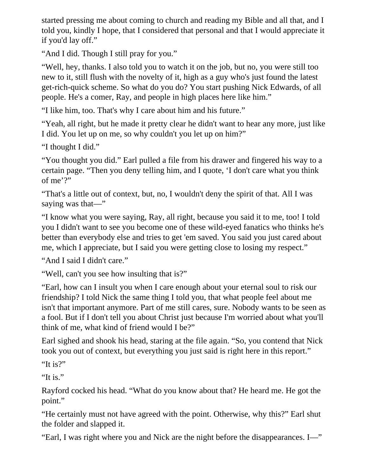started pressing me about coming to church and reading my Bible and all that, and I told you, kindly I hope, that I considered that personal and that I would appreciate it if you'd lay off."

"And I did. Though I still pray for you."

"Well, hey, thanks. I also told you to watch it on the job, but no, you were still too new to it, still flush with the novelty of it, high as a guy who's just found the latest get-rich-quick scheme. So what do you do? You start pushing Nick Edwards, of all people. He's a comer, Ray, and people in high places here like him."

"I like him, too. That's why I care about him and his future."

"Yeah, all right, but he made it pretty clear he didn't want to hear any more, just like I did. You let up on me, so why couldn't you let up on him?"

"I thought I did."

"You thought you did." Earl pulled a file from his drawer and fingered his way to a certain page. "Then you deny telling him, and I quote, 'I don't care what you think of me'?"

"That's a little out of context, but, no, I wouldn't deny the spirit of that. All I was saying was that—"

"I know what you were saying, Ray, all right, because you said it to me, too! I told you I didn't want to see you become one of these wild-eyed fanatics who thinks he's better than everybody else and tries to get 'em saved. You said you just cared about me, which I appreciate, but I said you were getting close to losing my respect."

"And I said I didn't care."

"Well, can't you see how insulting that is?"

"Earl, how can I insult you when I care enough about your eternal soul to risk our friendship? I told Nick the same thing I told you, that what people feel about me isn't that important anymore. Part of me still cares, sure. Nobody wants to be seen as a fool. But if I don't tell you about Christ just because I'm worried about what you'll think of me, what kind of friend would I be?"

Earl sighed and shook his head, staring at the file again. "So, you contend that Nick took you out of context, but everything you just said is right here in this report."

"It is?"

"It is."

Rayford cocked his head. "What do you know about that? He heard me. He got the point."

"He certainly must not have agreed with the point. Otherwise, why this?" Earl shut the folder and slapped it.

"Earl, I was right where you and Nick are the night before the disappearances. I—"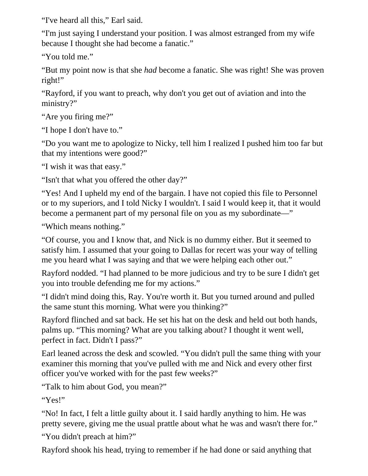"I've heard all this," Earl said.

"I'm just saying I understand your position. I was almost estranged from my wife because I thought she had become a fanatic."

"You told me."

"But my point now is that she *had* become a fanatic. She was right! She was proven right!"

"Rayford, if you want to preach, why don't you get out of aviation and into the ministry?"

"Are you firing me?"

"I hope I don't have to."

"Do you want me to apologize to Nicky, tell him I realized I pushed him too far but that my intentions were good?"

"I wish it was that easy."

"Isn't that what you offered the other day?"

"Yes! And I upheld my end of the bargain. I have not copied this file to Personnel or to my superiors, and I told Nicky I wouldn't. I said I would keep it, that it would become a permanent part of my personal file on you as my subordinate—"

"Which means nothing."

"Of course, you and I know that, and Nick is no dummy either. But it seemed to satisfy him. I assumed that your going to Dallas for recert was your way of telling me you heard what I was saying and that we were helping each other out."

Rayford nodded. "I had planned to be more judicious and try to be sure I didn't get you into trouble defending me for my actions."

"I didn't mind doing this, Ray. You're worth it. But you turned around and pulled the same stunt this morning. What were you thinking?"

Rayford flinched and sat back. He set his hat on the desk and held out both hands, palms up. "This morning? What are you talking about? I thought it went well, perfect in fact. Didn't I pass?"

Earl leaned across the desk and scowled. "You didn't pull the same thing with your examiner this morning that you've pulled with me and Nick and every other first officer you've worked with for the past few weeks?"

"Talk to him about God, you mean?"

"Yes!"

"No! In fact, I felt a little guilty about it. I said hardly anything to him. He was pretty severe, giving me the usual prattle about what he was and wasn't there for."

"You didn't preach at him?"

Rayford shook his head, trying to remember if he had done or said anything that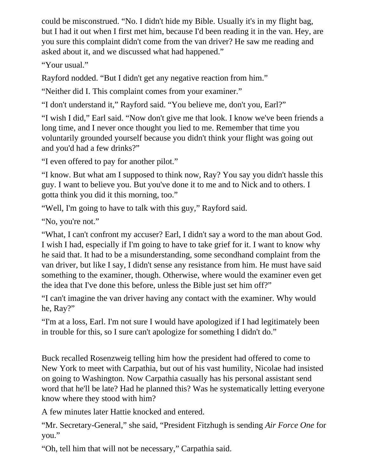could be misconstrued. "No. I didn't hide my Bible. Usually it's in my flight bag, but I had it out when I first met him, because I'd been reading it in the van. Hey, are you sure this complaint didn't come from the van driver? He saw me reading and asked about it, and we discussed what had happened."

"Your usual."

Rayford nodded. "But I didn't get any negative reaction from him."

"Neither did I. This complaint comes from your examiner."

"I don't understand it," Rayford said. "You believe me, don't you, Earl?"

"I wish I did," Earl said. "Now don't give me that look. I know we've been friends a long time, and I never once thought you lied to me. Remember that time you voluntarily grounded yourself because you didn't think your flight was going out and you'd had a few drinks?"

"I even offered to pay for another pilot."

"I know. But what am I supposed to think now, Ray? You say you didn't hassle this guy. I want to believe you. But you've done it to me and to Nick and to others. I gotta think you did it this morning, too."

"Well, I'm going to have to talk with this guy," Rayford said.

"No, you're not."

"What, I can't confront my accuser? Earl, I didn't say a word to the man about God. I wish I had, especially if I'm going to have to take grief for it. I want to know why he said that. It had to be a misunderstanding, some secondhand complaint from the van driver, but like I say, I didn't sense any resistance from him. He must have said something to the examiner, though. Otherwise, where would the examiner even get the idea that I've done this before, unless the Bible just set him off?"

"I can't imagine the van driver having any contact with the examiner. Why would he, Ray?"

"I'm at a loss, Earl. I'm not sure I would have apologized if I had legitimately been in trouble for this, so I sure can't apologize for something I didn't do."

Buck recalled Rosenzweig telling him how the president had offered to come to New York to meet with Carpathia, but out of his vast humility, Nicolae had insisted on going to Washington. Now Carpathia casually has his personal assistant send word that he'll be late? Had he planned this? Was he systematically letting everyone know where they stood with him?

A few minutes later Hattie knocked and entered.

"Mr. Secretary-General," she said, "President Fitzhugh is sending *Air Force One* for you."

"Oh, tell him that will not be necessary," Carpathia said.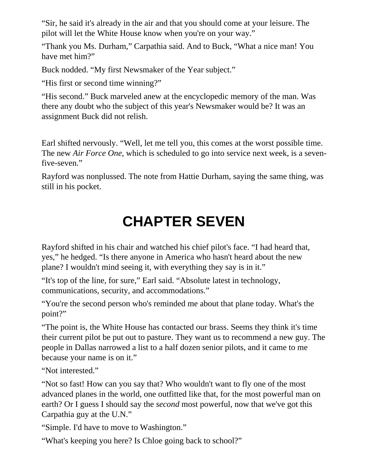"Sir, he said it's already in the air and that you should come at your leisure. The pilot will let the White House know when you're on your way."

"Thank you Ms. Durham," Carpathia said. And to Buck, "What a nice man! You have met him?"

Buck nodded. "My first Newsmaker of the Year subject."

"His first or second time winning?"

"His second." Buck marveled anew at the encyclopedic memory of the man. Was there any doubt who the subject of this year's Newsmaker would be? It was an assignment Buck did not relish.

Earl shifted nervously. "Well, let me tell you, this comes at the worst possible time. The new *Air Force One*, which is scheduled to go into service next week, is a sevenfive-seven."

Rayford was nonplussed. The note from Hattie Durham, saying the same thing, was still in his pocket.

## **CHAPTER SEVEN**

Rayford shifted in his chair and watched his chief pilot's face. "I had heard that, yes," he hedged. "Is there anyone in America who hasn't heard about the new plane? I wouldn't mind seeing it, with everything they say is in it."

"It's top of the line, for sure," Earl said. "Absolute latest in technology, communications, security, and accommodations."

"You're the second person who's reminded me about that plane today. What's the point?"

"The point is, the White House has contacted our brass. Seems they think it's time their current pilot be put out to pasture. They want us to recommend a new guy. The people in Dallas narrowed a list to a half dozen senior pilots, and it came to me because your name is on it."

"Not interested."

"Not so fast! How can you say that? Who wouldn't want to fly one of the most advanced planes in the world, one outfitted like that, for the most powerful man on earth? Or I guess I should say the *second* most powerful, now that we've got this Carpathia guy at the U.N."

"Simple. I'd have to move to Washington."

"What's keeping you here? Is Chloe going back to school?"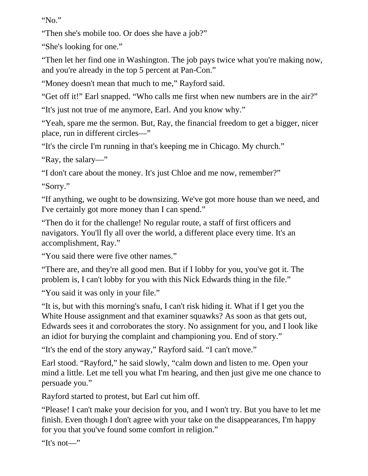"No."

"Then she's mobile too. Or does she have a job?"

"She's looking for one."

"Then let her find one in Washington. The job pays twice what you're making now, and you're already in the top 5 percent at Pan-Con."

"Money doesn't mean that much to me," Rayford said.

"Get off it!" Earl snapped. "Who calls me first when new numbers are in the air?"

"It's just not true of me anymore, Earl. And you know why."

"Yeah, spare me the sermon. But, Ray, the financial freedom to get a bigger, nicer place, run in different circles—"

"It's the circle I'm running in that's keeping me in Chicago. My church."

"Ray, the salary—"

"I don't care about the money. It's just Chloe and me now, remember?"

"Sorry."

"If anything, we ought to be downsizing. We've got more house than we need, and I've certainly got more money than I can spend."

"Then do it for the challenge! No regular route, a staff of first officers and navigators. You'll fly all over the world, a different place every time. It's an accomplishment, Ray."

"You said there were five other names."

"There are, and they're all good men. But if I lobby for you, you've got it. The problem is, I can't lobby for you with this Nick Edwards thing in the file."

"You said it was only in your file."

"It is, but with this morning's snafu, I can't risk hiding it. What if I get you the White House assignment and that examiner squawks? As soon as that gets out, Edwards sees it and corroborates the story. No assignment for you, and I look like an idiot for burying the complaint and championing you. End of story."

"It's the end of the story anyway," Rayford said. "I can't move."

Earl stood. "Rayford," he said slowly, "calm down and listen to me. Open your mind a little. Let me tell you what I'm hearing, and then just give me one chance to persuade you."

Rayford started to protest, but Earl cut him off.

"Please! I can't make your decision for you, and I won't try. But you have to let me finish. Even though I don't agree with your take on the disappearances, I'm happy for you that you've found some comfort in religion."

"It's not—"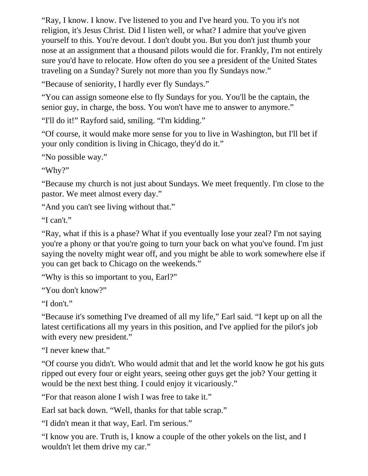"Ray, I know. I know. I've listened to you and I've heard you. To you it's not religion, it's Jesus Christ. Did I listen well, or what? I admire that you've given yourself to this. You're devout. I don't doubt you. But you don't just thumb your nose at an assignment that a thousand pilots would die for. Frankly, I'm not entirely sure you'd have to relocate. How often do you see a president of the United States traveling on a Sunday? Surely not more than you fly Sundays now."

"Because of seniority, I hardly ever fly Sundays."

"You can assign someone else to fly Sundays for you. You'll be the captain, the senior guy, in charge, the boss. You won't have me to answer to anymore."

"I'll do it!" Rayford said, smiling. "I'm kidding."

"Of course, it would make more sense for you to live in Washington, but I'll bet if your only condition is living in Chicago, they'd do it."

"No possible way."

"Why?"

"Because my church is not just about Sundays. We meet frequently. I'm close to the pastor. We meet almost every day."

"And you can't see living without that."

"I can't."

"Ray, what if this is a phase? What if you eventually lose your zeal? I'm not saying you're a phony or that you're going to turn your back on what you've found. I'm just saying the novelty might wear off, and you might be able to work somewhere else if you can get back to Chicago on the weekends."

"Why is this so important to you, Earl?"

"You don't know?"

"I don't."

"Because it's something I've dreamed of all my life," Earl said. "I kept up on all the latest certifications all my years in this position, and I've applied for the pilot's job with every new president."

"I never knew that."

"Of course you didn't. Who would admit that and let the world know he got his guts ripped out every four or eight years, seeing other guys get the job? Your getting it would be the next best thing. I could enjoy it vicariously."

"For that reason alone I wish I was free to take it."

Earl sat back down. "Well, thanks for that table scrap."

"I didn't mean it that way, Earl. I'm serious."

"I know you are. Truth is, I know a couple of the other yokels on the list, and I wouldn't let them drive my car."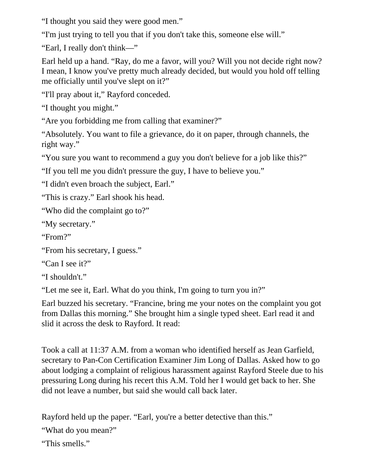"I thought you said they were good men."

"I'm just trying to tell you that if you don't take this, someone else will."

"Earl, I really don't think—"

Earl held up a hand. "Ray, do me a favor, will you? Will you not decide right now? I mean, I know you've pretty much already decided, but would you hold off telling me officially until you've slept on it?"

"I'll pray about it," Rayford conceded.

"I thought you might."

"Are you forbidding me from calling that examiner?"

"Absolutely. You want to file a grievance, do it on paper, through channels, the right way."

"You sure you want to recommend a guy you don't believe for a job like this?"

"If you tell me you didn't pressure the guy, I have to believe you."

"I didn't even broach the subject, Earl."

"This is crazy." Earl shook his head.

"Who did the complaint go to?"

"My secretary."

"From?"

```
"From his secretary, I guess."
```

```
"Can I see it?"
```

```
"I shouldn't."
```
"Let me see it, Earl. What do you think, I'm going to turn you in?"

Earl buzzed his secretary. "Francine, bring me your notes on the complaint you got from Dallas this morning." She brought him a single typed sheet. Earl read it and slid it across the desk to Rayford. It read:

Took a call at 11:37 A.M. from a woman who identified herself as Jean Garfield, secretary to Pan-Con Certification Examiner Jim Long of Dallas. Asked how to go about lodging a complaint of religious harassment against Rayford Steele due to his pressuring Long during his recert this A.M. Told her I would get back to her. She did not leave a number, but said she would call back later.

Rayford held up the paper. "Earl, you're a better detective than this."

```
"What do you mean?"
```

```
"This smells."
```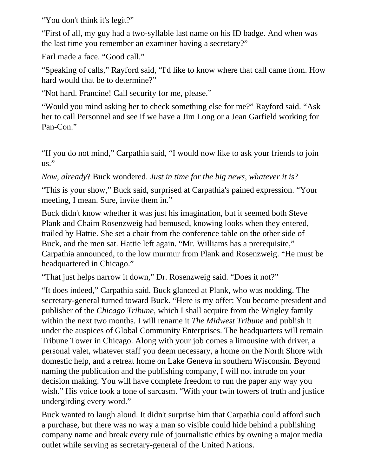"You don't think it's legit?"

"First of all, my guy had a two-syllable last name on his ID badge. And when was the last time you remember an examiner having a secretary?"

Earl made a face. "Good call."

"Speaking of calls," Rayford said, "I'd like to know where that call came from. How hard would that be to determine?"

"Not hard. Francine! Call security for me, please."

"Would you mind asking her to check something else for me?" Rayford said. "Ask her to call Personnel and see if we have a Jim Long or a Jean Garfield working for Pan-Con."

"If you do not mind," Carpathia said, "I would now like to ask your friends to join us."

*Now, already*? Buck wondered. *Just in time for the big news, whatever it is*?

"This is your show," Buck said, surprised at Carpathia's pained expression. "Your meeting, I mean. Sure, invite them in."

Buck didn't know whether it was just his imagination, but it seemed both Steve Plank and Chaim Rosenzweig had bemused, knowing looks when they entered, trailed by Hattie. She set a chair from the conference table on the other side of Buck, and the men sat. Hattie left again. "Mr. Williams has a prerequisite," Carpathia announced, to the low murmur from Plank and Rosenzweig. "He must be headquartered in Chicago."

"That just helps narrow it down," Dr. Rosenzweig said. "Does it not?"

"It does indeed," Carpathia said. Buck glanced at Plank, who was nodding. The secretary-general turned toward Buck. "Here is my offer: You become president and publisher of the *Chicago Tribune,* which I shall acquire from the Wrigley family within the next two months. I will rename it *The Midwest Tribune* and publish it under the auspices of Global Community Enterprises. The headquarters will remain Tribune Tower in Chicago. Along with your job comes a limousine with driver, a personal valet, whatever staff you deem necessary, a home on the North Shore with domestic help, and a retreat home on Lake Geneva in southern Wisconsin. Beyond naming the publication and the publishing company, I will not intrude on your decision making. You will have complete freedom to run the paper any way you wish." His voice took a tone of sarcasm. "With your twin towers of truth and justice undergirding every word."

Buck wanted to laugh aloud. It didn't surprise him that Carpathia could afford such a purchase, but there was no way a man so visible could hide behind a publishing company name and break every rule of journalistic ethics by owning a major media outlet while serving as secretary-general of the United Nations.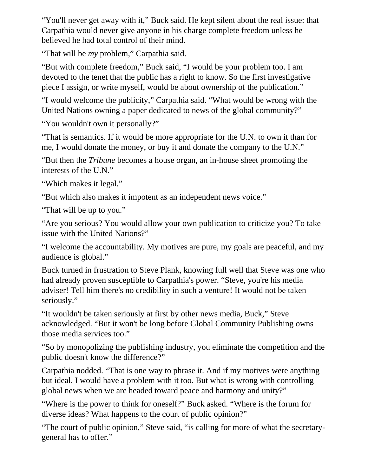"You'll never get away with it," Buck said. He kept silent about the real issue: that Carpathia would never give anyone in his charge complete freedom unless he believed he had total control of their mind.

"That will be *my* problem," Carpathia said.

"But with complete freedom," Buck said, "I would be your problem too. I am devoted to the tenet that the public has a right to know. So the first investigative piece I assign, or write myself, would be about ownership of the publication."

"I would welcome the publicity," Carpathia said. "What would be wrong with the United Nations owning a paper dedicated to news of the global community?"

"You wouldn't own it personally?"

"That is semantics. If it would be more appropriate for the U.N. to own it than for me, I would donate the money, or buy it and donate the company to the U.N."

"But then the *Tribune* becomes a house organ, an in-house sheet promoting the interests of the U.N."

"Which makes it legal."

"But which also makes it impotent as an independent news voice."

"That will be up to you."

"Are you serious? You would allow your own publication to criticize you? To take issue with the United Nations?"

"I welcome the accountability. My motives are pure, my goals are peaceful, and my audience is global."

Buck turned in frustration to Steve Plank, knowing full well that Steve was one who had already proven susceptible to Carpathia's power. "Steve, you're his media adviser! Tell him there's no credibility in such a venture! It would not be taken seriously."

"It wouldn't be taken seriously at first by other news media, Buck," Steve acknowledged. "But it won't be long before Global Community Publishing owns those media services too."

"So by monopolizing the publishing industry, you eliminate the competition and the public doesn't know the difference?"

Carpathia nodded. "That is one way to phrase it. And if my motives were anything but ideal, I would have a problem with it too. But what is wrong with controlling global news when we are headed toward peace and harmony and unity?"

"Where is the power to think for oneself?" Buck asked. "Where is the forum for diverse ideas? What happens to the court of public opinion?"

"The court of public opinion," Steve said, "is calling for more of what the secretarygeneral has to offer."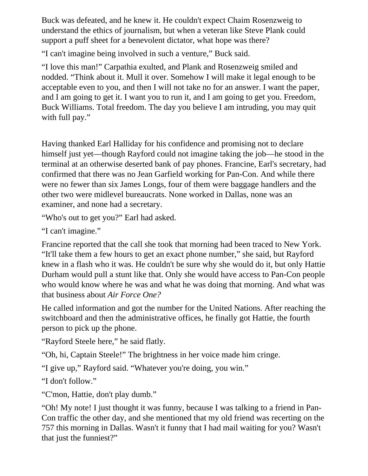Buck was defeated, and he knew it. He couldn't expect Chaim Rosenzweig to understand the ethics of journalism, but when a veteran like Steve Plank could support a puff sheet for a benevolent dictator, what hope was there?

"I can't imagine being involved in such a venture," Buck said.

"I love this man!" Carpathia exulted, and Plank and Rosenzweig smiled and nodded. "Think about it. Mull it over. Somehow I will make it legal enough to be acceptable even to you, and then I will not take no for an answer. I want the paper, and I am going to get it. I want you to run it, and I am going to get you. Freedom, Buck Williams. Total freedom. The day you believe I am intruding, you may quit with full pay."

Having thanked Earl Halliday for his confidence and promising not to declare himself just yet—though Rayford could not imagine taking the job—he stood in the terminal at an otherwise deserted bank of pay phones. Francine, Earl's secretary, had confirmed that there was no Jean Garfield working for Pan-Con. And while there were no fewer than six James Longs, four of them were baggage handlers and the other two were midlevel bureaucrats. None worked in Dallas, none was an examiner, and none had a secretary.

"Who's out to get you?" Earl had asked.

"I can't imagine."

Francine reported that the call she took that morning had been traced to New York. "It'll take them a few hours to get an exact phone number," she said, but Rayford knew in a flash who it was. He couldn't be sure why she would do it, but only Hattie Durham would pull a stunt like that. Only she would have access to Pan-Con people who would know where he was and what he was doing that morning. And what was that business about *Air Force One?*

He called information and got the number for the United Nations. After reaching the switchboard and then the administrative offices, he finally got Hattie, the fourth person to pick up the phone.

"Rayford Steele here," he said flatly.

"Oh, hi, Captain Steele!" The brightness in her voice made him cringe.

"I give up," Rayford said. "Whatever you're doing, you win."

"I don't follow."

"C'mon, Hattie, don't play dumb."

"Oh! My note! I just thought it was funny, because I was talking to a friend in Pan-Con traffic the other day, and she mentioned that my old friend was recerting on the 757 this morning in Dallas. Wasn't it funny that I had mail waiting for you? Wasn't that just the funniest?"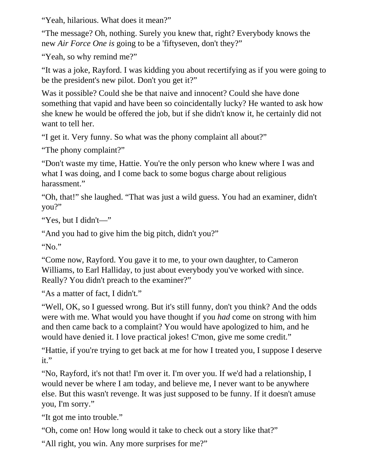"Yeah, hilarious. What does it mean?"

"The message? Oh, nothing. Surely you knew that, right? Everybody knows the new *Air Force One is* going to be a 'fiftyseven, don't they?"

"Yeah, so why remind me?"

"It was a joke, Rayford. I was kidding you about recertifying as if you were going to be the president's new pilot. Don't you get it?"

Was it possible? Could she be that naive and innocent? Could she have done something that vapid and have been so coincidentally lucky? He wanted to ask how she knew he would be offered the job, but if she didn't know it, he certainly did not want to tell her.

"I get it. Very funny. So what was the phony complaint all about?"

"The phony complaint?"

"Don't waste my time, Hattie. You're the only person who knew where I was and what I was doing, and I come back to some bogus charge about religious harassment."

"Oh, that!" she laughed. "That was just a wild guess. You had an examiner, didn't you?"

"Yes, but I didn't—"

"And you had to give him the big pitch, didn't you?"

"No."

"Come now, Rayford. You gave it to me, to your own daughter, to Cameron Williams, to Earl Halliday, to just about everybody you've worked with since. Really? You didn't preach to the examiner?"

"As a matter of fact, I didn't."

"Well, OK, so I guessed wrong. But it's still funny, don't you think? And the odds were with me. What would you have thought if you *had* come on strong with him and then came back to a complaint? You would have apologized to him, and he would have denied it. I love practical jokes! C'mon, give me some credit."

"Hattie, if you're trying to get back at me for how I treated you, I suppose I deserve it."

"No, Rayford, it's not that! I'm over it. I'm over you. If we'd had a relationship, I would never be where I am today, and believe me, I never want to be anywhere else. But this wasn't revenge. It was just supposed to be funny. If it doesn't amuse you, I'm sorry."

"It got me into trouble."

"Oh, come on! How long would it take to check out a story like that?"

"All right, you win. Any more surprises for me?"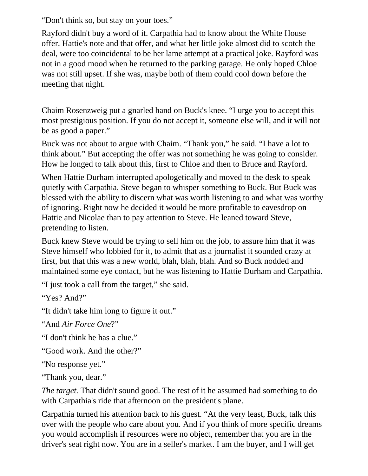"Don't think so, but stay on your toes."

Rayford didn't buy a word of it. Carpathia had to know about the White House offer. Hattie's note and that offer, and what her little joke almost did to scotch the deal, were too coincidental to be her lame attempt at a practical joke. Rayford was not in a good mood when he returned to the parking garage. He only hoped Chloe was not still upset. If she was, maybe both of them could cool down before the meeting that night.

Chaim Rosenzweig put a gnarled hand on Buck's knee. "I urge you to accept this most prestigious position. If you do not accept it, someone else will, and it will not be as good a paper."

Buck was not about to argue with Chaim. "Thank you," he said. "I have a lot to think about." But accepting the offer was not something he was going to consider. How he longed to talk about this, first to Chloe and then to Bruce and Rayford.

When Hattie Durham interrupted apologetically and moved to the desk to speak quietly with Carpathia, Steve began to whisper something to Buck. But Buck was blessed with the ability to discern what was worth listening to and what was worthy of ignoring. Right now he decided it would be more profitable to eavesdrop on Hattie and Nicolae than to pay attention to Steve. He leaned toward Steve, pretending to listen.

Buck knew Steve would be trying to sell him on the job, to assure him that it was Steve himself who lobbied for it, to admit that as a journalist it sounded crazy at first, but that this was a new world, blah, blah, blah. And so Buck nodded and maintained some eye contact, but he was listening to Hattie Durham and Carpathia.

"I just took a call from the target," she said.

"Yes? And?"

"It didn't take him long to figure it out."

"And *Air Force One*?"

"I don't think he has a clue."

"Good work. And the other?"

"No response yet."

"Thank you, dear."

*The target.* That didn't sound good. The rest of it he assumed had something to do with Carpathia's ride that afternoon on the president's plane.

Carpathia turned his attention back to his guest. "At the very least, Buck, talk this over with the people who care about you. And if you think of more specific dreams you would accomplish if resources were no object, remember that you are in the driver's seat right now. You are in a seller's market. I am the buyer, and I will get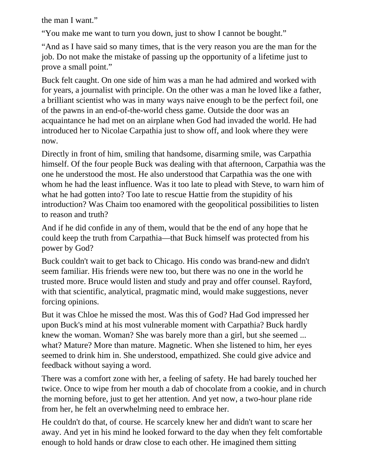the man I want."

"You make me want to turn you down, just to show I cannot be bought."

"And as I have said so many times, that is the very reason you are the man for the job. Do not make the mistake of passing up the opportunity of a lifetime just to prove a small point."

Buck felt caught. On one side of him was a man he had admired and worked with for years, a journalist with principle. On the other was a man he loved like a father, a brilliant scientist who was in many ways naive enough to be the perfect foil, one of the pawns in an end-of-the-world chess game. Outside the door was an acquaintance he had met on an airplane when God had invaded the world. He had introduced her to Nicolae Carpathia just to show off, and look where they were now.

Directly in front of him, smiling that handsome, disarming smile, was Carpathia himself. Of the four people Buck was dealing with that afternoon, Carpathia was the one he understood the most. He also understood that Carpathia was the one with whom he had the least influence. Was it too late to plead with Steve, to warn him of what he had gotten into? Too late to rescue Hattie from the stupidity of his introduction? Was Chaim too enamored with the geopolitical possibilities to listen to reason and truth?

And if he did confide in any of them, would that be the end of any hope that he could keep the truth from Carpathia—that Buck himself was protected from his power by God?

Buck couldn't wait to get back to Chicago. His condo was brand-new and didn't seem familiar. His friends were new too, but there was no one in the world he trusted more. Bruce would listen and study and pray and offer counsel. Rayford, with that scientific, analytical, pragmatic mind, would make suggestions, never forcing opinions.

But it was Chloe he missed the most. Was this of God? Had God impressed her upon Buck's mind at his most vulnerable moment with Carpathia? Buck hardly knew the woman. Woman? She was barely more than a girl, but she seemed ... what? Mature? More than mature. Magnetic. When she listened to him, her eyes seemed to drink him in. She understood, empathized. She could give advice and feedback without saying a word.

There was a comfort zone with her, a feeling of safety. He had barely touched her twice. Once to wipe from her mouth a dab of chocolate from a cookie, and in church the morning before, just to get her attention. And yet now, a two-hour plane ride from her, he felt an overwhelming need to embrace her.

He couldn't do that, of course. He scarcely knew her and didn't want to scare her away. And yet in his mind he looked forward to the day when they felt comfortable enough to hold hands or draw close to each other. He imagined them sitting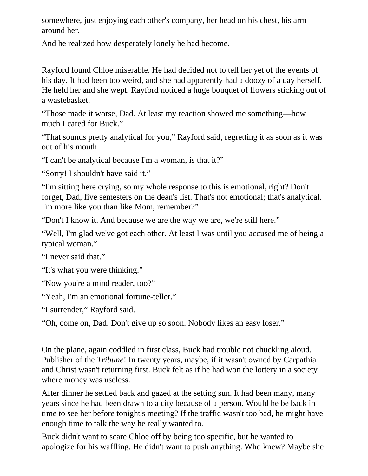somewhere, just enjoying each other's company, her head on his chest, his arm around her.

And he realized how desperately lonely he had become.

Rayford found Chloe miserable. He had decided not to tell her yet of the events of his day. It had been too weird, and she had apparently had a doozy of a day herself. He held her and she wept. Rayford noticed a huge bouquet of flowers sticking out of a wastebasket.

"Those made it worse, Dad. At least my reaction showed me something—how much I cared for Buck."

"That sounds pretty analytical for you," Rayford said, regretting it as soon as it was out of his mouth.

"I can't be analytical because I'm a woman, is that it?"

"Sorry! I shouldn't have said it."

"I'm sitting here crying, so my whole response to this is emotional, right? Don't forget, Dad, five semesters on the dean's list. That's not emotional; that's analytical. I'm more like you than like Mom, remember?"

"Don't I know it. And because we are the way we are, we're still here."

"Well, I'm glad we've got each other. At least I was until you accused me of being a typical woman."

"I never said that."

"It's what you were thinking."

"Now you're a mind reader, too?"

"Yeah, I'm an emotional fortune-teller."

"I surrender," Rayford said.

"Oh, come on, Dad. Don't give up so soon. Nobody likes an easy loser."

On the plane, again coddled in first class, Buck had trouble not chuckling aloud. Publisher of the *Tribune*! In twenty years, maybe, if it wasn't owned by Carpathia and Christ wasn't returning first. Buck felt as if he had won the lottery in a society where money was useless.

After dinner he settled back and gazed at the setting sun. It had been many, many years since he had been drawn to a city because of a person. Would he be back in time to see her before tonight's meeting? If the traffic wasn't too bad, he might have enough time to talk the way he really wanted to.

Buck didn't want to scare Chloe off by being too specific, but he wanted to apologize for his waffling. He didn't want to push anything. Who knew? Maybe she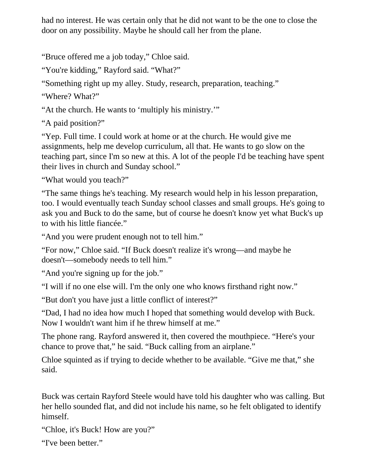had no interest. He was certain only that he did not want to be the one to close the door on any possibility. Maybe he should call her from the plane.

"Bruce offered me a job today," Chloe said.

"You're kidding," Rayford said. "What?"

"Something right up my alley. Study, research, preparation, teaching."

"Where? What?"

"At the church. He wants to 'multiply his ministry.'"

"A paid position?"

"Yep. Full time. I could work at home or at the church. He would give me assignments, help me develop curriculum, all that. He wants to go slow on the teaching part, since I'm so new at this. A lot of the people I'd be teaching have spent their lives in church and Sunday school."

"What would you teach?"

"The same things he's teaching. My research would help in his lesson preparation, too. I would eventually teach Sunday school classes and small groups. He's going to ask you and Buck to do the same, but of course he doesn't know yet what Buck's up to with his little fiancée."

"And you were prudent enough not to tell him."

"For now," Chloe said. "If Buck doesn't realize it's wrong—and maybe he doesn't—somebody needs to tell him."

"And you're signing up for the job."

"I will if no one else will. I'm the only one who knows firsthand right now."

"But don't you have just a little conflict of interest?"

"Dad, I had no idea how much I hoped that something would develop with Buck. Now I wouldn't want him if he threw himself at me."

The phone rang. Rayford answered it, then covered the mouthpiece. "Here's your chance to prove that," he said. "Buck calling from an airplane."

Chloe squinted as if trying to decide whether to be available. "Give me that," she said.

Buck was certain Rayford Steele would have told his daughter who was calling. But her hello sounded flat, and did not include his name, so he felt obligated to identify himself.

```
"Chloe, it's Buck! How are you?"
```
"I've been better."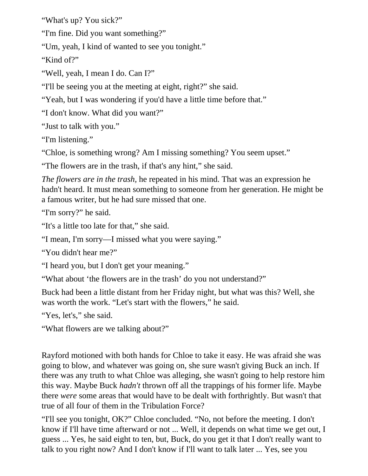"What's up? You sick?"

"I'm fine. Did you want something?"

"Um, yeah, I kind of wanted to see you tonight."

"Kind of?"

"Well, yeah, I mean I do. Can I?"

"I'll be seeing you at the meeting at eight, right?" she said.

"Yeah, but I was wondering if you'd have a little time before that."

"I don't know. What did you want?"

"Just to talk with you."

"I'm listening."

"Chloe, is something wrong? Am I missing something? You seem upset."

"The flowers are in the trash, if that's any hint," she said.

*The flowers are in the trash,* he repeated in his mind. That was an expression he hadn't heard. It must mean something to someone from her generation. He might be a famous writer, but he had sure missed that one.

"I'm sorry?" he said.

"It's a little too late for that," she said.

"I mean, I'm sorry—I missed what you were saying."

"You didn't hear me?"

"I heard you, but I don't get your meaning."

"What about 'the flowers are in the trash' do you not understand?"

Buck had been a little distant from her Friday night, but what was this? Well, she was worth the work. "Let's start with the flowers," he said.

"Yes, let's," she said.

"What flowers are we talking about?"

Rayford motioned with both hands for Chloe to take it easy. He was afraid she was going to blow, and whatever was going on, she sure wasn't giving Buck an inch. If there was any truth to what Chloe was alleging, she wasn't going to help restore him this way. Maybe Buck *hadn't* thrown off all the trappings of his former life. Maybe there *were* some areas that would have to be dealt with forthrightly. But wasn't that true of all four of them in the Tribulation Force?

"I'll see you tonight, OK?" Chloe concluded. "No, not before the meeting. I don't know if I'll have time afterward or not ... Well, it depends on what time we get out, I guess ... Yes, he said eight to ten, but, Buck, do you get it that I don't really want to talk to you right now? And I don't know if I'll want to talk later ... Yes, see you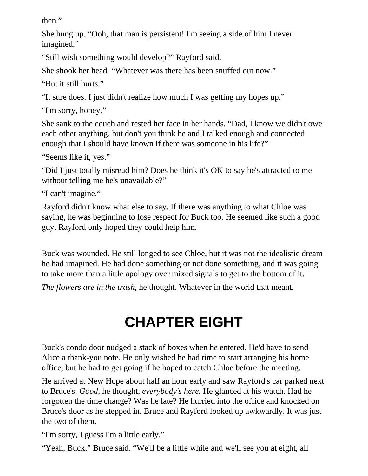then."

She hung up. "Ooh, that man is persistent! I'm seeing a side of him I never imagined."

"Still wish something would develop?" Rayford said.

She shook her head. "Whatever was there has been snuffed out now."

"But it still hurts."

"It sure does. I just didn't realize how much I was getting my hopes up."

"I'm sorry, honey."

She sank to the couch and rested her face in her hands. "Dad, I know we didn't owe each other anything, but don't you think he and I talked enough and connected enough that I should have known if there was someone in his life?"

"Seems like it, yes."

"Did I just totally misread him? Does he think it's OK to say he's attracted to me without telling me he's unavailable?"

"I can't imagine."

Rayford didn't know what else to say. If there was anything to what Chloe was saying, he was beginning to lose respect for Buck too. He seemed like such a good guy. Rayford only hoped they could help him.

Buck was wounded. He still longed to see Chloe, but it was not the idealistic dream he had imagined. He had done something or not done something, and it was going to take more than a little apology over mixed signals to get to the bottom of it.

*The flowers are in the trash,* he thought. Whatever in the world that meant.

## **CHAPTER EIGHT**

Buck's condo door nudged a stack of boxes when he entered. He'd have to send Alice a thank-you note. He only wished he had time to start arranging his home office, but he had to get going if he hoped to catch Chloe before the meeting.

He arrived at New Hope about half an hour early and saw Rayford's car parked next to Bruce's. *Good,* he thought, *everybody's here.* He glanced at his watch. Had he forgotten the time change? Was he late? He hurried into the office and knocked on Bruce's door as he stepped in. Bruce and Rayford looked up awkwardly. It was just the two of them.

"I'm sorry, I guess I'm a little early."

"Yeah, Buck," Bruce said. "We'll be a little while and we'll see you at eight, all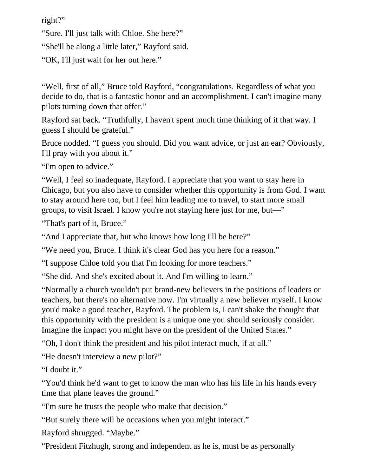right?"

"Sure. I'll just talk with Chloe. She here?"

"She'll be along a little later," Rayford said.

"OK, I'll just wait for her out here."

"Well, first of all," Bruce told Rayford, "congratulations. Regardless of what you decide to do, that is a fantastic honor and an accomplishment. I can't imagine many pilots turning down that offer."

Rayford sat back. "Truthfully, I haven't spent much time thinking of it that way. I guess I should be grateful."

Bruce nodded. "I guess you should. Did you want advice, or just an ear? Obviously, I'll pray with you about it."

"I'm open to advice."

"Well, I feel so inadequate, Rayford. I appreciate that you want to stay here in Chicago, but you also have to consider whether this opportunity is from God. I want to stay around here too, but I feel him leading me to travel, to start more small groups, to visit Israel. I know you're not staying here just for me, but—"

"That's part of it, Bruce."

"And I appreciate that, but who knows how long I'll be here?"

"We need you, Bruce. I think it's clear God has you here for a reason."

"I suppose Chloe told you that I'm looking for more teachers."

"She did. And she's excited about it. And I'm willing to learn."

"Normally a church wouldn't put brand-new believers in the positions of leaders or teachers, but there's no alternative now. I'm virtually a new believer myself. I know you'd make a good teacher, Rayford. The problem is, I can't shake the thought that this opportunity with the president is a unique one you should seriously consider. Imagine the impact you might have on the president of the United States."

"Oh, I don't think the president and his pilot interact much, if at all."

"He doesn't interview a new pilot?"

"I doubt it."

"You'd think he'd want to get to know the man who has his life in his hands every time that plane leaves the ground."

"I'm sure he trusts the people who make that decision."

"But surely there will be occasions when you might interact."

Rayford shrugged. "Maybe."

"President Fitzhugh, strong and independent as he is, must be as personally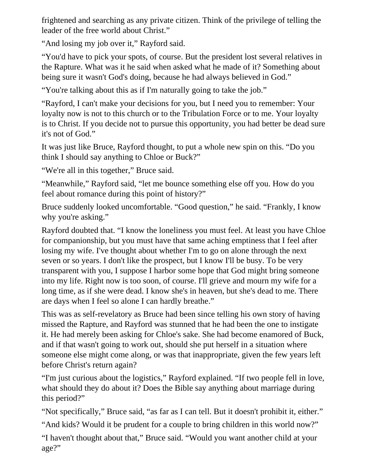frightened and searching as any private citizen. Think of the privilege of telling the leader of the free world about Christ."

"And losing my job over it," Rayford said.

"You'd have to pick your spots, of course. But the president lost several relatives in the Rapture. What was it he said when asked what he made of it? Something about being sure it wasn't God's doing, because he had always believed in God."

"You're talking about this as if I'm naturally going to take the job."

"Rayford, I can't make your decisions for you, but I need you to remember: Your loyalty now is not to this church or to the Tribulation Force or to me. Your loyalty is to Christ. If you decide not to pursue this opportunity, you had better be dead sure it's not of God."

It was just like Bruce, Rayford thought, to put a whole new spin on this. "Do you think I should say anything to Chloe or Buck?"

"We're all in this together," Bruce said.

"Meanwhile," Rayford said, "let me bounce something else off you. How do you feel about romance during this point of history?"

Bruce suddenly looked uncomfortable. "Good question," he said. "Frankly, I know why you're asking."

Rayford doubted that. "I know the loneliness you must feel. At least you have Chloe for companionship, but you must have that same aching emptiness that I feel after losing my wife. I've thought about whether I'm to go on alone through the next seven or so years. I don't like the prospect, but I know I'll be busy. To be very transparent with you, I suppose I harbor some hope that God might bring someone into my life. Right now is too soon, of course. I'll grieve and mourn my wife for a long time, as if she were dead. I know she's in heaven, but she's dead to me. There are days when I feel so alone I can hardly breathe."

This was as self-revelatory as Bruce had been since telling his own story of having missed the Rapture, and Rayford was stunned that he had been the one to instigate it. He had merely been asking for Chloe's sake. She had become enamored of Buck, and if that wasn't going to work out, should she put herself in a situation where someone else might come along, or was that inappropriate, given the few years left before Christ's return again?

"I'm just curious about the logistics," Rayford explained. "If two people fell in love, what should they do about it? Does the Bible say anything about marriage during this period?"

"Not specifically," Bruce said, "as far as I can tell. But it doesn't prohibit it, either."

"And kids? Would it be prudent for a couple to bring children in this world now?"

"I haven't thought about that," Bruce said. "Would you want another child at your age?"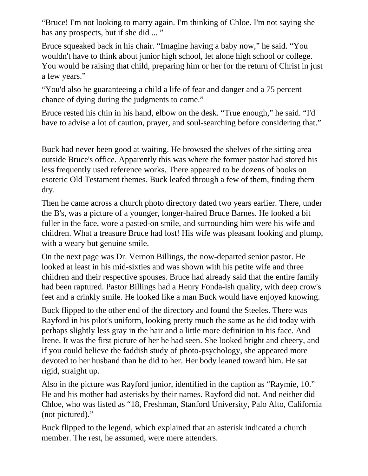"Bruce! I'm not looking to marry again. I'm thinking of Chloe. I'm not saying she has any prospects, but if she did ..."

Bruce squeaked back in his chair. "Imagine having a baby now," he said. "You wouldn't have to think about junior high school, let alone high school or college. You would be raising that child, preparing him or her for the return of Christ in just a few years."

"You'd also be guaranteeing a child a life of fear and danger and a 75 percent chance of dying during the judgments to come."

Bruce rested his chin in his hand, elbow on the desk. "True enough," he said. "I'd have to advise a lot of caution, prayer, and soul-searching before considering that."

Buck had never been good at waiting. He browsed the shelves of the sitting area outside Bruce's office. Apparently this was where the former pastor had stored his less frequently used reference works. There appeared to be dozens of books on esoteric Old Testament themes. Buck leafed through a few of them, finding them dry.

Then he came across a church photo directory dated two years earlier. There, under the B's, was a picture of a younger, longer-haired Bruce Barnes. He looked a bit fuller in the face, wore a pasted-on smile, and surrounding him were his wife and children. What a treasure Bruce had lost! His wife was pleasant looking and plump, with a weary but genuine smile.

On the next page was Dr. Vernon Billings, the now-departed senior pastor. He looked at least in his mid-sixties and was shown with his petite wife and three children and their respective spouses. Bruce had already said that the entire family had been raptured. Pastor Billings had a Henry Fonda-ish quality, with deep crow's feet and a crinkly smile. He looked like a man Buck would have enjoyed knowing.

Buck flipped to the other end of the directory and found the Steeles. There was Rayford in his pilot's uniform, looking pretty much the same as he did today with perhaps slightly less gray in the hair and a little more definition in his face. And Irene. It was the first picture of her he had seen. She looked bright and cheery, and if you could believe the faddish study of photo-psychology, she appeared more devoted to her husband than he did to her. Her body leaned toward him. He sat rigid, straight up.

Also in the picture was Rayford junior, identified in the caption as "Raymie, 10." He and his mother had asterisks by their names. Rayford did not. And neither did Chloe, who was listed as "18, Freshman, Stanford University, Palo Alto, California (not pictured)."

Buck flipped to the legend, which explained that an asterisk indicated a church member. The rest, he assumed, were mere attenders.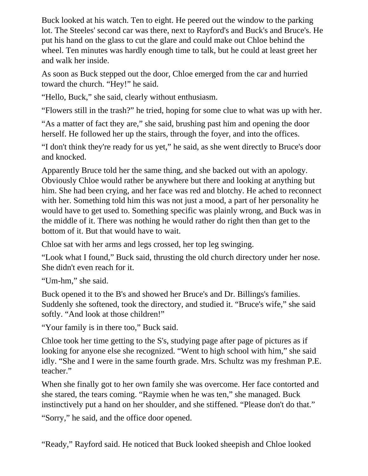Buck looked at his watch. Ten to eight. He peered out the window to the parking lot. The Steeles' second car was there, next to Rayford's and Buck's and Bruce's. He put his hand on the glass to cut the glare and could make out Chloe behind the wheel. Ten minutes was hardly enough time to talk, but he could at least greet her and walk her inside.

As soon as Buck stepped out the door, Chloe emerged from the car and hurried toward the church. "Hey!" he said.

"Hello, Buck," she said, clearly without enthusiasm.

"Flowers still in the trash?" he tried, hoping for some clue to what was up with her.

"As a matter of fact they are," she said, brushing past him and opening the door herself. He followed her up the stairs, through the foyer, and into the offices.

"I don't think they're ready for us yet," he said, as she went directly to Bruce's door and knocked.

Apparently Bruce told her the same thing, and she backed out with an apology. Obviously Chloe would rather be anywhere but there and looking at anything but him. She had been crying, and her face was red and blotchy. He ached to reconnect with her. Something told him this was not just a mood, a part of her personality he would have to get used to. Something specific was plainly wrong, and Buck was in the middle of it. There was nothing he would rather do right then than get to the bottom of it. But that would have to wait.

Chloe sat with her arms and legs crossed, her top leg swinging.

"Look what I found," Buck said, thrusting the old church directory under her nose. She didn't even reach for it.

"Um-hm," she said.

Buck opened it to the B's and showed her Bruce's and Dr. Billings's families. Suddenly she softened, took the directory, and studied it. "Bruce's wife," she said softly. "And look at those children!"

"Your family is in there too," Buck said.

Chloe took her time getting to the S's, studying page after page of pictures as if looking for anyone else she recognized. "Went to high school with him," she said idly. "She and I were in the same fourth grade. Mrs. Schultz was my freshman P.E. teacher."

When she finally got to her own family she was overcome. Her face contorted and she stared, the tears coming. "Raymie when he was ten," she managed. Buck instinctively put a hand on her shoulder, and she stiffened. "Please don't do that."

"Sorry," he said, and the office door opened.

"Ready," Rayford said. He noticed that Buck looked sheepish and Chloe looked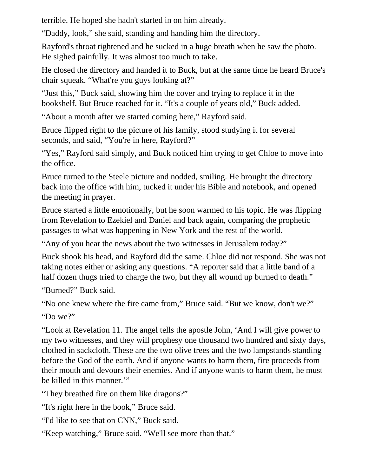terrible. He hoped she hadn't started in on him already.

"Daddy, look," she said, standing and handing him the directory.

Rayford's throat tightened and he sucked in a huge breath when he saw the photo. He sighed painfully. It was almost too much to take.

He closed the directory and handed it to Buck, but at the same time he heard Bruce's chair squeak. "What're you guys looking at?"

"Just this," Buck said, showing him the cover and trying to replace it in the bookshelf. But Bruce reached for it. "It's a couple of years old," Buck added.

"About a month after we started coming here," Rayford said.

Bruce flipped right to the picture of his family, stood studying it for several seconds, and said, "You're in here, Rayford?"

"Yes," Rayford said simply, and Buck noticed him trying to get Chloe to move into the office.

Bruce turned to the Steele picture and nodded, smiling. He brought the directory back into the office with him, tucked it under his Bible and notebook, and opened the meeting in prayer.

Bruce started a little emotionally, but he soon warmed to his topic. He was flipping from Revelation to Ezekiel and Daniel and back again, comparing the prophetic passages to what was happening in New York and the rest of the world.

"Any of you hear the news about the two witnesses in Jerusalem today?"

Buck shook his head, and Rayford did the same. Chloe did not respond. She was not taking notes either or asking any questions. "A reporter said that a little band of a half dozen thugs tried to charge the two, but they all wound up burned to death."

"Burned?" Buck said.

"No one knew where the fire came from," Bruce said. "But we know, don't we?" "Do we?"

"Look at Revelation 11. The angel tells the apostle John, 'And I will give power to my two witnesses, and they will prophesy one thousand two hundred and sixty days, clothed in sackcloth. These are the two olive trees and the two lampstands standing before the God of the earth. And if anyone wants to harm them, fire proceeds from their mouth and devours their enemies. And if anyone wants to harm them, he must be killed in this manner.'"

"They breathed fire on them like dragons?"

"It's right here in the book," Bruce said.

"I'd like to see that on CNN," Buck said.

"Keep watching," Bruce said. "We'll see more than that."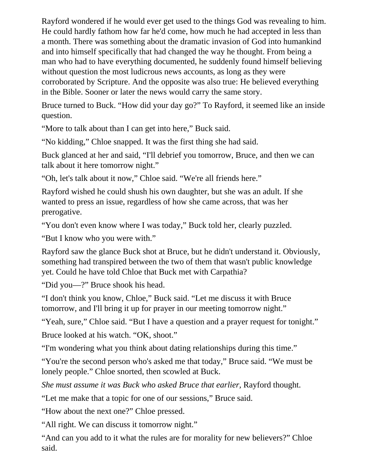Rayford wondered if he would ever get used to the things God was revealing to him. He could hardly fathom how far he'd come, how much he had accepted in less than a month. There was something about the dramatic invasion of God into humankind and into himself specifically that had changed the way he thought. From being a man who had to have everything documented, he suddenly found himself believing without question the most ludicrous news accounts, as long as they were corroborated by Scripture. And the opposite was also true: He believed everything in the Bible. Sooner or later the news would carry the same story.

Bruce turned to Buck. "How did your day go?" To Rayford, it seemed like an inside question.

"More to talk about than I can get into here," Buck said.

"No kidding," Chloe snapped. It was the first thing she had said.

Buck glanced at her and said, "I'll debrief you tomorrow, Bruce, and then we can talk about it here tomorrow night."

"Oh, let's talk about it now," Chloe said. "We're all friends here."

Rayford wished he could shush his own daughter, but she was an adult. If she wanted to press an issue, regardless of how she came across, that was her prerogative.

"You don't even know where I was today," Buck told her, clearly puzzled.

"But I know who you were with."

Rayford saw the glance Buck shot at Bruce, but he didn't understand it. Obviously, something had transpired between the two of them that wasn't public knowledge yet. Could he have told Chloe that Buck met with Carpathia?

"Did you—?" Bruce shook his head.

"I don't think you know, Chloe," Buck said. "Let me discuss it with Bruce tomorrow, and I'll bring it up for prayer in our meeting tomorrow night."

"Yeah, sure," Chloe said. "But I have a question and a prayer request for tonight." Bruce looked at his watch. "OK, shoot."

"I'm wondering what you think about dating relationships during this time."

"You're the second person who's asked me that today," Bruce said. "We must be lonely people." Chloe snorted, then scowled at Buck.

*She must assume it was Buck who asked Bruce that earlier, Rayford thought.* 

"Let me make that a topic for one of our sessions," Bruce said.

"How about the next one?" Chloe pressed.

"All right. We can discuss it tomorrow night."

"And can you add to it what the rules are for morality for new believers?" Chloe said.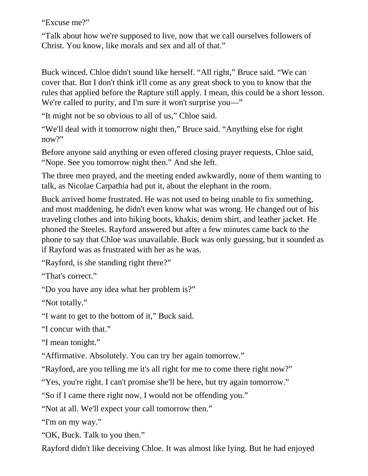"Excuse me?"

"Talk about how we're supposed to live, now that we call ourselves followers of Christ. You know, like morals and sex and all of that."

Buck winced. Chloe didn't sound like herself. "All right," Bruce said. "We can cover that. But I don't think it'll come as any great shock to you to know that the rules that applied before the Rapture still apply. I mean, this could be a short lesson. We're called to purity, and I'm sure it won't surprise you—"

"It might not be so obvious to all of us," Chloe said.

"We'll deal with it tomorrow night then," Bruce said. "Anything else for right now?"

Before anyone said anything or even offered closing prayer requests, Chloe said, "Nope. See you tomorrow night then." And she left.

The three men prayed, and the meeting ended awkwardly, none of them wanting to talk, as Nicolae Carpathia had put it, about the elephant in the room.

Buck arrived home frustrated. He was not used to being unable to fix something, and most maddening, he didn't even know what was wrong. He changed out of his traveling clothes and into hiking boots, khakis, denim shirt, and leather jacket. He phoned the Steeles. Rayford answered but after a few minutes came back to the phone to say that Chloe was unavailable. Buck was only guessing, but it sounded as if Rayford was as frustrated with her as he was.

"Rayford, is she standing right there?"

"That's correct."

"Do you have any idea what her problem is?"

"Not totally."

"I want to get to the bottom of it," Buck said.

"I concur with that."

"I mean tonight."

"Affirmative. Absolutely. You can try her again tomorrow."

"Rayford, are you telling me it's all right for me to come there right now?"

"Yes, you're right. I can't promise she'll be here, but try again tomorrow."

"So if I came there right now, I would not be offending you."

"Not at all. We'll expect your call tomorrow then."

"I'm on my way."

"OK, Buck. Talk to you then."

Rayford didn't like deceiving Chloe. It was almost like lying. But he had enjoyed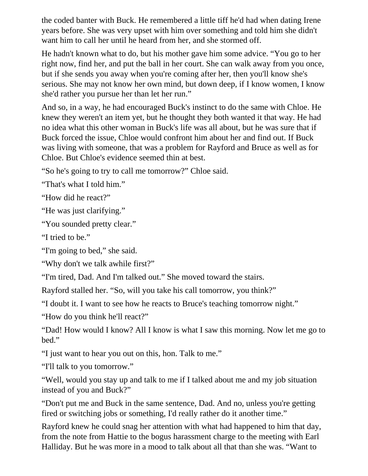the coded banter with Buck. He remembered a little tiff he'd had when dating Irene years before. She was very upset with him over something and told him she didn't want him to call her until he heard from her, and she stormed off.

He hadn't known what to do, but his mother gave him some advice. "You go to her right now, find her, and put the ball in her court. She can walk away from you once, but if she sends you away when you're coming after her, then you'll know she's serious. She may not know her own mind, but down deep, if I know women, I know she'd rather you pursue her than let her run."

And so, in a way, he had encouraged Buck's instinct to do the same with Chloe. He knew they weren't an item yet, but he thought they both wanted it that way. He had no idea what this other woman in Buck's life was all about, but he was sure that if Buck forced the issue, Chloe would confront him about her and find out. If Buck was living with someone, that was a problem for Rayford and Bruce as well as for Chloe. But Chloe's evidence seemed thin at best.

"So he's going to try to call me tomorrow?" Chloe said.

"That's what I told him."

"How did he react?"

"He was just clarifying."

"You sounded pretty clear."

"I tried to be."

"I'm going to bed," she said.

"Why don't we talk awhile first?"

"I'm tired, Dad. And I'm talked out." She moved toward the stairs.

Rayford stalled her. "So, will you take his call tomorrow, you think?"

"I doubt it. I want to see how he reacts to Bruce's teaching tomorrow night."

"How do you think he'll react?"

"Dad! How would I know? All I know is what I saw this morning. Now let me go to bed."

"I just want to hear you out on this, hon. Talk to me."

"I'll talk to you tomorrow."

"Well, would you stay up and talk to me if I talked about me and my job situation instead of you and Buck?"

"Don't put me and Buck in the same sentence, Dad. And no, unless you're getting fired or switching jobs or something, I'd really rather do it another time."

Rayford knew he could snag her attention with what had happened to him that day, from the note from Hattie to the bogus harassment charge to the meeting with Earl Halliday. But he was more in a mood to talk about all that than she was. "Want to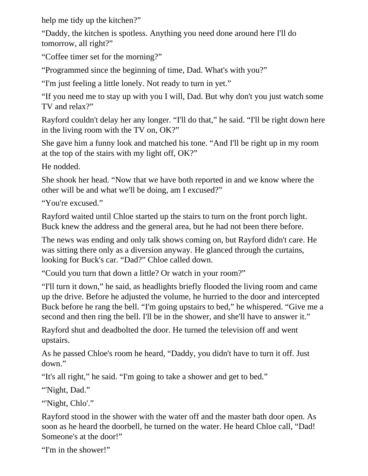help me tidy up the kitchen?"

"Daddy, the kitchen is spotless. Anything you need done around here I'll do tomorrow, all right?"

"Coffee timer set for the morning?"

"Programmed since the beginning of time, Dad. What's with you?"

"I'm just feeling a little lonely. Not ready to turn in yet."

"If you need me to stay up with you I will, Dad. But why don't you just watch some TV and relax?"

Rayford couldn't delay her any longer. "I'll do that," he said. "I'll be right down here in the living room with the TV on, OK?"

She gave him a funny look and matched his tone. "And I'll be right up in my room at the top of the stairs with my light off, OK?"

He nodded.

She shook her head. "Now that we have both reported in and we know where the other will be and what we'll be doing, am I excused?"

"You're excused."

Rayford waited until Chloe started up the stairs to turn on the front porch light. Buck knew the address and the general area, but he had not been there before.

The news was ending and only talk shows coming on, but Rayford didn't care. He was sitting there only as a diversion anyway. He glanced through the curtains, looking for Buck's car. "Dad?" Chloe called down.

"Could you turn that down a little? Or watch in your room?"

"I'll turn it down," he said, as headlights briefly flooded the living room and came up the drive. Before he adjusted the volume, he hurried to the door and intercepted Buck before he rang the bell. "I'm going upstairs to bed," he whispered. "Give me a second and then ring the bell. I'll be in the shower, and she'll have to answer it."

Rayford shut and deadbolted the door. He turned the television off and went upstairs.

As he passed Chloe's room he heard, "Daddy, you didn't have to turn it off. Just down."

"It's all right," he said. "I'm going to take a shower and get to bed."

"'Night, Dad."

"'Night, Chlo'."

Rayford stood in the shower with the water off and the master bath door open. As soon as he heard the doorbell, he turned on the water. He heard Chloe call, "Dad! Someone's at the door!"

"I'm in the shower!"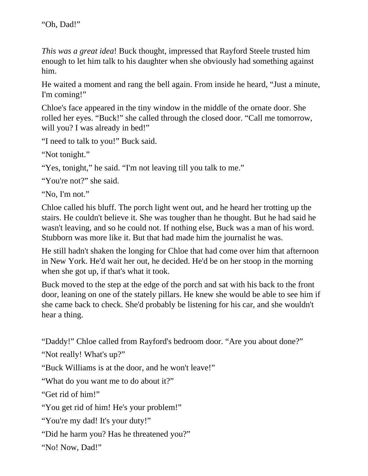*This was a great idea*! Buck thought, impressed that Rayford Steele trusted him enough to let him talk to his daughter when she obviously had something against him.

He waited a moment and rang the bell again. From inside he heard, "Just a minute, I'm coming!"

Chloe's face appeared in the tiny window in the middle of the ornate door. She rolled her eyes. "Buck!" she called through the closed door. "Call me tomorrow, will you? I was already in bed!"

"I need to talk to you!" Buck said.

"Not tonight."

"Yes, tonight," he said. "I'm not leaving till you talk to me."

"You're not?" she said.

"No, I'm not."

Chloe called his bluff. The porch light went out, and he heard her trotting up the stairs. He couldn't believe it. She was tougher than he thought. But he had said he wasn't leaving, and so he could not. If nothing else, Buck was a man of his word. Stubborn was more like it. But that had made him the journalist he was.

He still hadn't shaken the longing for Chloe that had come over him that afternoon in New York. He'd wait her out, he decided. He'd be on her stoop in the morning when she got up, if that's what it took.

Buck moved to the step at the edge of the porch and sat with his back to the front door, leaning on one of the stately pillars. He knew she would be able to see him if she came back to check. She'd probably be listening for his car, and she wouldn't hear a thing.

"Daddy!" Chloe called from Rayford's bedroom door. "Are you about done?"

"Not really! What's up?"

"Buck Williams is at the door, and he won't leave!"

"What do you want me to do about it?"

"Get rid of him!"

"You get rid of him! He's your problem!"

"You're my dad! It's your duty!"

"Did he harm you? Has he threatened you?"

"No! Now, Dad!"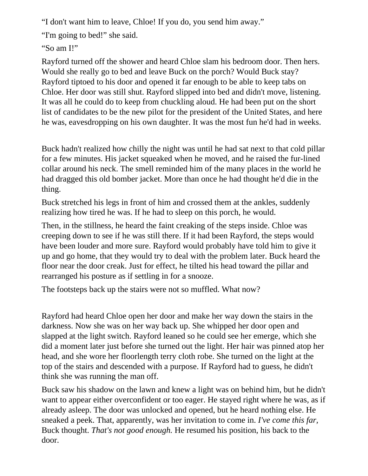"I don't want him to leave, Chloe! If you do, you send him away."

"I'm going to bed!" she said.

"So am I!"

Rayford turned off the shower and heard Chloe slam his bedroom door. Then hers. Would she really go to bed and leave Buck on the porch? Would Buck stay? Rayford tiptoed to his door and opened it far enough to be able to keep tabs on Chloe. Her door was still shut. Rayford slipped into bed and didn't move, listening. It was all he could do to keep from chuckling aloud. He had been put on the short list of candidates to be the new pilot for the president of the United States, and here he was, eavesdropping on his own daughter. It was the most fun he'd had in weeks.

Buck hadn't realized how chilly the night was until he had sat next to that cold pillar for a few minutes. His jacket squeaked when he moved, and he raised the fur-lined collar around his neck. The smell reminded him of the many places in the world he had dragged this old bomber jacket. More than once he had thought he'd die in the thing.

Buck stretched his legs in front of him and crossed them at the ankles, suddenly realizing how tired he was. If he had to sleep on this porch, he would.

Then, in the stillness, he heard the faint creaking of the steps inside. Chloe was creeping down to see if he was still there. If it had been Rayford, the steps would have been louder and more sure. Rayford would probably have told him to give it up and go home, that they would try to deal with the problem later. Buck heard the floor near the door creak. Just for effect, he tilted his head toward the pillar and rearranged his posture as if settling in for a snooze.

The footsteps back up the stairs were not so muffled. What now?

Rayford had heard Chloe open her door and make her way down the stairs in the darkness. Now she was on her way back up. She whipped her door open and slapped at the light switch. Rayford leaned so he could see her emerge, which she did a moment later just before she turned out the light. Her hair was pinned atop her head, and she wore her floorlength terry cloth robe. She turned on the light at the top of the stairs and descended with a purpose. If Rayford had to guess, he didn't think she was running the man off.

Buck saw his shadow on the lawn and knew a light was on behind him, but he didn't want to appear either overconfident or too eager. He stayed right where he was, as if already asleep. The door was unlocked and opened, but he heard nothing else. He sneaked a peek. That, apparently, was her invitation to come in. *I've come this far,*  Buck thought. *That's not good enough.* He resumed his position, his back to the door.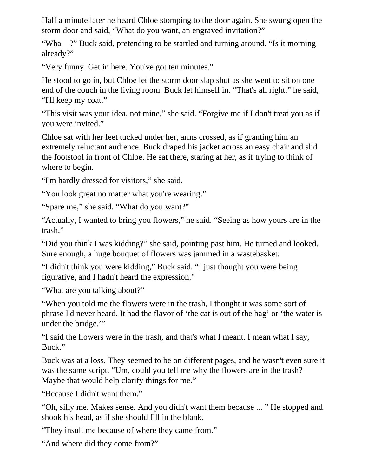Half a minute later he heard Chloe stomping to the door again. She swung open the storm door and said, "What do you want, an engraved invitation?"

"Wha—?" Buck said, pretending to be startled and turning around. "Is it morning already?"

"Very funny. Get in here. You've got ten minutes."

He stood to go in, but Chloe let the storm door slap shut as she went to sit on one end of the couch in the living room. Buck let himself in. "That's all right," he said, "I'll keep my coat."

"This visit was your idea, not mine," she said. "Forgive me if I don't treat you as if you were invited."

Chloe sat with her feet tucked under her, arms crossed, as if granting him an extremely reluctant audience. Buck draped his jacket across an easy chair and slid the footstool in front of Chloe. He sat there, staring at her, as if trying to think of where to begin.

"I'm hardly dressed for visitors," she said.

"You look great no matter what you're wearing."

"Spare me," she said. "What do you want?"

"Actually, I wanted to bring you flowers," he said. "Seeing as how yours are in the trash."

"Did you think I was kidding?" she said, pointing past him. He turned and looked. Sure enough, a huge bouquet of flowers was jammed in a wastebasket.

"I didn't think you were kidding," Buck said. "I just thought you were being figurative, and I hadn't heard the expression."

"What are you talking about?"

"When you told me the flowers were in the trash, I thought it was some sort of phrase I'd never heard. It had the flavor of 'the cat is out of the bag' or 'the water is under the bridge."

"I said the flowers were in the trash, and that's what I meant. I mean what I say, Buck."

Buck was at a loss. They seemed to be on different pages, and he wasn't even sure it was the same script. "Um, could you tell me why the flowers are in the trash? Maybe that would help clarify things for me."

"Because I didn't want them."

"Oh, silly me. Makes sense. And you didn't want them because ... " He stopped and shook his head, as if she should fill in the blank.

"They insult me because of where they came from."

"And where did they come from?"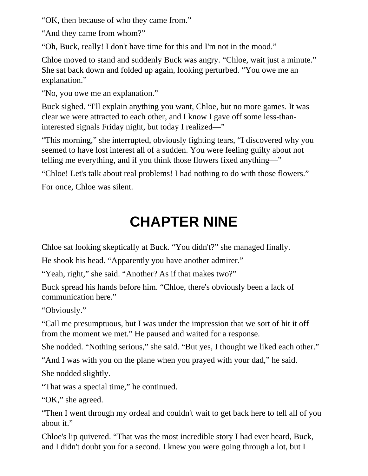"OK, then because of who they came from."

"And they came from whom?"

"Oh, Buck, really! I don't have time for this and I'm not in the mood."

Chloe moved to stand and suddenly Buck was angry. "Chloe, wait just a minute." She sat back down and folded up again, looking perturbed. "You owe me an explanation."

"No, you owe me an explanation."

Buck sighed. "I'll explain anything you want, Chloe, but no more games. It was clear we were attracted to each other, and I know I gave off some less-thaninterested signals Friday night, but today I realized—"

"This morning," she interrupted, obviously fighting tears, "I discovered why you seemed to have lost interest all of a sudden. You were feeling guilty about not telling me everything, and if you think those flowers fixed anything—"

"Chloe! Let's talk about real problems! I had nothing to do with those flowers."

For once, Chloe was silent.

## **CHAPTER NINE**

Chloe sat looking skeptically at Buck. "You didn't?" she managed finally.

He shook his head. "Apparently you have another admirer."

"Yeah, right," she said. "Another? As if that makes two?"

Buck spread his hands before him. "Chloe, there's obviously been a lack of communication here."

"Obviously."

"Call me presumptuous, but I was under the impression that we sort of hit it off from the moment we met." He paused and waited for a response.

She nodded. "Nothing serious," she said. "But yes, I thought we liked each other."

"And I was with you on the plane when you prayed with your dad," he said.

She nodded slightly.

"That was a special time," he continued.

"OK," she agreed.

"Then I went through my ordeal and couldn't wait to get back here to tell all of you about it."

Chloe's lip quivered. "That was the most incredible story I had ever heard, Buck, and I didn't doubt you for a second. I knew you were going through a lot, but I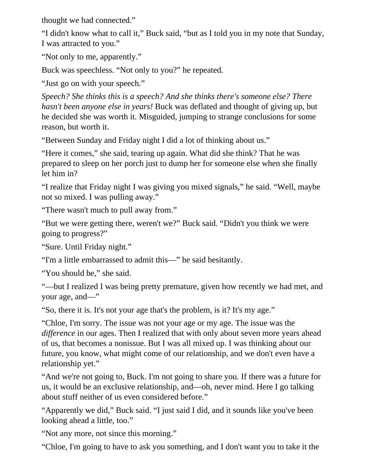thought we had connected."

"I didn't know what to call it," Buck said, "but as I told you in my note that Sunday, I was attracted to you."

"Not only to me, apparently."

Buck was speechless. "Not only to you?" he repeated.

"Just go on with your speech."

*Speech? She thinks this is a speech? And she thinks there's someone else? There hasn't been anyone else in years!* Buck was deflated and thought of giving up, but he decided she was worth it. Misguided, jumping to strange conclusions for some reason, but worth it.

"Between Sunday and Friday night I did a lot of thinking about us."

"Here it comes," she said, tearing up again. What did she think? That he was prepared to sleep on her porch just to dump her for someone else when she finally let him in?

"I realize that Friday night I was giving you mixed signals," he said. "Well, maybe not so mixed. I was pulling away."

"There wasn't much to pull away from."

"But we were getting there, weren't we?" Buck said. "Didn't you think we were going to progress?"

"Sure. Until Friday night."

"I'm a little embarrassed to admit this—" he said hesitantly.

"You should be," she said.

"—but I realized I was being pretty premature, given how recently we had met, and your age, and—"

"So, there it is. It's not your age that's the problem, is it? It's my age."

"Chloe, I'm sorry. The issue was not your age or my age. The issue was the *difference* in our ages. Then I realized that with only about seven more years ahead of us, that becomes a nonissue. But I was all mixed up. I was thinking about our future, you know, what might come of our relationship, and we don't even have a relationship yet."

"And we're not going to, Buck. I'm not going to share you. If there was a future for us, it would be an exclusive relationship, and—oh, never mind. Here I go talking about stuff neither of us even considered before."

"Apparently we did," Buck said. "I just said I did, and it sounds like you've been looking ahead a little, too."

"Not any more, not since this morning."

"Chloe, I'm going to have to ask you something, and I don't want you to take it the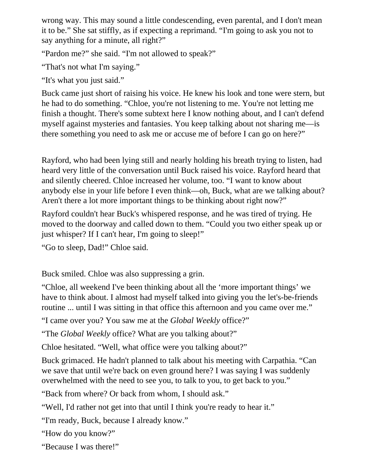wrong way. This may sound a little condescending, even parental, and I don't mean it to be." She sat stiffly, as if expecting a reprimand. "I'm going to ask you not to say anything for a minute, all right?"

"Pardon me?" she said. "I'm not allowed to speak?"

"That's not what I'm saying."

"It's what you just said."

Buck came just short of raising his voice. He knew his look and tone were stern, but he had to do something. "Chloe, you're not listening to me. You're not letting me finish a thought. There's some subtext here I know nothing about, and I can't defend myself against mysteries and fantasies. You keep talking about not sharing me—is there something you need to ask me or accuse me of before I can go on here?"

Rayford, who had been lying still and nearly holding his breath trying to listen, had heard very little of the conversation until Buck raised his voice. Rayford heard that and silently cheered. Chloe increased her volume, too. "I want to know about anybody else in your life before I even think—oh, Buck, what are we talking about? Aren't there a lot more important things to be thinking about right now?"

Rayford couldn't hear Buck's whispered response, and he was tired of trying. He moved to the doorway and called down to them. "Could you two either speak up or just whisper? If I can't hear, I'm going to sleep!"

"Go to sleep, Dad!" Chloe said.

Buck smiled. Chloe was also suppressing a grin.

"Chloe, all weekend I've been thinking about all the 'more important things' we have to think about. I almost had myself talked into giving you the let's-be-friends routine ... until I was sitting in that office this afternoon and you came over me."

"I came over you? You saw me at the *Global Weekly* office?"

"The *Global Weekly* office? What are you talking about?"

Chloe hesitated. "Well, what office were you talking about?"

Buck grimaced. He hadn't planned to talk about his meeting with Carpathia. "Can we save that until we're back on even ground here? I was saying I was suddenly overwhelmed with the need to see you, to talk to you, to get back to you."

"Back from where? Or back from whom, I should ask."

"Well, I'd rather not get into that until I think you're ready to hear it."

"I'm ready, Buck, because I already know."

"How do you know?"

"Because I was there!"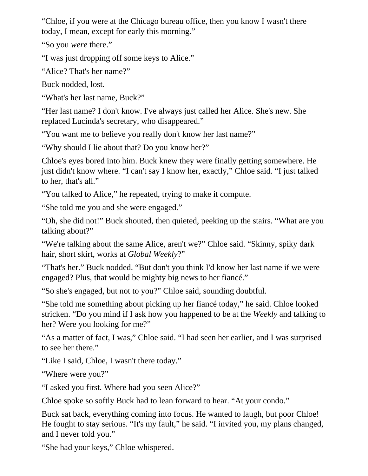"Chloe, if you were at the Chicago bureau office, then you know I wasn't there today, I mean, except for early this morning."

"So you *were* there."

"I was just dropping off some keys to Alice."

"Alice? That's her name?"

Buck nodded, lost.

"What's her last name, Buck?"

"Her last name? I don't know. I've always just called her Alice. She's new. She replaced Lucinda's secretary, who disappeared."

"You want me to believe you really don't know her last name?"

"Why should I lie about that? Do you know her?"

Chloe's eyes bored into him. Buck knew they were finally getting somewhere. He just didn't know where. "I can't say I know her, exactly," Chloe said. "I just talked to her, that's all."

"You talked to Alice," he repeated, trying to make it compute.

"She told me you and she were engaged."

"Oh, she did not!" Buck shouted, then quieted, peeking up the stairs. "What are you talking about?"

"We're talking about the same Alice, aren't we?" Chloe said. "Skinny, spiky dark hair, short skirt, works at *Global Weekly*?"

"That's her." Buck nodded. "But don't you think I'd know her last name if we were engaged? Plus, that would be mighty big news to her fiancé."

"So she's engaged, but not to you?" Chloe said, sounding doubtful.

"She told me something about picking up her fiancé today," he said. Chloe looked stricken. "Do you mind if I ask how you happened to be at the *Weekly* and talking to her? Were you looking for me?"

"As a matter of fact, I was," Chloe said. "I had seen her earlier, and I was surprised to see her there."

"Like I said, Chloe, I wasn't there today."

"Where were you?"

"I asked you first. Where had you seen Alice?"

Chloe spoke so softly Buck had to lean forward to hear. "At your condo."

Buck sat back, everything coming into focus. He wanted to laugh, but poor Chloe! He fought to stay serious. "It's my fault," he said. "I invited you, my plans changed, and I never told you."

"She had your keys," Chloe whispered.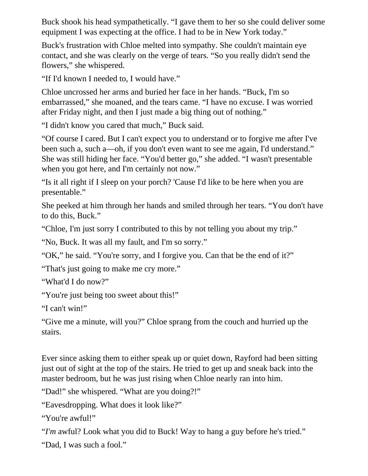Buck shook his head sympathetically. "I gave them to her so she could deliver some equipment I was expecting at the office. I had to be in New York today."

Buck's frustration with Chloe melted into sympathy. She couldn't maintain eye contact, and she was clearly on the verge of tears. "So you really didn't send the flowers," she whispered.

"If I'd known I needed to, I would have."

Chloe uncrossed her arms and buried her face in her hands. "Buck, I'm so embarrassed," she moaned, and the tears came. "I have no excuse. I was worried after Friday night, and then I just made a big thing out of nothing."

"I didn't know you cared that much," Buck said.

"Of course I cared. But I can't expect you to understand or to forgive me after I've been such a, such a—oh, if you don't even want to see me again, I'd understand." She was still hiding her face. "You'd better go," she added. "I wasn't presentable when you got here, and I'm certainly not now."

"Is it all right if I sleep on your porch? 'Cause I'd like to be here when you are presentable."

She peeked at him through her hands and smiled through her tears. "You don't have to do this, Buck."

"Chloe, I'm just sorry I contributed to this by not telling you about my trip."

"No, Buck. It was all my fault, and I'm so sorry."

"OK," he said. "You're sorry, and I forgive you. Can that be the end of it?"

"That's just going to make me cry more."

"What'd I do now?"

"You're just being too sweet about this!"

"I can't win!"

"Give me a minute, will you?" Chloe sprang from the couch and hurried up the stairs.

Ever since asking them to either speak up or quiet down, Rayford had been sitting just out of sight at the top of the stairs. He tried to get up and sneak back into the master bedroom, but he was just rising when Chloe nearly ran into him.

"Dad!" she whispered. "What are you doing?!"

"Eavesdropping. What does it look like?"

"You're awful!"

"*I'm* awful? Look what you did to Buck! Way to hang a guy before he's tried."

"Dad, I was such a fool."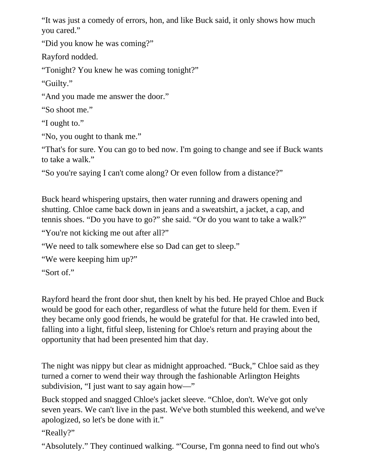"It was just a comedy of errors, hon, and like Buck said, it only shows how much you cared."

"Did you know he was coming?"

Rayford nodded.

"Tonight? You knew he was coming tonight?"

"Guilty."

"And you made me answer the door."

"So shoot me."

"I ought to."

"No, you ought to thank me."

"That's for sure. You can go to bed now. I'm going to change and see if Buck wants to take a walk."

"So you're saying I can't come along? Or even follow from a distance?"

Buck heard whispering upstairs, then water running and drawers opening and shutting. Chloe came back down in jeans and a sweatshirt, a jacket, a cap, and tennis shoes. "Do you have to go?" she said. "Or do you want to take a walk?"

"You're not kicking me out after all?"

"We need to talk somewhere else so Dad can get to sleep."

```
"We were keeping him up?"
```
"Sort of."

Rayford heard the front door shut, then knelt by his bed. He prayed Chloe and Buck would be good for each other, regardless of what the future held for them. Even if they became only good friends, he would be grateful for that. He crawled into bed, falling into a light, fitful sleep, listening for Chloe's return and praying about the opportunity that had been presented him that day.

The night was nippy but clear as midnight approached. "Buck," Chloe said as they turned a corner to wend their way through the fashionable Arlington Heights subdivision, "I just want to say again how—"

Buck stopped and snagged Chloe's jacket sleeve. "Chloe, don't. We've got only seven years. We can't live in the past. We've both stumbled this weekend, and we've apologized, so let's be done with it."

"Really?"

"Absolutely." They continued walking. "'Course, I'm gonna need to find out who's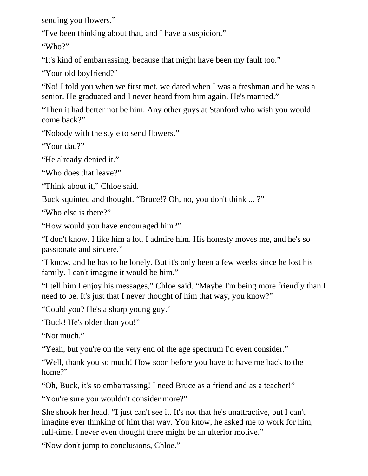sending you flowers."

"I've been thinking about that, and I have a suspicion."

"Who?"

"It's kind of embarrassing, because that might have been my fault too."

"Your old boyfriend?"

"No! I told you when we first met, we dated when I was a freshman and he was a senior. He graduated and I never heard from him again. He's married."

"Then it had better not be him. Any other guys at Stanford who wish you would come back?"

"Nobody with the style to send flowers."

"Your dad?"

"He already denied it."

"Who does that leave?"

"Think about it," Chloe said.

Buck squinted and thought. "Bruce!? Oh, no, you don't think ... ?"

"Who else is there?"

"How would you have encouraged him?"

"I don't know. I like him a lot. I admire him. His honesty moves me, and he's so passionate and sincere."

"I know, and he has to be lonely. But it's only been a few weeks since he lost his family. I can't imagine it would be him."

"I tell him I enjoy his messages," Chloe said. "Maybe I'm being more friendly than I need to be. It's just that I never thought of him that way, you know?"

"Could you? He's a sharp young guy."

"Buck! He's older than you!"

"Not much."

"Yeah, but you're on the very end of the age spectrum I'd even consider."

"Well, thank you so much! How soon before you have to have me back to the home?"

"Oh, Buck, it's so embarrassing! I need Bruce as a friend and as a teacher!"

"You're sure you wouldn't consider more?"

She shook her head. "I just can't see it. It's not that he's unattractive, but I can't imagine ever thinking of him that way. You know, he asked me to work for him, full-time. I never even thought there might be an ulterior motive."

"Now don't jump to conclusions, Chloe."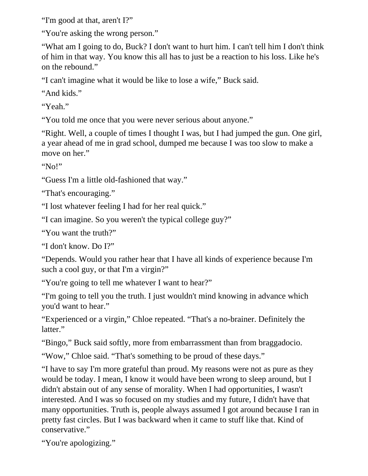"I'm good at that, aren't I?"

"You're asking the wrong person."

"What am I going to do, Buck? I don't want to hurt him. I can't tell him I don't think of him in that way. You know this all has to just be a reaction to his loss. Like he's on the rebound."

"I can't imagine what it would be like to lose a wife," Buck said.

"And kids."

"Yeah."

"You told me once that you were never serious about anyone."

"Right. Well, a couple of times I thought I was, but I had jumped the gun. One girl, a year ahead of me in grad school, dumped me because I was too slow to make a move on her."

"No!"

"Guess I'm a little old-fashioned that way."

"That's encouraging."

"I lost whatever feeling I had for her real quick."

"I can imagine. So you weren't the typical college guy?"

"You want the truth?"

"I don't know. Do I?"

"Depends. Would you rather hear that I have all kinds of experience because I'm such a cool guy, or that I'm a virgin?"

"You're going to tell me whatever I want to hear?"

"I'm going to tell you the truth. I just wouldn't mind knowing in advance which you'd want to hear."

"Experienced or a virgin," Chloe repeated. "That's a no-brainer. Definitely the latter."

"Bingo," Buck said softly, more from embarrassment than from braggadocio.

"Wow," Chloe said. "That's something to be proud of these days."

"I have to say I'm more grateful than proud. My reasons were not as pure as they would be today. I mean, I know it would have been wrong to sleep around, but I didn't abstain out of any sense of morality. When I had opportunities, I wasn't interested. And I was so focused on my studies and my future, I didn't have that many opportunities. Truth is, people always assumed I got around because I ran in pretty fast circles. But I was backward when it came to stuff like that. Kind of conservative."

"You're apologizing."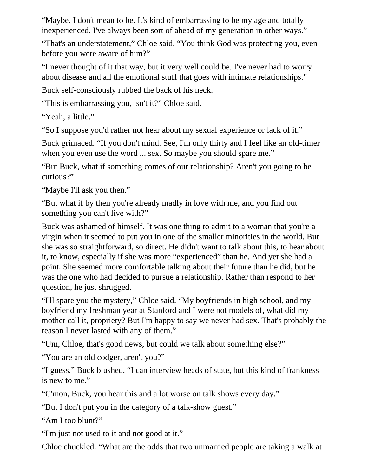"Maybe. I don't mean to be. It's kind of embarrassing to be my age and totally inexperienced. I've always been sort of ahead of my generation in other ways."

"That's an understatement," Chloe said. "You think God was protecting you, even before you were aware of him?"

"I never thought of it that way, but it very well could be. I've never had to worry about disease and all the emotional stuff that goes with intimate relationships."

Buck self-consciously rubbed the back of his neck.

"This is embarrassing you, isn't it?" Chloe said.

"Yeah, a little."

"So I suppose you'd rather not hear about my sexual experience or lack of it."

Buck grimaced. "If you don't mind. See, I'm only thirty and I feel like an old-timer when you even use the word ... sex. So maybe you should spare me."

"But Buck, what if something comes of our relationship? Aren't you going to be curious?"

"Maybe I'll ask you then."

"But what if by then you're already madly in love with me, and you find out something you can't live with?"

Buck was ashamed of himself. It was one thing to admit to a woman that you're a virgin when it seemed to put you in one of the smaller minorities in the world. But she was so straightforward, so direct. He didn't want to talk about this, to hear about it, to know, especially if she was more "experienced" than he. And yet she had a point. She seemed more comfortable talking about their future than he did, but he was the one who had decided to pursue a relationship. Rather than respond to her question, he just shrugged.

"I'll spare you the mystery," Chloe said. "My boyfriends in high school, and my boyfriend my freshman year at Stanford and I were not models of, what did my mother call it, propriety? But I'm happy to say we never had sex. That's probably the reason I never lasted with any of them."

"Um, Chloe, that's good news, but could we talk about something else?"

"You are an old codger, aren't you?"

"I guess." Buck blushed. "I can interview heads of state, but this kind of frankness is new to me."

"C'mon, Buck, you hear this and a lot worse on talk shows every day."

"But I don't put you in the category of a talk-show guest."

"Am I too blunt?"

"I'm just not used to it and not good at it."

Chloe chuckled. "What are the odds that two unmarried people are taking a walk at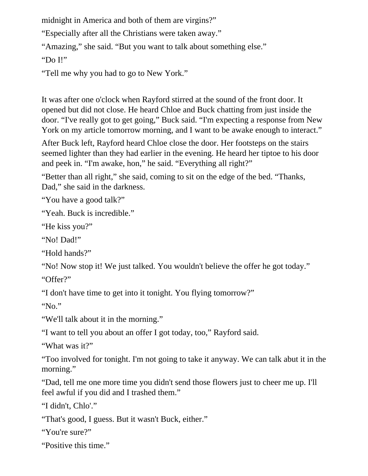midnight in America and both of them are virgins?"

"Especially after all the Christians were taken away."

"Amazing," she said. "But you want to talk about something else."

"Do I!"

"Tell me why you had to go to New York."

It was after one o'clock when Rayford stirred at the sound of the front door. It opened but did not close. He heard Chloe and Buck chatting from just inside the door. "I've really got to get going," Buck said. "I'm expecting a response from New York on my article tomorrow morning, and I want to be awake enough to interact."

After Buck left, Rayford heard Chloe close the door. Her footsteps on the stairs seemed lighter than they had earlier in the evening. He heard her tiptoe to his door and peek in. "I'm awake, hon," he said. "Everything all right?"

"Better than all right," she said, coming to sit on the edge of the bed. "Thanks, Dad," she said in the darkness.

"You have a good talk?"

"Yeah. Buck is incredible."

"He kiss you?"

"No! Dad!"

"Hold hands?"

"No! Now stop it! We just talked. You wouldn't believe the offer he got today."

"Offer?"

"I don't have time to get into it tonight. You flying tomorrow?"

"No."

"We'll talk about it in the morning."

"I want to tell you about an offer I got today, too," Rayford said.

"What was it?"

"Too involved for tonight. I'm not going to take it anyway. We can talk abut it in the morning."

"Dad, tell me one more time you didn't send those flowers just to cheer me up. I'll feel awful if you did and I trashed them."

"I didn't, Chlo'."

"That's good, I guess. But it wasn't Buck, either."

"You're sure?"

"Positive this time."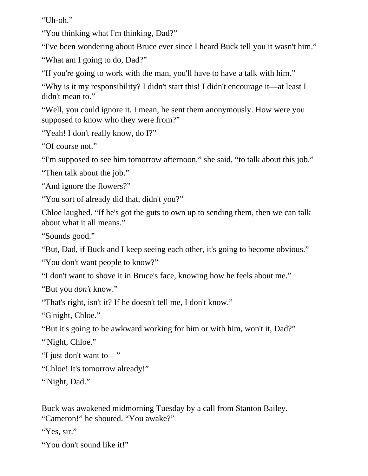"Uh-oh."

"You thinking what I'm thinking, Dad?"

"I've been wondering about Bruce ever since I heard Buck tell you it wasn't him."

"What am I going to do, Dad?"

"If you're going to work with the man, you'll have to have a talk with him."

"Why is it my responsibility? I didn't start this! I didn't encourage it—at least I didn't mean to."

"Well, you could ignore it. I mean, he sent them anonymously. How were you supposed to know who they were from?"

"Yeah! I don't really know, do I?"

"Of course not."

"I'm supposed to see him tomorrow afternoon," she said, "to talk about this job."

"Then talk about the job."

"And ignore the flowers?"

"You sort of already did that, didn't you?"

Chloe laughed. "If he's got the guts to own up to sending them, then we can talk about what it all means."

"Sounds good."

"But, Dad, if Buck and I keep seeing each other, it's going to become obvious."

"You don't want people to know?"

"I don't want to shove it in Bruce's face, knowing how he feels about me."

"But you *don't* know."

"That's right, isn't it? If he doesn't tell me, I don't know."

"G'night, Chloe."

"But it's going to be awkward working for him or with him, won't it, Dad?"

"'Night, Chloe."

"I just don't want to—"

"Chloe! It's tomorrow already!"

"'Night, Dad."

Buck was awakened midmorning Tuesday by a call from Stanton Bailey. "Cameron!" he shouted. "You awake?"

"Yes, sir."

"You don't sound like it!"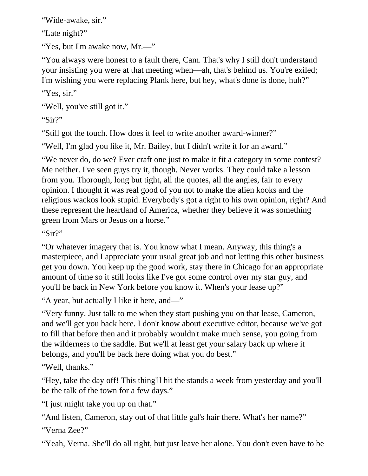"Wide-awake, sir."

"Late night?"

"Yes, but I'm awake now, Mr.—"

"You always were honest to a fault there, Cam. That's why I still don't understand your insisting you were at that meeting when—ah, that's behind us. You're exiled; I'm wishing you were replacing Plank here, but hey, what's done is done, huh?"

"Yes, sir."

"Well, you've still got it."

"Sir?"

"Still got the touch. How does it feel to write another award-winner?"

"Well, I'm glad you like it, Mr. Bailey, but I didn't write it for an award."

"We never do, do we? Ever craft one just to make it fit a category in some contest? Me neither. I've seen guys try it, though. Never works. They could take a lesson from you. Thorough, long but tight, all the quotes, all the angles, fair to every opinion. I thought it was real good of you not to make the alien kooks and the religious wackos look stupid. Everybody's got a right to his own opinion, right? And these represent the heartland of America, whether they believe it was something green from Mars or Jesus on a horse."

"Sir?"

"Or whatever imagery that is. You know what I mean. Anyway, this thing's a masterpiece, and I appreciate your usual great job and not letting this other business get you down. You keep up the good work, stay there in Chicago for an appropriate amount of time so it still looks like I've got some control over my star guy, and you'll be back in New York before you know it. When's your lease up?"

"A year, but actually I like it here, and—"

"Very funny. Just talk to me when they start pushing you on that lease, Cameron, and we'll get you back here. I don't know about executive editor, because we've got to fill that before then and it probably wouldn't make much sense, you going from the wilderness to the saddle. But we'll at least get your salary back up where it belongs, and you'll be back here doing what you do best."

"Well, thanks."

"Hey, take the day off! This thing'll hit the stands a week from yesterday and you'll be the talk of the town for a few days."

"I just might take you up on that."

"And listen, Cameron, stay out of that little gal's hair there. What's her name?"

"Verna Zee?"

"Yeah, Verna. She'll do all right, but just leave her alone. You don't even have to be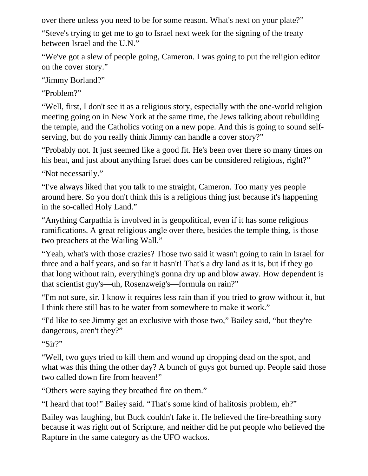over there unless you need to be for some reason. What's next on your plate?"

"Steve's trying to get me to go to Israel next week for the signing of the treaty between Israel and the U.N."

"We've got a slew of people going, Cameron. I was going to put the religion editor on the cover story."

"Jimmy Borland?"

"Problem?"

"Well, first, I don't see it as a religious story, especially with the one-world religion meeting going on in New York at the same time, the Jews talking about rebuilding the temple, and the Catholics voting on a new pope. And this is going to sound selfserving, but do you really think Jimmy can handle a cover story?"

"Probably not. It just seemed like a good fit. He's been over there so many times on his beat, and just about anything Israel does can be considered religious, right?"

"Not necessarily."

"I've always liked that you talk to me straight, Cameron. Too many yes people around here. So you don't think this is a religious thing just because it's happening in the so-called Holy Land."

"Anything Carpathia is involved in is geopolitical, even if it has some religious ramifications. A great religious angle over there, besides the temple thing, is those two preachers at the Wailing Wall."

"Yeah, what's with those crazies? Those two said it wasn't going to rain in Israel for three and a half years, and so far it hasn't! That's a dry land as it is, but if they go that long without rain, everything's gonna dry up and blow away. How dependent is that scientist guy's—uh, Rosenzweig's—formula on rain?"

"I'm not sure, sir. I know it requires less rain than if you tried to grow without it, but I think there still has to be water from somewhere to make it work."

"I'd like to see Jimmy get an exclusive with those two," Bailey said, "but they're dangerous, aren't they?"

"Sir?"

"Well, two guys tried to kill them and wound up dropping dead on the spot, and what was this thing the other day? A bunch of guys got burned up. People said those two called down fire from heaven!"

"Others were saying they breathed fire on them."

"I heard that too!" Bailey said. "That's some kind of halitosis problem, eh?"

Bailey was laughing, but Buck couldn't fake it. He believed the fire-breathing story because it was right out of Scripture, and neither did he put people who believed the Rapture in the same category as the UFO wackos.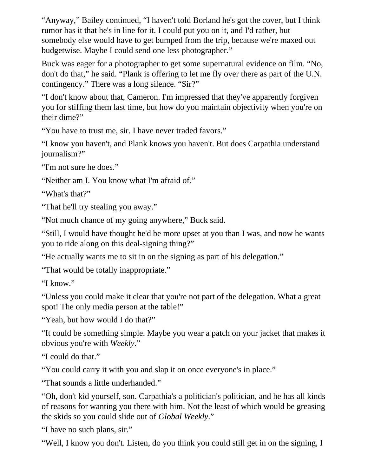"Anyway," Bailey continued, "I haven't told Borland he's got the cover, but I think rumor has it that he's in line for it. I could put you on it, and I'd rather, but somebody else would have to get bumped from the trip, because we're maxed out budgetwise. Maybe I could send one less photographer."

Buck was eager for a photographer to get some supernatural evidence on film. "No, don't do that," he said. "Plank is offering to let me fly over there as part of the U.N. contingency." There was a long silence. "Sir?"

"I don't know about that, Cameron. I'm impressed that they've apparently forgiven you for stiffing them last time, but how do you maintain objectivity when you're on their dime?"

"You have to trust me, sir. I have never traded favors."

"I know you haven't, and Plank knows you haven't. But does Carpathia understand journalism?"

"I'm not sure he does."

"Neither am I. You know what I'm afraid of."

"What's that?"

"That he'll try stealing you away."

"Not much chance of my going anywhere," Buck said.

"Still, I would have thought he'd be more upset at you than I was, and now he wants you to ride along on this deal-signing thing?"

"He actually wants me to sit in on the signing as part of his delegation."

"That would be totally inappropriate."

"I know."

"Unless you could make it clear that you're not part of the delegation. What a great spot! The only media person at the table!"

"Yeah, but how would I do that?"

"It could be something simple. Maybe you wear a patch on your jacket that makes it obvious you're with *Weekly*."

"I could do that."

"You could carry it with you and slap it on once everyone's in place."

"That sounds a little underhanded."

"Oh, don't kid yourself, son. Carpathia's a politician's politician, and he has all kinds of reasons for wanting you there with him. Not the least of which would be greasing the skids so you could slide out of *Global Weekly*."

"I have no such plans, sir."

"Well, I know you don't. Listen, do you think you could still get in on the signing, I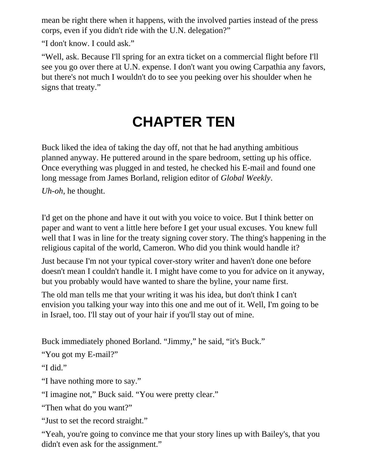mean be right there when it happens, with the involved parties instead of the press corps, even if you didn't ride with the U.N. delegation?"

"I don't know. I could ask."

"Well, ask. Because I'll spring for an extra ticket on a commercial flight before I'll see you go over there at U.N. expense. I don't want you owing Carpathia any favors, but there's not much I wouldn't do to see you peeking over his shoulder when he signs that treaty."

## **CHAPTER TEN**

Buck liked the idea of taking the day off, not that he had anything ambitious planned anyway. He puttered around in the spare bedroom, setting up his office. Once everything was plugged in and tested, he checked his E-mail and found one long message from James Borland, religion editor of *Global Weekly*.

*Uh-oh*, he thought.

I'd get on the phone and have it out with you voice to voice. But I think better on paper and want to vent a little here before I get your usual excuses. You knew full well that I was in line for the treaty signing cover story. The thing's happening in the religious capital of the world, Cameron. Who did you think would handle it?

Just because I'm not your typical cover-story writer and haven't done one before doesn't mean I couldn't handle it. I might have come to you for advice on it anyway, but you probably would have wanted to share the byline, your name first.

The old man tells me that your writing it was his idea, but don't think I can't envision you talking your way into this one and me out of it. Well, I'm going to be in Israel, too. I'll stay out of your hair if you'll stay out of mine.

Buck immediately phoned Borland. "Jimmy," he said, "it's Buck."

"You got my E-mail?"

"I did."

"I have nothing more to say."

"I imagine not," Buck said. "You were pretty clear."

"Then what do you want?"

"Just to set the record straight."

"Yeah, you're going to convince me that your story lines up with Bailey's, that you didn't even ask for the assignment."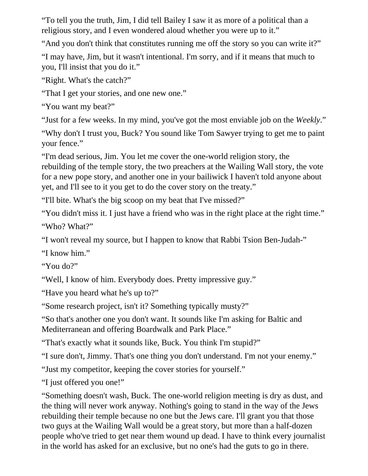"To tell you the truth, Jim, I did tell Bailey I saw it as more of a political than a religious story, and I even wondered aloud whether you were up to it."

"And you don't think that constitutes running me off the story so you can write it?"

"I may have, Jim, but it wasn't intentional. I'm sorry, and if it means that much to you, I'll insist that you do it."

"Right. What's the catch?"

"That I get your stories, and one new one."

"You want my beat?"

"Just for a few weeks. In my mind, you've got the most enviable job on the *Weekly*."

"Why don't I trust you, Buck? You sound like Tom Sawyer trying to get me to paint your fence."

"I'm dead serious, Jim. You let me cover the one-world religion story, the rebuilding of the temple story, the two preachers at the Wailing Wall story, the vote for a new pope story, and another one in your bailiwick I haven't told anyone about yet, and I'll see to it you get to do the cover story on the treaty."

"I'll bite. What's the big scoop on my beat that I've missed?"

"You didn't miss it. I just have a friend who was in the right place at the right time." "Who? What?"

"I won't reveal my source, but I happen to know that Rabbi Tsion Ben-Judah-"

"I know him."

"You do?"

"Well, I know of him. Everybody does. Pretty impressive guy."

"Have you heard what he's up to?"

"Some research project, isn't it? Something typically musty?"

"So that's another one you don't want. It sounds like I'm asking for Baltic and Mediterranean and offering Boardwalk and Park Place."

"That's exactly what it sounds like, Buck. You think I'm stupid?"

"I sure don't, Jimmy. That's one thing you don't understand. I'm not your enemy."

"Just my competitor, keeping the cover stories for yourself."

"I just offered you one!"

"Something doesn't wash, Buck. The one-world religion meeting is dry as dust, and the thing will never work anyway. Nothing's going to stand in the way of the Jews rebuilding their temple because no one but the Jews care. I'll grant you that those two guys at the Wailing Wall would be a great story, but more than a half-dozen people who've tried to get near them wound up dead. I have to think every journalist in the world has asked for an exclusive, but no one's had the guts to go in there.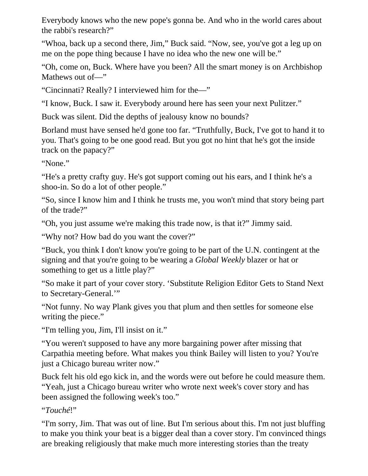Everybody knows who the new pope's gonna be. And who in the world cares about the rabbi's research?"

"Whoa, back up a second there, Jim," Buck said. "Now, see, you've got a leg up on me on the pope thing because I have no idea who the new one will be."

"Oh, come on, Buck. Where have you been? All the smart money is on Archbishop Mathews out of—"

"Cincinnati? Really? I interviewed him for the—"

"I know, Buck. I saw it. Everybody around here has seen your next Pulitzer."

Buck was silent. Did the depths of jealousy know no bounds?

Borland must have sensed he'd gone too far. "Truthfully, Buck, I've got to hand it to you. That's going to be one good read. But you got no hint that he's got the inside track on the papacy?"

"None."

"He's a pretty crafty guy. He's got support coming out his ears, and I think he's a shoo-in. So do a lot of other people."

"So, since I know him and I think he trusts me, you won't mind that story being part of the trade?"

"Oh, you just assume we're making this trade now, is that it?" Jimmy said.

"Why not? How bad do you want the cover?"

"Buck, you think I don't know you're going to be part of the U.N. contingent at the signing and that you're going to be wearing a *Global Weekly* blazer or hat or something to get us a little play?"

"So make it part of your cover story. 'Substitute Religion Editor Gets to Stand Next to Secretary-General.'"

"Not funny. No way Plank gives you that plum and then settles for someone else writing the piece."

"I'm telling you, Jim, I'll insist on it."

"You weren't supposed to have any more bargaining power after missing that Carpathia meeting before. What makes you think Bailey will listen to you? You're just a Chicago bureau writer now."

Buck felt his old ego kick in, and the words were out before he could measure them. "Yeah, just a Chicago bureau writer who wrote next week's cover story and has been assigned the following week's too."

"*Touché*!"

"I'm sorry, Jim. That was out of line. But I'm serious about this. I'm not just bluffing to make you think your beat is a bigger deal than a cover story. I'm convinced things are breaking religiously that make much more interesting stories than the treaty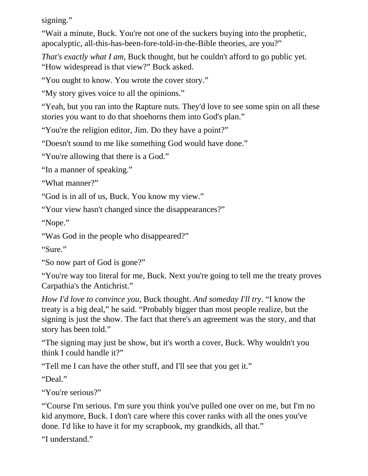signing."

"Wait a minute, Buck. You're not one of the suckers buying into the prophetic, apocalyptic, all-this-has-been-fore-told-in-the-Bible theories, are you?"

*That's exactly what I am, Buck thought, but he couldn't afford to go public yet.* "How widespread is that view?" Buck asked.

"You ought to know. You wrote the cover story."

"My story gives voice to all the opinions."

"Yeah, but you ran into the Rapture nuts. They'd love to see some spin on all these stories you want to do that shoehorns them into God's plan."

"You're the religion editor, Jim. Do they have a point?"

"Doesn't sound to me like something God would have done."

"You're allowing that there is a God."

"In a manner of speaking."

"What manner?"

"God is in all of us, Buck. You know my view."

"Your view hasn't changed since the disappearances?"

"Nope."

"Was God in the people who disappeared?"

"Sure."

"So now part of God is gone?"

"You're way too literal for me, Buck. Next you're going to tell me the treaty proves Carpathia's the Antichrist."

*How I'd love to convince you,* Buck thought. *And someday I'll try*. "I know the treaty is a big deal," he said. "Probably bigger than most people realize, but the signing is just the show. The fact that there's an agreement was the story, and that story has been told."

"The signing may just be show, but it's worth a cover, Buck. Why wouldn't you think I could handle it?"

"Tell me I can have the other stuff, and I'll see that you get it."

"Deal."

"You're serious?"

"'Course I'm serious. I'm sure you think you've pulled one over on me, but I'm no kid anymore, Buck. I don't care where this cover ranks with all the ones you've done. I'd like to have it for my scrapbook, my grandkids, all that."

"I understand."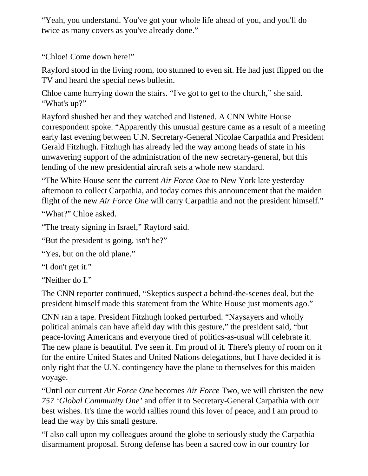"Yeah, you understand. You've got your whole life ahead of you, and you'll do twice as many covers as you've already done."

"Chloe! Come down here!"

Rayford stood in the living room, too stunned to even sit. He had just flipped on the TV and heard the special news bulletin.

Chloe came hurrying down the stairs. "I've got to get to the church," she said. "What's up?"

Rayford shushed her and they watched and listened. A CNN White House correspondent spoke. "Apparently this unusual gesture came as a result of a meeting early last evening between U.N. Secretary-General Nicolae Carpathia and President Gerald Fitzhugh. Fitzhugh has already led the way among heads of state in his unwavering support of the administration of the new secretary-general, but this lending of the new presidential aircraft sets a whole new standard.

"The White House sent the current *Air Force One* to New York late yesterday afternoon to collect Carpathia, and today comes this announcement that the maiden flight of the new *Air Force One* will carry Carpathia and not the president himself."

"What?" Chloe asked.

"The treaty signing in Israel," Rayford said.

"But the president is going, isn't he?"

"Yes, but on the old plane."

"I don't get it."

"Neither do I."

The CNN reporter continued, "Skeptics suspect a behind-the-scenes deal, but the president himself made this statement from the White House just moments ago."

CNN ran a tape. President Fitzhugh looked perturbed. "Naysayers and wholly political animals can have afield day with this gesture," the president said, "but peace-loving Americans and everyone tired of politics-as-usual will celebrate it. The new plane is beautiful. I've seen it. I'm proud of it. There's plenty of room on it for the entire United States and United Nations delegations, but I have decided it is only right that the U.N. contingency have the plane to themselves for this maiden voyage.

"Until our current *Air Force One* becomes *Air Force* Two, we will christen the new *757 'Global Community One'* and offer it to Secretary-General Carpathia with our best wishes. It's time the world rallies round this lover of peace, and I am proud to lead the way by this small gesture.

"I also call upon my colleagues around the globe to seriously study the Carpathia disarmament proposal. Strong defense has been a sacred cow in our country for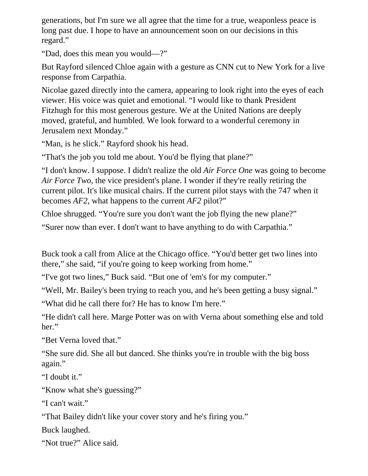generations, but I'm sure we all agree that the time for a true, weaponless peace is long past due. I hope to have an announcement soon on our decisions in this regard."

"Dad, does this mean you would—?"

But Rayford silenced Chloe again with a gesture as CNN cut to New York for a live response from Carpathia.

Nicolae gazed directly into the camera, appearing to look right into the eyes of each viewer. His voice was quiet and emotional. "I would like to thank President Fitzhugh for this most generous gesture. We at the United Nations are deeply moved, grateful, and humbled. We look forward to a wonderful ceremony in Jerusalem next Monday."

"Man, is he slick." Rayford shook his head.

"That's the job you told me about. You'd be flying that plane?"

"I don't know. I suppose. I didn't realize the old *Air Force One* was going to become *Air Force Two,* the vice president's plane. I wonder if they're really retiring the current pilot. It's like musical chairs. If the current pilot stays with the 747 when it becomes *AF2,* what happens to the current *AF2* pilot?"

Chloe shrugged. "You're sure you don't want the job flying the new plane?"

"Surer now than ever. I don't want to have anything to do with Carpathia."

Buck took a call from Alice at the Chicago office. "You'd better get two lines into there," she said, "if you're going to keep working from home."

"I've got two lines," Buck said. "But one of 'em's for my computer."

"Well, Mr. Bailey's been trying to reach you, and he's been getting a busy signal."

"What did he call there for? He has to know I'm here."

"He didn't call here. Marge Potter was on with Verna about something else and told her."

"Bet Verna loved that."

"She sure did. She all but danced. She thinks you're in trouble with the big boss again."

"I doubt it."

"Know what she's guessing?"

"I can't wait."

"That Bailey didn't like your cover story and he's firing you."

Buck laughed.

"Not true?" Alice said.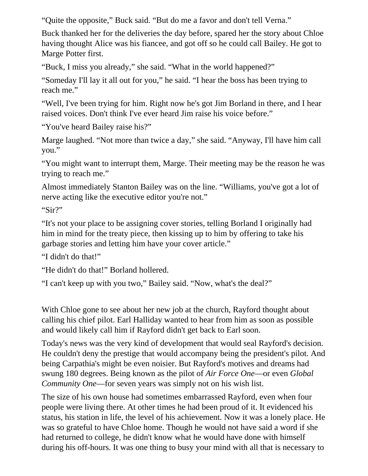"Quite the opposite," Buck said. "But do me a favor and don't tell Verna."

Buck thanked her for the deliveries the day before, spared her the story about Chloe having thought Alice was his fiancee, and got off so he could call Bailey. He got to Marge Potter first.

"Buck, I miss you already," she said. "What in the world happened?"

"Someday I'll lay it all out for you," he said. "I hear the boss has been trying to reach me."

"Well, I've been trying for him. Right now he's got Jim Borland in there, and I hear raised voices. Don't think I've ever heard Jim raise his voice before."

"You've heard Bailey raise his?"

Marge laughed. "Not more than twice a day," she said. "Anyway, I'll have him call you."

"You might want to interrupt them, Marge. Their meeting may be the reason he was trying to reach me."

Almost immediately Stanton Bailey was on the line. "Williams, you've got a lot of nerve acting like the executive editor you're not."

"Sir?"

"It's not your place to be assigning cover stories, telling Borland I originally had him in mind for the treaty piece, then kissing up to him by offering to take his garbage stories and letting him have your cover article."

"I didn't do that!"

"He didn't do that!" Borland hollered.

"I can't keep up with you two," Bailey said. "Now, what's the deal?"

With Chloe gone to see about her new job at the church, Rayford thought about calling his chief pilot. Earl Halliday wanted to hear from him as soon as possible and would likely call him if Rayford didn't get back to Earl soon.

Today's news was the very kind of development that would seal Rayford's decision. He couldn't deny the prestige that would accompany being the president's pilot. And being Carpathia's might be even noisier. But Rayford's motives and dreams had swung 180 degrees. Being known as the pilot of *Air Force One*—or even *Global Community One*—for seven years was simply not on his wish list.

The size of his own house had sometimes embarrassed Rayford, even when four people were living there. At other times he had been proud of it. It evidenced his status, his station in life, the level of his achievement. Now it was a lonely place. He was so grateful to have Chloe home. Though he would not have said a word if she had returned to college, he didn't know what he would have done with himself during his off-hours. It was one thing to busy your mind with all that is necessary to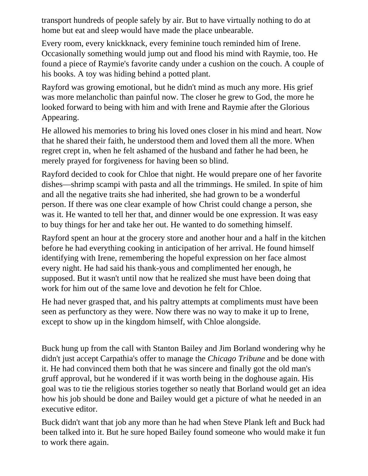transport hundreds of people safely by air. But to have virtually nothing to do at home but eat and sleep would have made the place unbearable.

Every room, every knickknack, every feminine touch reminded him of Irene. Occasionally something would jump out and flood his mind with Raymie, too. He found a piece of Raymie's favorite candy under a cushion on the couch. A couple of his books. A toy was hiding behind a potted plant.

Rayford was growing emotional, but he didn't mind as much any more. His grief was more melancholic than painful now. The closer he grew to God, the more he looked forward to being with him and with Irene and Raymie after the Glorious Appearing.

He allowed his memories to bring his loved ones closer in his mind and heart. Now that he shared their faith, he understood them and loved them all the more. When regret crept in, when he felt ashamed of the husband and father he had been, he merely prayed for forgiveness for having been so blind.

Rayford decided to cook for Chloe that night. He would prepare one of her favorite dishes—shrimp scampi with pasta and all the trimmings. He smiled. In spite of him and all the negative traits she had inherited, she had grown to be a wonderful person. If there was one clear example of how Christ could change a person, she was it. He wanted to tell her that, and dinner would be one expression. It was easy to buy things for her and take her out. He wanted to do something himself.

Rayford spent an hour at the grocery store and another hour and a half in the kitchen before he had everything cooking in anticipation of her arrival. He found himself identifying with Irene, remembering the hopeful expression on her face almost every night. He had said his thank-yous and complimented her enough, he supposed. But it wasn't until now that he realized she must have been doing that work for him out of the same love and devotion he felt for Chloe.

He had never grasped that, and his paltry attempts at compliments must have been seen as perfunctory as they were. Now there was no way to make it up to Irene, except to show up in the kingdom himself, with Chloe alongside.

Buck hung up from the call with Stanton Bailey and Jim Borland wondering why he didn't just accept Carpathia's offer to manage the *Chicago Tribune* and be done with it. He had convinced them both that he was sincere and finally got the old man's gruff approval, but he wondered if it was worth being in the doghouse again. His goal was to tie the religious stories together so neatly that Borland would get an idea how his job should be done and Bailey would get a picture of what he needed in an executive editor.

Buck didn't want that job any more than he had when Steve Plank left and Buck had been talked into it. But he sure hoped Bailey found someone who would make it fun to work there again.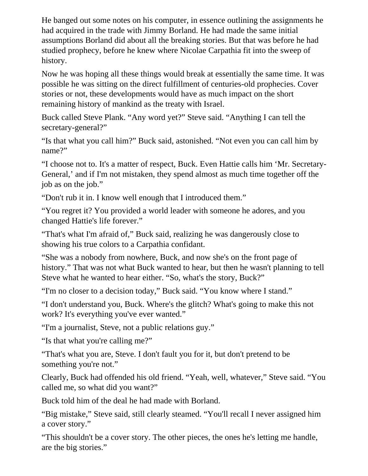He banged out some notes on his computer, in essence outlining the assignments he had acquired in the trade with Jimmy Borland. He had made the same initial assumptions Borland did about all the breaking stories. But that was before he had studied prophecy, before he knew where Nicolae Carpathia fit into the sweep of history.

Now he was hoping all these things would break at essentially the same time. It was possible he was sitting on the direct fulfillment of centuries-old prophecies. Cover stories or not, these developments would have as much impact on the short remaining history of mankind as the treaty with Israel.

Buck called Steve Plank. "Any word yet?" Steve said. "Anything I can tell the secretary-general?"

"Is that what you call him?" Buck said, astonished. "Not even you can call him by name?"

"I choose not to. It's a matter of respect, Buck. Even Hattie calls him 'Mr. Secretary-General,' and if I'm not mistaken, they spend almost as much time together off the job as on the job."

"Don't rub it in. I know well enough that I introduced them."

"You regret it? You provided a world leader with someone he adores, and you changed Hattie's life forever."

"That's what I'm afraid of," Buck said, realizing he was dangerously close to showing his true colors to a Carpathia confidant.

"She was a nobody from nowhere, Buck, and now she's on the front page of history." That was not what Buck wanted to hear, but then he wasn't planning to tell Steve what he wanted to hear either. "So, what's the story, Buck?"

"I'm no closer to a decision today," Buck said. "You know where I stand."

"I don't understand you, Buck. Where's the glitch? What's going to make this not work? It's everything you've ever wanted."

"I'm a journalist, Steve, not a public relations guy."

"Is that what you're calling me?"

"That's what you are, Steve. I don't fault you for it, but don't pretend to be something you're not."

Clearly, Buck had offended his old friend. "Yeah, well, whatever," Steve said. "You called me, so what did you want?"

Buck told him of the deal he had made with Borland.

"Big mistake," Steve said, still clearly steamed. "You'll recall I never assigned him a cover story."

"This shouldn't be a cover story. The other pieces, the ones he's letting me handle, are the big stories."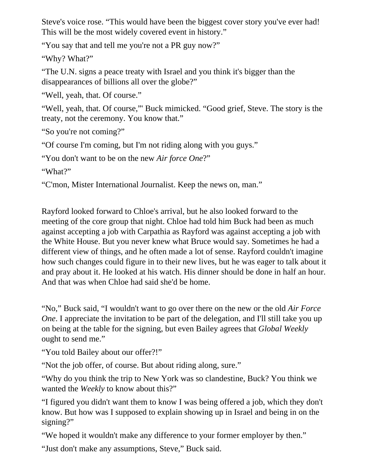Steve's voice rose. "This would have been the biggest cover story you've ever had! This will be the most widely covered event in history."

"You say that and tell me you're not a PR guy now?"

"Why? What?"

"The U.N. signs a peace treaty with Israel and you think it's bigger than the disappearances of billions all over the globe?"

"Well, yeah, that. Of course."

"Well, yeah, that. Of course,"' Buck mimicked. "Good grief, Steve. The story is the treaty, not the ceremony. You know that."

"So you're not coming?"

"Of course I'm coming, but I'm not riding along with you guys."

"You don't want to be on the new *Air force One*?"

"What?"

"C'mon, Mister International Journalist. Keep the news on, man."

Rayford looked forward to Chloe's arrival, but he also looked forward to the meeting of the core group that night. Chloe had told him Buck had been as much against accepting a job with Carpathia as Rayford was against accepting a job with the White House. But you never knew what Bruce would say. Sometimes he had a different view of things, and he often made a lot of sense. Rayford couldn't imagine how such changes could figure in to their new lives, but he was eager to talk about it and pray about it. He looked at his watch. His dinner should be done in half an hour. And that was when Chloe had said she'd be home.

"No," Buck said, "I wouldn't want to go over there on the new or the old *Air Force One*. I appreciate the invitation to be part of the delegation, and I'll still take you up on being at the table for the signing, but even Bailey agrees that *Global Weekly*  ought to send me."

"You told Bailey about our offer?!"

"Not the job offer, of course. But about riding along, sure."

"Why do you think the trip to New York was so clandestine, Buck? You think we wanted the *Weekly* to know about this?"

"I figured you didn't want them to know I was being offered a job, which they don't know. But how was I supposed to explain showing up in Israel and being in on the signing?"

"We hoped it wouldn't make any difference to your former employer by then."

"Just don't make any assumptions, Steve," Buck said.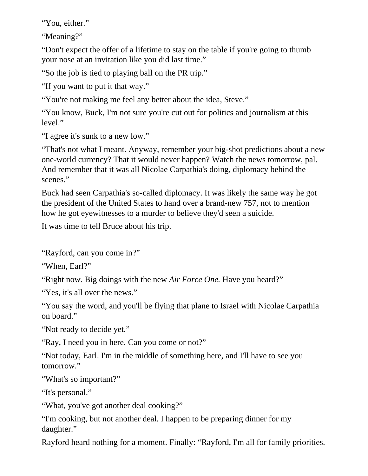"You, either."

"Meaning?"

"Don't expect the offer of a lifetime to stay on the table if you're going to thumb your nose at an invitation like you did last time."

"So the job is tied to playing ball on the PR trip."

"If you want to put it that way."

"You're not making me feel any better about the idea, Steve."

"You know, Buck, I'm not sure you're cut out for politics and journalism at this level."

"I agree it's sunk to a new low."

"That's not what I meant. Anyway, remember your big-shot predictions about a new one-world currency? That it would never happen? Watch the news tomorrow, pal. And remember that it was all Nicolae Carpathia's doing, diplomacy behind the scenes."

Buck had seen Carpathia's so-called diplomacy. It was likely the same way he got the president of the United States to hand over a brand-new 757, not to mention how he got eyewitnesses to a murder to believe they'd seen a suicide.

It was time to tell Bruce about his trip.

"Rayford, can you come in?"

"When, Earl?"

"Right now. Big doings with the new *Air Force One*. Have you heard?"

"Yes, it's all over the news."

"You say the word, and you'll be flying that plane to Israel with Nicolae Carpathia on board."

"Not ready to decide yet."

"Ray, I need you in here. Can you come or not?"

"Not today, Earl. I'm in the middle of something here, and I'll have to see you tomorrow."

"What's so important?"

"It's personal."

"What, you've got another deal cooking?"

"I'm cooking, but not another deal. I happen to be preparing dinner for my daughter."

Rayford heard nothing for a moment. Finally: "Rayford, I'm all for family priorities.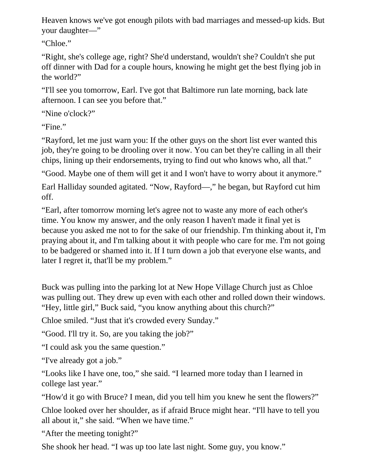Heaven knows we've got enough pilots with bad marriages and messed-up kids. But your daughter—"

"Chloe."

"Right, she's college age, right? She'd understand, wouldn't she? Couldn't she put off dinner with Dad for a couple hours, knowing he might get the best flying job in the world?"

"I'll see you tomorrow, Earl. I've got that Baltimore run late morning, back late afternoon. I can see you before that."

"Nine o'clock?"

"Fine."

"Rayford, let me just warn you: If the other guys on the short list ever wanted this job, they're going to be drooling over it now. You can bet they're calling in all their chips, lining up their endorsements, trying to find out who knows who, all that."

"Good. Maybe one of them will get it and I won't have to worry about it anymore."

Earl Halliday sounded agitated. "Now, Rayford—," he began, but Rayford cut him off.

"Earl, after tomorrow morning let's agree not to waste any more of each other's time. You know my answer, and the only reason I haven't made it final yet is because you asked me not to for the sake of our friendship. I'm thinking about it, I'm praying about it, and I'm talking about it with people who care for me. I'm not going to be badgered or shamed into it. If I turn down a job that everyone else wants, and later I regret it, that'll be my problem."

Buck was pulling into the parking lot at New Hope Village Church just as Chloe was pulling out. They drew up even with each other and rolled down their windows. "Hey, little girl," Buck said, "you know anything about this church?"

Chloe smiled. "Just that it's crowded every Sunday."

"Good. I'll try it. So, are you taking the job?"

"I could ask you the same question."

"I've already got a job."

"Looks like I have one, too," she said. "I learned more today than I learned in college last year."

"How'd it go with Bruce? I mean, did you tell him you knew he sent the flowers?"

Chloe looked over her shoulder, as if afraid Bruce might hear. "I'll have to tell you all about it," she said. "When we have time."

"After the meeting tonight?"

She shook her head. "I was up too late last night. Some guy, you know."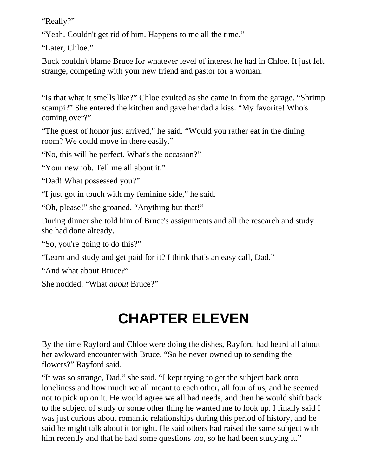"Really?"

"Yeah. Couldn't get rid of him. Happens to me all the time."

"Later, Chloe."

Buck couldn't blame Bruce for whatever level of interest he had in Chloe. It just felt strange, competing with your new friend and pastor for a woman.

"Is that what it smells like?" Chloe exulted as she came in from the garage. "Shrimp scampi?" She entered the kitchen and gave her dad a kiss. "My favorite! Who's coming over?"

"The guest of honor just arrived," he said. "Would you rather eat in the dining room? We could move in there easily."

"No, this will be perfect. What's the occasion?"

"Your new job. Tell me all about it."

"Dad! What possessed you?"

"I just got in touch with my feminine side," he said.

"Oh, please!" she groaned. "Anything but that!"

During dinner she told him of Bruce's assignments and all the research and study she had done already.

"So, you're going to do this?"

"Learn and study and get paid for it? I think that's an easy call, Dad."

"And what about Bruce?"

She nodded. "What *about* Bruce?"

## **CHAPTER ELEVEN**

By the time Rayford and Chloe were doing the dishes, Rayford had heard all about her awkward encounter with Bruce. "So he never owned up to sending the flowers?" Rayford said.

"It was so strange, Dad," she said. "I kept trying to get the subject back onto loneliness and how much we all meant to each other, all four of us, and he seemed not to pick up on it. He would agree we all had needs, and then he would shift back to the subject of study or some other thing he wanted me to look up. I finally said I was just curious about romantic relationships during this period of history, and he said he might talk about it tonight. He said others had raised the same subject with him recently and that he had some questions too, so he had been studying it."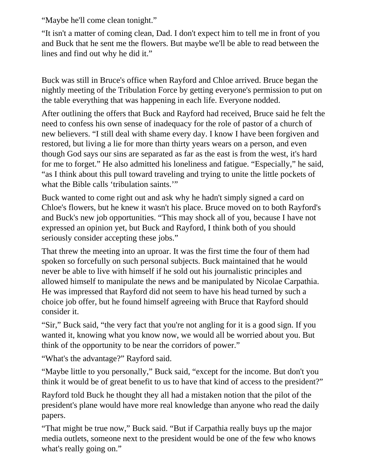"Maybe he'll come clean tonight."

"It isn't a matter of coming clean, Dad. I don't expect him to tell me in front of you and Buck that he sent me the flowers. But maybe we'll be able to read between the lines and find out why he did it."

Buck was still in Bruce's office when Rayford and Chloe arrived. Bruce began the nightly meeting of the Tribulation Force by getting everyone's permission to put on the table everything that was happening in each life. Everyone nodded.

After outlining the offers that Buck and Rayford had received, Bruce said he felt the need to confess his own sense of inadequacy for the role of pastor of a church of new believers. "I still deal with shame every day. I know I have been forgiven and restored, but living a lie for more than thirty years wears on a person, and even though God says our sins are separated as far as the east is from the west, it's hard for me to forget." He also admitted his loneliness and fatigue. "Especially," he said, "as I think about this pull toward traveling and trying to unite the little pockets of what the Bible calls 'tribulation saints.'"

Buck wanted to come right out and ask why he hadn't simply signed a card on Chloe's flowers, but he knew it wasn't his place. Bruce moved on to both Rayford's and Buck's new job opportunities. "This may shock all of you, because I have not expressed an opinion yet, but Buck and Rayford, I think both of you should seriously consider accepting these jobs."

That threw the meeting into an uproar. It was the first time the four of them had spoken so forcefully on such personal subjects. Buck maintained that he would never be able to live with himself if he sold out his journalistic principles and allowed himself to manipulate the news and be manipulated by Nicolae Carpathia. He was impressed that Rayford did not seem to have his head turned by such a choice job offer, but he found himself agreeing with Bruce that Rayford should consider it.

"Sir," Buck said, "the very fact that you're not angling for it is a good sign. If you wanted it, knowing what you know now, we would all be worried about you. But think of the opportunity to be near the corridors of power."

"What's the advantage?" Rayford said.

"Maybe little to you personally," Buck said, "except for the income. But don't you think it would be of great benefit to us to have that kind of access to the president?"

Rayford told Buck he thought they all had a mistaken notion that the pilot of the president's plane would have more real knowledge than anyone who read the daily papers.

"That might be true now," Buck said. "But if Carpathia really buys up the major media outlets, someone next to the president would be one of the few who knows what's really going on."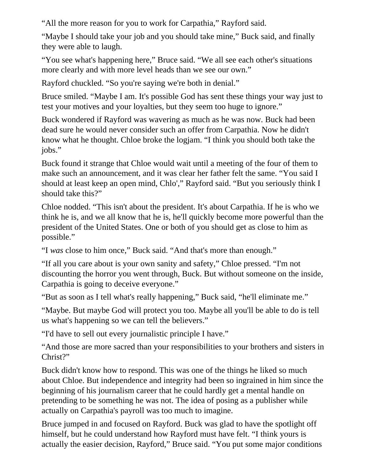"All the more reason for you to work for Carpathia," Rayford said.

"Maybe I should take your job and you should take mine," Buck said, and finally they were able to laugh.

"You see what's happening here," Bruce said. "We all see each other's situations more clearly and with more level heads than we see our own."

Rayford chuckled. "So you're saying we're both in denial."

Bruce smiled. "Maybe I am. It's possible God has sent these things your way just to test your motives and your loyalties, but they seem too huge to ignore."

Buck wondered if Rayford was wavering as much as he was now. Buck had been dead sure he would never consider such an offer from Carpathia. Now he didn't know what he thought. Chloe broke the logjam. "I think you should both take the jobs."

Buck found it strange that Chloe would wait until a meeting of the four of them to make such an announcement, and it was clear her father felt the same. "You said I should at least keep an open mind, Chlo'," Rayford said. "But you seriously think I should take this?"

Chloe nodded. "This isn't about the president. It's about Carpathia. If he is who we think he is, and we all know that he is, he'll quickly become more powerful than the president of the United States. One or both of you should get as close to him as possible."

"I *was* close to him once," Buck said. "And that's more than enough."

"If all you care about is your own sanity and safety," Chloe pressed. "I'm not discounting the horror you went through, Buck. But without someone on the inside, Carpathia is going to deceive everyone."

"But as soon as I tell what's really happening," Buck said, "he'll eliminate me."

"Maybe. But maybe God will protect you too. Maybe all you'll be able to do is tell us what's happening so we can tell the believers."

"I'd have to sell out every journalistic principle I have."

"And those are more sacred than your responsibilities to your brothers and sisters in Christ?"

Buck didn't know how to respond. This was one of the things he liked so much about Chloe. But independence and integrity had been so ingrained in him since the beginning of his journalism career that he could hardly get a mental handle on pretending to be something he was not. The idea of posing as a publisher while actually on Carpathia's payroll was too much to imagine.

Bruce jumped in and focused on Rayford. Buck was glad to have the spotlight off himself, but he could understand how Rayford must have felt. "I think yours is actually the easier decision, Rayford," Bruce said. "You put some major conditions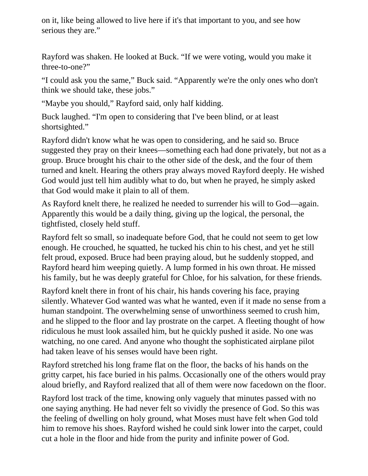on it, like being allowed to live here if it's that important to you, and see how serious they are."

Rayford was shaken. He looked at Buck. "If we were voting, would you make it three-to-one?"

"I could ask you the same," Buck said. "Apparently we're the only ones who don't think we should take, these jobs."

"Maybe you should," Rayford said, only half kidding.

Buck laughed. "I'm open to considering that I've been blind, or at least shortsighted."

Rayford didn't know what he was open to considering, and he said so. Bruce suggested they pray on their knees—something each had done privately, but not as a group. Bruce brought his chair to the other side of the desk, and the four of them turned and knelt. Hearing the others pray always moved Rayford deeply. He wished God would just tell him audibly what to do, but when he prayed, he simply asked that God would make it plain to all of them.

As Rayford knelt there, he realized he needed to surrender his will to God—again. Apparently this would be a daily thing, giving up the logical, the personal, the tightfisted, closely held stuff.

Rayford felt so small, so inadequate before God, that he could not seem to get low enough. He crouched, he squatted, he tucked his chin to his chest, and yet he still felt proud, exposed. Bruce had been praying aloud, but he suddenly stopped, and Rayford heard him weeping quietly. A lump formed in his own throat. He missed his family, but he was deeply grateful for Chloe, for his salvation, for these friends.

Rayford knelt there in front of his chair, his hands covering his face, praying silently. Whatever God wanted was what he wanted, even if it made no sense from a human standpoint. The overwhelming sense of unworthiness seemed to crush him, and he slipped to the floor and lay prostrate on the carpet. A fleeting thought of how ridiculous he must look assailed him, but he quickly pushed it aside. No one was watching, no one cared. And anyone who thought the sophisticated airplane pilot had taken leave of his senses would have been right.

Rayford stretched his long frame flat on the floor, the backs of his hands on the gritty carpet, his face buried in his palms. Occasionally one of the others would pray aloud briefly, and Rayford realized that all of them were now facedown on the floor.

Rayford lost track of the time, knowing only vaguely that minutes passed with no one saying anything. He had never felt so vividly the presence of God. So this was the feeling of dwelling on holy ground, what Moses must have felt when God told him to remove his shoes. Rayford wished he could sink lower into the carpet, could cut a hole in the floor and hide from the purity and infinite power of God.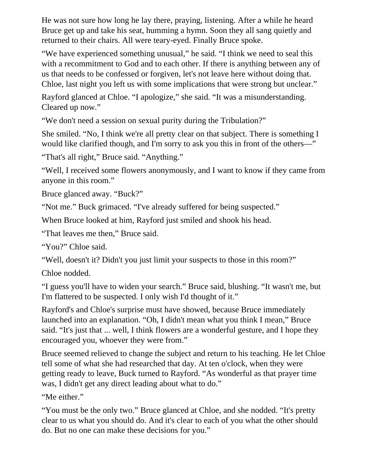He was not sure how long he lay there, praying, listening. After a while he heard Bruce get up and take his seat, humming a hymn. Soon they all sang quietly and returned to their chairs. All were teary-eyed. Finally Bruce spoke.

"We have experienced something unusual," he said. "I think we need to seal this with a recommitment to God and to each other. If there is anything between any of us that needs to be confessed or forgiven, let's not leave here without doing that. Chloe, last night you left us with some implications that were strong but unclear."

Rayford glanced at Chloe. "I apologize," she said. "It was a misunderstanding. Cleared up now."

"We don't need a session on sexual purity during the Tribulation?"

She smiled. "No, I think we're all pretty clear on that subject. There is something I would like clarified though, and I'm sorry to ask you this in front of the others—"

"That's all right," Bruce said. "Anything."

"Well, I received some flowers anonymously, and I want to know if they came from anyone in this room."

Bruce glanced away. "Buck?"

"Not me." Buck grimaced. "I've already suffered for being suspected."

When Bruce looked at him, Rayford just smiled and shook his head.

"That leaves me then," Bruce said.

"You?" Chloe said.

"Well, doesn't it? Didn't you just limit your suspects to those in this room?"

Chloe nodded.

"I guess you'll have to widen your search." Bruce said, blushing. "It wasn't me, but I'm flattered to be suspected. I only wish I'd thought of it."

Rayford's and Chloe's surprise must have showed, because Bruce immediately launched into an explanation. "Oh, I didn't mean what you think I mean," Bruce said. "It's just that ... well, I think flowers are a wonderful gesture, and I hope they encouraged you, whoever they were from."

Bruce seemed relieved to change the subject and return to his teaching. He let Chloe tell some of what she had researched that day. At ten o'clock, when they were getting ready to leave, Buck turned to Rayford. "As wonderful as that prayer time was, I didn't get any direct leading about what to do."

"Me either."

"You must be the only two." Bruce glanced at Chloe, and she nodded. "It's pretty clear to us what you should do. And it's clear to each of you what the other should do. But no one can make these decisions for you."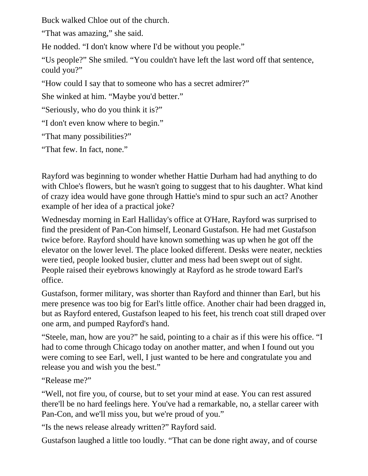Buck walked Chloe out of the church.

"That was amazing," she said.

He nodded. "I don't know where I'd be without you people."

"Us people?" She smiled. "You couldn't have left the last word off that sentence, could you?"

"How could I say that to someone who has a secret admirer?"

She winked at him. "Maybe you'd better."

"Seriously, who do you think it is?"

"I don't even know where to begin."

"That many possibilities?"

"That few. In fact, none."

Rayford was beginning to wonder whether Hattie Durham had had anything to do with Chloe's flowers, but he wasn't going to suggest that to his daughter. What kind of crazy idea would have gone through Hattie's mind to spur such an act? Another example of her idea of a practical joke?

Wednesday morning in Earl Halliday's office at O'Hare, Rayford was surprised to find the president of Pan-Con himself, Leonard Gustafson. He had met Gustafson twice before. Rayford should have known something was up when he got off the elevator on the lower level. The place looked different. Desks were neater, neckties were tied, people looked busier, clutter and mess had been swept out of sight. People raised their eyebrows knowingly at Rayford as he strode toward Earl's office.

Gustafson, former military, was shorter than Rayford and thinner than Earl, but his mere presence was too big for Earl's little office. Another chair had been dragged in, but as Rayford entered, Gustafson leaped to his feet, his trench coat still draped over one arm, and pumped Rayford's hand.

"Steele, man, how are you?" he said, pointing to a chair as if this were his office. "I had to come through Chicago today on another matter, and when I found out you were coming to see Earl, well, I just wanted to be here and congratulate you and release you and wish you the best."

"Release me?"

"Well, not fire you, of course, but to set your mind at ease. You can rest assured there'll be no hard feelings here. You've had a remarkable, no, a stellar career with Pan-Con, and we'll miss you, but we're proud of you."

"Is the news release already written?" Rayford said.

Gustafson laughed a little too loudly. "That can be done right away, and of course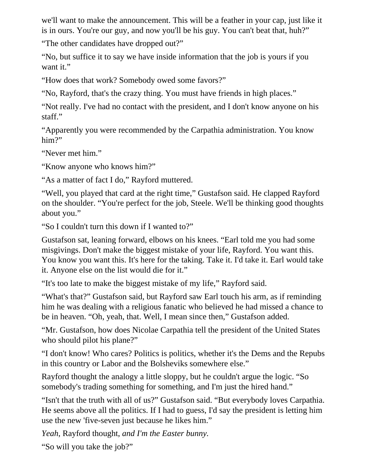we'll want to make the announcement. This will be a feather in your cap, just like it is in ours. You're our guy, and now you'll be his guy. You can't beat that, huh?"

"The other candidates have dropped out?"

"No, but suffice it to say we have inside information that the job is yours if you want it."

"How does that work? Somebody owed some favors?"

"No, Rayford, that's the crazy thing. You must have friends in high places."

"Not really. I've had no contact with the president, and I don't know anyone on his staff."

"Apparently you were recommended by the Carpathia administration. You know him?"

"Never met him."

"Know anyone who knows him?"

"As a matter of fact I do," Rayford muttered.

"Well, you played that card at the right time," Gustafson said. He clapped Rayford on the shoulder. "You're perfect for the job, Steele. We'll be thinking good thoughts about you."

"So I couldn't turn this down if I wanted to?"

Gustafson sat, leaning forward, elbows on his knees. "Earl told me you had some misgivings. Don't make the biggest mistake of your life, Rayford. You want this. You know you want this. It's here for the taking. Take it. I'd take it. Earl would take it. Anyone else on the list would die for it."

"It's too late to make the biggest mistake of my life," Rayford said.

"What's that?" Gustafson said, but Rayford saw Earl touch his arm, as if reminding him he was dealing with a religious fanatic who believed he had missed a chance to be in heaven. "Oh, yeah, that. Well, I mean since then," Gustafson added.

"Mr. Gustafson, how does Nicolae Carpathia tell the president of the United States who should pilot his plane?"

"I don't know! Who cares? Politics is politics, whether it's the Dems and the Repubs in this country or Labor and the Bolsheviks somewhere else."

Rayford thought the analogy a little sloppy, but he couldn't argue the logic. "So somebody's trading something for something, and I'm just the hired hand."

"Isn't that the truth with all of us?" Gustafson said. "But everybody loves Carpathia. He seems above all the politics. If I had to guess, I'd say the president is letting him use the new 'five-seven just because he likes him."

*Yeah*, Rayford thought, *and I'm the Easter bunny.*

"So will you take the job?"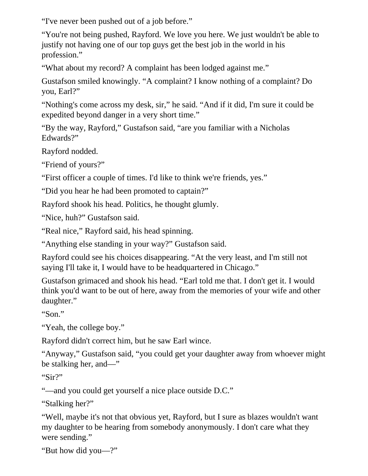"I've never been pushed out of a job before."

"You're not being pushed, Rayford. We love you here. We just wouldn't be able to justify not having one of our top guys get the best job in the world in his profession."

"What about my record? A complaint has been lodged against me."

Gustafson smiled knowingly. "A complaint? I know nothing of a complaint? Do you, Earl?"

"Nothing's come across my desk, sir," he said. "And if it did, I'm sure it could be expedited beyond danger in a very short time."

"By the way, Rayford," Gustafson said, "are you familiar with a Nicholas Edwards?"

Rayford nodded.

"Friend of yours?"

"First officer a couple of times. I'd like to think we're friends, yes."

"Did you hear he had been promoted to captain?"

Rayford shook his head. Politics, he thought glumly.

"Nice, huh?" Gustafson said.

"Real nice," Rayford said, his head spinning.

"Anything else standing in your way?" Gustafson said.

Rayford could see his choices disappearing. "At the very least, and I'm still not saying I'll take it, I would have to be headquartered in Chicago."

Gustafson grimaced and shook his head. "Earl told me that. I don't get it. I would think you'd want to be out of here, away from the memories of your wife and other daughter."

"Son."

"Yeah, the college boy."

Rayford didn't correct him, but he saw Earl wince.

"Anyway," Gustafson said, "you could get your daughter away from whoever might be stalking her, and—"

"Sir?"

"—and you could get yourself a nice place outside D.C."

"Stalking her?"

"Well, maybe it's not that obvious yet, Rayford, but I sure as blazes wouldn't want my daughter to be hearing from somebody anonymously. I don't care what they were sending."

"But how did you—?"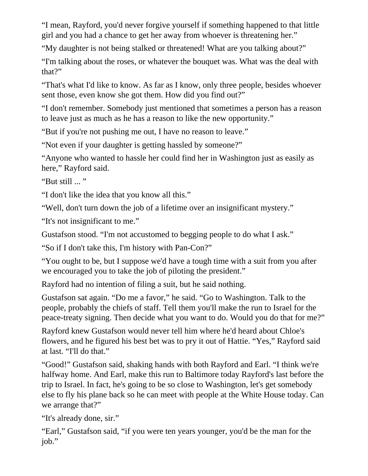"I mean, Rayford, you'd never forgive yourself if something happened to that little girl and you had a chance to get her away from whoever is threatening her."

"My daughter is not being stalked or threatened! What are you talking about?"

"I'm talking about the roses, or whatever the bouquet was. What was the deal with that?"

"That's what I'd like to know. As far as I know, only three people, besides whoever sent those, even know she got them. How did you find out?"

"I don't remember. Somebody just mentioned that sometimes a person has a reason to leave just as much as he has a reason to like the new opportunity."

"But if you're not pushing me out, I have no reason to leave."

"Not even if your daughter is getting hassled by someone?"

"Anyone who wanted to hassle her could find her in Washington just as easily as here," Rayford said.

"But still ... "

"I don't like the idea that you know all this."

"Well, don't turn down the job of a lifetime over an insignificant mystery."

"It's not insignificant to me."

Gustafson stood. "I'm not accustomed to begging people to do what I ask."

"So if I don't take this, I'm history with Pan-Con?"

"You ought to be, but I suppose we'd have a tough time with a suit from you after we encouraged you to take the job of piloting the president."

Rayford had no intention of filing a suit, but he said nothing.

Gustafson sat again. "Do me a favor," he said. "Go to Washington. Talk to the people, probably the chiefs of staff. Tell them you'll make the run to Israel for the peace-treaty signing. Then decide what you want to do. Would you do that for me?"

Rayford knew Gustafson would never tell him where he'd heard about Chloe's flowers, and he figured his best bet was to pry it out of Hattie. "Yes," Rayford said at last. "I'll do that."

"Good!" Gustafson said, shaking hands with both Rayford and Earl. "I think we're halfway home. And Earl, make this run to Baltimore today Rayford's last before the trip to Israel. In fact, he's going to be so close to Washington, let's get somebody else to fly his plane back so he can meet with people at the White House today. Can we arrange that?"

"It's already done, sir."

"Earl," Gustafson said, "if you were ten years younger, you'd be the man for the job."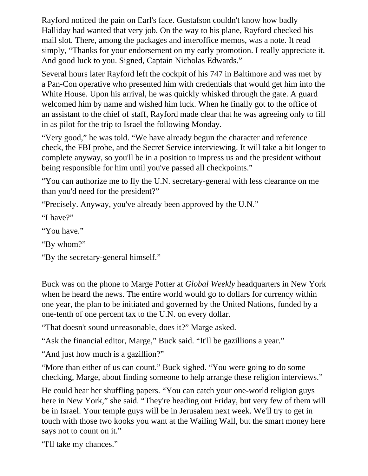Rayford noticed the pain on Earl's face. Gustafson couldn't know how badly Halliday had wanted that very job. On the way to his plane, Rayford checked his mail slot. There, among the packages and interoffice memos, was a note. It read simply, "Thanks for your endorsement on my early promotion. I really appreciate it. And good luck to you. Signed, Captain Nicholas Edwards."

Several hours later Rayford left the cockpit of his 747 in Baltimore and was met by a Pan-Con operative who presented him with credentials that would get him into the White House. Upon his arrival, he was quickly whisked through the gate. A guard welcomed him by name and wished him luck. When he finally got to the office of an assistant to the chief of staff, Rayford made clear that he was agreeing only to fill in as pilot for the trip to Israel the following Monday.

"Very good," he was told. "We have already begun the character and reference check, the FBI probe, and the Secret Service interviewing. It will take a bit longer to complete anyway, so you'll be in a position to impress us and the president without being responsible for him until you've passed all checkpoints."

"You can authorize me to fly the U.N. secretary-general with less clearance on me than you'd need for the president?"

"Precisely. Anyway, you've already been approved by the U.N."

"I have?"

"You have."

"By whom?"

"By the secretary-general himself."

Buck was on the phone to Marge Potter at *Global Weekly* headquarters in New York when he heard the news. The entire world would go to dollars for currency within one year, the plan to be initiated and governed by the United Nations, funded by a one-tenth of one percent tax to the U.N. on every dollar.

"That doesn't sound unreasonable, does it?" Marge asked.

"Ask the financial editor, Marge," Buck said. "It'll be gazillions a year."

"And just how much is a gazillion?"

"More than either of us can count." Buck sighed. "You were going to do some checking, Marge, about finding someone to help arrange these religion interviews."

He could hear her shuffling papers. "You can catch your one-world religion guys here in New York," she said. "They're heading out Friday, but very few of them will be in Israel. Your temple guys will be in Jerusalem next week. We'll try to get in touch with those two kooks you want at the Wailing Wall, but the smart money here says not to count on it."

"I'll take my chances."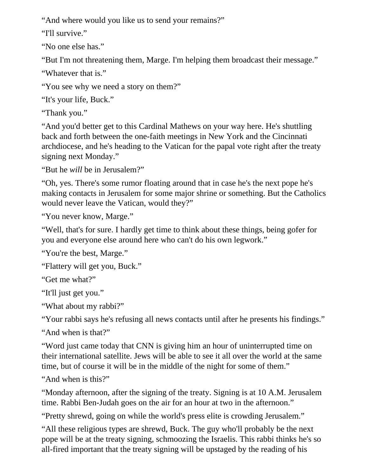"And where would you like us to send your remains?"

"I'll survive."

"No one else has."

"But I'm not threatening them, Marge. I'm helping them broadcast their message."

"Whatever that is."

"You see why we need a story on them?"

"It's your life, Buck."

"Thank you."

"And you'd better get to this Cardinal Mathews on your way here. He's shuttling back and forth between the one-faith meetings in New York and the Cincinnati archdiocese, and he's heading to the Vatican for the papal vote right after the treaty signing next Monday."

"But he *will* be in Jerusalem?"

"Oh, yes. There's some rumor floating around that in case he's the next pope he's making contacts in Jerusalem for some major shrine or something. But the Catholics would never leave the Vatican, would they?"

"You never know, Marge."

"Well, that's for sure. I hardly get time to think about these things, being gofer for you and everyone else around here who can't do his own legwork."

"You're the best, Marge."

"Flattery will get you, Buck."

"Get me what?"

"It'll just get you."

"What about my rabbi?"

"Your rabbi says he's refusing all news contacts until after he presents his findings."

"And when is that?"

"Word just came today that CNN is giving him an hour of uninterrupted time on their international satellite. Jews will be able to see it all over the world at the same time, but of course it will be in the middle of the night for some of them."

"And when is this?"

"Monday afternoon, after the signing of the treaty. Signing is at 10 A.M. Jerusalem time. Rabbi Ben-Judah goes on the air for an hour at two in the afternoon."

"Pretty shrewd, going on while the world's press elite is crowding Jerusalem."

"All these religious types are shrewd, Buck. The guy who'll probably be the next pope will be at the treaty signing, schmoozing the Israelis. This rabbi thinks he's so all-fired important that the treaty signing will be upstaged by the reading of his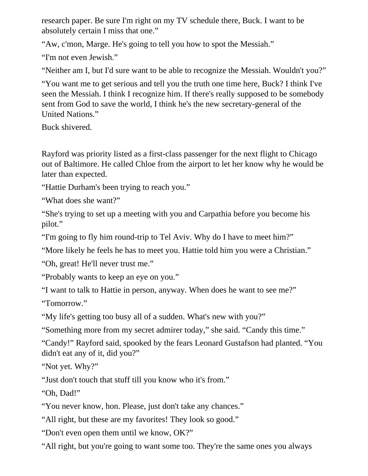research paper. Be sure I'm right on my TV schedule there, Buck. I want to be absolutely certain I miss that one."

"Aw, c'mon, Marge. He's going to tell you how to spot the Messiah."

"I'm not even Jewish."

"Neither am I, but I'd sure want to be able to recognize the Messiah. Wouldn't you?"

"You want me to get serious and tell you the truth one time here, Buck? I think I've seen the Messiah. I think I recognize him. If there's really supposed to be somebody sent from God to save the world, I think he's the new secretary-general of the United Nations."

Buck shivered.

Rayford was priority listed as a first-class passenger for the next flight to Chicago out of Baltimore. He called Chloe from the airport to let her know why he would be later than expected.

"Hattie Durham's been trying to reach you."

"What does she want?"

"She's trying to set up a meeting with you and Carpathia before you become his pilot."

"I'm going to fly him round-trip to Tel Aviv. Why do I have to meet him?"

"More likely he feels he has to meet you. Hattie told him you were a Christian."

"Oh, great! He'll never trust me."

"Probably wants to keep an eye on you."

"I want to talk to Hattie in person, anyway. When does he want to see me?" "Tomorrow."

"My life's getting too busy all of a sudden. What's new with you?"

"Something more from my secret admirer today," she said. "Candy this time."

"Candy!" Rayford said, spooked by the fears Leonard Gustafson had planted. "You didn't eat any of it, did you?"

"Not yet. Why?"

"Just don't touch that stuff till you know who it's from."

"Oh, Dad!"

"You never know, hon. Please, just don't take any chances."

"All right, but these are my favorites! They look so good."

"Don't even open them until we know, OK?"

"All right, but you're going to want some too. They're the same ones you always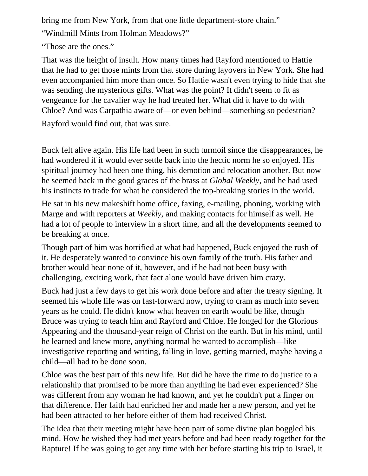bring me from New York, from that one little department-store chain."

"Windmill Mints from Holman Meadows?"

"Those are the ones."

That was the height of insult. How many times had Rayford mentioned to Hattie that he had to get those mints from that store during layovers in New York. She had even accompanied him more than once. So Hattie wasn't even trying to hide that she was sending the mysterious gifts. What was the point? It didn't seem to fit as vengeance for the cavalier way he had treated her. What did it have to do with Chloe? And was Carpathia aware of—or even behind—something so pedestrian?

Rayford would find out, that was sure.

Buck felt alive again. His life had been in such turmoil since the disappearances, he had wondered if it would ever settle back into the hectic norm he so enjoyed. His spiritual journey had been one thing, his demotion and relocation another. But now he seemed back in the good graces of the brass at *Global Weekly,* and he had used his instincts to trade for what he considered the top-breaking stories in the world.

He sat in his new makeshift home office, faxing, e-mailing, phoning, working with Marge and with reporters at *Weekly,* and making contacts for himself as well. He had a lot of people to interview in a short time, and all the developments seemed to be breaking at once.

Though part of him was horrified at what had happened, Buck enjoyed the rush of it. He desperately wanted to convince his own family of the truth. His father and brother would hear none of it, however, and if he had not been busy with challenging, exciting work, that fact alone would have driven him crazy.

Buck had just a few days to get his work done before and after the treaty signing. It seemed his whole life was on fast-forward now, trying to cram as much into seven years as he could. He didn't know what heaven on earth would be like, though Bruce was trying to teach him and Rayford and Chloe. He longed for the Glorious Appearing and the thousand-year reign of Christ on the earth. But in his mind, until he learned and knew more, anything normal he wanted to accomplish—like investigative reporting and writing, falling in love, getting married, maybe having a child—all had to be done soon.

Chloe was the best part of this new life. But did he have the time to do justice to a relationship that promised to be more than anything he had ever experienced? She was different from any woman he had known, and yet he couldn't put a finger on that difference. Her faith had enriched her and made her a new person, and yet he had been attracted to her before either of them had received Christ.

The idea that their meeting might have been part of some divine plan boggled his mind. How he wished they had met years before and had been ready together for the Rapture! If he was going to get any time with her before starting his trip to Israel, it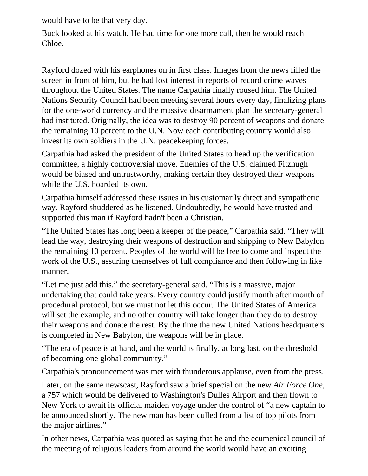would have to be that very day.

Buck looked at his watch. He had time for one more call, then he would reach Chloe.

Rayford dozed with his earphones on in first class. Images from the news filled the screen in front of him, but he had lost interest in reports of record crime waves throughout the United States. The name Carpathia finally roused him. The United Nations Security Council had been meeting several hours every day, finalizing plans for the one-world currency and the massive disarmament plan the secretary-general had instituted. Originally, the idea was to destroy 90 percent of weapons and donate the remaining 10 percent to the U.N. Now each contributing country would also invest its own soldiers in the U.N. peacekeeping forces.

Carpathia had asked the president of the United States to head up the verification committee, a highly controversial move. Enemies of the U.S. claimed Fitzhugh would be biased and untrustworthy, making certain they destroyed their weapons while the U.S. hoarded its own.

Carpathia himself addressed these issues in his customarily direct and sympathetic way. Rayford shuddered as he listened. Undoubtedly, he would have trusted and supported this man if Rayford hadn't been a Christian.

"The United States has long been a keeper of the peace," Carpathia said. "They will lead the way, destroying their weapons of destruction and shipping to New Babylon the remaining 10 percent. Peoples of the world will be free to come and inspect the work of the U.S., assuring themselves of full compliance and then following in like manner.

"Let me just add this," the secretary-general said. "This is a massive, major undertaking that could take years. Every country could justify month after month of procedural protocol, but we must not let this occur. The United States of America will set the example, and no other country will take longer than they do to destroy their weapons and donate the rest. By the time the new United Nations headquarters is completed in New Babylon, the weapons will be in place.

"The era of peace is at hand, and the world is finally, at long last, on the threshold of becoming one global community."

Carpathia's pronouncement was met with thunderous applause, even from the press.

Later, on the same newscast, Rayford saw a brief special on the new *Air Force One*, a 757 which would be delivered to Washington's Dulles Airport and then flown to New York to await its official maiden voyage under the control of "a new captain to be announced shortly. The new man has been culled from a list of top pilots from the major airlines."

In other news, Carpathia was quoted as saying that he and the ecumenical council of the meeting of religious leaders from around the world would have an exciting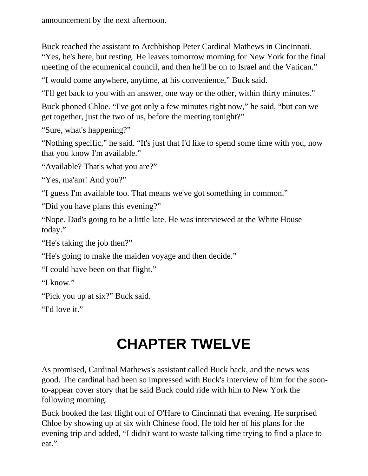announcement by the next afternoon.

Buck reached the assistant to Archbishop Peter Cardinal Mathews in Cincinnati. "Yes, he's here, but resting. He leaves tomorrow morning for New York for the final meeting of the ecumenical council, and then he'll be on to Israel and the Vatican."

"I would come anywhere, anytime, at his convenience," Buck said.

"I'll get back to you with an answer, one way or the other, within thirty minutes."

Buck phoned Chloe. "I've got only a few minutes right now," he said, "but can we get together, just the two of us, before the meeting tonight?"

"Sure, what's happening?"

"Nothing specific," he said. "It's just that I'd like to spend some time with you, now that you know I'm available."

"Available? That's what you are?"

"Yes, ma'am! And you?"

"I guess I'm available too. That means we've got something in common."

"Did you have plans this evening?"

"Nope. Dad's going to be a little late. He was interviewed at the White House today."

"He's taking the job then?"

"He's going to make the maiden voyage and then decide."

"I could have been on that flight."

"I know"

"Pick you up at six?" Buck said.

"I'd love it."

## **CHAPTER TWELVE**

As promised, Cardinal Mathews's assistant called Buck back, and the news was good. The cardinal had been so impressed with Buck's interview of him for the soonto-appear cover story that he said Buck could ride with him to New York the following morning.

Buck booked the last flight out of O'Hare to Cincinnati that evening. He surprised Chloe by showing up at six with Chinese food. He told her of his plans for the evening trip and added, "I didn't want to waste talking time trying to find a place to eat."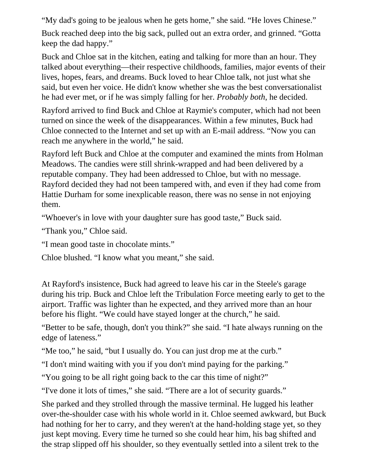"My dad's going to be jealous when he gets home," she said. "He loves Chinese."

Buck reached deep into the big sack, pulled out an extra order, and grinned. "Gotta keep the dad happy."

Buck and Chloe sat in the kitchen, eating and talking for more than an hour. They talked about everything—their respective childhoods, families, major events of their lives, hopes, fears, and dreams. Buck loved to hear Chloe talk, not just what she said, but even her voice. He didn't know whether she was the best conversationalist he had ever met, or if he was simply falling for her. *Probably both*, he decided.

Rayford arrived to find Buck and Chloe at Raymie's computer, which had not been turned on since the week of the disappearances. Within a few minutes, Buck had Chloe connected to the Internet and set up with an E-mail address. "Now you can reach me anywhere in the world," he said.

Rayford left Buck and Chloe at the computer and examined the mints from Holman Meadows. The candies were still shrink-wrapped and had been delivered by a reputable company. They had been addressed to Chloe, but with no message. Rayford decided they had not been tampered with, and even if they had come from Hattie Durham for some inexplicable reason, there was no sense in not enjoying them.

"Whoever's in love with your daughter sure has good taste," Buck said.

"Thank you," Chloe said.

"I mean good taste in chocolate mints."

Chloe blushed. "I know what you meant," she said.

At Rayford's insistence, Buck had agreed to leave his car in the Steele's garage during his trip. Buck and Chloe left the Tribulation Force meeting early to get to the airport. Traffic was lighter than he expected, and they arrived more than an hour before his flight. "We could have stayed longer at the church," he said.

"Better to be safe, though, don't you think?" she said. "I hate always running on the edge of lateness."

"Me too," he said, "but I usually do. You can just drop me at the curb."

"I don't mind waiting with you if you don't mind paying for the parking."

"You going to be all right going back to the car this time of night?"

"I've done it lots of times," she said. "There are a lot of security guards."

She parked and they strolled through the massive terminal. He lugged his leather over-the-shoulder case with his whole world in it. Chloe seemed awkward, but Buck had nothing for her to carry, and they weren't at the hand-holding stage yet, so they just kept moving. Every time he turned so she could hear him, his bag shifted and the strap slipped off his shoulder, so they eventually settled into a silent trek to the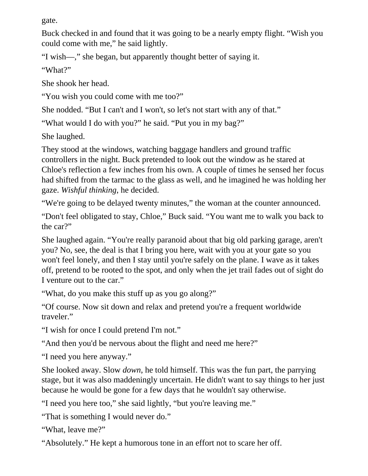gate.

Buck checked in and found that it was going to be a nearly empty flight. "Wish you could come with me," he said lightly.

"I wish—," she began, but apparently thought better of saying it.

"What?"

She shook her head.

"You wish you could come with me too?"

She nodded. "But I can't and I won't, so let's not start with any of that."

"What would I do with you?" he said. "Put you in my bag?"

She laughed.

They stood at the windows, watching baggage handlers and ground traffic controllers in the night. Buck pretended to look out the window as he stared at Chloe's reflection a few inches from his own. A couple of times he sensed her focus had shifted from the tarmac to the glass as well, and he imagined he was holding her gaze. *Wishful thinking*, he decided.

"We're going to be delayed twenty minutes," the woman at the counter announced.

"Don't feel obligated to stay, Chloe," Buck said. "You want me to walk you back to the car?"

She laughed again. "You're really paranoid about that big old parking garage, aren't you? No, see, the deal is that I bring you here, wait with you at your gate so you won't feel lonely, and then I stay until you're safely on the plane. I wave as it takes off, pretend to be rooted to the spot, and only when the jet trail fades out of sight do I venture out to the car."

"What, do you make this stuff up as you go along?"

"Of course. Now sit down and relax and pretend you're a frequent worldwide traveler."

"I wish for once I could pretend I'm not."

"And then you'd be nervous about the flight and need me here?"

"I need you here anyway."

She looked away. Slow *down*, he told himself. This was the fun part, the parrying stage, but it was also maddeningly uncertain. He didn't want to say things to her just because he would be gone for a few days that he wouldn't say otherwise.

"I need you here too," she said lightly, "but you're leaving me."

"That is something I would never do."

"What, leave me?"

"Absolutely." He kept a humorous tone in an effort not to scare her off.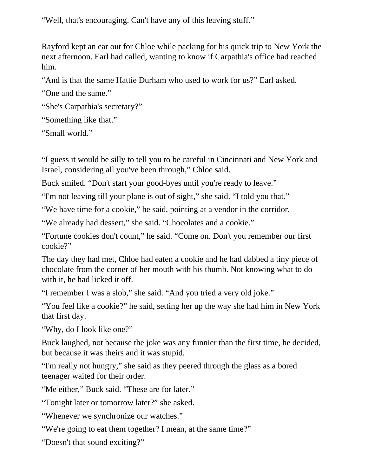"Well, that's encouraging. Can't have any of this leaving stuff."

Rayford kept an ear out for Chloe while packing for his quick trip to New York the next afternoon. Earl had called, wanting to know if Carpathia's office had reached him.

"And is that the same Hattie Durham who used to work for us?" Earl asked.

"One and the same."

"She's Carpathia's secretary?"

"Something like that."

"Small world."

"I guess it would be silly to tell you to be careful in Cincinnati and New York and Israel, considering all you've been through," Chloe said.

Buck smiled. "Don't start your good-byes until you're ready to leave."

"I'm not leaving till your plane is out of sight," she said. "I told you that."

"We have time for a cookie," he said, pointing at a vendor in the corridor.

"We already had dessert," she said. "Chocolates and a cookie."

"Fortune cookies don't count," he said. "Come on. Don't you remember our first cookie?"

The day they had met, Chloe had eaten a cookie and he had dabbed a tiny piece of chocolate from the corner of her mouth with his thumb. Not knowing what to do with it, he had licked it off.

"I remember I was a slob," she said. "And you tried a very old joke."

"You feel like a cookie?" he said, setting her up the way she had him in New York that first day.

"Why, do I look like one?"

Buck laughed, not because the joke was any funnier than the first time, he decided, but because it was theirs and it was stupid.

"I'm really not hungry," she said as they peered through the glass as a bored teenager waited for their order.

"Me either," Buck said. "These are for later."

"Tonight later or tomorrow later?" she asked.

"Whenever we synchronize our watches."

"We're going to eat them together? I mean, at the same time?"

"Doesn't that sound exciting?"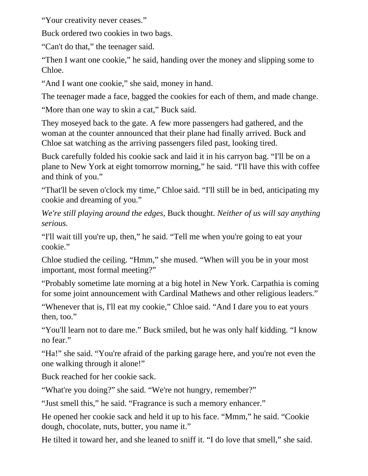"Your creativity never ceases."

Buck ordered two cookies in two bags.

"Can't do that," the teenager said.

"Then I want one cookie," he said, handing over the money and slipping some to Chloe.

"And I want one cookie," she said, money in hand.

The teenager made a face, bagged the cookies for each of them, and made change.

"More than one way to skin a cat," Buck said.

They moseyed back to the gate. A few more passengers had gathered, and the woman at the counter announced that their plane had finally arrived. Buck and Chloe sat watching as the arriving passengers filed past, looking tired.

Buck carefully folded his cookie sack and laid it in his carryon bag. "I'll be on a plane to New York at eight tomorrow morning," he said. "I'll have this with coffee and think of you."

"That'll be seven o'clock my time," Chloe said. "I'll still be in bed, anticipating my cookie and dreaming of you."

*We're still playing around the edges*, Buck thought. *Neither of us will say anything serious.*

"I'll wait till you're up, then," he said. "Tell me when you're going to eat your cookie."

Chloe studied the ceiling. "Hmm," she mused. "When will you be in your most important, most formal meeting?"

"Probably sometime late morning at a big hotel in New York. Carpathia is coming for some joint announcement with Cardinal Mathews and other religious leaders."

"Whenever that is, I'll eat my cookie," Chloe said. "And I dare you to eat yours then, too."

"You'll learn not to dare me." Buck smiled, but he was only half kidding. "I know no fear."

"Ha!" she said. "You're afraid of the parking garage here, and you're not even the one walking through it alone!"

Buck reached for her cookie sack.

"What're you doing?" she said. "We're not hungry, remember?"

"Just smell this," he said. "Fragrance is such a memory enhancer."

He opened her cookie sack and held it up to his face. "Mmm," he said. "Cookie dough, chocolate, nuts, butter, you name it."

He tilted it toward her, and she leaned to sniff it. "I do love that smell," she said.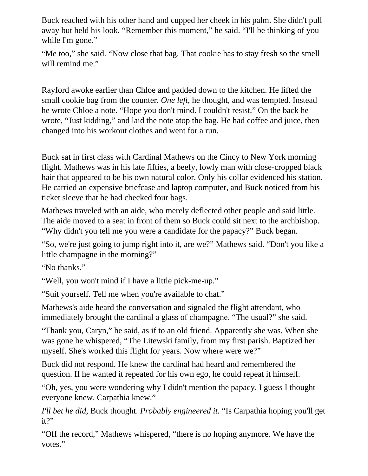Buck reached with his other hand and cupped her cheek in his palm. She didn't pull away but held his look. "Remember this moment," he said. "I'll be thinking of you while I'm gone."

"Me too," she said. "Now close that bag. That cookie has to stay fresh so the smell will remind me."

Rayford awoke earlier than Chloe and padded down to the kitchen. He lifted the small cookie bag from the counter. *One left*, he thought, and was tempted. Instead he wrote Chloe a note. "Hope you don't mind. I couldn't resist." On the back he wrote, "Just kidding," and laid the note atop the bag. He had coffee and juice, then changed into his workout clothes and went for a run.

Buck sat in first class with Cardinal Mathews on the Cincy to New York morning flight. Mathews was in his late fifties, a beefy, lowly man with close-cropped black hair that appeared to be his own natural color. Only his collar evidenced his station. He carried an expensive briefcase and laptop computer, and Buck noticed from his ticket sleeve that he had checked four bags.

Mathews traveled with an aide, who merely deflected other people and said little. The aide moved to a seat in front of them so Buck could sit next to the archbishop. "Why didn't you tell me you were a candidate for the papacy?" Buck began.

"So, we're just going to jump right into it, are we?" Mathews said. "Don't you like a little champagne in the morning?"

"No thanks."

"Well, you won't mind if I have a little pick-me-up."

"Suit yourself. Tell me when you're available to chat."

Mathews's aide heard the conversation and signaled the flight attendant, who immediately brought the cardinal a glass of champagne. "The usual?" she said.

"Thank you, Caryn," he said, as if to an old friend. Apparently she was. When she was gone he whispered, "The Litewski family, from my first parish. Baptized her myself. She's worked this flight for years. Now where were we?"

Buck did not respond. He knew the cardinal had heard and remembered the question. If he wanted it repeated for his own ego, he could repeat it himself.

"Oh, yes, you were wondering why I didn't mention the papacy. I guess I thought everyone knew. Carpathia knew."

*I'll bet he did*, Buck thought. *Probably engineered it.* "Is Carpathia hoping you'll get it?"

"Off the record," Mathews whispered, "there is no hoping anymore. We have the votes."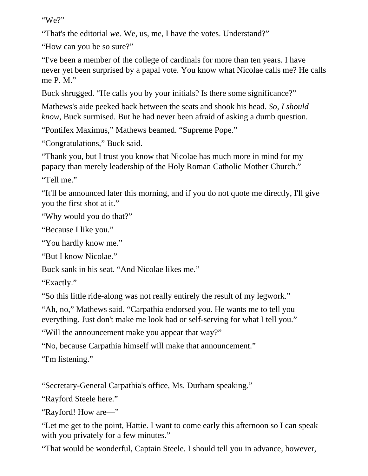"We?"

"That's the editorial *we.* We, us, me, I have the votes. Understand?"

"How can you be so sure?"

"I've been a member of the college of cardinals for more than ten years. I have never yet been surprised by a papal vote. You know what Nicolae calls me? He calls me P. M."

Buck shrugged. "He calls you by your initials? Is there some significance?"

Mathews's aide peeked back between the seats and shook his head. *So, I should know*, Buck surmised. But he had never been afraid of asking a dumb question.

"Pontifex Maximus," Mathews beamed. "Supreme Pope."

"Congratulations," Buck said.

"Thank you, but I trust you know that Nicolae has much more in mind for my papacy than merely leadership of the Holy Roman Catholic Mother Church." "Tell me."

"It'll be announced later this morning, and if you do not quote me directly, I'll give you the first shot at it."

"Why would you do that?"

"Because I like you."

"You hardly know me."

"But I know Nicolae."

Buck sank in his seat. "And Nicolae likes me."

"Exactly."

"So this little ride-along was not really entirely the result of my legwork."

"Ah, no," Mathews said. "Carpathia endorsed you. He wants me to tell you everything. Just don't make me look bad or self-serving for what I tell you."

"Will the announcement make you appear that way?"

"No, because Carpathia himself will make that announcement."

"I'm listening."

"Secretary-General Carpathia's office, Ms. Durham speaking."

"Rayford Steele here."

"Rayford! How are—"

"Let me get to the point, Hattie. I want to come early this afternoon so I can speak with you privately for a few minutes."

"That would be wonderful, Captain Steele. I should tell you in advance, however,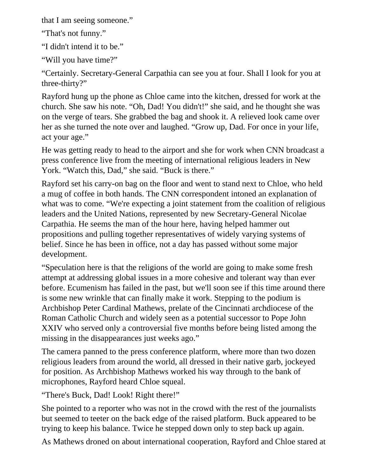that I am seeing someone."

"That's not funny."

"I didn't intend it to be."

"Will you have time?"

"Certainly. Secretary-General Carpathia can see you at four. Shall I look for you at three-thirty?"

Rayford hung up the phone as Chloe came into the kitchen, dressed for work at the church. She saw his note. "Oh, Dad! You didn't!" she said, and he thought she was on the verge of tears. She grabbed the bag and shook it. A relieved look came over her as she turned the note over and laughed. "Grow up, Dad. For once in your life, act your age."

He was getting ready to head to the airport and she for work when CNN broadcast a press conference live from the meeting of international religious leaders in New York. "Watch this, Dad," she said. "Buck is there."

Rayford set his carry-on bag on the floor and went to stand next to Chloe, who held a mug of coffee in both hands. The CNN correspondent intoned an explanation of what was to come. "We're expecting a joint statement from the coalition of religious leaders and the United Nations, represented by new Secretary-General Nicolae Carpathia. He seems the man of the hour here, having helped hammer out propositions and pulling together representatives of widely varying systems of belief. Since he has been in office, not a day has passed without some major development.

"Speculation here is that the religions of the world are going to make some fresh attempt at addressing global issues in a more cohesive and tolerant way than ever before. Ecumenism has failed in the past, but we'll soon see if this time around there is some new wrinkle that can finally make it work. Stepping to the podium is Archbishop Peter Cardinal Mathews, prelate of the Cincinnati archdiocese of the Roman Catholic Church and widely seen as a potential successor to Pope John XXIV who served only a controversial five months before being listed among the missing in the disappearances just weeks ago."

The camera panned to the press conference platform, where more than two dozen religious leaders from around the world, all dressed in their native garb, jockeyed for position. As Archbishop Mathews worked his way through to the bank of microphones, Rayford heard Chloe squeal.

"There's Buck, Dad! Look! Right there!"

She pointed to a reporter who was not in the crowd with the rest of the journalists but seemed to teeter on the back edge of the raised platform. Buck appeared to be trying to keep his balance. Twice he stepped down only to step back up again.

As Mathews droned on about international cooperation, Rayford and Chloe stared at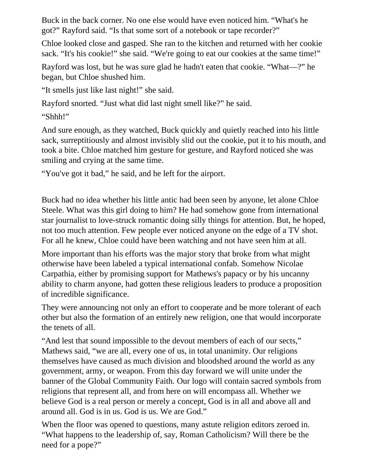Buck in the back corner. No one else would have even noticed him. "What's he got?" Rayford said. "Is that some sort of a notebook or tape recorder?"

Chloe looked close and gasped. She ran to the kitchen and returned with her cookie sack. "It's his cookie!" she said. "We're going to eat our cookies at the same time!"

Rayford was lost, but he was sure glad he hadn't eaten that cookie. "What—?" he began, but Chloe shushed him.

"It smells just like last night!" she said.

Rayford snorted. "Just what did last night smell like?" he said.

"Shhh!"

And sure enough, as they watched, Buck quickly and quietly reached into his little sack, surreptitiously and almost invisibly slid out the cookie, put it to his mouth, and took a bite. Chloe matched him gesture for gesture, and Rayford noticed she was smiling and crying at the same time.

"You've got it bad," he said, and he left for the airport.

Buck had no idea whether his little antic had been seen by anyone, let alone Chloe Steele. What was this girl doing to him? He had somehow gone from international star journalist to love-struck romantic doing silly things for attention. But, he hoped, not too much attention. Few people ever noticed anyone on the edge of a TV shot. For all he knew, Chloe could have been watching and not have seen him at all.

More important than his efforts was the major story that broke from what might otherwise have been labeled a typical international confab. Somehow Nicolae Carpathia, either by promising support for Mathews's papacy or by his uncanny ability to charm anyone, had gotten these religious leaders to produce a proposition of incredible significance.

They were announcing not only an effort to cooperate and be more tolerant of each other but also the formation of an entirely new religion, one that would incorporate the tenets of all.

"And lest that sound impossible to the devout members of each of our sects," Mathews said, "we are all, every one of us, in total unanimity. Our religions themselves have caused as much division and bloodshed around the world as any government, army, or weapon. From this day forward we will unite under the banner of the Global Community Faith. Our logo will contain sacred symbols from religions that represent all, and from here on will encompass all. Whether we believe God is a real person or merely a concept, God is in all and above all and around all. God is in us. God is us. We are God."

When the floor was opened to questions, many astute religion editors zeroed in. "What happens to the leadership of, say, Roman Catholicism? Will there be the need for a pope?"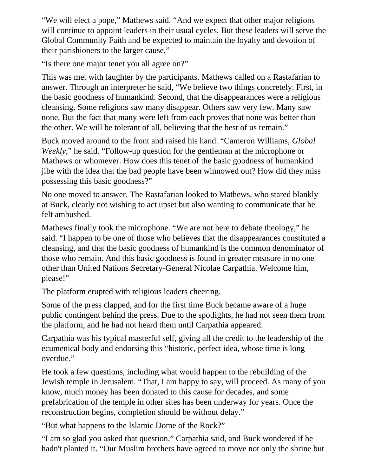"We will elect a pope," Mathews said. "And we expect that other major religions will continue to appoint leaders in their usual cycles. But these leaders will serve the Global Community Faith and be expected to maintain the loyalty and devotion of their parishioners to the larger cause."

"Is there one major tenet you all agree on?"

This was met with laughter by the participants. Mathews called on a Rastafarian to answer. Through an interpreter he said, "We believe two things concretely. First, in the basic goodness of humankind. Second, that the disappearances were a religious cleansing. Some religions saw many disappear. Others saw very few. Many saw none. But the fact that many were left from each proves that none was better than the other. We will be tolerant of all, believing that the best of us remain."

Buck moved around to the front and raised his hand. "Cameron Williams, *Global Weekly*," he said. "Follow-up question for the gentleman at the microphone or Mathews or whomever. How does this tenet of the basic goodness of humankind jibe with the idea that the bad people have been winnowed out? How did they miss possessing this basic goodness?"

No one moved to answer. The Rastafarian looked to Mathews, who stared blankly at Buck, clearly not wishing to act upset but also wanting to communicate that he felt ambushed.

Mathews finally took the microphone. "We are not here to debate theology," he said. "I happen to be one of those who believes that the disappearances constituted a cleansing, and that the basic goodness of humankind is the common denominator of those who remain. And this basic goodness is found in greater measure in no one other than United Nations Secretary-General Nicolae Carpathia. Welcome him, please!"

The platform erupted with religious leaders cheering.

Some of the press clapped, and for the first time Buck became aware of a huge public contingent behind the press. Due to the spotlights, he had not seen them from the platform, and he had not heard them until Carpathia appeared.

Carpathia was his typical masterful self, giving all the credit to the leadership of the ecumenical body and endorsing this "historic, perfect idea, whose time is long overdue."

He took a few questions, including what would happen to the rebuilding of the Jewish temple in Jerusalem. "That, I am happy to say, will proceed. As many of you know, much money has been donated to this cause for decades, and some prefabrication of the temple in other sites has been underway for years. Once the reconstruction begins, completion should be without delay."

"But what happens to the Islamic Dome of the Rock?"

"I am so glad you asked that question," Carpathia said, and Buck wondered if he hadn't planted it. "Our Muslim brothers have agreed to move not only the shrine but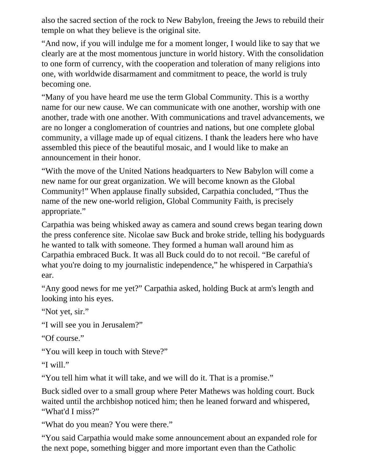also the sacred section of the rock to New Babylon, freeing the Jews to rebuild their temple on what they believe is the original site.

"And now, if you will indulge me for a moment longer, I would like to say that we clearly are at the most momentous juncture in world history. With the consolidation to one form of currency, with the cooperation and toleration of many religions into one, with worldwide disarmament and commitment to peace, the world is truly becoming one.

"Many of you have heard me use the term Global Community. This is a worthy name for our new cause. We can communicate with one another, worship with one another, trade with one another. With communications and travel advancements, we are no longer a conglomeration of countries and nations, but one complete global community, a village made up of equal citizens. I thank the leaders here who have assembled this piece of the beautiful mosaic, and I would like to make an announcement in their honor.

"With the move of the United Nations headquarters to New Babylon will come a new name for our great organization. We will become known as the Global Community!" When applause finally subsided, Carpathia concluded, "Thus the name of the new one-world religion, Global Community Faith, is precisely appropriate."

Carpathia was being whisked away as camera and sound crews began tearing down the press conference site. Nicolae saw Buck and broke stride, telling his bodyguards he wanted to talk with someone. They formed a human wall around him as Carpathia embraced Buck. It was all Buck could do to not recoil. "Be careful of what you're doing to my journalistic independence," he whispered in Carpathia's ear.

"Any good news for me yet?" Carpathia asked, holding Buck at arm's length and looking into his eyes.

"Not yet, sir."

"I will see you in Jerusalem?"

"Of course."

"You will keep in touch with Steve?"

"I will."

"You tell him what it will take, and we will do it. That is a promise."

Buck sidled over to a small group where Peter Mathews was holding court. Buck waited until the archbishop noticed him; then he leaned forward and whispered, "What'd I miss?"

"What do you mean? You were there."

"You said Carpathia would make some announcement about an expanded role for the next pope, something bigger and more important even than the Catholic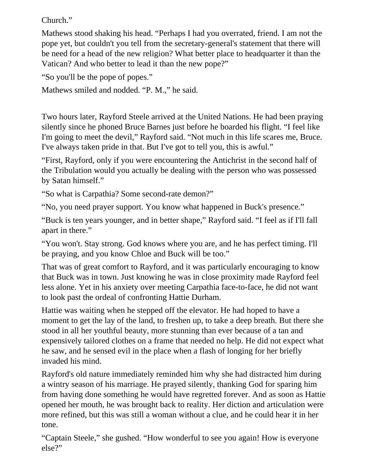Church."

Mathews stood shaking his head. "Perhaps I had you overrated, friend. I am not the pope yet, but couldn't you tell from the secretary-general's statement that there will be need for a head of the new religion? What better place to headquarter it than the Vatican? And who better to lead it than the new pope?"

"So you'll be the pope of popes."

Mathews smiled and nodded. "P. M.," he said.

Two hours later, Rayford Steele arrived at the United Nations. He had been praying silently since he phoned Bruce Barnes just before he boarded his flight. "I feel like I'm going to meet the devil," Rayford said. "Not much in this life scares me, Bruce. I've always taken pride in that. But I've got to tell you, this is awful."

"First, Rayford, only if you were encountering the Antichrist in the second half of the Tribulation would you actually be dealing with the person who was possessed by Satan himself."

"So what is Carpathia? Some second-rate demon?"

"No, you need prayer support. You know what happened in Buck's presence."

"Buck is ten years younger, and in better shape," Rayford said. "I feel as if I'll fall apart in there."

"You won't. Stay strong. God knows where you are, and he has perfect timing. I'll be praying, and you know Chloe and Buck will be too."

That was of great comfort to Rayford, and it was particularly encouraging to know that Buck was in town. Just knowing he was in close proximity made Rayford feel less alone. Yet in his anxiety over meeting Carpathia face-to-face, he did not want to look past the ordeal of confronting Hattie Durham.

Hattie was waiting when he stepped off the elevator. He had hoped to have a moment to get the lay of the land, to freshen up, to take a deep breath. But there she stood in all her youthful beauty, more stunning than ever because of a tan and expensively tailored clothes on a frame that needed no help. He did not expect what he saw, and he sensed evil in the place when a flash of longing for her briefly invaded his mind.

Rayford's old nature immediately reminded him why she had distracted him during a wintry season of his marriage. He prayed silently, thanking God for sparing him from having done something he would have regretted forever. And as soon as Hattie opened her mouth, he was brought back to reality. Her diction and articulation were more refined, but this was still a woman without a clue, and he could hear it in her tone.

"Captain Steele," she gushed. "How wonderful to see you again! How is everyone else?"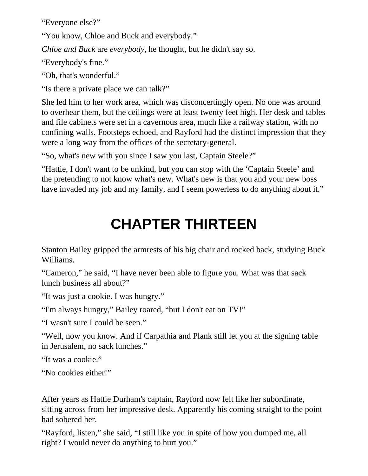"Everyone else?"

"You know, Chloe and Buck and everybody."

*Chloe and Buck* are *everybody,* he thought, but he didn't say so.

"Everybody's fine."

"Oh, that's wonderful."

"Is there a private place we can talk?"

She led him to her work area, which was disconcertingly open. No one was around to overhear them, but the ceilings were at least twenty feet high. Her desk and tables and file cabinets were set in a cavernous area, much like a railway station, with no confining walls. Footsteps echoed, and Rayford had the distinct impression that they were a long way from the offices of the secretary-general.

"So, what's new with you since I saw you last, Captain Steele?"

"Hattie, I don't want to be unkind, but you can stop with the 'Captain Steele' and the pretending to not know what's new. What's new is that you and your new boss have invaded my job and my family, and I seem powerless to do anything about it."

## **CHAPTER THIRTEEN**

Stanton Bailey gripped the armrests of his big chair and rocked back, studying Buck Williams.

"Cameron," he said, "I have never been able to figure you. What was that sack lunch business all about?"

"It was just a cookie. I was hungry."

"I'm always hungry," Bailey roared, "but I don't eat on TV!"

"I wasn't sure I could be seen."

"Well, now you know. And if Carpathia and Plank still let you at the signing table in Jerusalem, no sack lunches."

"It was a cookie."

"No cookies either!"

After years as Hattie Durham's captain, Rayford now felt like her subordinate, sitting across from her impressive desk. Apparently his coming straight to the point had sobered her.

"Rayford, listen," she said, "I still like you in spite of how you dumped me, all right? I would never do anything to hurt you."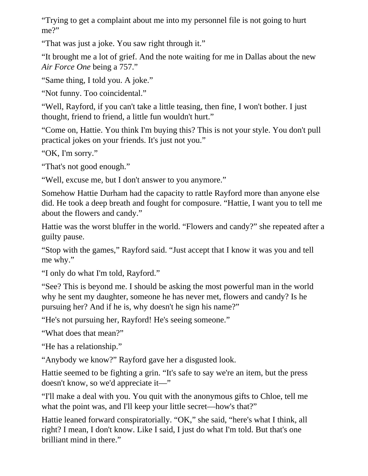"Trying to get a complaint about me into my personnel file is not going to hurt me?"

"That was just a joke. You saw right through it."

"It brought me a lot of grief. And the note waiting for me in Dallas about the new *Air Force One* being a 757."

"Same thing, I told you. A joke."

"Not funny. Too coincidental."

"Well, Rayford, if you can't take a little teasing, then fine, I won't bother. I just thought, friend to friend, a little fun wouldn't hurt."

"Come on, Hattie. You think I'm buying this? This is not your style. You don't pull practical jokes on your friends. It's just not you."

"OK, I'm sorry."

"That's not good enough."

"Well, excuse me, but I don't answer to you anymore."

Somehow Hattie Durham had the capacity to rattle Rayford more than anyone else did. He took a deep breath and fought for composure. "Hattie, I want you to tell me about the flowers and candy."

Hattie was the worst bluffer in the world. "Flowers and candy?" she repeated after a guilty pause.

"Stop with the games," Rayford said. "Just accept that I know it was you and tell me why."

"I only do what I'm told, Rayford."

"See? This is beyond me. I should be asking the most powerful man in the world why he sent my daughter, someone he has never met, flowers and candy? Is he pursuing her? And if he is, why doesn't he sign his name?"

"He's not pursuing her, Rayford! He's seeing someone."

"What does that mean?"

"He has a relationship."

"Anybody we know?" Rayford gave her a disgusted look.

Hattie seemed to be fighting a grin. "It's safe to say we're an item, but the press doesn't know, so we'd appreciate it—"

"I'll make a deal with you. You quit with the anonymous gifts to Chloe, tell me what the point was, and I'll keep your little secret—how's that?"

Hattie leaned forward conspiratorially. "OK," she said, "here's what I think, all right? I mean, I don't know. Like I said, I just do what I'm told. But that's one brilliant mind in there."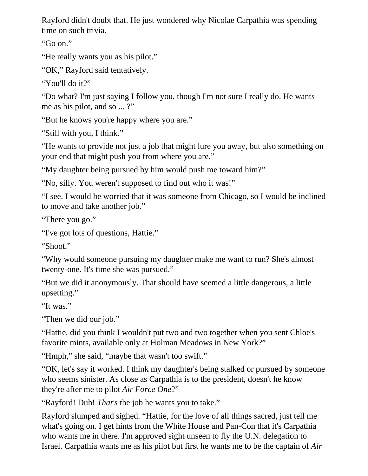Rayford didn't doubt that. He just wondered why Nicolae Carpathia was spending time on such trivia.

"Go on."

"He really wants you as his pilot."

"OK," Rayford said tentatively.

"You'll do it?"

"Do what? I'm just saying I follow you, though I'm not sure I really do. He wants me as his pilot, and so ... ?"

"But he knows you're happy where you are."

"Still with you, I think."

"He wants to provide not just a job that might lure you away, but also something on your end that might push you from where you are."

"My daughter being pursued by him would push me toward him?"

"No, silly. You weren't supposed to find out who it was!"

"I see. I would be worried that it was someone from Chicago, so I would be inclined to move and take another job."

"There you go."

"I've got lots of questions, Hattie."

"Shoot"

"Why would someone pursuing my daughter make me want to run? She's almost twenty-one. It's time she was pursued."

"But we did it anonymously. That should have seemed a little dangerous, a little upsetting."

"It was."

"Then we did our job."

"Hattie, did you think I wouldn't put two and two together when you sent Chloe's favorite mints, available only at Holman Meadows in New York?"

"Hmph," she said, "maybe that wasn't too swift."

"OK, let's say it worked. I think my daughter's being stalked or pursued by someone who seems sinister. As close as Carpathia is to the president, doesn't he know they're after me to pilot *Air Force One*?"

"Rayford! Duh! *That's* the job he wants you to take."

Rayford slumped and sighed. "Hattie, for the love of all things sacred, just tell me what's going on. I get hints from the White House and Pan-Con that it's Carpathia who wants me in there. I'm approved sight unseen to fly the U.N. delegation to Israel. Carpathia wants me as his pilot but first he wants me to be the captain of *Air*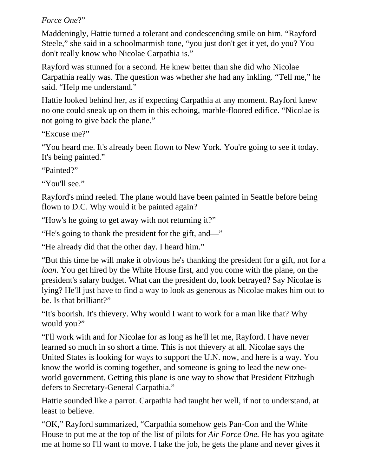## *Force One*?"

Maddeningly, Hattie turned a tolerant and condescending smile on him. "Rayford Steele," she said in a schoolmarmish tone, "you just don't get it yet, do you? You don't really know who Nicolae Carpathia is."

Rayford was stunned for a second. He knew better than she did who Nicolae Carpathia really was. The question was whether *she* had any inkling. "Tell me," he said. "Help me understand."

Hattie looked behind her, as if expecting Carpathia at any moment. Rayford knew no one could sneak up on them in this echoing, marble-floored edifice. "Nicolae is not going to give back the plane."

"Excuse me?"

"You heard me. It's already been flown to New York. You're going to see it today. It's being painted."

"Painted?"

"You'll see."

Rayford's mind reeled. The plane would have been painted in Seattle before being flown to D.C. Why would it be painted again?

"How's he going to get away with not returning it?"

"He's going to thank the president for the gift, and—"

"He already did that the other day. I heard him."

"But this time he will make it obvious he's thanking the president for a gift, not for a *loan*. You get hired by the White House first, and you come with the plane, on the president's salary budget. What can the president do, look betrayed? Say Nicolae is lying? He'll just have to find a way to look as generous as Nicolae makes him out to be. Is that brilliant?"

"It's boorish. It's thievery. Why would I want to work for a man like that? Why would you?"

"I'll work with and for Nicolae for as long as he'll let me, Rayford. I have never learned so much in so short a time. This is not thievery at all. Nicolae says the United States is looking for ways to support the U.N. now, and here is a way. You know the world is coming together, and someone is going to lead the new oneworld government. Getting this plane is one way to show that President Fitzhugh defers to Secretary-General Carpathia."

Hattie sounded like a parrot. Carpathia had taught her well, if not to understand, at least to believe.

"OK," Rayford summarized, "Carpathia somehow gets Pan-Con and the White House to put me at the top of the list of pilots for *Air Force One.* He has you agitate me at home so I'll want to move. I take the job, he gets the plane and never gives it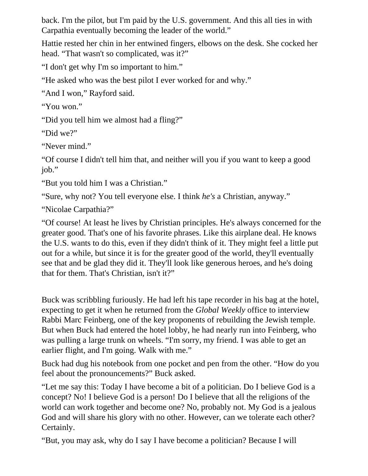back. I'm the pilot, but I'm paid by the U.S. government. And this all ties in with Carpathia eventually becoming the leader of the world."

Hattie rested her chin in her entwined fingers, elbows on the desk. She cocked her head. "That wasn't so complicated, was it?"

"I don't get why I'm so important to him."

"He asked who was the best pilot I ever worked for and why."

"And I won," Rayford said.

"You won."

"Did you tell him we almost had a fling?"

"Did we?"

"Never mind."

"Of course I didn't tell him that, and neither will you if you want to keep a good job."

"But you told him I was a Christian."

"Sure, why not? You tell everyone else. I think *he's* a Christian, anyway."

"Nicolae Carpathia?"

"Of course! At least he lives by Christian principles. He's always concerned for the greater good. That's one of his favorite phrases. Like this airplane deal. He knows the U.S. wants to do this, even if they didn't think of it. They might feel a little put out for a while, but since it is for the greater good of the world, they'll eventually see that and be glad they did it. They'll look like generous heroes, and he's doing that for them. That's Christian, isn't it?"

Buck was scribbling furiously. He had left his tape recorder in his bag at the hotel, expecting to get it when he returned from the *Global Weekly* office to interview Rabbi Marc Feinberg, one of the key proponents of rebuilding the Jewish temple. But when Buck had entered the hotel lobby, he had nearly run into Feinberg, who was pulling a large trunk on wheels. "I'm sorry, my friend. I was able to get an earlier flight, and I'm going. Walk with me."

Buck had dug his notebook from one pocket and pen from the other. "How do you feel about the pronouncements?" Buck asked.

"Let me say this: Today I have become a bit of a politician. Do I believe God is a concept? No! I believe God is a person! Do I believe that all the religions of the world can work together and become one? No, probably not. My God is a jealous God and will share his glory with no other. However, can we tolerate each other? Certainly.

"But, you may ask, why do I say I have become a politician? Because I will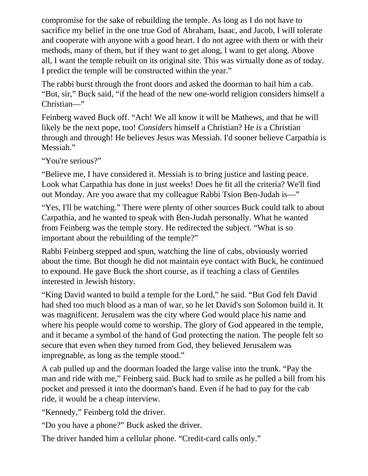compromise for the sake of rebuilding the temple. As long as I do not have to sacrifice my belief in the one true God of Abraham, Isaac, and Jacob, I will tolerate and cooperate with anyone with a good heart. I do not agree with them or with their methods, many of them, but if they want to get along, I want to get along. Above all, I want the temple rebuilt on its original site. This was virtually done as of today. I predict the temple will be constructed within the year."

The rabbi burst through the front doors and asked the doorman to hail him a cab. "But, sir," Buck said, "if the head of the new one-world religion considers himself a Christian—"

Feinberg waved Buck off. "Ach! We all know it will be Mathews, and that he will likely be the next pope, too! *Considers* himself a Christian? He *is* a Christian through and through! He believes Jesus was Messiah. I'd sooner believe Carpathia is Messiah."

"You're serious?"

"Believe me, I have considered it. Messiah is to bring justice and lasting peace. Look what Carpathia has done in just weeks! Does he fit all the criteria? We'll find out Monday. Are you aware that my colleague Rabbi Tsion Ben-Judah is—"

"Yes, I'll be watching." There were plenty of other sources Buck could talk to about Carpathia, and he wanted to speak with Ben-Judah personally. What he wanted from Feinberg was the temple story. He redirected the subject. "What is so important about the rebuilding of the temple?"

Rabbi Feinberg stepped and spun, watching the line of cabs, obviously worried about the time. But though he did not maintain eye contact with Buck, he continued to expound. He gave Buck the short course, as if teaching a class of Gentiles interested in Jewish history.

"King David wanted to build a temple for the Lord," he said. "But God felt David had shed too much blood as a man of war, so he let David's son Solomon build it. It was magnificent. Jerusalem was the city where God would place his name and where his people would come to worship. The glory of God appeared in the temple, and it became a symbol of the hand of God protecting the nation. The people felt so secure that even when they turned from God, they believed Jerusalem was impregnable, as long as the temple stood."

A cab pulled up and the doorman loaded the large valise into the trunk. "Pay the man and ride with me," Feinberg said. Buck had to smile as he pulled a bill from his pocket and pressed it into the doorman's hand. Even if he had to pay for the cab ride, it would be a cheap interview.

"Kennedy," Feinberg told the driver.

"Do you have a phone?" Buck asked the driver.

The driver handed him a cellular phone. "Credit-card calls only."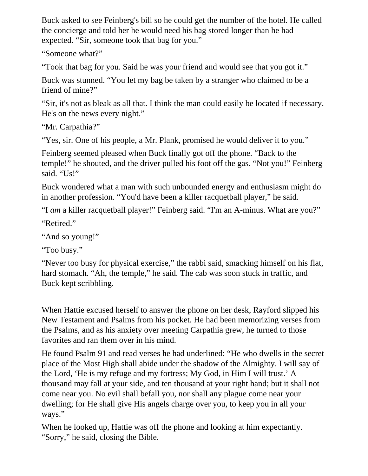Buck asked to see Feinberg's bill so he could get the number of the hotel. He called the concierge and told her he would need his bag stored longer than he had expected. "Sir, someone took that bag for you."

"Someone what?"

"Took that bag for you. Said he was your friend and would see that you got it."

Buck was stunned. "You let my bag be taken by a stranger who claimed to be a friend of mine?"

"Sir, it's not as bleak as all that. I think the man could easily be located if necessary. He's on the news every night."

"Mr. Carpathia?"

"Yes, sir. One of his people, a Mr. Plank, promised he would deliver it to you."

Feinberg seemed pleased when Buck finally got off the phone. "Back to the temple!" he shouted, and the driver pulled his foot off the gas. "Not you!" Feinberg said. "Us!"

Buck wondered what a man with such unbounded energy and enthusiasm might do in another profession. "You'd have been a killer racquetball player," he said.

"I *am* a killer racquetball player!" Feinberg said. "I'm an A-minus. What are you?"

"Retired."

"And so young!"

"Too busy."

"Never too busy for physical exercise," the rabbi said, smacking himself on his flat, hard stomach. "Ah, the temple," he said. The cab was soon stuck in traffic, and Buck kept scribbling.

When Hattie excused herself to answer the phone on her desk, Rayford slipped his New Testament and Psalms from his pocket. He had been memorizing verses from the Psalms, and as his anxiety over meeting Carpathia grew, he turned to those favorites and ran them over in his mind.

He found Psalm 91 and read verses he had underlined: "He who dwells in the secret place of the Most High shall abide under the shadow of the Almighty. I will say of the Lord, 'He is my refuge and my fortress; My God, in Him I will trust.' A thousand may fall at your side, and ten thousand at your right hand; but it shall not come near you. No evil shall befall you, nor shall any plague come near your dwelling; for He shall give His angels charge over you, to keep you in all your ways."

When he looked up, Hattie was off the phone and looking at him expectantly. "Sorry," he said, closing the Bible.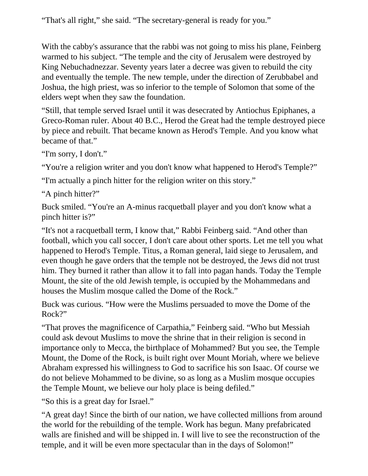"That's all right," she said. "The secretary-general is ready for you."

With the cabby's assurance that the rabbi was not going to miss his plane, Feinberg warmed to his subject. "The temple and the city of Jerusalem were destroyed by King Nebuchadnezzar. Seventy years later a decree was given to rebuild the city and eventually the temple. The new temple, under the direction of Zerubbabel and Joshua, the high priest, was so inferior to the temple of Solomon that some of the elders wept when they saw the foundation.

"Still, that temple served Israel until it was desecrated by Antiochus Epiphanes, a Greco-Roman ruler. About 40 B.C., Herod the Great had the temple destroyed piece by piece and rebuilt. That became known as Herod's Temple. And you know what became of that."

"I'm sorry, I don't."

"You're a religion writer and you don't know what happened to Herod's Temple?"

"I'm actually a pinch hitter for the religion writer on this story."

"A pinch hitter?"

Buck smiled. "You're an A-minus racquetball player and you don't know what a pinch hitter is?"

"It's not a racquetball term, I know that," Rabbi Feinberg said. "And other than football, which you call soccer, I don't care about other sports. Let me tell you what happened to Herod's Temple. Titus, a Roman general, laid siege to Jerusalem, and even though he gave orders that the temple not be destroyed, the Jews did not trust him. They burned it rather than allow it to fall into pagan hands. Today the Temple Mount, the site of the old Jewish temple, is occupied by the Mohammedans and houses the Muslim mosque called the Dome of the Rock."

Buck was curious. "How were the Muslims persuaded to move the Dome of the Rock?"

"That proves the magnificence of Carpathia," Feinberg said. "Who but Messiah could ask devout Muslims to move the shrine that in their religion is second in importance only to Mecca, the birthplace of Mohammed? But you see, the Temple Mount, the Dome of the Rock, is built right over Mount Moriah, where we believe Abraham expressed his willingness to God to sacrifice his son Isaac. Of course we do not believe Mohammed to be divine, so as long as a Muslim mosque occupies the Temple Mount, we believe our holy place is being defiled."

"So this is a great day for Israel."

"A great day! Since the birth of our nation, we have collected millions from around the world for the rebuilding of the temple. Work has begun. Many prefabricated walls are finished and will be shipped in. I will live to see the reconstruction of the temple, and it will be even more spectacular than in the days of Solomon!"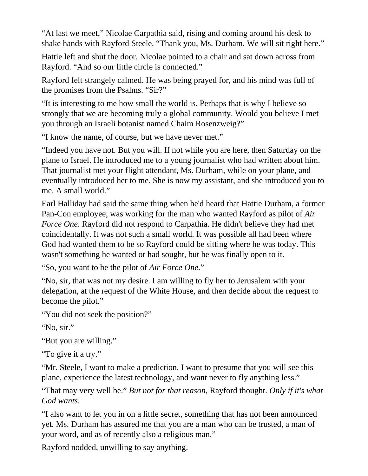"At last we meet," Nicolae Carpathia said, rising and coming around his desk to shake hands with Rayford Steele. "Thank you, Ms. Durham. We will sit right here."

Hattie left and shut the door. Nicolae pointed to a chair and sat down across from Rayford. "And so our little circle is connected."

Rayford felt strangely calmed. He was being prayed for, and his mind was full of the promises from the Psalms. "Sir?"

"It is interesting to me how small the world is. Perhaps that is why I believe so strongly that we are becoming truly a global community. Would you believe I met you through an Israeli botanist named Chaim Rosenzweig?"

"I know the name, of course, but we have never met."

"Indeed you have not. But you will. If not while you are here, then Saturday on the plane to Israel. He introduced me to a young journalist who had written about him. That journalist met your flight attendant, Ms. Durham, while on your plane, and eventually introduced her to me. She is now my assistant, and she introduced you to me. A small world."

Earl Halliday had said the same thing when he'd heard that Hattie Durham, a former Pan-Con employee, was working for the man who wanted Rayford as pilot of *Air Force One*. Rayford did not respond to Carpathia. He didn't believe they had met coincidentally. It was not such a small world. It was possible all had been where God had wanted them to be so Rayford could be sitting where he was today. This wasn't something he wanted or had sought, but he was finally open to it.

"So, you want to be the pilot of *Air Force One*."

"No, sir, that was not my desire. I am willing to fly her to Jerusalem with your delegation, at the request of the White House, and then decide about the request to become the pilot."

"You did not seek the position?"

"No, sir."

"But you are willing."

"To give it a try."

"Mr. Steele, I want to make a prediction. I want to presume that you will see this plane, experience the latest technology, and want never to fly anything less."

"That may very well be." *But not for that reason*, Rayford thought. *Only if it's what God wants*.

"I also want to let you in on a little secret, something that has not been announced yet. Ms. Durham has assured me that you are a man who can be trusted, a man of your word, and as of recently also a religious man."

Rayford nodded, unwilling to say anything.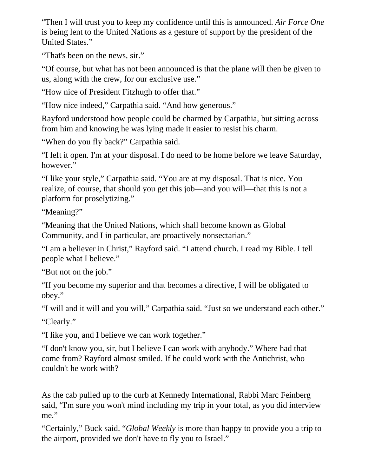"Then I will trust you to keep my confidence until this is announced. *Air Force One* is being lent to the United Nations as a gesture of support by the president of the United States."

"That's been on the news, sir."

"Of course, but what has not been announced is that the plane will then be given to us, along with the crew, for our exclusive use."

"How nice of President Fitzhugh to offer that."

"How nice indeed," Carpathia said. "And how generous."

Rayford understood how people could be charmed by Carpathia, but sitting across from him and knowing he was lying made it easier to resist his charm.

"When do you fly back?" Carpathia said.

"I left it open. I'm at your disposal. I do need to be home before we leave Saturday, however."

"I like your style," Carpathia said. "You are at my disposal. That is nice. You realize, of course, that should you get this job—and you will—that this is not a platform for proselytizing."

"Meaning?"

"Meaning that the United Nations, which shall become known as Global Community, and I in particular, are proactively nonsectarian."

"I am a believer in Christ," Rayford said. "I attend church. I read my Bible. I tell people what I believe."

"But not on the job."

"If you become my superior and that becomes a directive, I will be obligated to obey."

"I will and it will and you will," Carpathia said. "Just so we understand each other." "Clearly."

"I like you, and I believe we can work together."

"I don't know you, sir, but I believe I can work with anybody." Where had that come from? Rayford almost smiled. If he could work with the Antichrist, who couldn't he work with?

As the cab pulled up to the curb at Kennedy International, Rabbi Marc Feinberg said, "I'm sure you won't mind including my trip in your total, as you did interview me."

"Certainly," Buck said. "*Global Weekly* is more than happy to provide you a trip to the airport, provided we don't have to fly you to Israel."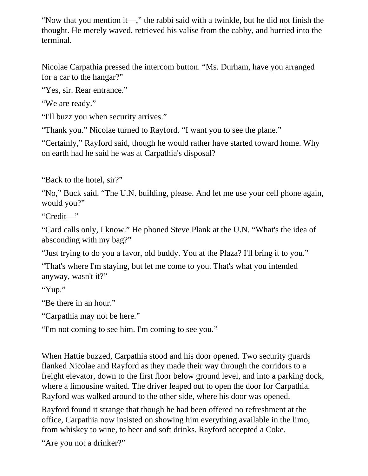"Now that you mention it—," the rabbi said with a twinkle, but he did not finish the thought. He merely waved, retrieved his valise from the cabby, and hurried into the terminal.

Nicolae Carpathia pressed the intercom button. "Ms. Durham, have you arranged for a car to the hangar?"

"Yes, sir. Rear entrance."

"We are ready."

"I'll buzz you when security arrives."

"Thank you." Nicolae turned to Rayford. "I want you to see the plane."

"Certainly," Rayford said, though he would rather have started toward home. Why on earth had he said he was at Carpathia's disposal?

"Back to the hotel, sir?"

"No," Buck said. "The U.N. building, please. And let me use your cell phone again, would you?"

"Credit—"

"Card calls only, I know." He phoned Steve Plank at the U.N. "What's the idea of absconding with my bag?"

"Just trying to do you a favor, old buddy. You at the Plaza? I'll bring it to you."

"That's where I'm staying, but let me come to you. That's what you intended anyway, wasn't it?"

"Yup."

"Be there in an hour."

"Carpathia may not be here."

"I'm not coming to see him. I'm coming to see you."

When Hattie buzzed, Carpathia stood and his door opened. Two security guards flanked Nicolae and Rayford as they made their way through the corridors to a freight elevator, down to the first floor below ground level, and into a parking dock, where a limousine waited. The driver leaped out to open the door for Carpathia. Rayford was walked around to the other side, where his door was opened.

Rayford found it strange that though he had been offered no refreshment at the office, Carpathia now insisted on showing him everything available in the limo, from whiskey to wine, to beer and soft drinks. Rayford accepted a Coke.

"Are you not a drinker?"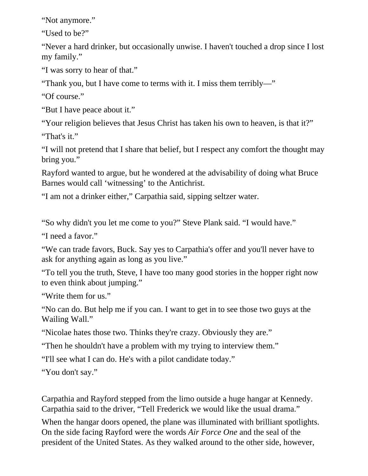"Not anymore."

"Used to be?"

"Never a hard drinker, but occasionally unwise. I haven't touched a drop since I lost my family."

"I was sorry to hear of that."

"Thank you, but I have come to terms with it. I miss them terribly—"

"Of course."

"But I have peace about it."

"Your religion believes that Jesus Christ has taken his own to heaven, is that it?"

"That's it."

"I will not pretend that I share that belief, but I respect any comfort the thought may bring you."

Rayford wanted to argue, but he wondered at the advisability of doing what Bruce Barnes would call 'witnessing' to the Antichrist.

"I am not a drinker either," Carpathia said, sipping seltzer water.

"So why didn't you let me come to you?" Steve Plank said. "I would have."

"I need a favor."

"We can trade favors, Buck. Say yes to Carpathia's offer and you'll never have to ask for anything again as long as you live."

"To tell you the truth, Steve, I have too many good stories in the hopper right now to even think about jumping."

"Write them for us."

"No can do. But help me if you can. I want to get in to see those two guys at the Wailing Wall."

"Nicolae hates those two. Thinks they're crazy. Obviously they are."

"Then he shouldn't have a problem with my trying to interview them."

"I'll see what I can do. He's with a pilot candidate today."

"You don't say."

Carpathia and Rayford stepped from the limo outside a huge hangar at Kennedy. Carpathia said to the driver, "Tell Frederick we would like the usual drama."

When the hangar doors opened, the plane was illuminated with brilliant spotlights. On the side facing Rayford were the words *Air Force One* and the seal of the president of the United States. As they walked around to the other side, however,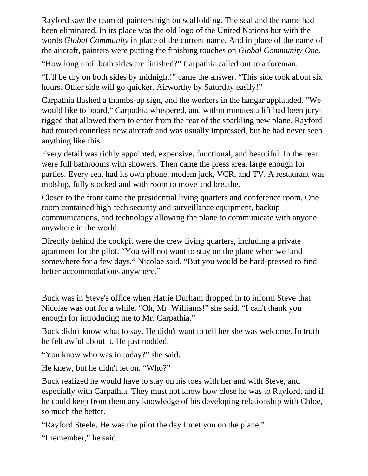Rayford saw the team of painters high on scaffolding. The seal and the name had been eliminated. In its place was the old logo of the United Nations but with the words *Global Community* in place of the current name. And in place of the name of the aircraft, painters were putting the finishing touches on *Global Community One.*

"How long until both sides are finished?" Carpathia called out to a foreman.

"It'll be dry on both sides by midnight!" came the answer. "This side took about six hours. Other side will go quicker. Airworthy by Saturday easily!"

Carpathia flashed a thumbs-up sign, and the workers in the hangar applauded. "We would like to board," Carpathia whispered, and within minutes a lift had been juryrigged that allowed them to enter from the rear of the sparkling new plane. Rayford had toured countless new aircraft and was usually impressed, but he had never seen anything like this.

Every detail was richly appointed, expensive, functional, and beautiful. In the rear were full bathrooms with showers. Then came the press area, large enough for parties. Every seat had its own phone, modem jack, VCR, and TV. A restaurant was midship, fully stocked and with room to move and breathe.

Closer to the front came the presidential living quarters and conference room. One room contained high-tech security and surveillance equipment, backup communications, and technology allowing the plane to communicate with anyone anywhere in the world.

Directly behind the cockpit were the crew living quarters, including a private apartment for the pilot. "You will not want to stay on the plane when we land somewhere for a few days," Nicolae said. "But you would be hard-pressed to find better accommodations anywhere."

Buck was in Steve's office when Hattie Durham dropped in to inform Steve that Nicolae was out for a while. "Oh, Mr. Williams!" she said. "I can't thank you enough for introducing me to Mr. Carpathia."

Buck didn't know what to say. He didn't want to tell her she was welcome. In truth he felt awful about it. He just nodded.

"You know who was in today?" she said.

He knew, but he didn't let on. "Who?"

Buck realized he would have to stay on his toes with her and with Steve, and especially with Carpathia. They must not know how close he was to Rayford, and if he could keep from them any knowledge of his developing relationship with Chloe, so much the better.

"Rayford Steele. He was the pilot the day I met you on the plane."

"I remember," he said.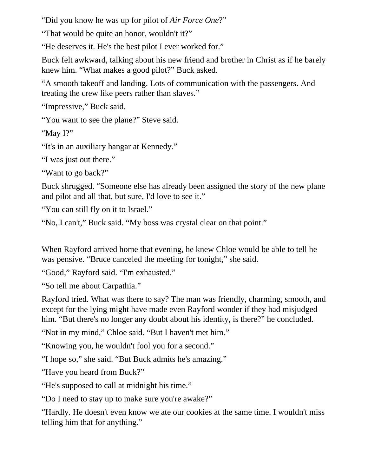"Did you know he was up for pilot of *Air Force One*?"

"That would be quite an honor, wouldn't it?"

"He deserves it. He's the best pilot I ever worked for."

Buck felt awkward, talking about his new friend and brother in Christ as if he barely knew him. "What makes a good pilot?" Buck asked.

"A smooth takeoff and landing. Lots of communication with the passengers. And treating the crew like peers rather than slaves."

"Impressive," Buck said.

"You want to see the plane?" Steve said.

"May I?"

"It's in an auxiliary hangar at Kennedy."

"I was just out there."

"Want to go back?"

Buck shrugged. "Someone else has already been assigned the story of the new plane and pilot and all that, but sure, I'd love to see it."

"You can still fly on it to Israel."

"No, I can't," Buck said. "My boss was crystal clear on that point."

When Rayford arrived home that evening, he knew Chloe would be able to tell he was pensive. "Bruce canceled the meeting for tonight," she said.

"Good," Rayford said. "I'm exhausted."

"So tell me about Carpathia."

Rayford tried. What was there to say? The man was friendly, charming, smooth, and except for the lying might have made even Rayford wonder if they had misjudged him. "But there's no longer any doubt about his identity, is there?" he concluded.

"Not in my mind," Chloe said. "But I haven't met him."

"Knowing you, he wouldn't fool you for a second."

"I hope so," she said. "But Buck admits he's amazing."

"Have you heard from Buck?"

"He's supposed to call at midnight his time."

"Do I need to stay up to make sure you're awake?"

"Hardly. He doesn't even know we ate our cookies at the same time. I wouldn't miss telling him that for anything."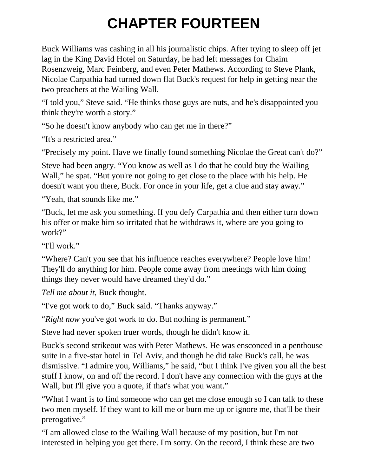## **CHAPTER FOURTEEN**

Buck Williams was cashing in all his journalistic chips. After trying to sleep off jet lag in the King David Hotel on Saturday, he had left messages for Chaim Rosenzweig, Marc Feinberg, and even Peter Mathews. According to Steve Plank, Nicolae Carpathia had turned down flat Buck's request for help in getting near the two preachers at the Wailing Wall.

"I told you," Steve said. "He thinks those guys are nuts, and he's disappointed you think they're worth a story."

"So he doesn't know anybody who can get me in there?"

"It's a restricted area."

"Precisely my point. Have we finally found something Nicolae the Great can't do?"

Steve had been angry. "You know as well as I do that he could buy the Wailing Wall," he spat. "But you're not going to get close to the place with his help. He doesn't want you there, Buck. For once in your life, get a clue and stay away."

"Yeah, that sounds like me."

"Buck, let me ask you something. If you defy Carpathia and then either turn down his offer or make him so irritated that he withdraws it, where are you going to work?"

"I'll work."

"Where? Can't you see that his influence reaches everywhere? People love him! They'll do anything for him. People come away from meetings with him doing things they never would have dreamed they'd do."

*Tell me about it*, Buck thought.

"I've got work to do," Buck said. "Thanks anyway."

"*Right now* you've got work to do. But nothing is permanent."

Steve had never spoken truer words, though he didn't know it.

Buck's second strikeout was with Peter Mathews. He was ensconced in a penthouse suite in a five-star hotel in Tel Aviv, and though he did take Buck's call, he was dismissive. "I admire you, Williams," he said, "but I think I've given you all the best stuff I know, on and off the record. I don't have any connection with the guys at the Wall, but I'll give you a quote, if that's what you want."

"What I want is to find someone who can get me close enough so I can talk to these two men myself. If they want to kill me or burn me up or ignore me, that'll be their prerogative."

"I am allowed close to the Wailing Wall because of my position, but I'm not interested in helping you get there. I'm sorry. On the record, I think these are two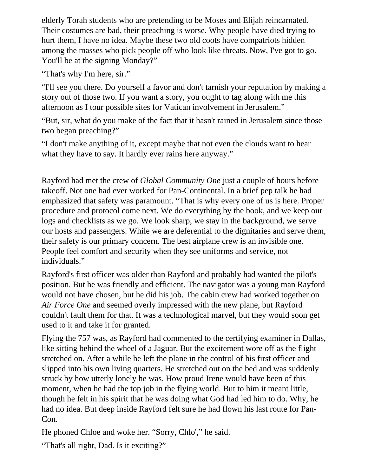elderly Torah students who are pretending to be Moses and Elijah reincarnated. Their costumes are bad, their preaching is worse. Why people have died trying to hurt them, I have no idea. Maybe these two old coots have compatriots hidden among the masses who pick people off who look like threats. Now, I've got to go. You'll be at the signing Monday?"

"That's why I'm here, sir."

"I'll see you there. Do yourself a favor and don't tarnish your reputation by making a story out of those two. If you want a story, you ought to tag along with me this afternoon as I tour possible sites for Vatican involvement in Jerusalem."

"But, sir, what do you make of the fact that it hasn't rained in Jerusalem since those two began preaching?"

"I don't make anything of it, except maybe that not even the clouds want to hear what they have to say. It hardly ever rains here anyway."

Rayford had met the crew of *Global Community One* just a couple of hours before takeoff. Not one had ever worked for Pan-Continental. In a brief pep talk he had emphasized that safety was paramount. "That is why every one of us is here. Proper procedure and protocol come next. We do everything by the book, and we keep our logs and checklists as we go. We look sharp, we stay in the background, we serve our hosts and passengers. While we are deferential to the dignitaries and serve them, their safety is our primary concern. The best airplane crew is an invisible one. People feel comfort and security when they see uniforms and service, not individuals."

Rayford's first officer was older than Rayford and probably had wanted the pilot's position. But he was friendly and efficient. The navigator was a young man Rayford would not have chosen, but he did his job. The cabin crew had worked together on *Air Force One* and seemed overly impressed with the new plane, but Rayford couldn't fault them for that. It was a technological marvel, but they would soon get used to it and take it for granted.

Flying the 757 was, as Rayford had commented to the certifying examiner in Dallas, like sitting behind the wheel of a Jaguar. But the excitement wore off as the flight stretched on. After a while he left the plane in the control of his first officer and slipped into his own living quarters. He stretched out on the bed and was suddenly struck by how utterly lonely he was. How proud Irene would have been of this moment, when he had the top job in the flying world. But to him it meant little, though he felt in his spirit that he was doing what God had led him to do. Why, he had no idea. But deep inside Rayford felt sure he had flown his last route for Pan-Con.

He phoned Chloe and woke her. "Sorry, Chlo'," he said.

"That's all right, Dad. Is it exciting?"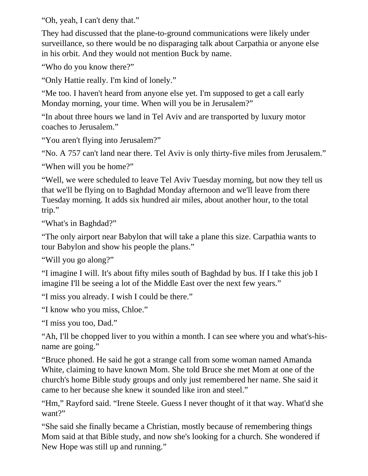"Oh, yeah, I can't deny that."

They had discussed that the plane-to-ground communications were likely under surveillance, so there would be no disparaging talk about Carpathia or anyone else in his orbit. And they would not mention Buck by name.

"Who do you know there?"

"Only Hattie really. I'm kind of lonely."

"Me too. I haven't heard from anyone else yet. I'm supposed to get a call early Monday morning, your time. When will you be in Jerusalem?"

"In about three hours we land in Tel Aviv and are transported by luxury motor coaches to Jerusalem."

"You aren't flying into Jerusalem?"

"No. A 757 can't land near there. Tel Aviv is only thirty-five miles from Jerusalem."

"When will you be home?"

"Well, we were scheduled to leave Tel Aviv Tuesday morning, but now they tell us that we'll be flying on to Baghdad Monday afternoon and we'll leave from there Tuesday morning. It adds six hundred air miles, about another hour, to the total trip."

"What's in Baghdad?"

"The only airport near Babylon that will take a plane this size. Carpathia wants to tour Babylon and show his people the plans."

"Will you go along?"

"I imagine I will. It's about fifty miles south of Baghdad by bus. If I take this job I imagine I'll be seeing a lot of the Middle East over the next few years."

"I miss you already. I wish I could be there."

"I know who you miss, Chloe."

"I miss you too, Dad."

"Ah, I'll be chopped liver to you within a month. I can see where you and what's-hisname are going."

"Bruce phoned. He said he got a strange call from some woman named Amanda White, claiming to have known Mom. She told Bruce she met Mom at one of the church's home Bible study groups and only just remembered her name. She said it came to her because she knew it sounded like iron and steel."

"Hm," Rayford said. "Irene Steele. Guess I never thought of it that way. What'd she want?"

"She said she finally became a Christian, mostly because of remembering things Mom said at that Bible study, and now she's looking for a church. She wondered if New Hope was still up and running."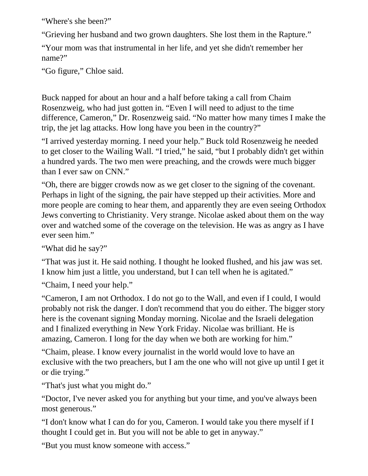"Where's she been?"

"Grieving her husband and two grown daughters. She lost them in the Rapture."

"Your mom was that instrumental in her life, and yet she didn't remember her name?"

"Go figure," Chloe said.

Buck napped for about an hour and a half before taking a call from Chaim Rosenzweig, who had just gotten in. "Even I will need to adjust to the time difference, Cameron," Dr. Rosenzweig said. "No matter how many times I make the trip, the jet lag attacks. How long have you been in the country?"

"I arrived yesterday morning. I need your help." Buck told Rosenzweig he needed to get closer to the Wailing Wall. "I tried," he said, "but I probably didn't get within a hundred yards. The two men were preaching, and the crowds were much bigger than I ever saw on CNN."

"Oh, there are bigger crowds now as we get closer to the signing of the covenant. Perhaps in light of the signing, the pair have stepped up their activities. More and more people are coming to hear them, and apparently they are even seeing Orthodox Jews converting to Christianity. Very strange. Nicolae asked about them on the way over and watched some of the coverage on the television. He was as angry as I have ever seen him."

"What did he say?"

"That was just it. He said nothing. I thought he looked flushed, and his jaw was set. I know him just a little, you understand, but I can tell when he is agitated."

"Chaim, I need your help."

"Cameron, I am not Orthodox. I do not go to the Wall, and even if I could, I would probably not risk the danger. I don't recommend that you do either. The bigger story here is the covenant signing Monday morning. Nicolae and the Israeli delegation and I finalized everything in New York Friday. Nicolae was brilliant. He is amazing, Cameron. I long for the day when we both are working for him."

"Chaim, please. I know every journalist in the world would love to have an exclusive with the two preachers, but I am the one who will not give up until I get it or die trying."

"That's just what you might do."

"Doctor, I've never asked you for anything but your time, and you've always been most generous."

"I don't know what I can do for you, Cameron. I would take you there myself if I thought I could get in. But you will not be able to get in anyway."

"But you must know someone with access."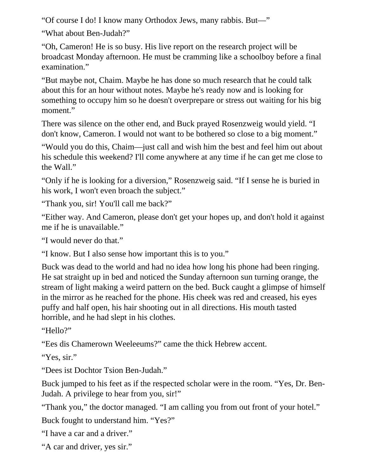"Of course I do! I know many Orthodox Jews, many rabbis. But—"

"What about Ben-Judah?"

"Oh, Cameron! He is so busy. His live report on the research project will be broadcast Monday afternoon. He must be cramming like a schoolboy before a final examination."

"But maybe not, Chaim. Maybe he has done so much research that he could talk about this for an hour without notes. Maybe he's ready now and is looking for something to occupy him so he doesn't overprepare or stress out waiting for his big moment."

There was silence on the other end, and Buck prayed Rosenzweig would yield. "I don't know, Cameron. I would not want to be bothered so close to a big moment."

"Would you do this, Chaim—just call and wish him the best and feel him out about his schedule this weekend? I'll come anywhere at any time if he can get me close to the Wall."

"Only if he is looking for a diversion," Rosenzweig said. "If I sense he is buried in his work, I won't even broach the subject."

"Thank you, sir! You'll call me back?"

"Either way. And Cameron, please don't get your hopes up, and don't hold it against me if he is unavailable."

"I would never do that."

"I know. But I also sense how important this is to you."

Buck was dead to the world and had no idea how long his phone had been ringing. He sat straight up in bed and noticed the Sunday afternoon sun turning orange, the stream of light making a weird pattern on the bed. Buck caught a glimpse of himself in the mirror as he reached for the phone. His cheek was red and creased, his eyes puffy and half open, his hair shooting out in all directions. His mouth tasted horrible, and he had slept in his clothes.

"Hello?"

"Ees dis Chamerown Weeleeums?" came the thick Hebrew accent.

"Yes, sir."

"Dees ist Dochtor Tsion Ben-Judah."

Buck jumped to his feet as if the respected scholar were in the room. "Yes, Dr. Ben-Judah. A privilege to hear from you, sir!"

"Thank you," the doctor managed. "I am calling you from out front of your hotel."

Buck fought to understand him. "Yes?"

"I have a car and a driver."

"A car and driver, yes sir."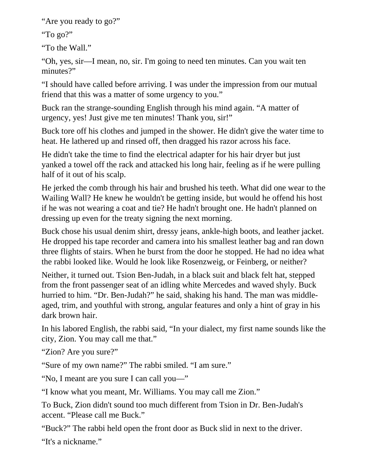"Are you ready to go?"

"To go?"

"To the Wall."

"Oh, yes, sir—I mean, no, sir. I'm going to need ten minutes. Can you wait ten minutes?"

"I should have called before arriving. I was under the impression from our mutual friend that this was a matter of some urgency to you."

Buck ran the strange-sounding English through his mind again. "A matter of urgency, yes! Just give me ten minutes! Thank you, sir!"

Buck tore off his clothes and jumped in the shower. He didn't give the water time to heat. He lathered up and rinsed off, then dragged his razor across his face.

He didn't take the time to find the electrical adapter for his hair dryer but just yanked a towel off the rack and attacked his long hair, feeling as if he were pulling half of it out of his scalp.

He jerked the comb through his hair and brushed his teeth. What did one wear to the Wailing Wall? He knew he wouldn't be getting inside, but would he offend his host if he was not wearing a coat and tie? He hadn't brought one. He hadn't planned on dressing up even for the treaty signing the next morning.

Buck chose his usual denim shirt, dressy jeans, ankle-high boots, and leather jacket. He dropped his tape recorder and camera into his smallest leather bag and ran down three flights of stairs. When he burst from the door he stopped. He had no idea what the rabbi looked like. Would he look like Rosenzweig, or Feinberg, or neither?

Neither, it turned out. Tsion Ben-Judah, in a black suit and black felt hat, stepped from the front passenger seat of an idling white Mercedes and waved shyly. Buck hurried to him. "Dr. Ben-Judah?" he said, shaking his hand. The man was middleaged, trim, and youthful with strong, angular features and only a hint of gray in his dark brown hair.

In his labored English, the rabbi said, "In your dialect, my first name sounds like the city, Zion. You may call me that."

"Zion? Are you sure?"

"Sure of my own name?" The rabbi smiled. "I am sure."

"No, I meant are you sure I can call you—"

"I know what you meant, Mr. Williams. You may call me Zion."

To Buck, Zion didn't sound too much different from Tsion in Dr. Ben-Judah's accent. "Please call me Buck."

"Buck?" The rabbi held open the front door as Buck slid in next to the driver.

"It's a nickname."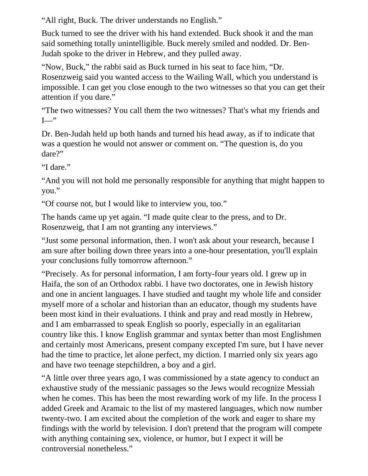"All right, Buck. The driver understands no English."

Buck turned to see the driver with his hand extended. Buck shook it and the man said something totally unintelligible. Buck merely smiled and nodded. Dr. Ben-Judah spoke to the driver in Hebrew, and they pulled away.

"Now, Buck," the rabbi said as Buck turned in his seat to face him, "Dr. Rosenzweig said you wanted access to the Wailing Wall, which you understand is impossible. I can get you close enough to the two witnesses so that you can get their attention if you dare."

"The two witnesses? You call them the two witnesses? That's what my friends and  $I_{\longrightarrow}$ "

Dr. Ben-Judah held up both hands and turned his head away, as if to indicate that was a question he would not answer or comment on. "The question is, do you dare?"

"I dare."

"And you will not hold me personally responsible for anything that might happen to you."

"Of course not, but I would like to interview you, too."

The hands came up yet again. "I made quite clear to the press, and to Dr. Rosenzweig, that I am not granting any interviews."

"Just some personal information, then. I won't ask about your research, because I am sure after boiling down three years into a one-hour presentation, you'll explain your conclusions fully tomorrow afternoon."

"Precisely. As for personal information, I am forty-four years old. I grew up in Haifa, the son of an Orthodox rabbi. I have two doctorates, one in Jewish history and one in ancient languages. I have studied and taught my whole life and consider myself more of a scholar and historian than an educator, though my students have been most kind in their evaluations. I think and pray and read mostly in Hebrew, and I am embarrassed to speak English so poorly, especially in an egalitarian country like this. I know English grammar and syntax better than most Englishmen and certainly most Americans, present company excepted I'm sure, but I have never had the time to practice, let alone perfect, my diction. I married only six years ago and have two teenage stepchildren, a boy and a girl.

"A little over three years ago, I was commissioned by a state agency to conduct an exhaustive study of the messianic passages so the Jews would recognize Messiah when he comes. This has been the most rewarding work of my life. In the process I added Greek and Aramaic to the list of my mastered languages, which now number twenty-two. I am excited about the completion of the work and eager to share my findings with the world by television. I don't pretend that the program will compete with anything containing sex, violence, or humor, but I expect it will be controversial nonetheless."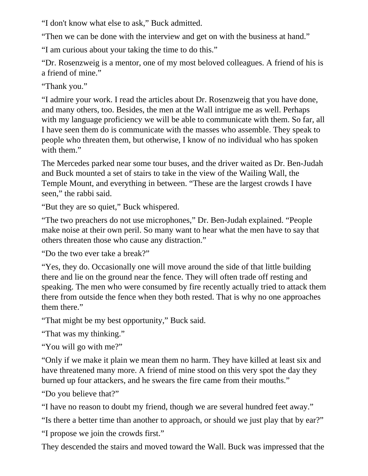"I don't know what else to ask," Buck admitted.

"Then we can be done with the interview and get on with the business at hand."

"I am curious about your taking the time to do this."

"Dr. Rosenzweig is a mentor, one of my most beloved colleagues. A friend of his is a friend of mine."

"Thank you."

"I admire your work. I read the articles about Dr. Rosenzweig that you have done, and many others, too. Besides, the men at the Wall intrigue me as well. Perhaps with my language proficiency we will be able to communicate with them. So far, all I have seen them do is communicate with the masses who assemble. They speak to people who threaten them, but otherwise, I know of no individual who has spoken with them."

The Mercedes parked near some tour buses, and the driver waited as Dr. Ben-Judah and Buck mounted a set of stairs to take in the view of the Wailing Wall, the Temple Mount, and everything in between. "These are the largest crowds I have seen," the rabbi said.

"But they are so quiet," Buck whispered.

"The two preachers do not use microphones," Dr. Ben-Judah explained. "People make noise at their own peril. So many want to hear what the men have to say that others threaten those who cause any distraction."

"Do the two ever take a break?"

"Yes, they do. Occasionally one will move around the side of that little building there and lie on the ground near the fence. They will often trade off resting and speaking. The men who were consumed by fire recently actually tried to attack them there from outside the fence when they both rested. That is why no one approaches them there."

"That might be my best opportunity," Buck said.

"That was my thinking."

"You will go with me?"

"Only if we make it plain we mean them no harm. They have killed at least six and have threatened many more. A friend of mine stood on this very spot the day they burned up four attackers, and he swears the fire came from their mouths."

"Do you believe that?"

"I have no reason to doubt my friend, though we are several hundred feet away."

"Is there a better time than another to approach, or should we just play that by ear?"

"I propose we join the crowds first."

They descended the stairs and moved toward the Wall. Buck was impressed that the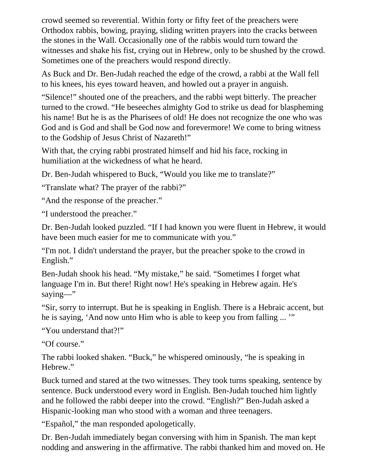crowd seemed so reverential. Within forty or fifty feet of the preachers were Orthodox rabbis, bowing, praying, sliding written prayers into the cracks between the stones in the Wall. Occasionally one of the rabbis would turn toward the witnesses and shake his fist, crying out in Hebrew, only to be shushed by the crowd. Sometimes one of the preachers would respond directly.

As Buck and Dr. Ben-Judah reached the edge of the crowd, a rabbi at the Wall fell to his knees, his eyes toward heaven, and howled out a prayer in anguish.

"Silence!" shouted one of the preachers, and the rabbi wept bitterly. The preacher turned to the crowd. "He beseeches almighty God to strike us dead for blaspheming his name! But he is as the Pharisees of old! He does not recognize the one who was God and is God and shall be God now and forevermore! We come to bring witness to the Godship of Jesus Christ of Nazareth!"

With that, the crying rabbi prostrated himself and hid his face, rocking in humiliation at the wickedness of what he heard.

Dr. Ben-Judah whispered to Buck, "Would you like me to translate?"

"Translate what? The prayer of the rabbi?"

"And the response of the preacher."

"I understood the preacher."

Dr. Ben-Judah looked puzzled. "If I had known you were fluent in Hebrew, it would have been much easier for me to communicate with you."

"I'm not. I didn't understand the prayer, but the preacher spoke to the crowd in English."

Ben-Judah shook his head. "My mistake," he said. "Sometimes I forget what language I'm in. But there! Right now! He's speaking in Hebrew again. He's saying—"

"Sir, sorry to interrupt. But he is speaking in English. There is a Hebraic accent, but he is saying, 'And now unto Him who is able to keep you from falling ... "

"You understand that?!"

"Of course."

The rabbi looked shaken. "Buck," he whispered ominously, "he is speaking in Hebrew."

Buck turned and stared at the two witnesses. They took turns speaking, sentence by sentence. Buck understood every word in English. Ben-Judah touched him lightly and he followed the rabbi deeper into the crowd. "English?" Ben-Judah asked a Hispanic-looking man who stood with a woman and three teenagers.

"Español," the man responded apologetically.

Dr. Ben-Judah immediately began conversing with him in Spanish. The man kept nodding and answering in the affirmative. The rabbi thanked him and moved on. He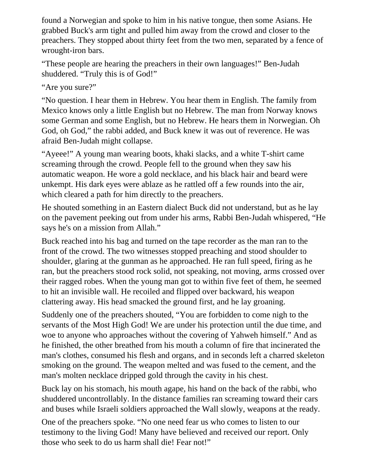found a Norwegian and spoke to him in his native tongue, then some Asians. He grabbed Buck's arm tight and pulled him away from the crowd and closer to the preachers. They stopped about thirty feet from the two men, separated by a fence of wrought-iron bars.

"These people are hearing the preachers in their own languages!" Ben-Judah shuddered. "Truly this is of God!"

"Are you sure?"

"No question. I hear them in Hebrew. You hear them in English. The family from Mexico knows only a little English but no Hebrew. The man from Norway knows some German and some English, but no Hebrew. He hears them in Norwegian. Oh God, oh God," the rabbi added, and Buck knew it was out of reverence. He was afraid Ben-Judah might collapse.

"Ayeee!" A young man wearing boots, khaki slacks, and a white T-shirt came screaming through the crowd. People fell to the ground when they saw his automatic weapon. He wore a gold necklace, and his black hair and beard were unkempt. His dark eyes were ablaze as he rattled off a few rounds into the air, which cleared a path for him directly to the preachers.

He shouted something in an Eastern dialect Buck did not understand, but as he lay on the pavement peeking out from under his arms, Rabbi Ben-Judah whispered, "He says he's on a mission from Allah."

Buck reached into his bag and turned on the tape recorder as the man ran to the front of the crowd. The two witnesses stopped preaching and stood shoulder to shoulder, glaring at the gunman as he approached. He ran full speed, firing as he ran, but the preachers stood rock solid, not speaking, not moving, arms crossed over their ragged robes. When the young man got to within five feet of them, he seemed to hit an invisible wall. He recoiled and flipped over backward, his weapon clattering away. His head smacked the ground first, and he lay groaning.

Suddenly one of the preachers shouted, "You are forbidden to come nigh to the servants of the Most High God! We are under his protection until the due time, and woe to anyone who approaches without the covering of Yahweh himself." And as he finished, the other breathed from his mouth a column of fire that incinerated the man's clothes, consumed his flesh and organs, and in seconds left a charred skeleton smoking on the ground. The weapon melted and was fused to the cement, and the man's molten necklace dripped gold through the cavity in his chest.

Buck lay on his stomach, his mouth agape, his hand on the back of the rabbi, who shuddered uncontrollably. In the distance families ran screaming toward their cars and buses while Israeli soldiers approached the Wall slowly, weapons at the ready.

One of the preachers spoke. "No one need fear us who comes to listen to our testimony to the living God! Many have believed and received our report. Only those who seek to do us harm shall die! Fear not!"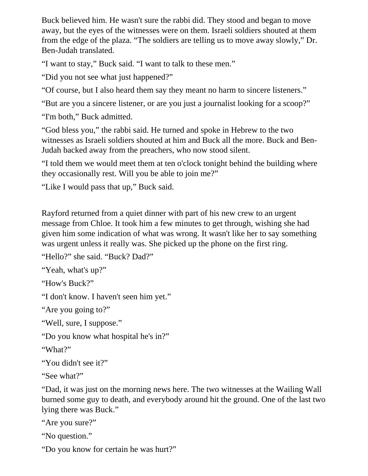Buck believed him. He wasn't sure the rabbi did. They stood and began to move away, but the eyes of the witnesses were on them. Israeli soldiers shouted at them from the edge of the plaza. "The soldiers are telling us to move away slowly," Dr. Ben-Judah translated.

"I want to stay," Buck said. "I want to talk to these men."

"Did you not see what just happened?"

"Of course, but I also heard them say they meant no harm to sincere listeners."

"But are you a sincere listener, or are you just a journalist looking for a scoop?"

"I'm both," Buck admitted.

"God bless you," the rabbi said. He turned and spoke in Hebrew to the two witnesses as Israeli soldiers shouted at him and Buck all the more. Buck and Ben-Judah backed away from the preachers, who now stood silent.

"I told them we would meet them at ten o'clock tonight behind the building where they occasionally rest. Will you be able to join me?"

"Like I would pass that up," Buck said.

Rayford returned from a quiet dinner with part of his new crew to an urgent message from Chloe. It took him a few minutes to get through, wishing she had given him some indication of what was wrong. It wasn't like her to say something was urgent unless it really was. She picked up the phone on the first ring.

```
"Hello?" she said. "Buck? Dad?"
```
"Yeah, what's up?"

"How's Buck?"

"I don't know. I haven't seen him yet."

"Are you going to?"

"Well, sure, I suppose."

"Do you know what hospital he's in?"

"What?"

"You didn't see it?"

"See what?"

"Dad, it was just on the morning news here. The two witnesses at the Wailing Wall burned some guy to death, and everybody around hit the ground. One of the last two lying there was Buck."

"Are you sure?"

"No question."

"Do you know for certain he was hurt?"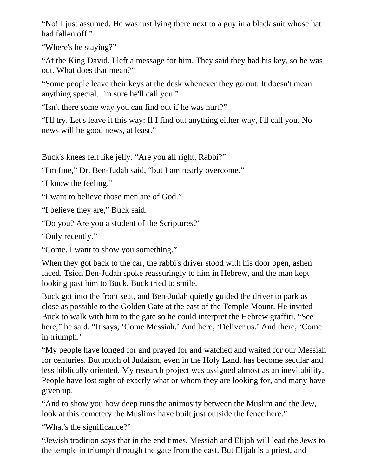"No! I just assumed. He was just lying there next to a guy in a black suit whose hat had fallen off."

"Where's he staying?"

"At the King David. I left a message for him. They said they had his key, so he was out. What does that mean?"

"Some people leave their keys at the desk whenever they go out. It doesn't mean anything special. I'm sure he'll call you."

"Isn't there some way you can find out if he was hurt?"

"I'll try. Let's leave it this way: If I find out anything either way, I'll call you. No news will be good news, at least."

Buck's knees felt like jelly. "Are you all right, Rabbi?"

"I'm fine," Dr. Ben-Judah said, "but I am nearly overcome."

"I know the feeling."

"I want to believe those men are of God."

"I believe they are," Buck said.

"Do you? Are you a student of the Scriptures?"

"Only recently."

"Come. I want to show you something."

When they got back to the car, the rabbi's driver stood with his door open, ashen faced. Tsion Ben-Judah spoke reassuringly to him in Hebrew, and the man kept looking past him to Buck. Buck tried to smile.

Buck got into the front seat, and Ben-Judah quietly guided the driver to park as close as possible to the Golden Gate at the east of the Temple Mount. He invited Buck to walk with him to the gate so he could interpret the Hebrew graffiti. "See here," he said. "It says, 'Come Messiah.' And here, 'Deliver us.' And there, 'Come in triumph.'

"My people have longed for and prayed for and watched and waited for our Messiah for centuries. But much of Judaism, even in the Holy Land, has become secular and less biblically oriented. My research project was assigned almost as an inevitability. People have lost sight of exactly what or whom they are looking for, and many have given up.

"And to show you how deep runs the animosity between the Muslim and the Jew, look at this cemetery the Muslims have built just outside the fence here."

"What's the significance?"

"Jewish tradition says that in the end times, Messiah and Elijah will lead the Jews to the temple in triumph through the gate from the east. But Elijah is a priest, and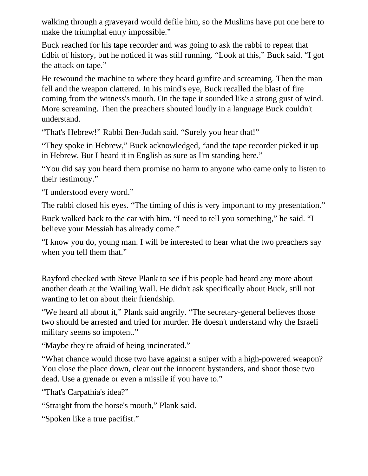walking through a graveyard would defile him, so the Muslims have put one here to make the triumphal entry impossible."

Buck reached for his tape recorder and was going to ask the rabbi to repeat that tidbit of history, but he noticed it was still running. "Look at this," Buck said. "I got the attack on tape."

He rewound the machine to where they heard gunfire and screaming. Then the man fell and the weapon clattered. In his mind's eye, Buck recalled the blast of fire coming from the witness's mouth. On the tape it sounded like a strong gust of wind. More screaming. Then the preachers shouted loudly in a language Buck couldn't understand.

"That's Hebrew!" Rabbi Ben-Judah said. "Surely you hear that!"

"They spoke in Hebrew," Buck acknowledged, "and the tape recorder picked it up in Hebrew. But I heard it in English as sure as I'm standing here."

"You did say you heard them promise no harm to anyone who came only to listen to their testimony."

"I understood every word."

The rabbi closed his eyes. "The timing of this is very important to my presentation."

Buck walked back to the car with him. "I need to tell you something," he said. "I believe your Messiah has already come."

"I know you do, young man. I will be interested to hear what the two preachers say when you tell them that."

Rayford checked with Steve Plank to see if his people had heard any more about another death at the Wailing Wall. He didn't ask specifically about Buck, still not wanting to let on about their friendship.

"We heard all about it," Plank said angrily. "The secretary-general believes those two should be arrested and tried for murder. He doesn't understand why the Israeli military seems so impotent."

"Maybe they're afraid of being incinerated."

"What chance would those two have against a sniper with a high-powered weapon? You close the place down, clear out the innocent bystanders, and shoot those two dead. Use a grenade or even a missile if you have to."

"That's Carpathia's idea?"

"Straight from the horse's mouth," Plank said.

"Spoken like a true pacifist."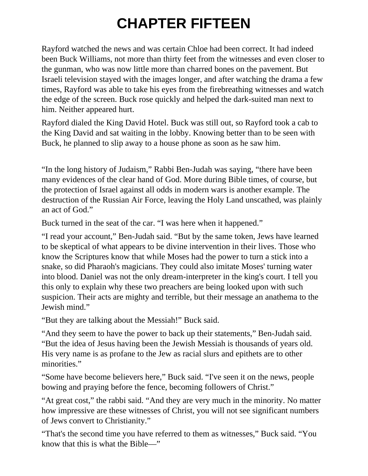## **CHAPTER FIFTEEN**

Rayford watched the news and was certain Chloe had been correct. It had indeed been Buck Williams, not more than thirty feet from the witnesses and even closer to the gunman, who was now little more than charred bones on the pavement. But Israeli television stayed with the images longer, and after watching the drama a few times, Rayford was able to take his eyes from the firebreathing witnesses and watch the edge of the screen. Buck rose quickly and helped the dark-suited man next to him. Neither appeared hurt.

Rayford dialed the King David Hotel. Buck was still out, so Rayford took a cab to the King David and sat waiting in the lobby. Knowing better than to be seen with Buck, he planned to slip away to a house phone as soon as he saw him.

"In the long history of Judaism," Rabbi Ben-Judah was saying, "there have been many evidences of the clear hand of God. More during Bible times, of course, but the protection of Israel against all odds in modern wars is another example. The destruction of the Russian Air Force, leaving the Holy Land unscathed, was plainly an act of God."

Buck turned in the seat of the car. "I was here when it happened."

"I read your account," Ben-Judah said. "But by the same token, Jews have learned to be skeptical of what appears to be divine intervention in their lives. Those who know the Scriptures know that while Moses had the power to turn a stick into a snake, so did Pharaoh's magicians. They could also imitate Moses' turning water into blood. Daniel was not the only dream-interpreter in the king's court. I tell you this only to explain why these two preachers are being looked upon with such suspicion. Their acts are mighty and terrible, but their message an anathema to the Jewish mind."

"But they are talking about the Messiah!" Buck said.

"And they seem to have the power to back up their statements," Ben-Judah said. "But the idea of Jesus having been the Jewish Messiah is thousands of years old. His very name is as profane to the Jew as racial slurs and epithets are to other minorities."

"Some have become believers here," Buck said. "I've seen it on the news, people bowing and praying before the fence, becoming followers of Christ."

"At great cost," the rabbi said. "And they are very much in the minority. No matter how impressive are these witnesses of Christ, you will not see significant numbers of Jews convert to Christianity."

"That's the second time you have referred to them as witnesses," Buck said. "You know that this is what the Bible—"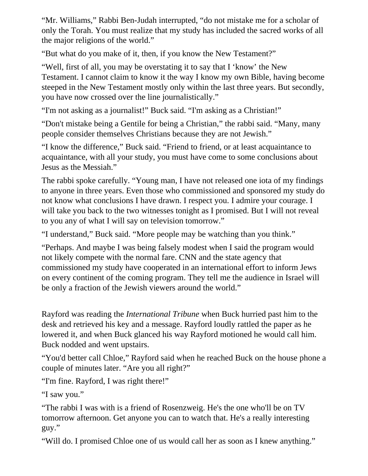"Mr. Williams," Rabbi Ben-Judah interrupted, "do not mistake me for a scholar of only the Torah. You must realize that my study has included the sacred works of all the major religions of the world."

"But what do you make of it, then, if you know the New Testament?"

"Well, first of all, you may be overstating it to say that I 'know' the New Testament. I cannot claim to know it the way I know my own Bible, having become steeped in the New Testament mostly only within the last three years. But secondly, you have now crossed over the line journalistically."

"I'm not asking as a journalist!" Buck said. "I'm asking as a Christian!"

"Don't mistake being a Gentile for being a Christian," the rabbi said. "Many, many people consider themselves Christians because they are not Jewish."

"I know the difference," Buck said. "Friend to friend, or at least acquaintance to acquaintance, with all your study, you must have come to some conclusions about Jesus as the Messiah."

The rabbi spoke carefully. "Young man, I have not released one iota of my findings to anyone in three years. Even those who commissioned and sponsored my study do not know what conclusions I have drawn. I respect you. I admire your courage. I will take you back to the two witnesses tonight as I promised. But I will not reveal to you any of what I will say on television tomorrow."

"I understand," Buck said. "More people may be watching than you think."

"Perhaps. And maybe I was being falsely modest when I said the program would not likely compete with the normal fare. CNN and the state agency that commissioned my study have cooperated in an international effort to inform Jews on every continent of the coming program. They tell me the audience in Israel will be only a fraction of the Jewish viewers around the world."

Rayford was reading the *International Tribune* when Buck hurried past him to the desk and retrieved his key and a message. Rayford loudly rattled the paper as he lowered it, and when Buck glanced his way Rayford motioned he would call him. Buck nodded and went upstairs.

"You'd better call Chloe," Rayford said when he reached Buck on the house phone a couple of minutes later. "Are you all right?"

"I'm fine. Rayford, I was right there!"

"I saw you."

"The rabbi I was with is a friend of Rosenzweig. He's the one who'll be on TV tomorrow afternoon. Get anyone you can to watch that. He's a really interesting guy."

"Will do. I promised Chloe one of us would call her as soon as I knew anything."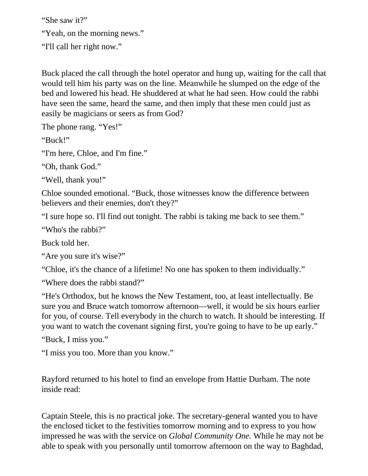```
"She saw it?"
"Yeah, on the morning news."
"I'll call her right now."
```
Buck placed the call through the hotel operator and hung up, waiting for the call that would tell him his party was on the line. Meanwhile he slumped on the edge of the bed and lowered his head. He shuddered at what he had seen. How could the rabbi have seen the same, heard the same, and then imply that these men could just as easily be magicians or seers as from God?

The phone rang. "Yes!"

"Buck!"

"I'm here, Chloe, and I'm fine."

"Oh, thank God."

"Well, thank you!"

Chloe sounded emotional. "Buck, those witnesses know the difference between believers and their enemies, don't they?"

"I sure hope so. I'll find out tonight. The rabbi is taking me back to see them."

"Who's the rabbi?"

Buck told her.

"Are you sure it's wise?"

"Chloe, it's the chance of a lifetime! No one has spoken to them individually."

"Where does the rabbi stand?"

"He's Orthodox, but he knows the New Testament, too, at least intellectually. Be sure you and Bruce watch tomorrow afternoon—well, it would be six hours earlier for you, of course. Tell everybody in the church to watch. It should be interesting. If you want to watch the covenant signing first, you're going to have to be up early."

"Buck, I miss you."

"I miss you too. More than you know."

Rayford returned to his hotel to find an envelope from Hattie Durham. The note inside read:

Captain Steele, this is no practical joke. The secretary-general wanted you to have the enclosed ticket to the festivities tomorrow morning and to express to you how impressed he was with the service on *Global Community One.* While he may not be able to speak with you personally until tomorrow afternoon on the way to Baghdad,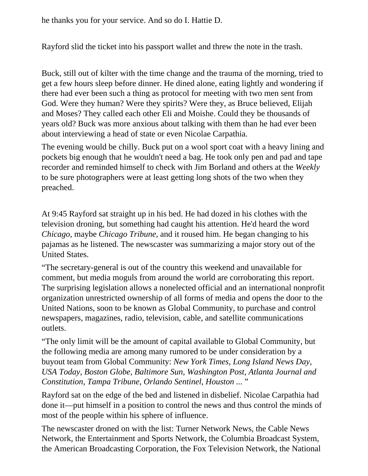he thanks you for your service. And so do I. Hattie D.

Rayford slid the ticket into his passport wallet and threw the note in the trash.

Buck, still out of kilter with the time change and the trauma of the morning, tried to get a few hours sleep before dinner. He dined alone, eating lightly and wondering if there had ever been such a thing as protocol for meeting with two men sent from God. Were they human? Were they spirits? Were they, as Bruce believed, Elijah and Moses? They called each other Eli and Moishe. Could they be thousands of years old? Buck was more anxious about talking with them than he had ever been about interviewing a head of state or even Nicolae Carpathia.

The evening would be chilly. Buck put on a wool sport coat with a heavy lining and pockets big enough that he wouldn't need a bag. He took only pen and pad and tape recorder and reminded himself to check with Jim Borland and others at the *Weekly*  to be sure photographers were at least getting long shots of the two when they preached.

At 9:45 Rayford sat straight up in his bed. He had dozed in his clothes with the television droning, but something had caught his attention. He'd heard the word *Chicago,* maybe *Chicago Tribune,* and it roused him. He began changing to his pajamas as he listened. The newscaster was summarizing a major story out of the United States.

"The secretary-general is out of the country this weekend and unavailable for comment, but media moguls from around the world are corroborating this report. The surprising legislation allows a nonelected official and an international nonprofit organization unrestricted ownership of all forms of media and opens the door to the United Nations, soon to be known as Global Community, to purchase and control newspapers, magazines, radio, television, cable, and satellite communications outlets.

"The only limit will be the amount of capital available to Global Community, but the following media are among many rumored to be under consideration by a buyout team from Global Community: *New York Times, Long Island News Day, USA Today, Boston Globe, Baltimore Sun, Washington Post, Atlanta Journal and Constitution, Tampa Tribune, Orlando Sentinel, Houston ...* "

Rayford sat on the edge of the bed and listened in disbelief. Nicolae Carpathia had done it—put himself in a position to control the news and thus control the minds of most of the people within his sphere of influence.

The newscaster droned on with the list: Turner Network News, the Cable News Network, the Entertainment and Sports Network, the Columbia Broadcast System, the American Broadcasting Corporation, the Fox Television Network, the National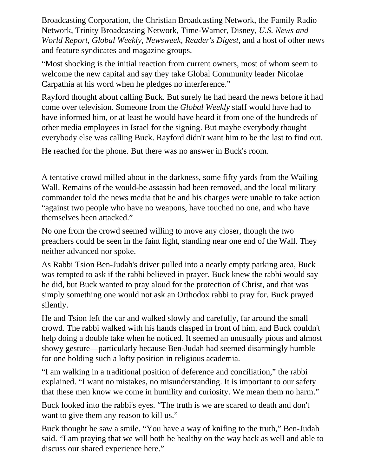Broadcasting Corporation, the Christian Broadcasting Network, the Family Radio Network, Trinity Broadcasting Network, Time-Warner, Disney, *U.S. News and World Report, Global Weekly, Newsweek, Reader's Digest,* and a host of other news and feature syndicates and magazine groups.

"Most shocking is the initial reaction from current owners, most of whom seem to welcome the new capital and say they take Global Community leader Nicolae Carpathia at his word when he pledges no interference."

Rayford thought about calling Buck. But surely he had heard the news before it had come over television. Someone from the *Global Weekly* staff would have had to have informed him, or at least he would have heard it from one of the hundreds of other media employees in Israel for the signing. But maybe everybody thought everybody else was calling Buck. Rayford didn't want him to be the last to find out.

He reached for the phone. But there was no answer in Buck's room.

A tentative crowd milled about in the darkness, some fifty yards from the Wailing Wall. Remains of the would-be assassin had been removed, and the local military commander told the news media that he and his charges were unable to take action "against two people who have no weapons, have touched no one, and who have themselves been attacked."

No one from the crowd seemed willing to move any closer, though the two preachers could be seen in the faint light, standing near one end of the Wall. They neither advanced nor spoke.

As Rabbi Tsion Ben-Judah's driver pulled into a nearly empty parking area, Buck was tempted to ask if the rabbi believed in prayer. Buck knew the rabbi would say he did, but Buck wanted to pray aloud for the protection of Christ, and that was simply something one would not ask an Orthodox rabbi to pray for. Buck prayed silently.

He and Tsion left the car and walked slowly and carefully, far around the small crowd. The rabbi walked with his hands clasped in front of him, and Buck couldn't help doing a double take when he noticed. It seemed an unusually pious and almost showy gesture—particularly because Ben-Judah had seemed disarmingly humble for one holding such a lofty position in religious academia.

"I am walking in a traditional position of deference and conciliation," the rabbi explained. "I want no mistakes, no misunderstanding. It is important to our safety that these men know we come in humility and curiosity. We mean them no harm."

Buck looked into the rabbi's eyes. "The truth is we are scared to death and don't want to give them any reason to kill us."

Buck thought he saw a smile. "You have a way of knifing to the truth," Ben-Judah said. "I am praying that we will both be healthy on the way back as well and able to discuss our shared experience here."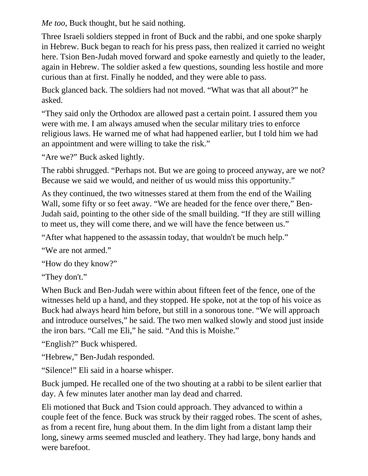*Me too*, Buck thought, but he said nothing.

Three Israeli soldiers stepped in front of Buck and the rabbi, and one spoke sharply in Hebrew. Buck began to reach for his press pass, then realized it carried no weight here. Tsion Ben-Judah moved forward and spoke earnestly and quietly to the leader, again in Hebrew. The soldier asked a few questions, sounding less hostile and more curious than at first. Finally he nodded, and they were able to pass.

Buck glanced back. The soldiers had not moved. "What was that all about?" he asked.

"They said only the Orthodox are allowed past a certain point. I assured them you were with me. I am always amused when the secular military tries to enforce religious laws. He warned me of what had happened earlier, but I told him we had an appointment and were willing to take the risk."

```
"Are we?" Buck asked lightly.
```
The rabbi shrugged. "Perhaps not. But we are going to proceed anyway, are we not? Because we said we would, and neither of us would miss this opportunity."

As they continued, the two witnesses stared at them from the end of the Wailing Wall, some fifty or so feet away. "We are headed for the fence over there," Ben-Judah said, pointing to the other side of the small building. "If they are still willing to meet us, they will come there, and we will have the fence between us."

"After what happened to the assassin today, that wouldn't be much help."

"We are not armed."

"How do they know?"

"They don't."

When Buck and Ben-Judah were within about fifteen feet of the fence, one of the witnesses held up a hand, and they stopped. He spoke, not at the top of his voice as Buck had always heard him before, but still in a sonorous tone. "We will approach and introduce ourselves," he said. The two men walked slowly and stood just inside the iron bars. "Call me Eli," he said. "And this is Moishe."

"English?" Buck whispered.

"Hebrew," Ben-Judah responded.

"Silence!" Eli said in a hoarse whisper.

Buck jumped. He recalled one of the two shouting at a rabbi to be silent earlier that day. A few minutes later another man lay dead and charred.

Eli motioned that Buck and Tsion could approach. They advanced to within a couple feet of the fence. Buck was struck by their ragged robes. The scent of ashes, as from a recent fire, hung about them. In the dim light from a distant lamp their long, sinewy arms seemed muscled and leathery. They had large, bony hands and were barefoot.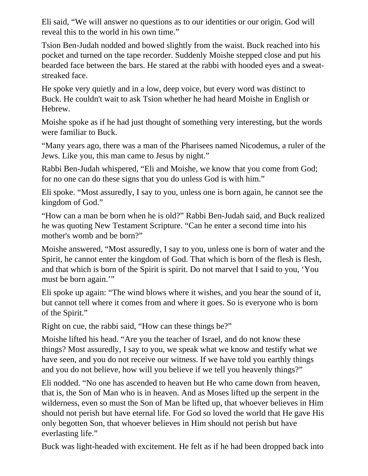Eli said, "We will answer no questions as to our identities or our origin. God will reveal this to the world in his own time."

Tsion Ben-Judah nodded and bowed slightly from the waist. Buck reached into his pocket and turned on the tape recorder. Suddenly Moishe stepped close and put his bearded face between the bars. He stared at the rabbi with hooded eyes and a sweatstreaked face.

He spoke very quietly and in a low, deep voice, but every word was distinct to Buck. He couldn't wait to ask Tsion whether he had heard Moishe in English or Hebrew.

Moishe spoke as if he had just thought of something very interesting, but the words were familiar to Buck.

"Many years ago, there was a man of the Pharisees named Nicodemus, a ruler of the Jews. Like you, this man came to Jesus by night."

Rabbi Ben-Judah whispered, "Eli and Moishe, we know that you come from God; for no one can do these signs that you do unless God is with him."

Eli spoke. "Most assuredly, I say to you, unless one is born again, he cannot see the kingdom of God."

"How can a man be born when he is old?" Rabbi Ben-Judah said, and Buck realized he was quoting New Testament Scripture. "Can he enter a second time into his mother's womb and be born?"

Moishe answered, "Most assuredly, I say to you, unless one is born of water and the Spirit, he cannot enter the kingdom of God. That which is born of the flesh is flesh, and that which is born of the Spirit is spirit. Do not marvel that I said to you, 'You must be born again."

Eli spoke up again: "The wind blows where it wishes, and you hear the sound of it, but cannot tell where it comes from and where it goes. So is everyone who is born of the Spirit."

Right on cue, the rabbi said, "How can these things be?"

Moishe lifted his head. "Are you the teacher of Israel, and do not know these things? Most assuredly, I say to you, we speak what we know and testify what we have seen, and you do not receive our witness. If we have told you earthly things and you do not believe, how will you believe if we tell you heavenly things?"

Eli nodded. "No one has ascended to heaven but He who came down from heaven, that is, the Son of Man who is in heaven. And as Moses lifted up the serpent in the wilderness, even so must the Son of Man be lifted up, that whoever believes in Him should not perish but have eternal life. For God so loved the world that He gave His only begotten Son, that whoever believes in Him should not perish but have everlasting life."

Buck was light-headed with excitement. He felt as if he had been dropped back into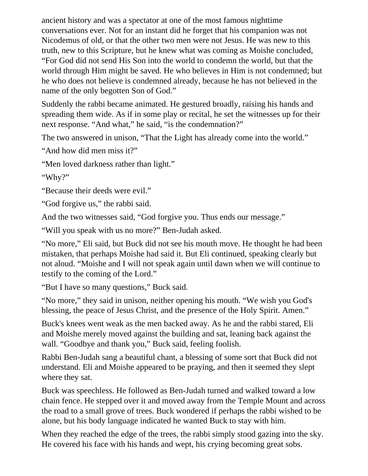ancient history and was a spectator at one of the most famous nighttime conversations ever. Not for an instant did he forget that his companion was not Nicodemus of old, or that the other two men were not Jesus. He was new to this truth, new to this Scripture, but he knew what was coming as Moishe concluded, "For God did not send His Son into the world to condemn the world, but that the world through Him might be saved. He who believes in Him is not condemned; but he who does not believe is condemned already, because he has not believed in the name of the only begotten Son of God."

Suddenly the rabbi became animated. He gestured broadly, raising his hands and spreading them wide. As if in some play or recital, he set the witnesses up for their next response. "And what," he said, "is the condemnation?"

The two answered in unison, "That the Light has already come into the world."

"And how did men miss it?"

"Men loved darkness rather than light."

"Why?"

"Because their deeds were evil."

"God forgive us," the rabbi said.

And the two witnesses said, "God forgive you. Thus ends our message."

"Will you speak with us no more?" Ben-Judah asked.

"No more," Eli said, but Buck did not see his mouth move. He thought he had been mistaken, that perhaps Moishe had said it. But Eli continued, speaking clearly but not aloud. "Moishe and I will not speak again until dawn when we will continue to testify to the coming of the Lord."

"But I have so many questions," Buck said.

"No more," they said in unison, neither opening his mouth. "We wish you God's blessing, the peace of Jesus Christ, and the presence of the Holy Spirit. Amen."

Buck's knees went weak as the men backed away. As he and the rabbi stared, Eli and Moishe merely moved against the building and sat, leaning back against the wall. "Goodbye and thank you," Buck said, feeling foolish.

Rabbi Ben-Judah sang a beautiful chant, a blessing of some sort that Buck did not understand. Eli and Moishe appeared to be praying, and then it seemed they slept where they sat.

Buck was speechless. He followed as Ben-Judah turned and walked toward a low chain fence. He stepped over it and moved away from the Temple Mount and across the road to a small grove of trees. Buck wondered if perhaps the rabbi wished to be alone, but his body language indicated he wanted Buck to stay with him.

When they reached the edge of the trees, the rabbi simply stood gazing into the sky. He covered his face with his hands and wept, his crying becoming great sobs.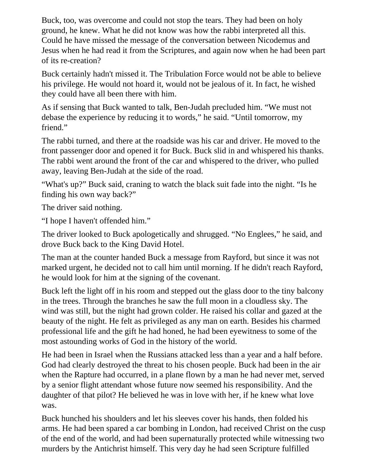Buck, too, was overcome and could not stop the tears. They had been on holy ground, he knew. What he did not know was how the rabbi interpreted all this. Could he have missed the message of the conversation between Nicodemus and Jesus when he had read it from the Scriptures, and again now when he had been part of its re-creation?

Buck certainly hadn't missed it. The Tribulation Force would not be able to believe his privilege. He would not hoard it, would not be jealous of it. In fact, he wished they could have all been there with him.

As if sensing that Buck wanted to talk, Ben-Judah precluded him. "We must not debase the experience by reducing it to words," he said. "Until tomorrow, my friend."

The rabbi turned, and there at the roadside was his car and driver. He moved to the front passenger door and opened it for Buck. Buck slid in and whispered his thanks. The rabbi went around the front of the car and whispered to the driver, who pulled away, leaving Ben-Judah at the side of the road.

"What's up?" Buck said, craning to watch the black suit fade into the night. "Is he finding his own way back?"

The driver said nothing.

"I hope I haven't offended him."

The driver looked to Buck apologetically and shrugged. "No Englees," he said, and drove Buck back to the King David Hotel.

The man at the counter handed Buck a message from Rayford, but since it was not marked urgent, he decided not to call him until morning. If he didn't reach Rayford, he would look for him at the signing of the covenant.

Buck left the light off in his room and stepped out the glass door to the tiny balcony in the trees. Through the branches he saw the full moon in a cloudless sky. The wind was still, but the night had grown colder. He raised his collar and gazed at the beauty of the night. He felt as privileged as any man on earth. Besides his charmed professional life and the gift he had honed, he had been eyewitness to some of the most astounding works of God in the history of the world.

He had been in Israel when the Russians attacked less than a year and a half before. God had clearly destroyed the threat to his chosen people. Buck had been in the air when the Rapture had occurred, in a plane flown by a man he had never met, served by a senior flight attendant whose future now seemed his responsibility. And the daughter of that pilot? He believed he was in love with her, if he knew what love was.

Buck hunched his shoulders and let his sleeves cover his hands, then folded his arms. He had been spared a car bombing in London, had received Christ on the cusp of the end of the world, and had been supernaturally protected while witnessing two murders by the Antichrist himself. This very day he had seen Scripture fulfilled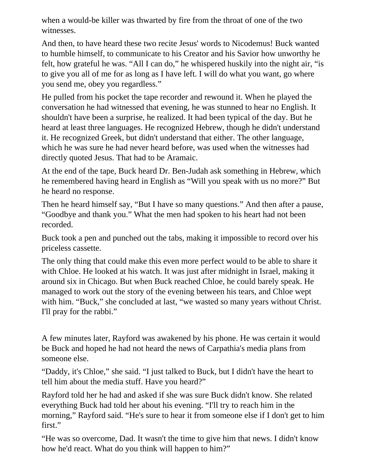when a would-be killer was thwarted by fire from the throat of one of the two witnesses.

And then, to have heard these two recite Jesus' words to Nicodemus! Buck wanted to humble himself, to communicate to his Creator and his Savior how unworthy he felt, how grateful he was. "All I can do," he whispered huskily into the night air, "is to give you all of me for as long as I have left. I will do what you want, go where you send me, obey you regardless."

He pulled from his pocket the tape recorder and rewound it. When he played the conversation he had witnessed that evening, he was stunned to hear no English. It shouldn't have been a surprise, he realized. It had been typical of the day. But he heard at least three languages. He recognized Hebrew, though he didn't understand it. He recognized Greek, but didn't understand that either. The other language, which he was sure he had never heard before, was used when the witnesses had directly quoted Jesus. That had to be Aramaic.

At the end of the tape, Buck heard Dr. Ben-Judah ask something in Hebrew, which he remembered having heard in English as "Will you speak with us no more?" But he heard no response.

Then he heard himself say, "But I have so many questions." And then after a pause, "Goodbye and thank you." What the men had spoken to his heart had not been recorded.

Buck took a pen and punched out the tabs, making it impossible to record over his priceless cassette.

The only thing that could make this even more perfect would to be able to share it with Chloe. He looked at his watch. It was just after midnight in Israel, making it around six in Chicago. But when Buck reached Chloe, he could barely speak. He managed to work out the story of the evening between his tears, and Chloe wept with him. "Buck," she concluded at last, "we wasted so many years without Christ. I'll pray for the rabbi."

A few minutes later, Rayford was awakened by his phone. He was certain it would be Buck and hoped he had not heard the news of Carpathia's media plans from someone else.

"Daddy, it's Chloe," she said. "I just talked to Buck, but I didn't have the heart to tell him about the media stuff. Have you heard?"

Rayford told her he had and asked if she was sure Buck didn't know. She related everything Buck had told her about his evening. "I'll try to reach him in the morning," Rayford said. "He's sure to hear it from someone else if I don't get to him first."

"He was so overcome, Dad. It wasn't the time to give him that news. I didn't know how he'd react. What do you think will happen to him?"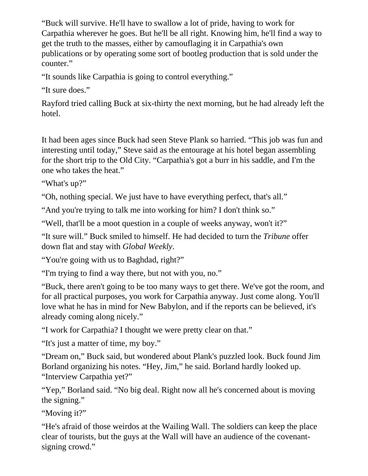"Buck will survive. He'll have to swallow a lot of pride, having to work for Carpathia wherever he goes. But he'll be all right. Knowing him, he'll find a way to get the truth to the masses, either by camouflaging it in Carpathia's own publications or by operating some sort of bootleg production that is sold under the counter."

"It sounds like Carpathia is going to control everything."

"It sure does."

Rayford tried calling Buck at six-thirty the next morning, but he had already left the hotel.

It had been ages since Buck had seen Steve Plank so harried. "This job was fun and interesting until today," Steve said as the entourage at his hotel began assembling for the short trip to the Old City. "Carpathia's got a burr in his saddle, and I'm the one who takes the heat."

"What's up?"

"Oh, nothing special. We just have to have everything perfect, that's all."

"And you're trying to talk me into working for him? I don't think so."

"Well, that'll be a moot question in a couple of weeks anyway, won't it?"

"It sure will." Buck smiled to himself. He had decided to turn the *Tribune* offer down flat and stay with *Global Weekly*.

"You're going with us to Baghdad, right?"

"I'm trying to find a way there, but not with you, no."

"Buck, there aren't going to be too many ways to get there. We've got the room, and for all practical purposes, you work for Carpathia anyway. Just come along. You'll love what he has in mind for New Babylon, and if the reports can be believed, it's already coming along nicely."

"I work for Carpathia? I thought we were pretty clear on that."

"It's just a matter of time, my boy."

"Dream on," Buck said, but wondered about Plank's puzzled look. Buck found Jim Borland organizing his notes. "Hey, Jim," he said. Borland hardly looked up. "Interview Carpathia yet?"

"Yep," Borland said. "No big deal. Right now all he's concerned about is moving the signing."

"Moving it?"

"He's afraid of those weirdos at the Wailing Wall. The soldiers can keep the place clear of tourists, but the guys at the Wall will have an audience of the covenantsigning crowd."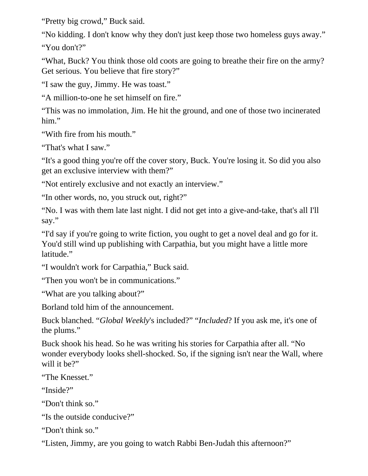"Pretty big crowd," Buck said.

"No kidding. I don't know why they don't just keep those two homeless guys away." "You don't?"

"What, Buck? You think those old coots are going to breathe their fire on the army? Get serious. You believe that fire story?"

"I saw the guy, Jimmy. He was toast."

"A million-to-one he set himself on fire."

"This was no immolation, Jim. He hit the ground, and one of those two incinerated him."

"With fire from his mouth."

"That's what I saw."

"It's a good thing you're off the cover story, Buck. You're losing it. So did you also get an exclusive interview with them?"

"Not entirely exclusive and not exactly an interview."

"In other words, no, you struck out, right?"

"No. I was with them late last night. I did not get into a give-and-take, that's all I'll say."

"I'd say if you're going to write fiction, you ought to get a novel deal and go for it. You'd still wind up publishing with Carpathia, but you might have a little more latitude."

"I wouldn't work for Carpathia," Buck said.

"Then you won't be in communications."

"What are you talking about?"

Borland told him of the announcement.

Buck blanched. "*Global Weekly*'s included?" "*Included*? If you ask me, it's one of the plums."

Buck shook his head. So he was writing his stories for Carpathia after all. "No wonder everybody looks shell-shocked. So, if the signing isn't near the Wall, where will it be?"

"The Knesset."

"Inside?"

"Don't think so."

"Is the outside conducive?"

"Don't think so."

"Listen, Jimmy, are you going to watch Rabbi Ben-Judah this afternoon?"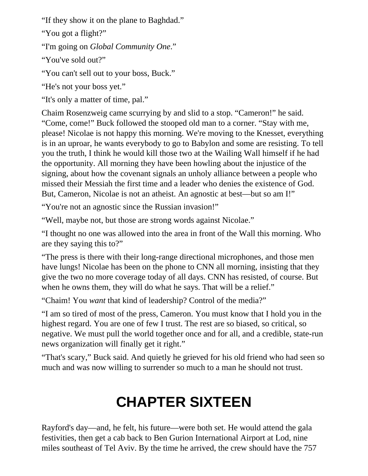"If they show it on the plane to Baghdad."

"You got a flight?"

"I'm going on *Global Community One*."

"You've sold out?"

"You can't sell out to your boss, Buck."

"He's not your boss yet."

"It's only a matter of time, pal."

Chaim Rosenzweig came scurrying by and slid to a stop. "Cameron!" he said. "Come, come!" Buck followed the stooped old man to a corner. "Stay with me, please! Nicolae is not happy this morning. We're moving to the Knesset, everything is in an uproar, he wants everybody to go to Babylon and some are resisting. To tell you the truth, I think he would kill those two at the Wailing Wall himself if he had the opportunity. All morning they have been howling about the injustice of the signing, about how the covenant signals an unholy alliance between a people who missed their Messiah the first time and a leader who denies the existence of God. But, Cameron, Nicolae is not an atheist. An agnostic at best—but so am I!"

"You're not an agnostic since the Russian invasion!"

"Well, maybe not, but those are strong words against Nicolae."

"I thought no one was allowed into the area in front of the Wall this morning. Who are they saying this to?"

"The press is there with their long-range directional microphones, and those men have lungs! Nicolae has been on the phone to CNN all morning, insisting that they give the two no more coverage today of all days. CNN has resisted, of course. But when he owns them, they will do what he says. That will be a relief."

"Chaim! You *want* that kind of leadership? Control of the media?"

"I am so tired of most of the press, Cameron. You must know that I hold you in the highest regard. You are one of few I trust. The rest are so biased, so critical, so negative. We must pull the world together once and for all, and a credible, state-run news organization will finally get it right."

"That's scary," Buck said. And quietly he grieved for his old friend who had seen so much and was now willing to surrender so much to a man he should not trust.

## **CHAPTER SIXTEEN**

Rayford's day—and, he felt, his future—were both set. He would attend the gala festivities, then get a cab back to Ben Gurion International Airport at Lod, nine miles southeast of Tel Aviv. By the time he arrived, the crew should have the 757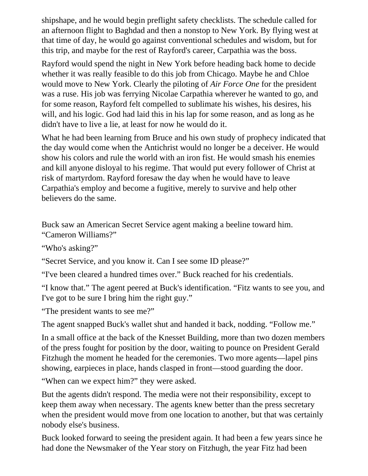shipshape, and he would begin preflight safety checklists. The schedule called for an afternoon flight to Baghdad and then a nonstop to New York. By flying west at that time of day, he would go against conventional schedules and wisdom, but for this trip, and maybe for the rest of Rayford's career, Carpathia was the boss.

Rayford would spend the night in New York before heading back home to decide whether it was really feasible to do this job from Chicago. Maybe he and Chloe would move to New York. Clearly the piloting of *Air Force One* for the president was a ruse. His job was ferrying Nicolae Carpathia wherever he wanted to go, and for some reason, Rayford felt compelled to sublimate his wishes, his desires, his will, and his logic. God had laid this in his lap for some reason, and as long as he didn't have to live a lie, at least for now he would do it.

What he had been learning from Bruce and his own study of prophecy indicated that the day would come when the Antichrist would no longer be a deceiver. He would show his colors and rule the world with an iron fist. He would smash his enemies and kill anyone disloyal to his regime. That would put every follower of Christ at risk of martyrdom. Rayford foresaw the day when he would have to leave Carpathia's employ and become a fugitive, merely to survive and help other believers do the same.

Buck saw an American Secret Service agent making a beeline toward him. "Cameron Williams?"

"Who's asking?"

"Secret Service, and you know it. Can I see some ID please?"

"I've been cleared a hundred times over." Buck reached for his credentials.

"I know that." The agent peered at Buck's identification. "Fitz wants to see you, and I've got to be sure I bring him the right guy."

"The president wants to see me?"

The agent snapped Buck's wallet shut and handed it back, nodding. "Follow me."

In a small office at the back of the Knesset Building, more than two dozen members of the press fought for position by the door, waiting to pounce on President Gerald Fitzhugh the moment he headed for the ceremonies. Two more agents—lapel pins showing, earpieces in place, hands clasped in front—stood guarding the door.

"When can we expect him?" they were asked.

But the agents didn't respond. The media were not their responsibility, except to keep them away when necessary. The agents knew better than the press secretary when the president would move from one location to another, but that was certainly nobody else's business.

Buck looked forward to seeing the president again. It had been a few years since he had done the Newsmaker of the Year story on Fitzhugh, the year Fitz had been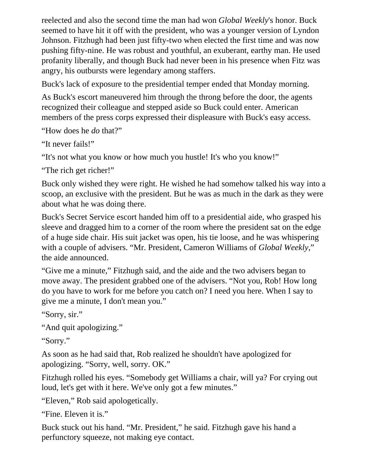reelected and also the second time the man had won *Global Weekly*'s honor. Buck seemed to have hit it off with the president, who was a younger version of Lyndon Johnson. Fitzhugh had been just fifty-two when elected the first time and was now pushing fifty-nine. He was robust and youthful, an exuberant, earthy man. He used profanity liberally, and though Buck had never been in his presence when Fitz was angry, his outbursts were legendary among staffers.

Buck's lack of exposure to the presidential temper ended that Monday morning.

As Buck's escort maneuvered him through the throng before the door, the agents recognized their colleague and stepped aside so Buck could enter. American members of the press corps expressed their displeasure with Buck's easy access.

"How does he *do* that?"

"It never fails!"

"It's not what you know or how much you hustle! It's who you know!"

"The rich get richer!"

Buck only wished they were right. He wished he had somehow talked his way into a scoop, an exclusive with the president. But he was as much in the dark as they were about what he was doing there.

Buck's Secret Service escort handed him off to a presidential aide, who grasped his sleeve and dragged him to a corner of the room where the president sat on the edge of a huge side chair. His suit jacket was open, his tie loose, and he was whispering with a couple of advisers. "Mr. President, Cameron Williams of *Global Weekly*," the aide announced.

"Give me a minute," Fitzhugh said, and the aide and the two advisers began to move away. The president grabbed one of the advisers. "Not you, Rob! How long do you have to work for me before you catch on? I need you here. When I say to give me a minute, I don't mean you."

"Sorry, sir."

"And quit apologizing."

"Sorry."

As soon as he had said that, Rob realized he shouldn't have apologized for apologizing. "Sorry, well, sorry. OK."

Fitzhugh rolled his eyes. "Somebody get Williams a chair, will ya? For crying out loud, let's get with it here. We've only got a few minutes."

"Eleven," Rob said apologetically.

"Fine. Eleven it is."

Buck stuck out his hand. "Mr. President," he said. Fitzhugh gave his hand a perfunctory squeeze, not making eye contact.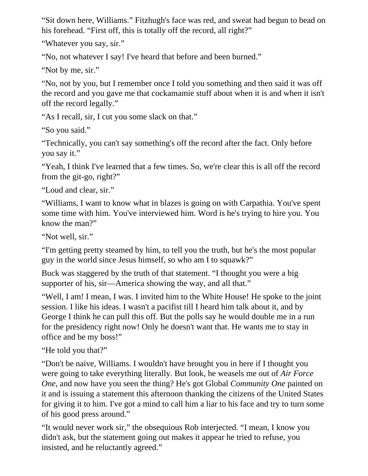"Sit down here, Williams." Fitzhugh's face was red, and sweat had begun to bead on his forehead. "First off, this is totally off the record, all right?"

"Whatever you say, sir."

"No, not whatever I say! I've heard that before and been burned."

"Not by me, sir."

"No, not by you, but I remember once I told you something and then said it was off the record and you gave me that cockamamie stuff about when it is and when it isn't off the record legally."

"As I recall, sir, I cut you some slack on that."

"So you said."

"Technically, you can't say something's off the record after the fact. Only before you say it."

"Yeah, I think I've learned that a few times. So, we're clear this is all off the record from the git-go, right?"

"Loud and clear, sir."

"Williams, I want to know what in blazes is going on with Carpathia. You've spent some time with him. You've interviewed him. Word is he's trying to hire you. You know the man?"

"Not well, sir."

"I'm getting pretty steamed by him, to tell you the truth, but he's the most popular guy in the world since Jesus himself, so who am I to squawk?"

Buck was staggered by the truth of that statement. "I thought you were a big supporter of his, sir—America showing the way, and all that."

"Well, I am! I mean, I was. I invited him to the White House! He spoke to the joint session. I like his ideas. I wasn't a pacifist till I heard him talk about it, and by George I think he can pull this off. But the polls say he would double me in a run for the presidency right now! Only he doesn't want that. He wants me to stay in office and be my boss!"

"He told you that?"

"Don't be naive, Williams. I wouldn't have brought you in here if I thought you were going to take everything literally. But look, he weasels me out of *Air Force One*, and now have you seen the thing? He's got Global *Community One* painted on it and is issuing a statement this afternoon thanking the citizens of the United States for giving it to him. I've got a mind to call him a liar to his face and try to turn some of his good press around."

"It would never work sir," the obsequious Rob interjected. "I mean, I know you didn't ask, but the statement going out makes it appear he tried to refuse, you insisted, and he reluctantly agreed."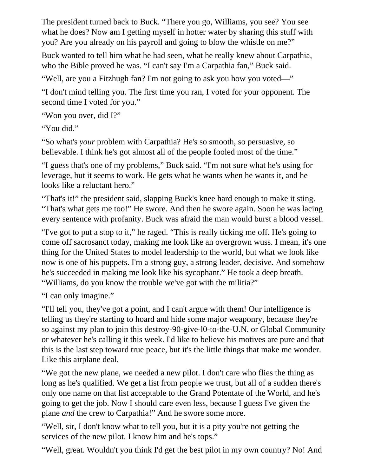The president turned back to Buck. "There you go, Williams, you see? You see what he does? Now am I getting myself in hotter water by sharing this stuff with you? Are you already on his payroll and going to blow the whistle on me?"

Buck wanted to tell him what he had seen, what he really knew about Carpathia, who the Bible proved he was. "I can't say I'm a Carpathia fan," Buck said.

"Well, are you a Fitzhugh fan? I'm not going to ask you how you voted—"

"I don't mind telling you. The first time you ran, I voted for your opponent. The second time I voted for you."

"Won you over, did I?"

"You did."

"So what's *your* problem with Carpathia? He's so smooth, so persuasive, so believable. I think he's got almost all of the people fooled most of the time."

"I guess that's one of my problems," Buck said. "I'm not sure what he's using for leverage, but it seems to work. He gets what he wants when he wants it, and he looks like a reluctant hero."

"That's it!" the president said, slapping Buck's knee hard enough to make it sting. "That's what gets me too!" He swore. And then he swore again. Soon he was lacing every sentence with profanity. Buck was afraid the man would burst a blood vessel.

"I've got to put a stop to it," he raged. "This is really ticking me off. He's going to come off sacrosanct today, making me look like an overgrown wuss. I mean, it's one thing for the United States to model leadership to the world, but what we look like now is one of his puppets. I'm a strong guy, a strong leader, decisive. And somehow he's succeeded in making me look like his sycophant." He took a deep breath. "Williams, do you know the trouble we've got with the militia?"

"I can only imagine."

"I'll tell you, they've got a point, and I can't argue with them! Our intelligence is telling us they're starting to hoard and hide some major weaponry, because they're so against my plan to join this destroy-90-give-l0-to-the-U.N. or Global Community or whatever he's calling it this week. I'd like to believe his motives are pure and that this is the last step toward true peace, but it's the little things that make me wonder. Like this airplane deal.

"We got the new plane, we needed a new pilot. I don't care who flies the thing as long as he's qualified. We get a list from people we trust, but all of a sudden there's only one name on that list acceptable to the Grand Potentate of the World, and he's going to get the job. Now I should care even less, because I guess I've given the plane *and* the crew to Carpathia!" And he swore some more.

"Well, sir, I don't know what to tell you, but it is a pity you're not getting the services of the new pilot. I know him and he's tops."

"Well, great. Wouldn't you think I'd get the best pilot in my own country? No! And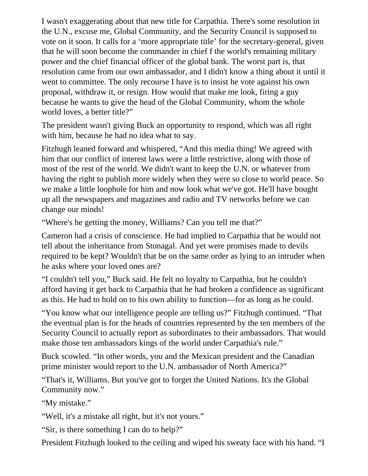I wasn't exaggerating about that new title for Carpathia. There's some resolution in the U.N., excuse me, Global Community, and the Security Council is supposed to vote on it soon. It calls for a 'more appropriate title' for the secretary-general, given that he will soon become the commander in chief f the world's remaining military power and the chief financial officer of the global bank. The worst part is, that resolution came from our own ambassador, and I didn't know a thing about it until it went to committee. The only recourse I have is to insist he vote against his own proposal, withdraw it, or resign. How would that make me look, firing a guy because he wants to give the head of the Global Community, whom the whole world loves, a better title?"

The president wasn't giving Buck an opportunity to respond, which was all right with him, because he had no idea what to say.

Fitzhugh leaned forward and whispered, "And this media thing! We agreed with him that our conflict of interest laws were a little restrictive, along with those of most of the rest of the world. We didn't want to keep the U.N. or whatever from having the right to publish more widely when they were so close to world peace. So we make a little loophole for him and now look what we've got. He'll have bought up all the newspapers and magazines and radio and TV networks before we can change our minds!

"Where's he getting the money, Williams? Can you tell me that?"

Cameron had a crisis of conscience. He had implied to Carpathia that he would not tell about the inheritance from Stonagal. And yet were promises made to devils required to be kept? Wouldn't that be on the same order as lying to an intruder when he asks where your loved ones are?

"I couldn't tell you," Buck said. He felt no loyalty to Carpathia, but he couldn't afford having it get back to Carpathia that he had broken a confidence as significant as this. He had to hold on to his own ability to function—for as long as he could.

"You know what our intelligence people are telling us?" Fitzhugh continued. "That the eventual plan is for the heads of countries represented by the ten members of the Security Council to actually report as subordinates to their ambassadors. That would make those ten ambassadors kings of the world under Carpathia's rule."

Buck scowled. "In other words, you and the Mexican president and the Canadian prime minister would report to the U.N. ambassador of North America?"

"That's it, Williams. But you've got to forget the United Nations. It's the Global Community now."

"My mistake."

"Well, it's a mistake all right, but it's not yours."

"Sir, is there something I can do to help?"

President Fitzhugh looked to the ceiling and wiped his sweaty face with his hand. "I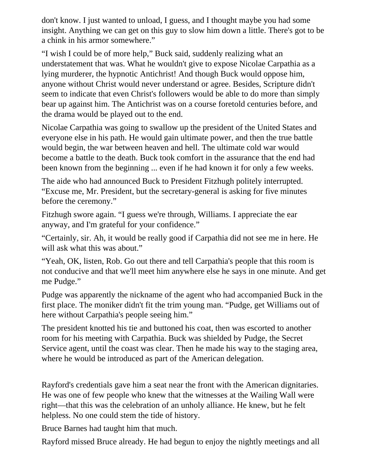don't know. I just wanted to unload, I guess, and I thought maybe you had some insight. Anything we can get on this guy to slow him down a little. There's got to be a chink in his armor somewhere."

"I wish I could be of more help," Buck said, suddenly realizing what an understatement that was. What he wouldn't give to expose Nicolae Carpathia as a lying murderer, the hypnotic Antichrist! And though Buck would oppose him, anyone without Christ would never understand or agree. Besides, Scripture didn't seem to indicate that even Christ's followers would be able to do more than simply bear up against him. The Antichrist was on a course foretold centuries before, and the drama would be played out to the end.

Nicolae Carpathia was going to swallow up the president of the United States and everyone else in his path. He would gain ultimate power, and then the true battle would begin, the war between heaven and hell. The ultimate cold war would become a battle to the death. Buck took comfort in the assurance that the end had been known from the beginning ... even if he had known it for only a few weeks.

The aide who had announced Buck to President Fitzhugh politely interrupted. "Excuse me, Mr. President, but the secretary-general is asking for five minutes before the ceremony."

Fitzhugh swore again. "I guess we're through, Williams. I appreciate the ear anyway, and I'm grateful for your confidence."

"Certainly, sir. Ah, it would be really good if Carpathia did not see me in here. He will ask what this was about."

"Yeah, OK, listen, Rob. Go out there and tell Carpathia's people that this room is not conducive and that we'll meet him anywhere else he says in one minute. And get me Pudge."

Pudge was apparently the nickname of the agent who had accompanied Buck in the first place. The moniker didn't fit the trim young man. "Pudge, get Williams out of here without Carpathia's people seeing him."

The president knotted his tie and buttoned his coat, then was escorted to another room for his meeting with Carpathia. Buck was shielded by Pudge, the Secret Service agent, until the coast was clear. Then he made his way to the staging area, where he would be introduced as part of the American delegation.

Rayford's credentials gave him a seat near the front with the American dignitaries. He was one of few people who knew that the witnesses at the Wailing Wall were right—that this was the celebration of an unholy alliance. He knew, but he felt helpless. No one could stem the tide of history.

Bruce Barnes had taught him that much.

Rayford missed Bruce already. He had begun to enjoy the nightly meetings and all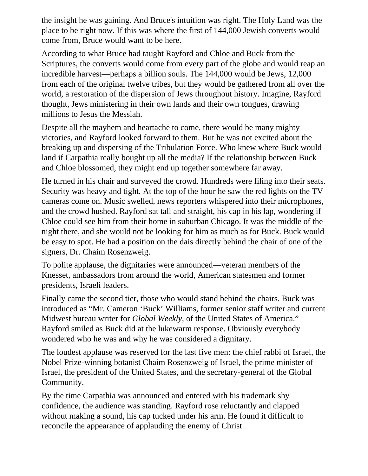the insight he was gaining. And Bruce's intuition was right. The Holy Land was the place to be right now. If this was where the first of 144,000 Jewish converts would come from, Bruce would want to be here.

According to what Bruce had taught Rayford and Chloe and Buck from the Scriptures, the converts would come from every part of the globe and would reap an incredible harvest—perhaps a billion souls. The 144,000 would be Jews, 12,000 from each of the original twelve tribes, but they would be gathered from all over the world, a restoration of the dispersion of Jews throughout history. Imagine, Rayford thought, Jews ministering in their own lands and their own tongues, drawing millions to Jesus the Messiah.

Despite all the mayhem and heartache to come, there would be many mighty victories, and Rayford looked forward to them. But he was not excited about the breaking up and dispersing of the Tribulation Force. Who knew where Buck would land if Carpathia really bought up all the media? If the relationship between Buck and Chloe blossomed, they might end up together somewhere far away.

He turned in his chair and surveyed the crowd. Hundreds were filing into their seats. Security was heavy and tight. At the top of the hour he saw the red lights on the TV cameras come on. Music swelled, news reporters whispered into their microphones, and the crowd hushed. Rayford sat tall and straight, his cap in his lap, wondering if Chloe could see him from their home in suburban Chicago. It was the middle of the night there, and she would not be looking for him as much as for Buck. Buck would be easy to spot. He had a position on the dais directly behind the chair of one of the signers, Dr. Chaim Rosenzweig.

To polite applause, the dignitaries were announced—veteran members of the Knesset, ambassadors from around the world, American statesmen and former presidents, Israeli leaders.

Finally came the second tier, those who would stand behind the chairs. Buck was introduced as "Mr. Cameron 'Buck' Williams, former senior staff writer and current Midwest bureau writer for *Global Weekly,* of the United States of America." Rayford smiled as Buck did at the lukewarm response. Obviously everybody wondered who he was and why he was considered a dignitary.

The loudest applause was reserved for the last five men: the chief rabbi of Israel, the Nobel Prize-winning botanist Chaim Rosenzweig of Israel, the prime minister of Israel, the president of the United States, and the secretary-general of the Global Community.

By the time Carpathia was announced and entered with his trademark shy confidence, the audience was standing. Rayford rose reluctantly and clapped without making a sound, his cap tucked under his arm. He found it difficult to reconcile the appearance of applauding the enemy of Christ.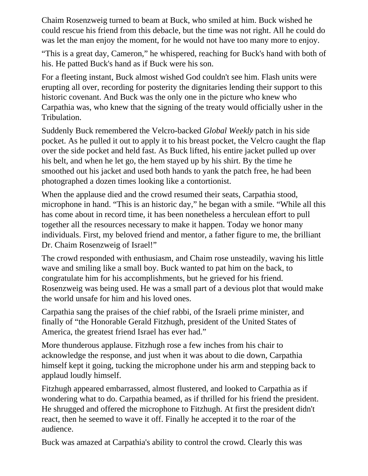Chaim Rosenzweig turned to beam at Buck, who smiled at him. Buck wished he could rescue his friend from this debacle, but the time was not right. All he could do was let the man enjoy the moment, for he would not have too many more to enjoy.

"This is a great day, Cameron," he whispered, reaching for Buck's hand with both of his. He patted Buck's hand as if Buck were his son.

For a fleeting instant, Buck almost wished God couldn't see him. Flash units were erupting all over, recording for posterity the dignitaries lending their support to this historic covenant. And Buck was the only one in the picture who knew who Carpathia was, who knew that the signing of the treaty would officially usher in the Tribulation.

Suddenly Buck remembered the Velcro-backed *Global Weekly* patch in his side pocket. As he pulled it out to apply it to his breast pocket, the Velcro caught the flap over the side pocket and held fast. As Buck lifted, his entire jacket pulled up over his belt, and when he let go, the hem stayed up by his shirt. By the time he smoothed out his jacket and used both hands to yank the patch free, he had been photographed a dozen times looking like a contortionist.

When the applause died and the crowd resumed their seats, Carpathia stood, microphone in hand. "This is an historic day," he began with a smile. "While all this has come about in record time, it has been nonetheless a herculean effort to pull together all the resources necessary to make it happen. Today we honor many individuals. First, my beloved friend and mentor, a father figure to me, the brilliant Dr. Chaim Rosenzweig of Israel!"

The crowd responded with enthusiasm, and Chaim rose unsteadily, waving his little wave and smiling like a small boy. Buck wanted to pat him on the back, to congratulate him for his accomplishments, but he grieved for his friend. Rosenzweig was being used. He was a small part of a devious plot that would make the world unsafe for him and his loved ones.

Carpathia sang the praises of the chief rabbi, of the Israeli prime minister, and finally of "the Honorable Gerald Fitzhugh, president of the United States of America, the greatest friend Israel has ever had."

More thunderous applause. Fitzhugh rose a few inches from his chair to acknowledge the response, and just when it was about to die down, Carpathia himself kept it going, tucking the microphone under his arm and stepping back to applaud loudly himself.

Fitzhugh appeared embarrassed, almost flustered, and looked to Carpathia as if wondering what to do. Carpathia beamed, as if thrilled for his friend the president. He shrugged and offered the microphone to Fitzhugh. At first the president didn't react, then he seemed to wave it off. Finally he accepted it to the roar of the audience.

Buck was amazed at Carpathia's ability to control the crowd. Clearly this was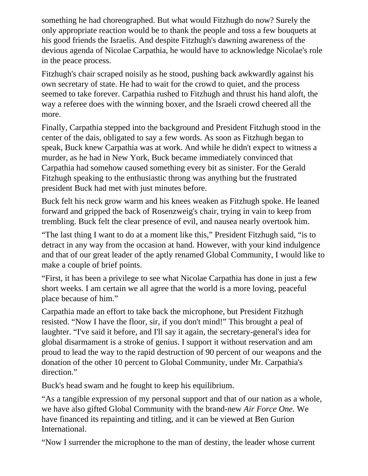something he had choreographed. But what would Fitzhugh do now? Surely the only appropriate reaction would be to thank the people and toss a few bouquets at his good friends the Israelis. And despite Fitzhugh's dawning awareness of the devious agenda of Nicolae Carpathia, he would have to acknowledge Nicolae's role in the peace process.

Fitzhugh's chair scraped noisily as he stood, pushing back awkwardly against his own secretary of state. He had to wait for the crowd to quiet, and the process seemed to take forever. Carpathia rushed to Fitzhugh and thrust his hand aloft, the way a referee does with the winning boxer, and the Israeli crowd cheered all the more.

Finally, Carpathia stepped into the background and President Fitzhugh stood in the center of the dais, obligated to say a few words. As soon as Fitzhugh began to speak, Buck knew Carpathia was at work. And while he didn't expect to witness a murder, as he had in New York, Buck became immediately convinced that Carpathia had somehow caused something every bit as sinister. For the Gerald Fitzhugh speaking to the enthusiastic throng was anything but the frustrated president Buck had met with just minutes before.

Buck felt his neck grow warm and his knees weaken as Fitzhugh spoke. He leaned forward and gripped the back of Rosenzweig's chair, trying in vain to keep from trembling. Buck felt the clear presence of evil, and nausea nearly overtook him.

"The last thing I want to do at a moment like this," President Fitzhugh said, "is to detract in any way from the occasion at hand. However, with your kind indulgence and that of our great leader of the aptly renamed Global Community, I would like to make a couple of brief points.

"First, it has been a privilege to see what Nicolae Carpathia has done in just a few short weeks. I am certain we all agree that the world is a more loving, peaceful place because of him."

Carpathia made an effort to take back the microphone, but President Fitzhugh resisted. "Now I have the floor, sir, if you don't mind!" This brought a peal of laughter. "I've said it before, and I'll say it again, the secretary-general's idea for global disarmament is a stroke of genius. I support it without reservation and am proud to lead the way to the rapid destruction of 90 percent of our weapons and the donation of the other 10 percent to Global Community, under Mr. Carpathia's direction."

Buck's head swam and he fought to keep his equilibrium.

"As a tangible expression of my personal support and that of our nation as a whole, we have also gifted Global Community with the brand-new *Air Force One.* We have financed its repainting and titling, and it can be viewed at Ben Gurion International.

"Now I surrender the microphone to the man of destiny, the leader whose current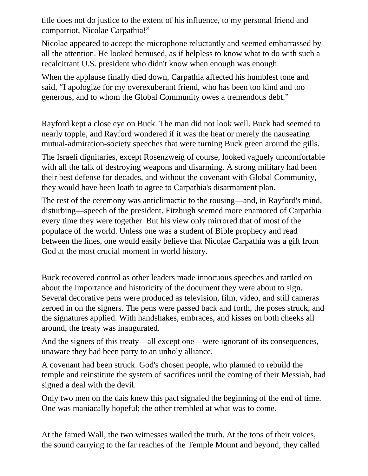title does not do justice to the extent of his influence, to my personal friend and compatriot, Nicolae Carpathia!"

Nicolae appeared to accept the microphone reluctantly and seemed embarrassed by all the attention. He looked bemused, as if helpless to know what to do with such a recalcitrant U.S. president who didn't know when enough was enough.

When the applause finally died down, Carpathia affected his humblest tone and said, "I apologize for my overexuberant friend, who has been too kind and too generous, and to whom the Global Community owes a tremendous debt."

Rayford kept a close eye on Buck. The man did not look well. Buck had seemed to nearly topple, and Rayford wondered if it was the heat or merely the nauseating mutual-admiration-society speeches that were turning Buck green around the gills.

The Israeli dignitaries, except Rosenzweig of course, looked vaguely uncomfortable with all the talk of destroying weapons and disarming. A strong military had been their best defense for decades, and without the covenant with Global Community, they would have been loath to agree to Carpathia's disarmament plan.

The rest of the ceremony was anticlimactic to the rousing—and, in Rayford's mind, disturbing—speech of the president. Fitzhugh seemed more enamored of Carpathia every time they were together. But his view only mirrored that of most of the populace of the world. Unless one was a student of Bible prophecy and read between the lines, one would easily believe that Nicolae Carpathia was a gift from God at the most crucial moment in world history.

Buck recovered control as other leaders made innocuous speeches and rattled on about the importance and historicity of the document they were about to sign. Several decorative pens were produced as television, film, video, and still cameras zeroed in on the signers. The pens were passed back and forth, the poses struck, and the signatures applied. With handshakes, embraces, and kisses on both cheeks all around, the treaty was inaugurated.

And the signers of this treaty—all except one—were ignorant of its consequences, unaware they had been party to an unholy alliance.

A covenant had been struck. God's chosen people, who planned to rebuild the temple and reinstitute the system of sacrifices until the coming of their Messiah, had signed a deal with the devil.

Only two men on the dais knew this pact signaled the beginning of the end of time. One was maniacally hopeful; the other trembled at what was to come.

At the famed Wall, the two witnesses wailed the truth. At the tops of their voices, the sound carrying to the far reaches of the Temple Mount and beyond, they called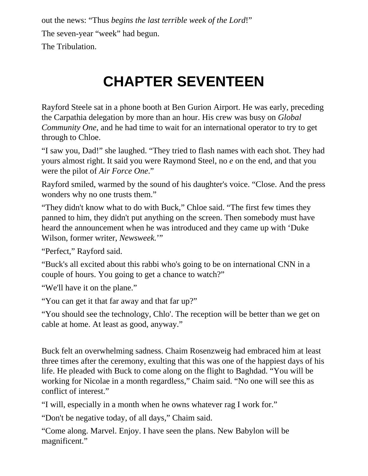out the news: "Thus *begins the last terrible week of the Lord*!" The seven-year "week" had begun.

The Tribulation.

## **CHAPTER SEVENTEEN**

Rayford Steele sat in a phone booth at Ben Gurion Airport. He was early, preceding the Carpathia delegation by more than an hour. His crew was busy on *Global Community One*, and he had time to wait for an international operator to try to get through to Chloe.

"I saw you, Dad!" she laughed. "They tried to flash names with each shot. They had yours almost right. It said you were Raymond Steel, no *e* on the end, and that you were the pilot of *Air Force One*."

Rayford smiled, warmed by the sound of his daughter's voice. "Close. And the press wonders why no one trusts them."

"They didn't know what to do with Buck," Chloe said. "The first few times they panned to him, they didn't put anything on the screen. Then somebody must have heard the announcement when he was introduced and they came up with 'Duke Wilson, former writer, *Newsweek.*'"

"Perfect," Rayford said.

"Buck's all excited about this rabbi who's going to be on international CNN in a couple of hours. You going to get a chance to watch?"

"We'll have it on the plane."

"You can get it that far away and that far up?"

"You should see the technology, Chlo'. The reception will be better than we get on cable at home. At least as good, anyway."

Buck felt an overwhelming sadness. Chaim Rosenzweig had embraced him at least three times after the ceremony, exulting that this was one of the happiest days of his life. He pleaded with Buck to come along on the flight to Baghdad. "You will be working for Nicolae in a month regardless," Chaim said. "No one will see this as conflict of interest."

"I will, especially in a month when he owns whatever rag I work for."

"Don't be negative today, of all days," Chaim said.

"Come along. Marvel. Enjoy. I have seen the plans. New Babylon will be magnificent."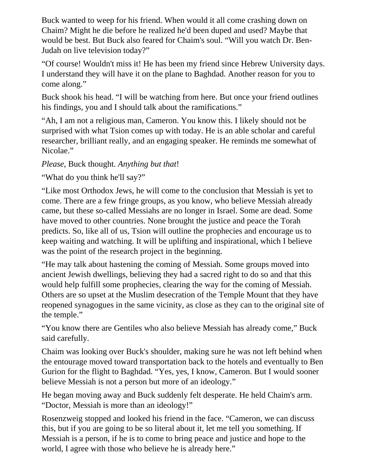Buck wanted to weep for his friend. When would it all come crashing down on Chaim? Might he die before he realized he'd been duped and used? Maybe that would be best. But Buck also feared for Chaim's soul. "Will you watch Dr. Ben-Judah on live television today?"

"Of course! Wouldn't miss it! He has been my friend since Hebrew University days. I understand they will have it on the plane to Baghdad. Another reason for you to come along."

Buck shook his head. "I will be watching from here. But once your friend outlines his findings, you and I should talk about the ramifications."

"Ah, I am not a religious man, Cameron. You know this. I likely should not be surprised with what Tsion comes up with today. He is an able scholar and careful researcher, brilliant really, and an engaging speaker. He reminds me somewhat of Nicolae."

## *Please*, Buck thought. *Anything but that*!

"What do you think he'll say?"

"Like most Orthodox Jews, he will come to the conclusion that Messiah is yet to come. There are a few fringe groups, as you know, who believe Messiah already came, but these so-called Messiahs are no longer in Israel. Some are dead. Some have moved to other countries. None brought the justice and peace the Torah predicts. So, like all of us, Tsion will outline the prophecies and encourage us to keep waiting and watching. It will be uplifting and inspirational, which I believe was the point of the research project in the beginning.

"He may talk about hastening the coming of Messiah. Some groups moved into ancient Jewish dwellings, believing they had a sacred right to do so and that this would help fulfill some prophecies, clearing the way for the coming of Messiah. Others are so upset at the Muslim desecration of the Temple Mount that they have reopened synagogues in the same vicinity, as close as they can to the original site of the temple."

"You know there are Gentiles who also believe Messiah has already come," Buck said carefully.

Chaim was looking over Buck's shoulder, making sure he was not left behind when the entourage moved toward transportation back to the hotels and eventually to Ben Gurion for the flight to Baghdad. "Yes, yes, I know, Cameron. But I would sooner believe Messiah is not a person but more of an ideology."

He began moving away and Buck suddenly felt desperate. He held Chaim's arm. "Doctor, Messiah is more than an ideology!"

Rosenzweig stopped and looked his friend in the face. "Cameron, we can discuss this, but if you are going to be so literal about it, let me tell you something. If Messiah is a person, if he is to come to bring peace and justice and hope to the world, I agree with those who believe he is already here."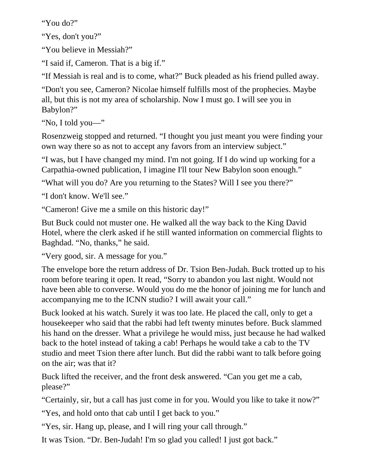"You do?"

"Yes, don't you?"

"You believe in Messiah?"

"I said if, Cameron. That is a big if."

"If Messiah is real and is to come, what?" Buck pleaded as his friend pulled away.

"Don't you see, Cameron? Nicolae himself fulfills most of the prophecies. Maybe all, but this is not my area of scholarship. Now I must go. I will see you in Babylon?"

"No, I told you—"

Rosenzweig stopped and returned. "I thought you just meant you were finding your own way there so as not to accept any favors from an interview subject."

"I was, but I have changed my mind. I'm not going. If I do wind up working for a Carpathia-owned publication, I imagine I'll tour New Babylon soon enough."

"What will you do? Are you returning to the States? Will I see you there?"

"I don't know. We'll see."

"Cameron! Give me a smile on this historic day!"

But Buck could not muster one. He walked all the way back to the King David Hotel, where the clerk asked if he still wanted information on commercial flights to Baghdad. "No, thanks," he said.

"Very good, sir. A message for you."

The envelope bore the return address of Dr. Tsion Ben-Judah. Buck trotted up to his room before tearing it open. It read, "Sorry to abandon you last night. Would not have been able to converse. Would you do me the honor of joining me for lunch and accompanying me to the ICNN studio? I will await your call."

Buck looked at his watch. Surely it was too late. He placed the call, only to get a housekeeper who said that the rabbi had left twenty minutes before. Buck slammed his hand on the dresser. What a privilege he would miss, just because he had walked back to the hotel instead of taking a cab! Perhaps he would take a cab to the TV studio and meet Tsion there after lunch. But did the rabbi want to talk before going on the air; was that it?

Buck lifted the receiver, and the front desk answered. "Can you get me a cab, please?"

"Certainly, sir, but a call has just come in for you. Would you like to take it now?"

"Yes, and hold onto that cab until I get back to you."

"Yes, sir. Hang up, please, and I will ring your call through."

It was Tsion. "Dr. Ben-Judah! I'm so glad you called! I just got back."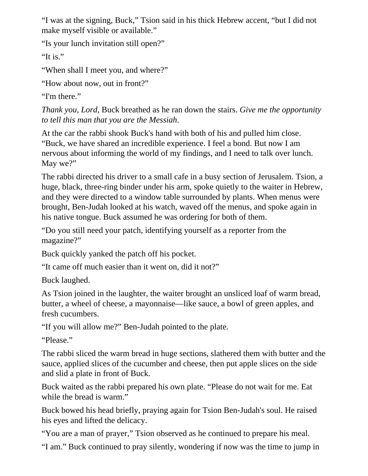"I was at the signing, Buck," Tsion said in his thick Hebrew accent, "but I did not make myself visible or available."

"Is your lunch invitation still open?"

"It is."

"When shall I meet you, and where?"

"How about now, out in front?"

"I'm there."

*Thank you, Lord*, Buck breathed as he ran down the stairs. *Give me the opportunity to tell this man that you are the Messiah*.

At the car the rabbi shook Buck's hand with both of his and pulled him close. "Buck, we have shared an incredible experience. I feel a bond. But now I am nervous about informing the world of my findings, and I need to talk over lunch. May we?"

The rabbi directed his driver to a small cafe in a busy section of Jerusalem. Tsion, a huge, black, three-ring binder under his arm, spoke quietly to the waiter in Hebrew, and they were directed to a window table surrounded by plants. When menus were brought, Ben-Judah looked at his watch, waved off the menus, and spoke again in his native tongue. Buck assumed he was ordering for both of them.

"Do you still need your patch, identifying yourself as a reporter from the magazine?"

Buck quickly yanked the patch off his pocket.

"It came off much easier than it went on, did it not?"

Buck laughed.

As Tsion joined in the laughter, the waiter brought an unsliced loaf of warm bread, butter, a wheel of cheese, a mayonnaise—like sauce, a bowl of green apples, and fresh cucumbers.

"If you will allow me?" Ben-Judah pointed to the plate.

"Please."

The rabbi sliced the warm bread in huge sections, slathered them with butter and the sauce, applied slices of the cucumber and cheese, then put apple slices on the side and slid a plate in front of Buck.

Buck waited as the rabbi prepared his own plate. "Please do not wait for me. Eat while the bread is warm."

Buck bowed his head briefly, praying again for Tsion Ben-Judah's soul. He raised his eyes and lifted the delicacy.

"You are a man of prayer," Tsion observed as he continued to prepare his meal.

"I am." Buck continued to pray silently, wondering if now was the time to jump in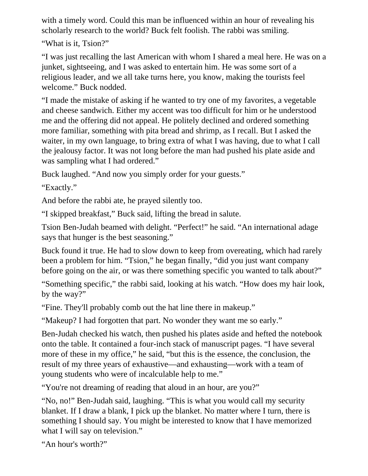with a timely word. Could this man be influenced within an hour of revealing his scholarly research to the world? Buck felt foolish. The rabbi was smiling.

"What is it, Tsion?"

"I was just recalling the last American with whom I shared a meal here. He was on a junket, sightseeing, and I was asked to entertain him. He was some sort of a religious leader, and we all take turns here, you know, making the tourists feel welcome." Buck nodded.

"I made the mistake of asking if he wanted to try one of my favorites, a vegetable and cheese sandwich. Either my accent was too difficult for him or he understood me and the offering did not appeal. He politely declined and ordered something more familiar, something with pita bread and shrimp, as I recall. But I asked the waiter, in my own language, to bring extra of what I was having, due to what I call the jealousy factor. It was not long before the man had pushed his plate aside and was sampling what I had ordered."

Buck laughed. "And now you simply order for your guests."

"Exactly."

And before the rabbi ate, he prayed silently too.

"I skipped breakfast," Buck said, lifting the bread in salute.

Tsion Ben-Judah beamed with delight. "Perfect!" he said. "An international adage says that hunger is the best seasoning."

Buck found it true. He had to slow down to keep from overeating, which had rarely been a problem for him. "Tsion," he began finally, "did you just want company before going on the air, or was there something specific you wanted to talk about?"

"Something specific," the rabbi said, looking at his watch. "How does my hair look, by the way?"

"Fine. They'll probably comb out the hat line there in makeup."

"Makeup? I had forgotten that part. No wonder they want me so early."

Ben-Judah checked his watch, then pushed his plates aside and hefted the notebook onto the table. It contained a four-inch stack of manuscript pages. "I have several more of these in my office," he said, "but this is the essence, the conclusion, the result of my three years of exhaustive—and exhausting—work with a team of young students who were of incalculable help to me."

"You're not dreaming of reading that aloud in an hour, are you?"

"No, no!" Ben-Judah said, laughing. "This is what you would call my security blanket. If I draw a blank, I pick up the blanket. No matter where I turn, there is something I should say. You might be interested to know that I have memorized what I will say on television."

"An hour's worth?"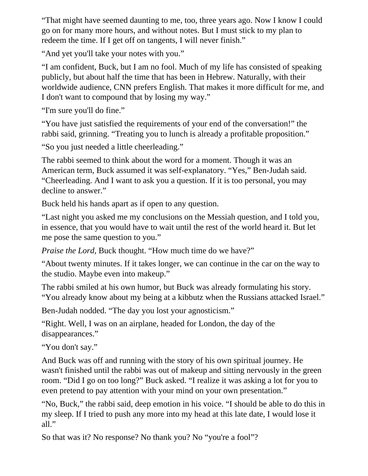"That might have seemed daunting to me, too, three years ago. Now I know I could go on for many more hours, and without notes. But I must stick to my plan to redeem the time. If I get off on tangents, I will never finish."

"And yet you'll take your notes with you."

"I am confident, Buck, but I am no fool. Much of my life has consisted of speaking publicly, but about half the time that has been in Hebrew. Naturally, with their worldwide audience, CNN prefers English. That makes it more difficult for me, and I don't want to compound that by losing my way."

"I'm sure you'll do fine."

"You have just satisfied the requirements of your end of the conversation!" the rabbi said, grinning. "Treating you to lunch is already a profitable proposition."

"So you just needed a little cheerleading."

The rabbi seemed to think about the word for a moment. Though it was an American term, Buck assumed it was self-explanatory. "Yes," Ben-Judah said. "Cheerleading. And I want to ask you a question. If it is too personal, you may decline to answer."

Buck held his hands apart as if open to any question.

"Last night you asked me my conclusions on the Messiah question, and I told you, in essence, that you would have to wait until the rest of the world heard it. But let me pose the same question to you."

*Praise the Lord*, Buck thought. "How much time do we have?"

"About twenty minutes. If it takes longer, we can continue in the car on the way to the studio. Maybe even into makeup."

The rabbi smiled at his own humor, but Buck was already formulating his story. "You already know about my being at a kibbutz when the Russians attacked Israel."

Ben-Judah nodded. "The day you lost your agnosticism."

"Right. Well, I was on an airplane, headed for London, the day of the disappearances."

"You don't say."

And Buck was off and running with the story of his own spiritual journey. He wasn't finished until the rabbi was out of makeup and sitting nervously in the green room. "Did I go on too long?" Buck asked. "I realize it was asking a lot for you to even pretend to pay attention with your mind on your own presentation."

"No, Buck," the rabbi said, deep emotion in his voice. "I should be able to do this in my sleep. If I tried to push any more into my head at this late date, I would lose it all."

So that was it? No response? No thank you? No "you're a fool"?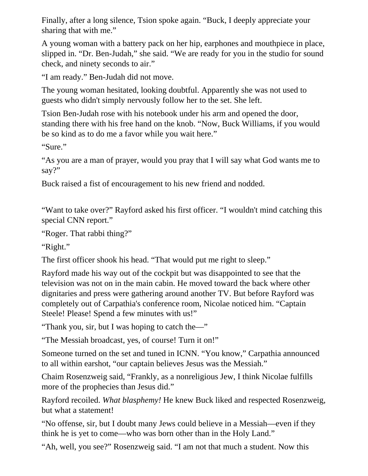Finally, after a long silence, Tsion spoke again. "Buck, I deeply appreciate your sharing that with me."

A young woman with a battery pack on her hip, earphones and mouthpiece in place, slipped in. "Dr. Ben-Judah," she said. "We are ready for you in the studio for sound check, and ninety seconds to air."

"I am ready." Ben-Judah did not move.

The young woman hesitated, looking doubtful. Apparently she was not used to guests who didn't simply nervously follow her to the set. She left.

Tsion Ben-Judah rose with his notebook under his arm and opened the door, standing there with his free hand on the knob. "Now, Buck Williams, if you would be so kind as to do me a favor while you wait here."

"Sure."

"As you are a man of prayer, would you pray that I will say what God wants me to say?"

Buck raised a fist of encouragement to his new friend and nodded.

"Want to take over?" Rayford asked his first officer. "I wouldn't mind catching this special CNN report."

"Roger. That rabbi thing?"

"Right."

The first officer shook his head. "That would put me right to sleep."

Rayford made his way out of the cockpit but was disappointed to see that the television was not on in the main cabin. He moved toward the back where other dignitaries and press were gathering around another TV. But before Rayford was completely out of Carpathia's conference room, Nicolae noticed him. "Captain Steele! Please! Spend a few minutes with us!"

"Thank you, sir, but I was hoping to catch the—"

"The Messiah broadcast, yes, of course! Turn it on!"

Someone turned on the set and tuned in ICNN. "You know," Carpathia announced to all within earshot, "our captain believes Jesus was the Messiah."

Chaim Rosenzweig said, "Frankly, as a nonreligious Jew, I think Nicolae fulfills more of the prophecies than Jesus did."

Rayford recoiled. *What blasphemy!* He knew Buck liked and respected Rosenzweig, but what a statement!

"No offense, sir, but I doubt many Jews could believe in a Messiah—even if they think he is yet to come—who was born other than in the Holy Land."

"Ah, well, you see?" Rosenzweig said. "I am not that much a student. Now this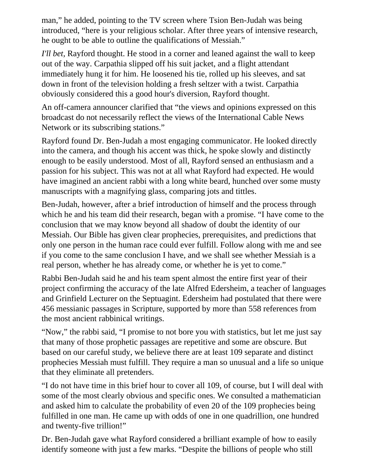man," he added, pointing to the TV screen where Tsion Ben-Judah was being introduced, "here is your religious scholar. After three years of intensive research, he ought to be able to outline the qualifications of Messiah."

*I'll bet,* Rayford thought. He stood in a corner and leaned against the wall to keep out of the way. Carpathia slipped off his suit jacket, and a flight attendant immediately hung it for him. He loosened his tie, rolled up his sleeves, and sat down in front of the television holding a fresh seltzer with a twist. Carpathia obviously considered this a good hour's diversion, Rayford thought.

An off-camera announcer clarified that "the views and opinions expressed on this broadcast do not necessarily reflect the views of the International Cable News Network or its subscribing stations."

Rayford found Dr. Ben-Judah a most engaging communicator. He looked directly into the camera, and though his accent was thick, he spoke slowly and distinctly enough to be easily understood. Most of all, Rayford sensed an enthusiasm and a passion for his subject. This was not at all what Rayford had expected. He would have imagined an ancient rabbi with a long white beard, hunched over some musty manuscripts with a magnifying glass, comparing jots and tittles.

Ben-Judah, however, after a brief introduction of himself and the process through which he and his team did their research, began with a promise. "I have come to the conclusion that we may know beyond all shadow of doubt the identity of our Messiah. Our Bible has given clear prophecies, prerequisites, and predictions that only one person in the human race could ever fulfill. Follow along with me and see if you come to the same conclusion I have, and we shall see whether Messiah is a real person, whether he has already come, or whether he is yet to come."

Rabbi Ben-Judah said he and his team spent almost the entire first year of their project confirming the accuracy of the late Alfred Edersheim, a teacher of languages and Grinfield Lecturer on the Septuagint. Edersheim had postulated that there were 456 messianic passages in Scripture, supported by more than 558 references from the most ancient rabbinical writings.

"Now," the rabbi said, "I promise to not bore you with statistics, but let me just say that many of those prophetic passages are repetitive and some are obscure. But based on our careful study, we believe there are at least 109 separate and distinct prophecies Messiah must fulfill. They require a man so unusual and a life so unique that they eliminate all pretenders.

"I do not have time in this brief hour to cover all 109, of course, but I will deal with some of the most clearly obvious and specific ones. We consulted a mathematician and asked him to calculate the probability of even 20 of the 109 prophecies being fulfilled in one man. He came up with odds of one in one quadrillion, one hundred and twenty-five trillion!"

Dr. Ben-Judah gave what Rayford considered a brilliant example of how to easily identify someone with just a few marks. "Despite the billions of people who still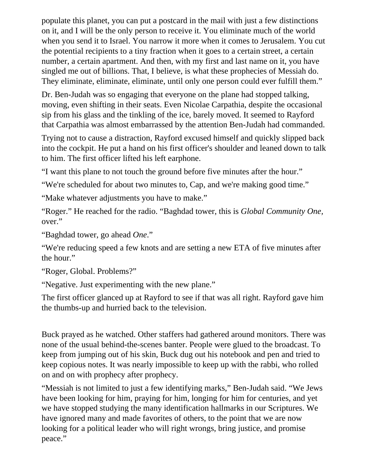populate this planet, you can put a postcard in the mail with just a few distinctions on it, and I will be the only person to receive it. You eliminate much of the world when you send it to Israel. You narrow it more when it comes to Jerusalem. You cut the potential recipients to a tiny fraction when it goes to a certain street, a certain number, a certain apartment. And then, with my first and last name on it, you have singled me out of billions. That, I believe, is what these prophecies of Messiah do. They eliminate, eliminate, eliminate, until only one person could ever fulfill them."

Dr. Ben-Judah was so engaging that everyone on the plane had stopped talking, moving, even shifting in their seats. Even Nicolae Carpathia, despite the occasional sip from his glass and the tinkling of the ice, barely moved. It seemed to Rayford that Carpathia was almost embarrassed by the attention Ben-Judah had commanded.

Trying not to cause a distraction, Rayford excused himself and quickly slipped back into the cockpit. He put a hand on his first officer's shoulder and leaned down to talk to him. The first officer lifted his left earphone.

"I want this plane to not touch the ground before five minutes after the hour."

"We're scheduled for about two minutes to, Cap, and we're making good time."

"Make whatever adjustments you have to make."

"Roger." He reached for the radio. "Baghdad tower, this is *Global Community One,*  over."

"Baghdad tower, go ahead *One*."

"We're reducing speed a few knots and are setting a new ETA of five minutes after the hour."

"Roger, Global. Problems?"

"Negative. Just experimenting with the new plane."

The first officer glanced up at Rayford to see if that was all right. Rayford gave him the thumbs-up and hurried back to the television.

Buck prayed as he watched. Other staffers had gathered around monitors. There was none of the usual behind-the-scenes banter. People were glued to the broadcast. To keep from jumping out of his skin, Buck dug out his notebook and pen and tried to keep copious notes. It was nearly impossible to keep up with the rabbi, who rolled on and on with prophecy after prophecy.

"Messiah is not limited to just a few identifying marks," Ben-Judah said. "We Jews have been looking for him, praying for him, longing for him for centuries, and yet we have stopped studying the many identification hallmarks in our Scriptures. We have ignored many and made favorites of others, to the point that we are now looking for a political leader who will right wrongs, bring justice, and promise peace."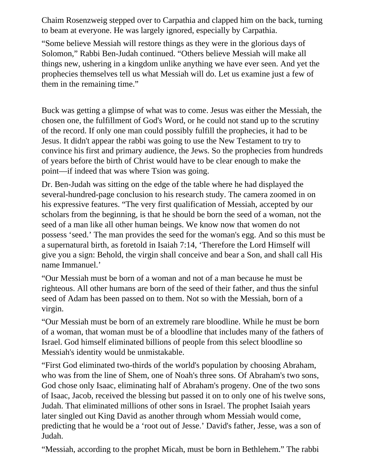Chaim Rosenzweig stepped over to Carpathia and clapped him on the back, turning to beam at everyone. He was largely ignored, especially by Carpathia.

"Some believe Messiah will restore things as they were in the glorious days of Solomon," Rabbi Ben-Judah continued. "Others believe Messiah will make all things new, ushering in a kingdom unlike anything we have ever seen. And yet the prophecies themselves tell us what Messiah will do. Let us examine just a few of them in the remaining time."

Buck was getting a glimpse of what was to come. Jesus was either the Messiah, the chosen one, the fulfillment of God's Word, or he could not stand up to the scrutiny of the record. If only one man could possibly fulfill the prophecies, it had to be Jesus. It didn't appear the rabbi was going to use the New Testament to try to convince his first and primary audience, the Jews. So the prophecies from hundreds of years before the birth of Christ would have to be clear enough to make the point—if indeed that was where Tsion was going.

Dr. Ben-Judah was sitting on the edge of the table where he had displayed the several-hundred-page conclusion to his research study. The camera zoomed in on his expressive features. "The very first qualification of Messiah, accepted by our scholars from the beginning, is that he should be born the seed of a woman, not the seed of a man like all other human beings. We know now that women do not possess 'seed.' The man provides the seed for the woman's egg. And so this must be a supernatural birth, as foretold in Isaiah 7:14, 'Therefore the Lord Himself will give you a sign: Behold, the virgin shall conceive and bear a Son, and shall call His name Immanuel.'

"Our Messiah must be born of a woman and not of a man because he must be righteous. All other humans are born of the seed of their father, and thus the sinful seed of Adam has been passed on to them. Not so with the Messiah, born of a virgin.

"Our Messiah must be born of an extremely rare bloodline. While he must be born of a woman, that woman must be of a bloodline that includes many of the fathers of Israel. God himself eliminated billions of people from this select bloodline so Messiah's identity would be unmistakable.

"First God eliminated two-thirds of the world's population by choosing Abraham, who was from the line of Shem, one of Noah's three sons. Of Abraham's two sons, God chose only Isaac, eliminating half of Abraham's progeny. One of the two sons of Isaac, Jacob, received the blessing but passed it on to only one of his twelve sons, Judah. That eliminated millions of other sons in Israel. The prophet Isaiah years later singled out King David as another through whom Messiah would come, predicting that he would be a 'root out of Jesse.' David's father, Jesse, was a son of Judah.

"Messiah, according to the prophet Micah, must be born in Bethlehem." The rabbi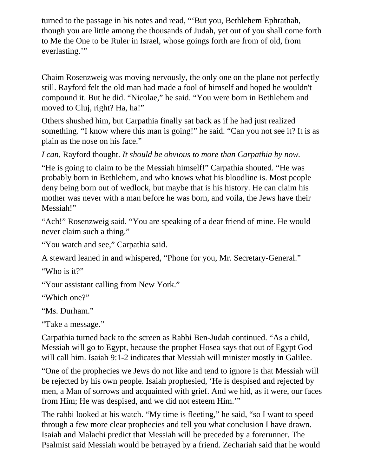turned to the passage in his notes and read, "'But you, Bethlehem Ephrathah, though you are little among the thousands of Judah, yet out of you shall come forth to Me the One to be Ruler in Israel, whose goings forth are from of old, from everlasting."

Chaim Rosenzweig was moving nervously, the only one on the plane not perfectly still. Rayford felt the old man had made a fool of himself and hoped he wouldn't compound it. But he did. "Nicolae," he said. "You were born in Bethlehem and moved to Cluj, right? Ha, ha!"

Others shushed him, but Carpathia finally sat back as if he had just realized something. "I know where this man is going!" he said. "Can you not see it? It is as plain as the nose on his face."

*I can*, Rayford thought. *It should be obvious to more than Carpathia by now.*

"He is going to claim to be the Messiah himself!" Carpathia shouted. "He was probably born in Bethlehem, and who knows what his bloodline is. Most people deny being born out of wedlock, but maybe that is his history. He can claim his mother was never with a man before he was born, and voila, the Jews have their Messiah!"

"Ach!" Rosenzweig said. "You are speaking of a dear friend of mine. He would never claim such a thing."

"You watch and see," Carpathia said.

A steward leaned in and whispered, "Phone for you, Mr. Secretary-General."

"Who is it?"

"Your assistant calling from New York."

"Which one?"

"Ms. Durham."

"Take a message."

Carpathia turned back to the screen as Rabbi Ben-Judah continued. "As a child, Messiah will go to Egypt, because the prophet Hosea says that out of Egypt God will call him. Isaiah 9:1-2 indicates that Messiah will minister mostly in Galilee.

"One of the prophecies we Jews do not like and tend to ignore is that Messiah will be rejected by his own people. Isaiah prophesied, 'He is despised and rejected by men, a Man of sorrows and acquainted with grief. And we hid, as it were, our faces from Him; He was despised, and we did not esteem Him.'"

The rabbi looked at his watch. "My time is fleeting," he said, "so I want to speed through a few more clear prophecies and tell you what conclusion I have drawn. Isaiah and Malachi predict that Messiah will be preceded by a forerunner. The Psalmist said Messiah would be betrayed by a friend. Zechariah said that he would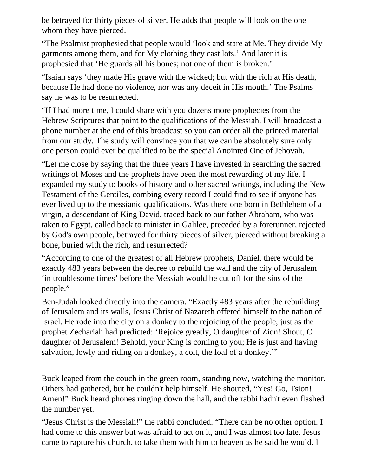be betrayed for thirty pieces of silver. He adds that people will look on the one whom they have pierced.

"The Psalmist prophesied that people would 'look and stare at Me. They divide My garments among them, and for My clothing they cast lots.' And later it is prophesied that 'He guards all his bones; not one of them is broken.'

"Isaiah says 'they made His grave with the wicked; but with the rich at His death, because He had done no violence, nor was any deceit in His mouth.' The Psalms say he was to be resurrected.

"If I had more time, I could share with you dozens more prophecies from the Hebrew Scriptures that point to the qualifications of the Messiah. I will broadcast a phone number at the end of this broadcast so you can order all the printed material from our study. The study will convince you that we can be absolutely sure only one person could ever be qualified to be the special Anointed One of Jehovah.

"Let me close by saying that the three years I have invested in searching the sacred writings of Moses and the prophets have been the most rewarding of my life. I expanded my study to books of history and other sacred writings, including the New Testament of the Gentiles, combing every record I could find to see if anyone has ever lived up to the messianic qualifications. Was there one born in Bethlehem of a virgin, a descendant of King David, traced back to our father Abraham, who was taken to Egypt, called back to minister in Galilee, preceded by a forerunner, rejected by God's own people, betrayed for thirty pieces of silver, pierced without breaking a bone, buried with the rich, and resurrected?

"According to one of the greatest of all Hebrew prophets, Daniel, there would be exactly 483 years between the decree to rebuild the wall and the city of Jerusalem 'in troublesome times' before the Messiah would be cut off for the sins of the people."

Ben-Judah looked directly into the camera. "Exactly 483 years after the rebuilding of Jerusalem and its walls, Jesus Christ of Nazareth offered himself to the nation of Israel. He rode into the city on a donkey to the rejoicing of the people, just as the prophet Zechariah had predicted: 'Rejoice greatly, O daughter of Zion! Shout, O daughter of Jerusalem! Behold, your King is coming to you; He is just and having salvation, lowly and riding on a donkey, a colt, the foal of a donkey.'"

Buck leaped from the couch in the green room, standing now, watching the monitor. Others had gathered, but he couldn't help himself. He shouted, "Yes! Go, Tsion! Amen!" Buck heard phones ringing down the hall, and the rabbi hadn't even flashed the number yet.

"Jesus Christ is the Messiah!" the rabbi concluded. "There can be no other option. I had come to this answer but was afraid to act on it, and I was almost too late. Jesus came to rapture his church, to take them with him to heaven as he said he would. I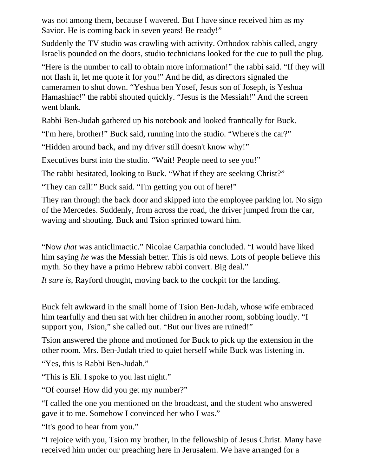was not among them, because I wavered. But I have since received him as my Savior. He is coming back in seven years! Be ready!"

Suddenly the TV studio was crawling with activity. Orthodox rabbis called, angry Israelis pounded on the doors, studio technicians looked for the cue to pull the plug.

"Here is the number to call to obtain more information!" the rabbi said. "If they will not flash it, let me quote it for you!" And he did, as directors signaled the cameramen to shut down. "Yeshua ben Yosef, Jesus son of Joseph, is Yeshua Hamashiac!" the rabbi shouted quickly. "Jesus is the Messiah!" And the screen went blank.

Rabbi Ben-Judah gathered up his notebook and looked frantically for Buck.

"I'm here, brother!" Buck said, running into the studio. "Where's the car?"

"Hidden around back, and my driver still doesn't know why!"

Executives burst into the studio. "Wait! People need to see you!"

The rabbi hesitated, looking to Buck. "What if they are seeking Christ?"

"They can call!" Buck said. "I'm getting you out of here!"

They ran through the back door and skipped into the employee parking lot. No sign of the Mercedes. Suddenly, from across the road, the driver jumped from the car, waving and shouting. Buck and Tsion sprinted toward him.

"Now *that* was anticlimactic." Nicolae Carpathia concluded. "I would have liked him saying *he* was the Messiah better. This is old news. Lots of people believe this myth. So they have a primo Hebrew rabbi convert. Big deal."

*It sure is*, Rayford thought, moving back to the cockpit for the landing.

Buck felt awkward in the small home of Tsion Ben-Judah, whose wife embraced him tearfully and then sat with her children in another room, sobbing loudly. "I support you, Tsion," she called out. "But our lives are ruined!"

Tsion answered the phone and motioned for Buck to pick up the extension in the other room. Mrs. Ben-Judah tried to quiet herself while Buck was listening in.

"Yes, this is Rabbi Ben-Judah."

"This is Eli. I spoke to you last night."

"Of course! How did you get my number?"

"I called the one you mentioned on the broadcast, and the student who answered gave it to me. Somehow I convinced her who I was."

"It's good to hear from you."

"I rejoice with you, Tsion my brother, in the fellowship of Jesus Christ. Many have received him under our preaching here in Jerusalem. We have arranged for a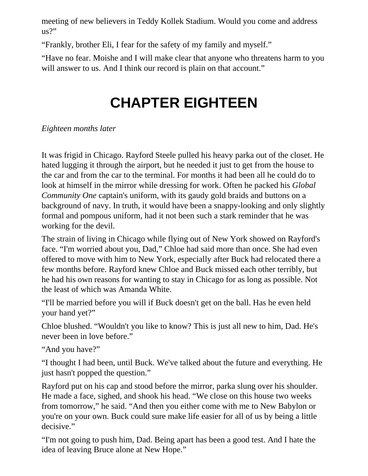meeting of new believers in Teddy Kollek Stadium. Would you come and address  $us?"$ 

"Frankly, brother Eli, I fear for the safety of my family and myself."

"Have no fear. Moishe and I will make clear that anyone who threatens harm to you will answer to us. And I think our record is plain on that account."

## **CHAPTER EIGHTEEN**

*Eighteen months later*

It was frigid in Chicago. Rayford Steele pulled his heavy parka out of the closet. He hated lugging it through the airport, but he needed it just to get from the house to the car and from the car to the terminal. For months it had been all he could do to look at himself in the mirror while dressing for work. Often he packed his *Global Community One* captain's uniform, with its gaudy gold braids and buttons on a background of navy. In truth, it would have been a snappy-looking and only slightly formal and pompous uniform, had it not been such a stark reminder that he was working for the devil.

The strain of living in Chicago while flying out of New York showed on Rayford's face. "I'm worried about you, Dad," Chloe had said more than once. She had even offered to move with him to New York, especially after Buck had relocated there a few months before. Rayford knew Chloe and Buck missed each other terribly, but he had his own reasons for wanting to stay in Chicago for as long as possible. Not the least of which was Amanda White.

"I'll be married before you will if Buck doesn't get on the ball. Has he even held your hand yet?"

Chloe blushed. "Wouldn't you like to know? This is just all new to him, Dad. He's never been in love before."

"And you have?"

"I thought I had been, until Buck. We've talked about the future and everything. He just hasn't popped the question."

Rayford put on his cap and stood before the mirror, parka slung over his shoulder. He made a face, sighed, and shook his head. "We close on this house two weeks from tomorrow," he said. "And then you either come with me to New Babylon or you're on your own. Buck could sure make life easier for all of us by being a little decisive."

"I'm not going to push him, Dad. Being apart has been a good test. And I hate the idea of leaving Bruce alone at New Hope."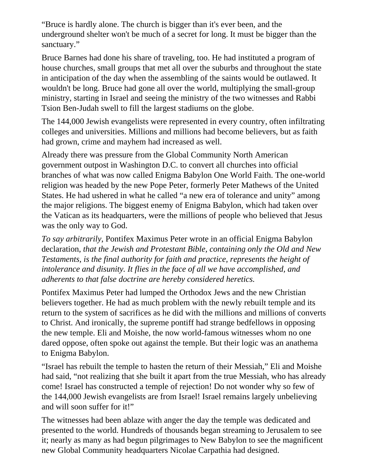"Bruce is hardly alone. The church is bigger than it's ever been, and the underground shelter won't be much of a secret for long. It must be bigger than the sanctuary."

Bruce Barnes had done his share of traveling, too. He had instituted a program of house churches, small groups that met all over the suburbs and throughout the state in anticipation of the day when the assembling of the saints would be outlawed. It wouldn't be long. Bruce had gone all over the world, multiplying the small-group ministry, starting in Israel and seeing the ministry of the two witnesses and Rabbi Tsion Ben-Judah swell to fill the largest stadiums on the globe.

The 144,000 Jewish evangelists were represented in every country, often infiltrating colleges and universities. Millions and millions had become believers, but as faith had grown, crime and mayhem had increased as well.

Already there was pressure from the Global Community North American government outpost in Washington D.C. to convert all churches into official branches of what was now called Enigma Babylon One World Faith. The one-world religion was headed by the new Pope Peter, formerly Peter Mathews of the United States. He had ushered in what he called "a new era of tolerance and unity" among the major religions. The biggest enemy of Enigma Babylon, which had taken over the Vatican as its headquarters, were the millions of people who believed that Jesus was the only way to God.

*To say arbitrarily*, Pontifex Maximus Peter wrote in an official Enigma Babylon declaration, *that the Jewish and Protestant Bible, containing only the Old and New Testaments, is the final authority for faith and practice, represents the height of intolerance and disunity. It flies in the face of all we have accomplished, and adherents to that false doctrine are hereby considered heretics.*

Pontifex Maximus Peter had lumped the Orthodox Jews and the new Christian believers together. He had as much problem with the newly rebuilt temple and its return to the system of sacrifices as he did with the millions and millions of converts to Christ. And ironically, the supreme pontiff had strange bedfellows in opposing the new temple. Eli and Moishe, the now world-famous witnesses whom no one dared oppose, often spoke out against the temple. But their logic was an anathema to Enigma Babylon.

"Israel has rebuilt the temple to hasten the return of their Messiah," Eli and Moishe had said, "not realizing that she built it apart from the true Messiah, who has already come! Israel has constructed a temple of rejection! Do not wonder why so few of the 144,000 Jewish evangelists are from Israel! Israel remains largely unbelieving and will soon suffer for it!"

The witnesses had been ablaze with anger the day the temple was dedicated and presented to the world. Hundreds of thousands began streaming to Jerusalem to see it; nearly as many as had begun pilgrimages to New Babylon to see the magnificent new Global Community headquarters Nicolae Carpathia had designed.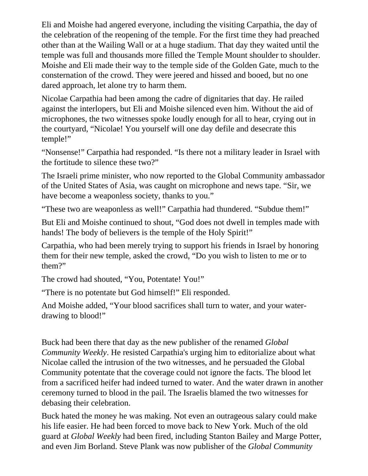Eli and Moishe had angered everyone, including the visiting Carpathia, the day of the celebration of the reopening of the temple. For the first time they had preached other than at the Wailing Wall or at a huge stadium. That day they waited until the temple was full and thousands more filled the Temple Mount shoulder to shoulder. Moishe and Eli made their way to the temple side of the Golden Gate, much to the consternation of the crowd. They were jeered and hissed and booed, but no one dared approach, let alone try to harm them.

Nicolae Carpathia had been among the cadre of dignitaries that day. He railed against the interlopers, but Eli and Moishe silenced even him. Without the aid of microphones, the two witnesses spoke loudly enough for all to hear, crying out in the courtyard, "Nicolae! You yourself will one day defile and desecrate this temple!"

"Nonsense!" Carpathia had responded. "Is there not a military leader in Israel with the fortitude to silence these two?"

The Israeli prime minister, who now reported to the Global Community ambassador of the United States of Asia, was caught on microphone and news tape. "Sir, we have become a weaponless society, thanks to you."

"These two are weaponless as well!" Carpathia had thundered. "Subdue them!"

But Eli and Moishe continued to shout, "God does not dwell in temples made with hands! The body of believers is the temple of the Holy Spirit!"

Carpathia, who had been merely trying to support his friends in Israel by honoring them for their new temple, asked the crowd, "Do you wish to listen to me or to them?"

The crowd had shouted, "You, Potentate! You!"

"There is no potentate but God himself!" Eli responded.

And Moishe added, "Your blood sacrifices shall turn to water, and your waterdrawing to blood!"

Buck had been there that day as the new publisher of the renamed *Global Community Weekly*. He resisted Carpathia's urging him to editorialize about what Nicolae called the intrusion of the two witnesses, and he persuaded the Global Community potentate that the coverage could not ignore the facts. The blood let from a sacrificed heifer had indeed turned to water. And the water drawn in another ceremony turned to blood in the pail. The Israelis blamed the two witnesses for debasing their celebration.

Buck hated the money he was making. Not even an outrageous salary could make his life easier. He had been forced to move back to New York. Much of the old guard at *Global Weekly* had been fired, including Stanton Bailey and Marge Potter, and even Jim Borland. Steve Plank was now publisher of the *Global Community*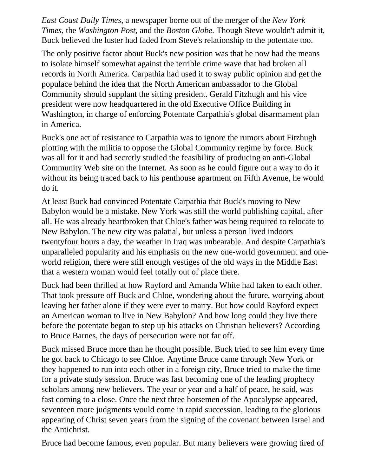*East Coast Daily Times,* a newspaper borne out of the merger of the *New York Times,* the *Washington Post,* and the *Boston Globe.* Though Steve wouldn't admit it, Buck believed the luster had faded from Steve's relationship to the potentate too.

The only positive factor about Buck's new position was that he now had the means to isolate himself somewhat against the terrible crime wave that had broken all records in North America. Carpathia had used it to sway public opinion and get the populace behind the idea that the North American ambassador to the Global Community should supplant the sitting president. Gerald Fitzhugh and his vice president were now headquartered in the old Executive Office Building in Washington, in charge of enforcing Potentate Carpathia's global disarmament plan in America.

Buck's one act of resistance to Carpathia was to ignore the rumors about Fitzhugh plotting with the militia to oppose the Global Community regime by force. Buck was all for it and had secretly studied the feasibility of producing an anti-Global Community Web site on the Internet. As soon as he could figure out a way to do it without its being traced back to his penthouse apartment on Fifth Avenue, he would do it.

At least Buck had convinced Potentate Carpathia that Buck's moving to New Babylon would be a mistake. New York was still the world publishing capital, after all. He was already heartbroken that Chloe's father was being required to relocate to New Babylon. The new city was palatial, but unless a person lived indoors twentyfour hours a day, the weather in Iraq was unbearable. And despite Carpathia's unparalleled popularity and his emphasis on the new one-world government and oneworld religion, there were still enough vestiges of the old ways in the Middle East that a western woman would feel totally out of place there.

Buck had been thrilled at how Rayford and Amanda White had taken to each other. That took pressure off Buck and Chloe, wondering about the future, worrying about leaving her father alone if they were ever to marry. But how could Rayford expect an American woman to live in New Babylon? And how long could they live there before the potentate began to step up his attacks on Christian believers? According to Bruce Barnes, the days of persecution were not far off.

Buck missed Bruce more than he thought possible. Buck tried to see him every time he got back to Chicago to see Chloe. Anytime Bruce came through New York or they happened to run into each other in a foreign city, Bruce tried to make the time for a private study session. Bruce was fast becoming one of the leading prophecy scholars among new believers. The year or year and a half of peace, he said, was fast coming to a close. Once the next three horsemen of the Apocalypse appeared, seventeen more judgments would come in rapid succession, leading to the glorious appearing of Christ seven years from the signing of the covenant between Israel and the Antichrist.

Bruce had become famous, even popular. But many believers were growing tired of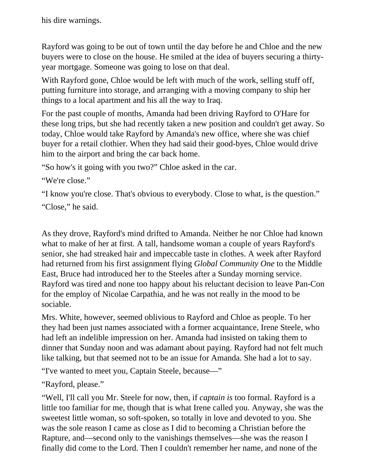his dire warnings.

Rayford was going to be out of town until the day before he and Chloe and the new buyers were to close on the house. He smiled at the idea of buyers securing a thirtyyear mortgage. Someone was going to lose on that deal.

With Rayford gone, Chloe would be left with much of the work, selling stuff off, putting furniture into storage, and arranging with a moving company to ship her things to a local apartment and his all the way to Iraq.

For the past couple of months, Amanda had been driving Rayford to O'Hare for these long trips, but she had recently taken a new position and couldn't get away. So today, Chloe would take Rayford by Amanda's new office, where she was chief buyer for a retail clothier. When they had said their good-byes, Chloe would drive him to the airport and bring the car back home.

"So how's it going with you two?" Chloe asked in the car.

"We're close."

"I know you're close. That's obvious to everybody. Close to what, is the question."

"Close," he said.

As they drove, Rayford's mind drifted to Amanda. Neither he nor Chloe had known what to make of her at first. A tall, handsome woman a couple of years Rayford's senior, she had streaked hair and impeccable taste in clothes. A week after Rayford had returned from his first assignment flying *Global Community One* to the Middle East, Bruce had introduced her to the Steeles after a Sunday morning service. Rayford was tired and none too happy about his reluctant decision to leave Pan-Con for the employ of Nicolae Carpathia, and he was not really in the mood to be sociable.

Mrs. White, however, seemed oblivious to Rayford and Chloe as people. To her they had been just names associated with a former acquaintance, Irene Steele, who had left an indelible impression on her. Amanda had insisted on taking them to dinner that Sunday noon and was adamant about paying. Rayford had not felt much like talking, but that seemed not to be an issue for Amanda. She had a lot to say.

"I've wanted to meet you, Captain Steele, because—"

"Rayford, please."

"Well, I'll call you Mr. Steele for now, then, if *captain is* too formal. Rayford is a little too familiar for me, though that is what Irene called you. Anyway, she was the sweetest little woman, so soft-spoken, so totally in love and devoted to you. She was the sole reason I came as close as I did to becoming a Christian before the Rapture, and—second only to the vanishings themselves—she was the reason I finally did come to the Lord. Then I couldn't remember her name, and none of the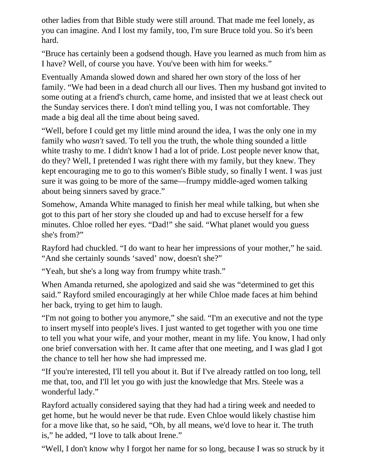other ladies from that Bible study were still around. That made me feel lonely, as you can imagine. And I lost my family, too, I'm sure Bruce told you. So it's been hard.

"Bruce has certainly been a godsend though. Have you learned as much from him as I have? Well, of course you have. You've been with him for weeks."

Eventually Amanda slowed down and shared her own story of the loss of her family. "We had been in a dead church all our lives. Then my husband got invited to some outing at a friend's church, came home, and insisted that we at least check out the Sunday services there. I don't mind telling you, I was not comfortable. They made a big deal all the time about being saved.

"Well, before I could get my little mind around the idea, I was the only one in my family who *wasn't* saved. To tell you the truth, the whole thing sounded a little white trashy to me. I didn't know I had a lot of pride. Lost people never know that, do they? Well, I pretended I was right there with my family, but they knew. They kept encouraging me to go to this women's Bible study, so finally I went. I was just sure it was going to be more of the same—frumpy middle-aged women talking about being sinners saved by grace."

Somehow, Amanda White managed to finish her meal while talking, but when she got to this part of her story she clouded up and had to excuse herself for a few minutes. Chloe rolled her eyes. "Dad!" she said. "What planet would you guess she's from?"

Rayford had chuckled. "I do want to hear her impressions of your mother," he said. "And she certainly sounds 'saved' now, doesn't she?"

"Yeah, but she's a long way from frumpy white trash."

When Amanda returned, she apologized and said she was "determined to get this said." Rayford smiled encouragingly at her while Chloe made faces at him behind her back, trying to get him to laugh.

"I'm not going to bother you anymore," she said. "I'm an executive and not the type to insert myself into people's lives. I just wanted to get together with you one time to tell you what your wife, and your mother, meant in my life. You know, I had only one brief conversation with her. It came after that one meeting, and I was glad I got the chance to tell her how she had impressed me.

"If you're interested, I'll tell you about it. But if I've already rattled on too long, tell me that, too, and I'll let you go with just the knowledge that Mrs. Steele was a wonderful lady."

Rayford actually considered saying that they had had a tiring week and needed to get home, but he would never be that rude. Even Chloe would likely chastise him for a move like that, so he said, "Oh, by all means, we'd love to hear it. The truth is," he added, "I love to talk about Irene."

"Well, I don't know why I forgot her name for so long, because I was so struck by it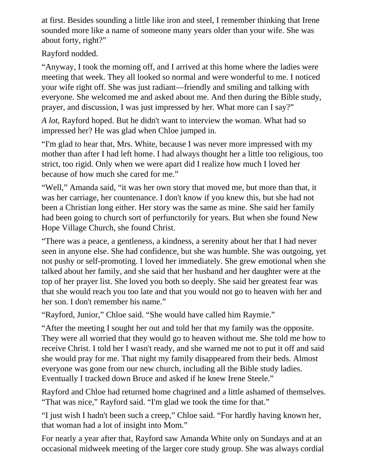at first. Besides sounding a little like iron and steel, I remember thinking that Irene sounded more like a name of someone many years older than your wife. She was about forty, right?"

## Rayford nodded.

"Anyway, I took the morning off, and I arrived at this home where the ladies were meeting that week. They all looked so normal and were wonderful to me. I noticed your wife right off. She was just radiant—friendly and smiling and talking with everyone. She welcomed me and asked about me. And then during the Bible study, prayer, and discussion, I was just impressed by her. What more can I say?"

*A lot*, Rayford hoped. But he didn't want to interview the woman. What had so impressed her? He was glad when Chloe jumped in.

"I'm glad to hear that, Mrs. White, because I was never more impressed with my mother than after I had left home. I had always thought her a little too religious, too strict, too rigid. Only when we were apart did I realize how much I loved her because of how much she cared for me."

"Well," Amanda said, "it was her own story that moved me, but more than that, it was her carriage, her countenance. I don't know if you knew this, but she had not been a Christian long either. Her story was the same as mine. She said her family had been going to church sort of perfunctorily for years. But when she found New Hope Village Church, she found Christ.

"There was a peace, a gentleness, a kindness, a serenity about her that I had never seen in anyone else. She had confidence, but she was humble. She was outgoing, yet not pushy or self-promoting. I loved her immediately. She grew emotional when she talked about her family, and she said that her husband and her daughter were at the top of her prayer list. She loved you both so deeply. She said her greatest fear was that she would reach you too late and that you would not go to heaven with her and her son. I don't remember his name."

"Rayford, Junior," Chloe said. "She would have called him Raymie."

"After the meeting I sought her out and told her that my family was the opposite. They were all worried that they would go to heaven without me. She told me how to receive Christ. I told her I wasn't ready, and she warned me not to put it off and said she would pray for me. That night my family disappeared from their beds. Almost everyone was gone from our new church, including all the Bible study ladies. Eventually I tracked down Bruce and asked if he knew Irene Steele."

Rayford and Chloe had returned home chagrined and a little ashamed of themselves. "That was nice," Rayford said. "I'm glad we took the time for that."

"I just wish I hadn't been such a creep," Chloe said. "For hardly having known her, that woman had a lot of insight into Mom."

For nearly a year after that, Rayford saw Amanda White only on Sundays and at an occasional midweek meeting of the larger core study group. She was always cordial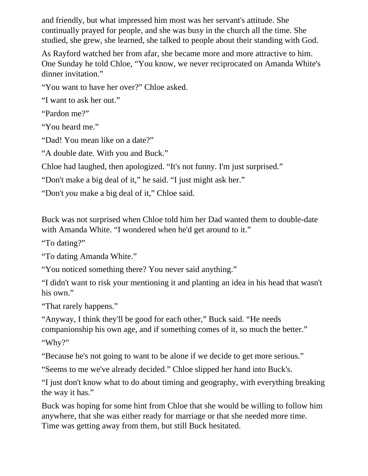and friendly, but what impressed him most was her servant's attitude. She continually prayed for people, and she was busy in the church all the time. She studied, she grew, she learned, she talked to people about their standing with God.

As Rayford watched her from afar, she became more and more attractive to him. One Sunday he told Chloe, "You know, we never reciprocated on Amanda White's dinner invitation."

"You want to have her over?" Chloe asked.

"I want to ask her out."

"Pardon me?"

"You heard me."

"Dad! You mean like on a date?"

"A double date. With you and Buck."

Chloe had laughed, then apologized. "It's not funny. I'm just surprised."

"Don't make a big deal of it," he said. "I just might ask her."

"Don't *you* make a big deal of it," Chloe said.

Buck was not surprised when Chloe told him her Dad wanted them to double-date with Amanda White. "I wondered when he'd get around to it."

"To dating?"

"To dating Amanda White."

"You noticed something there? You never said anything."

"I didn't want to risk your mentioning it and planting an idea in his head that wasn't his own."

"That rarely happens."

"Anyway, I think they'll be good for each other," Buck said. "He needs companionship his own age, and if something comes of it, so much the better." "Why?"

"Because he's not going to want to be alone if we decide to get more serious."

"Seems to me we've already decided." Chloe slipped her hand into Buck's.

"I just don't know what to do about timing and geography, with everything breaking the way it has."

Buck was hoping for some hint from Chloe that she would be willing to follow him anywhere, that she was either ready for marriage or that she needed more time. Time was getting away from them, but still Buck hesitated.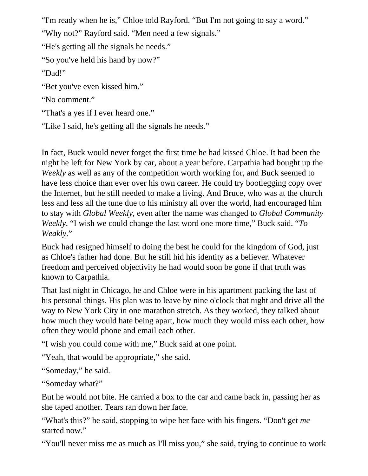"I'm ready when he is," Chloe told Rayford. "But I'm not going to say a word."

"Why not?" Rayford said. "Men need a few signals."

"He's getting all the signals he needs."

"So you've held his hand by now?"

"Dad!"

"Bet you've even kissed him."

"No comment."

"That's a yes if I ever heard one."

"Like I said, he's getting all the signals he needs."

In fact, Buck would never forget the first time he had kissed Chloe. It had been the night he left for New York by car, about a year before. Carpathia had bought up the *Weekly* as well as any of the competition worth working for, and Buck seemed to have less choice than ever over his own career. He could try bootlegging copy over the Internet, but he still needed to make a living. And Bruce, who was at the church less and less all the tune due to his ministry all over the world, had encouraged him to stay with *Global Weekly,* even after the name was changed to *Global Community Weekly*. "I wish we could change the last word one more time," Buck said. "*To Weakly*."

Buck had resigned himself to doing the best he could for the kingdom of God, just as Chloe's father had done. But he still hid his identity as a believer. Whatever freedom and perceived objectivity he had would soon be gone if that truth was known to Carpathia.

That last night in Chicago, he and Chloe were in his apartment packing the last of his personal things. His plan was to leave by nine o'clock that night and drive all the way to New York City in one marathon stretch. As they worked, they talked about how much they would hate being apart, how much they would miss each other, how often they would phone and email each other.

"I wish you could come with me," Buck said at one point.

"Yeah, that would be appropriate," she said.

"Someday," he said.

"Someday what?"

But he would not bite. He carried a box to the car and came back in, passing her as she taped another. Tears ran down her face.

"What's this?" he said, stopping to wipe her face with his fingers. "Don't get *me*  started now."

"You'll never miss me as much as I'll miss you," she said, trying to continue to work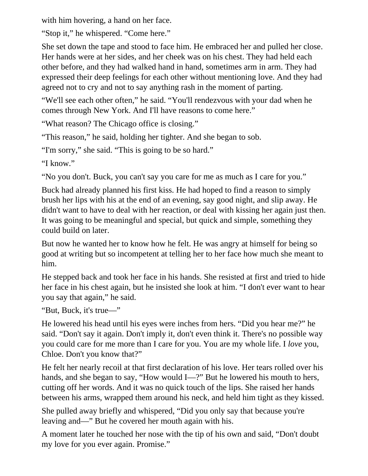with him hovering, a hand on her face.

"Stop it," he whispered. "Come here."

She set down the tape and stood to face him. He embraced her and pulled her close. Her hands were at her sides, and her cheek was on his chest. They had held each other before, and they had walked hand in hand, sometimes arm in arm. They had expressed their deep feelings for each other without mentioning love. And they had agreed not to cry and not to say anything rash in the moment of parting.

"We'll see each other often," he said. "You'll rendezvous with your dad when he comes through New York. And I'll have reasons to come here."

"What reason? The Chicago office is closing."

"This reason," he said, holding her tighter. And she began to sob.

"I'm sorry," she said. "This is going to be so hard."

"I know."

"No you don't. Buck, you can't say you care for me as much as I care for you."

Buck had already planned his first kiss. He had hoped to find a reason to simply brush her lips with his at the end of an evening, say good night, and slip away. He didn't want to have to deal with her reaction, or deal with kissing her again just then. It was going to be meaningful and special, but quick and simple, something they could build on later.

But now he wanted her to know how he felt. He was angry at himself for being so good at writing but so incompetent at telling her to her face how much she meant to him.

He stepped back and took her face in his hands. She resisted at first and tried to hide her face in his chest again, but he insisted she look at him. "I don't ever want to hear you say that again," he said.

"But, Buck, it's true—"

He lowered his head until his eyes were inches from hers. "Did you hear me?" he said. "Don't say it again. Don't imply it, don't even think it. There's no possible way you could care for me more than I care for you. You are my whole life. I *love* you, Chloe. Don't you know that?"

He felt her nearly recoil at that first declaration of his love. Her tears rolled over his hands, and she began to say, "How would I—?" But he lowered his mouth to hers, cutting off her words. And it was no quick touch of the lips. She raised her hands between his arms, wrapped them around his neck, and held him tight as they kissed.

She pulled away briefly and whispered, "Did you only say that because you're leaving and—" But he covered her mouth again with his.

A moment later he touched her nose with the tip of his own and said, "Don't doubt my love for you ever again. Promise."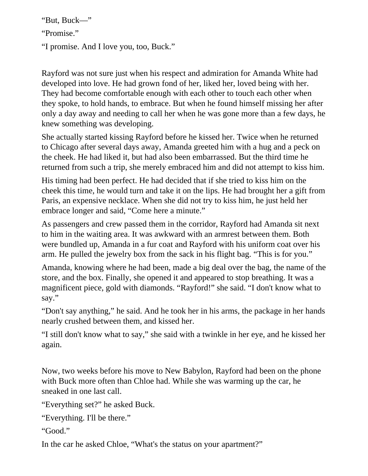"But, Buck—"

"Promise."

"I promise. And I love you, too, Buck."

Rayford was not sure just when his respect and admiration for Amanda White had developed into love. He had grown fond of her, liked her, loved being with her. They had become comfortable enough with each other to touch each other when they spoke, to hold hands, to embrace. But when he found himself missing her after only a day away and needing to call her when he was gone more than a few days, he knew something was developing.

She actually started kissing Rayford before he kissed her. Twice when he returned to Chicago after several days away, Amanda greeted him with a hug and a peck on the cheek. He had liked it, but had also been embarrassed. But the third time he returned from such a trip, she merely embraced him and did not attempt to kiss him.

His timing had been perfect. He had decided that if she tried to kiss him on the cheek this time, he would turn and take it on the lips. He had brought her a gift from Paris, an expensive necklace. When she did not try to kiss him, he just held her embrace longer and said, "Come here a minute."

As passengers and crew passed them in the corridor, Rayford had Amanda sit next to him in the waiting area. It was awkward with an armrest between them. Both were bundled up, Amanda in a fur coat and Rayford with his uniform coat over his arm. He pulled the jewelry box from the sack in his flight bag. "This is for you."

Amanda, knowing where he had been, made a big deal over the bag, the name of the store, and the box. Finally, she opened it and appeared to stop breathing. It was a magnificent piece, gold with diamonds. "Rayford!" she said. "I don't know what to say."

"Don't say anything," he said. And he took her in his arms, the package in her hands nearly crushed between them, and kissed her.

"I still don't know what to say," she said with a twinkle in her eye, and he kissed her again.

Now, two weeks before his move to New Babylon, Rayford had been on the phone with Buck more often than Chloe had. While she was warming up the car, he sneaked in one last call.

"Everything set?" he asked Buck.

"Everything. I'll be there."

"Good."

In the car he asked Chloe, "What's the status on your apartment?"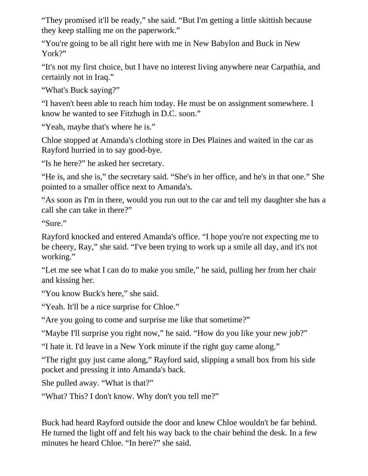"They promised it'll be ready," she said. "But I'm getting a little skittish because they keep stalling me on the paperwork."

"You're going to be all right here with me in New Babylon and Buck in New York?"

"It's not my first choice, but I have no interest living anywhere near Carpathia, and certainly not in Iraq."

"What's Buck saying?"

"I haven't been able to reach him today. He must be on assignment somewhere. I know he wanted to see Fitzhugh in D.C. soon."

"Yeah, maybe that's where he is."

Chloe stopped at Amanda's clothing store in Des Plaines and waited in the car as Rayford hurried in to say good-bye.

"Is he here?" he asked her secretary.

"He is, and she is," the secretary said. "She's in her office, and he's in that one." She pointed to a smaller office next to Amanda's.

"As soon as I'm in there, would you run out to the car and tell my daughter she has a call she can take in there?"

"Sure."

Rayford knocked and entered Amanda's office. "I hope you're not expecting me to be cheery, Ray," she said. "I've been trying to work up a smile all day, and it's not working."

"Let me see what I can do to make you smile," he said, pulling her from her chair and kissing her.

"You know Buck's here," she said.

"Yeah. It'll be a nice surprise for Chloe."

"Are you going to come and surprise me like that sometime?"

"Maybe I'll surprise you right now," he said. "How do you like your new job?"

"I hate it. I'd leave in a New York minute if the right guy came along."

"The right guy just came along," Rayford said, slipping a small box from his side pocket and pressing it into Amanda's back.

She pulled away. "What is that?"

"What? This? I don't know. Why don't you tell me?"

Buck had heard Rayford outside the door and knew Chloe wouldn't be far behind. He turned the light off and felt his way back to the chair behind the desk. In a few minutes he heard Chloe. "In here?" she said.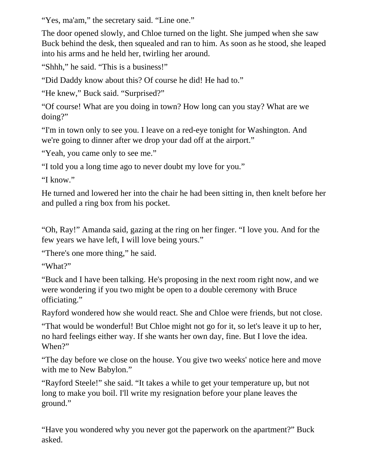"Yes, ma'am," the secretary said. "Line one."

The door opened slowly, and Chloe turned on the light. She jumped when she saw Buck behind the desk, then squealed and ran to him. As soon as he stood, she leaped into his arms and he held her, twirling her around.

"Shhh," he said. "This is a business!"

"Did Daddy know about this? Of course he did! He had to."

"He knew," Buck said. "Surprised?"

"Of course! What are you doing in town? How long can you stay? What are we doing?"

"I'm in town only to see you. I leave on a red-eye tonight for Washington. And we're going to dinner after we drop your dad off at the airport."

"Yeah, you came only to see me."

"I told you a long time ago to never doubt my love for you."

"I know."

He turned and lowered her into the chair he had been sitting in, then knelt before her and pulled a ring box from his pocket.

"Oh, Ray!" Amanda said, gazing at the ring on her finger. "I love you. And for the few years we have left, I will love being yours."

"There's one more thing," he said.

"What?"

"Buck and I have been talking. He's proposing in the next room right now, and we were wondering if you two might be open to a double ceremony with Bruce officiating."

Rayford wondered how she would react. She and Chloe were friends, but not close.

"That would be wonderful! But Chloe might not go for it, so let's leave it up to her, no hard feelings either way. If she wants her own day, fine. But I love the idea. When?"

"The day before we close on the house. You give two weeks' notice here and move with me to New Babylon."

"Rayford Steele!" she said. "It takes a while to get your temperature up, but not long to make you boil. I'll write my resignation before your plane leaves the ground."

"Have you wondered why you never got the paperwork on the apartment?" Buck asked.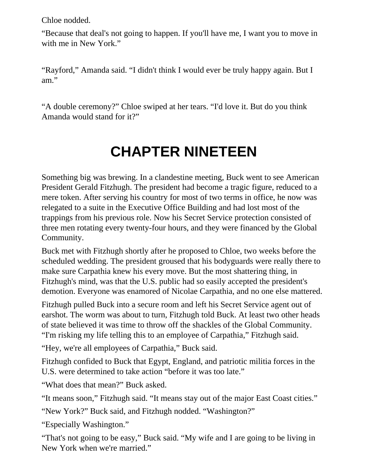Chloe nodded.

"Because that deal's not going to happen. If you'll have me, I want you to move in with me in New York."

"Rayford," Amanda said. "I didn't think I would ever be truly happy again. But I am."

"A double ceremony?" Chloe swiped at her tears. "I'd love it. But do you think Amanda would stand for it?"

## **CHAPTER NINETEEN**

Something big was brewing. In a clandestine meeting, Buck went to see American President Gerald Fitzhugh. The president had become a tragic figure, reduced to a mere token. After serving his country for most of two terms in office, he now was relegated to a suite in the Executive Office Building and had lost most of the trappings from his previous role. Now his Secret Service protection consisted of three men rotating every twenty-four hours, and they were financed by the Global Community.

Buck met with Fitzhugh shortly after he proposed to Chloe, two weeks before the scheduled wedding. The president groused that his bodyguards were really there to make sure Carpathia knew his every move. But the most shattering thing, in Fitzhugh's mind, was that the U.S. public had so easily accepted the president's demotion. Everyone was enamored of Nicolae Carpathia, and no one else mattered.

Fitzhugh pulled Buck into a secure room and left his Secret Service agent out of earshot. The worm was about to turn, Fitzhugh told Buck. At least two other heads of state believed it was time to throw off the shackles of the Global Community. "I'm risking my life telling this to an employee of Carpathia," Fitzhugh said.

"Hey, we're all employees of Carpathia," Buck said.

Fitzhugh confided to Buck that Egypt, England, and patriotic militia forces in the U.S. were determined to take action "before it was too late."

"What does that mean?" Buck asked.

"It means soon," Fitzhugh said. "It means stay out of the major East Coast cities."

"New York?" Buck said, and Fitzhugh nodded. "Washington?"

"Especially Washington."

"That's not going to be easy," Buck said. "My wife and I are going to be living in New York when we're married."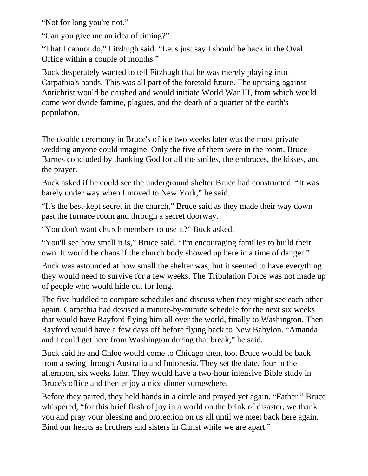"Not for long you're not."

"Can you give me an idea of timing?"

"That I cannot do," Fitzhugh said. "Let's just say I should be back in the Oval Office within a couple of months."

Buck desperately wanted to tell Fitzhugh that he was merely playing into Carpathia's hands. This was all part of the foretold future. The uprising against Antichrist would be crushed and would initiate World War III, from which would come worldwide famine, plagues, and the death of a quarter of the earth's population.

The double ceremony in Bruce's office two weeks later was the most private wedding anyone could imagine. Only the five of them were in the room. Bruce Barnes concluded by thanking God for all the smiles, the embraces, the kisses, and the prayer.

Buck asked if he could see the underground shelter Bruce had constructed. "It was barely under way when I moved to New York," he said.

"It's the best-kept secret in the church," Bruce said as they made their way down past the furnace room and through a secret doorway.

"You don't want church members to use it?" Buck asked.

"You'll see how small it is," Bruce said. "I'm encouraging families to build their own. It would be chaos if the church body showed up here in a time of danger."

Buck was astounded at how small the shelter was, but it seemed to have everything they would need to survive for a few weeks. The Tribulation Force was not made up of people who would hide out for long.

The five huddled to compare schedules and discuss when they might see each other again. Carpathia had devised a minute-by-minute schedule for the next six weeks that would have Rayford flying him all over the world, finally to Washington. Then Rayford would have a few days off before flying back to New Babylon. "Amanda and I could get here from Washington during that break," he said.

Buck said he and Chloe would come to Chicago then, too. Bruce would be back from a swing through Australia and Indonesia. They set the date, four in the afternoon, six weeks later. They would have a two-hour intensive Bible study in Bruce's office and then enjoy a nice dinner somewhere.

Before they parted, they held hands in a circle and prayed yet again. "Father," Bruce whispered, "for this brief flash of joy in a world on the brink of disaster, we thank you and pray your blessing and protection on us all until we meet back here again. Bind our hearts as brothers and sisters in Christ while we are apart."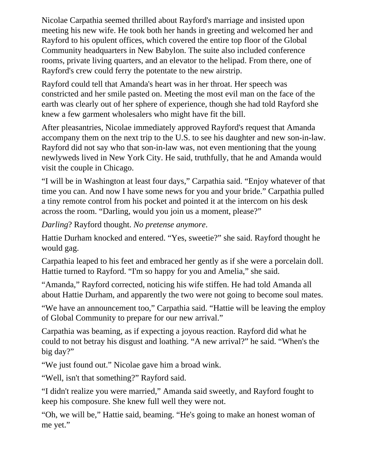Nicolae Carpathia seemed thrilled about Rayford's marriage and insisted upon meeting his new wife. He took both her hands in greeting and welcomed her and Rayford to his opulent offices, which covered the entire top floor of the Global Community headquarters in New Babylon. The suite also included conference rooms, private living quarters, and an elevator to the helipad. From there, one of Rayford's crew could ferry the potentate to the new airstrip.

Rayford could tell that Amanda's heart was in her throat. Her speech was constricted and her smile pasted on. Meeting the most evil man on the face of the earth was clearly out of her sphere of experience, though she had told Rayford she knew a few garment wholesalers who might have fit the bill.

After pleasantries, Nicolae immediately approved Rayford's request that Amanda accompany them on the next trip to the U.S. to see his daughter and new son-in-law. Rayford did not say who that son-in-law was, not even mentioning that the young newlyweds lived in New York City. He said, truthfully, that he and Amanda would visit the couple in Chicago.

"I will be in Washington at least four days," Carpathia said. "Enjoy whatever of that time you can. And now I have some news for you and your bride." Carpathia pulled a tiny remote control from his pocket and pointed it at the intercom on his desk across the room. "Darling, would you join us a moment, please?"

*Darling*? Rayford thought. *No pretense anymore*.

Hattie Durham knocked and entered. "Yes, sweetie?" she said. Rayford thought he would gag.

Carpathia leaped to his feet and embraced her gently as if she were a porcelain doll. Hattie turned to Rayford. "I'm so happy for you and Amelia," she said.

"Amanda," Rayford corrected, noticing his wife stiffen. He had told Amanda all about Hattie Durham, and apparently the two were not going to become soul mates.

"We have an announcement too," Carpathia said. "Hattie will be leaving the employ of Global Community to prepare for our new arrival."

Carpathia was beaming, as if expecting a joyous reaction. Rayford did what he could to not betray his disgust and loathing. "A new arrival?" he said. "When's the big day?"

"We just found out." Nicolae gave him a broad wink.

"Well, isn't that something?" Rayford said.

"I didn't realize you were married," Amanda said sweetly, and Rayford fought to keep his composure. She knew full well they were not.

"Oh, we will be," Hattie said, beaming. "He's going to make an honest woman of me yet."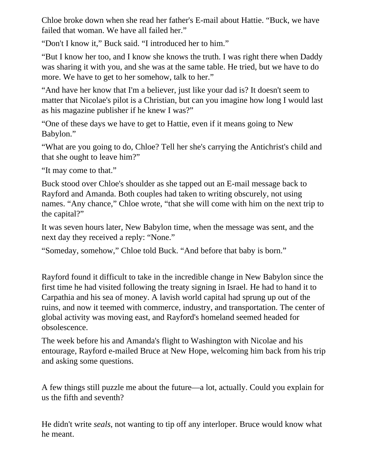Chloe broke down when she read her father's E-mail about Hattie. "Buck, we have failed that woman. We have all failed her."

"Don't I know it," Buck said. "I introduced her to him."

"But I know her too, and I know she knows the truth. I was right there when Daddy was sharing it with you, and she was at the same table. He tried, but we have to do more. We have to get to her somehow, talk to her."

"And have her know that I'm a believer, just like your dad is? It doesn't seem to matter that Nicolae's pilot is a Christian, but can you imagine how long I would last as his magazine publisher if he knew I was?"

"One of these days we have to get to Hattie, even if it means going to New Babylon."

"What are you going to do, Chloe? Tell her she's carrying the Antichrist's child and that she ought to leave him?"

"It may come to that."

Buck stood over Chloe's shoulder as she tapped out an E-mail message back to Rayford and Amanda. Both couples had taken to writing obscurely, not using names. "Any chance," Chloe wrote, "that she will come with him on the next trip to the capital?"

It was seven hours later, New Babylon time, when the message was sent, and the next day they received a reply: "None."

"Someday, somehow," Chloe told Buck. "And before that baby is born."

Rayford found it difficult to take in the incredible change in New Babylon since the first time he had visited following the treaty signing in Israel. He had to hand it to Carpathia and his sea of money. A lavish world capital had sprung up out of the ruins, and now it teemed with commerce, industry, and transportation. The center of global activity was moving east, and Rayford's homeland seemed headed for obsolescence.

The week before his and Amanda's flight to Washington with Nicolae and his entourage, Rayford e-mailed Bruce at New Hope, welcoming him back from his trip and asking some questions.

A few things still puzzle me about the future—a lot, actually. Could you explain for us the fifth and seventh?

He didn't write *seals*, not wanting to tip off any interloper. Bruce would know what he meant.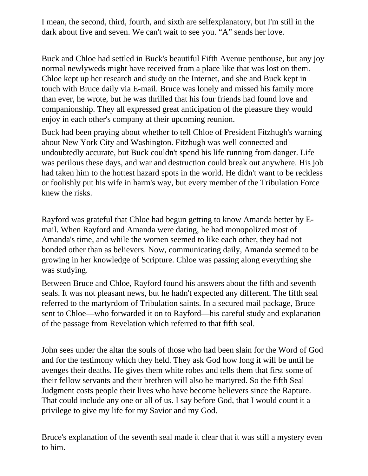I mean, the second, third, fourth, and sixth are selfexplanatory, but I'm still in the dark about five and seven. We can't wait to see you. "A" sends her love.

Buck and Chloe had settled in Buck's beautiful Fifth Avenue penthouse, but any joy normal newlyweds might have received from a place like that was lost on them. Chloe kept up her research and study on the Internet, and she and Buck kept in touch with Bruce daily via E-mail. Bruce was lonely and missed his family more than ever, he wrote, but he was thrilled that his four friends had found love and companionship. They all expressed great anticipation of the pleasure they would enjoy in each other's company at their upcoming reunion.

Buck had been praying about whether to tell Chloe of President Fitzhugh's warning about New York City and Washington. Fitzhugh was well connected and undoubtedly accurate, but Buck couldn't spend his life running from danger. Life was perilous these days, and war and destruction could break out anywhere. His job had taken him to the hottest hazard spots in the world. He didn't want to be reckless or foolishly put his wife in harm's way, but every member of the Tribulation Force knew the risks.

Rayford was grateful that Chloe had begun getting to know Amanda better by Email. When Rayford and Amanda were dating, he had monopolized most of Amanda's time, and while the women seemed to like each other, they had not bonded other than as believers. Now, communicating daily, Amanda seemed to be growing in her knowledge of Scripture. Chloe was passing along everything she was studying.

Between Bruce and Chloe, Rayford found his answers about the fifth and seventh seals. It was not pleasant news, but he hadn't expected any different. The fifth seal referred to the martyrdom of Tribulation saints. In a secured mail package, Bruce sent to Chloe—who forwarded it on to Rayford—his careful study and explanation of the passage from Revelation which referred to that fifth seal.

John sees under the altar the souls of those who had been slain for the Word of God and for the testimony which they held. They ask God how long it will be until he avenges their deaths. He gives them white robes and tells them that first some of their fellow servants and their brethren will also be martyred. So the fifth Seal Judgment costs people their lives who have become believers since the Rapture. That could include any one or all of us. I say before God, that I would count it a privilege to give my life for my Savior and my God.

Bruce's explanation of the seventh seal made it clear that it was still a mystery even to him.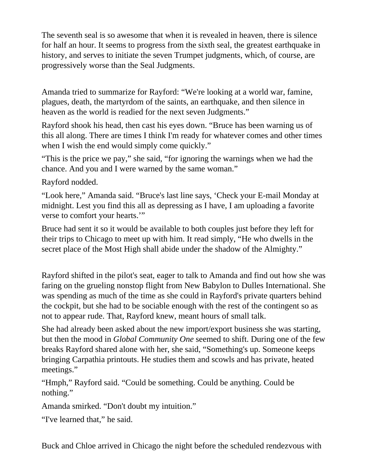The seventh seal is so awesome that when it is revealed in heaven, there is silence for half an hour. It seems to progress from the sixth seal, the greatest earthquake in history, and serves to initiate the seven Trumpet judgments, which, of course, are progressively worse than the Seal Judgments.

Amanda tried to summarize for Rayford: "We're looking at a world war, famine, plagues, death, the martyrdom of the saints, an earthquake, and then silence in heaven as the world is readied for the next seven Judgments."

Rayford shook his head, then cast his eyes down. "Bruce has been warning us of this all along. There are times I think I'm ready for whatever comes and other times when I wish the end would simply come quickly."

"This is the price we pay," she said, "for ignoring the warnings when we had the chance. And you and I were warned by the same woman."

Rayford nodded.

"Look here," Amanda said. "Bruce's last line says, 'Check your E-mail Monday at midnight. Lest you find this all as depressing as I have, I am uploading a favorite verse to comfort your hearts.'"

Bruce had sent it so it would be available to both couples just before they left for their trips to Chicago to meet up with him. It read simply, "He who dwells in the secret place of the Most High shall abide under the shadow of the Almighty."

Rayford shifted in the pilot's seat, eager to talk to Amanda and find out how she was faring on the grueling nonstop flight from New Babylon to Dulles International. She was spending as much of the time as she could in Rayford's private quarters behind the cockpit, but she had to be sociable enough with the rest of the contingent so as not to appear rude. That, Rayford knew, meant hours of small talk.

She had already been asked about the new import/export business she was starting, but then the mood in *Global Community One* seemed to shift. During one of the few breaks Rayford shared alone with her, she said, "Something's up. Someone keeps bringing Carpathia printouts. He studies them and scowls and has private, heated meetings."

"Hmph," Rayford said. "Could be something. Could be anything. Could be nothing."

Amanda smirked. "Don't doubt my intuition."

"I've learned that," he said.

Buck and Chloe arrived in Chicago the night before the scheduled rendezvous with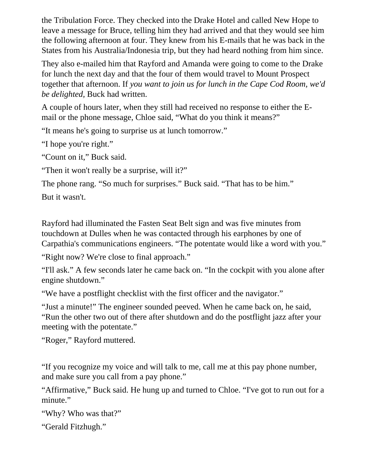the Tribulation Force. They checked into the Drake Hotel and called New Hope to leave a message for Bruce, telling him they had arrived and that they would see him the following afternoon at four. They knew from his E-mails that he was back in the States from his Australia/Indonesia trip, but they had heard nothing from him since.

They also e-mailed him that Rayford and Amanda were going to come to the Drake for lunch the next day and that the four of them would travel to Mount Prospect together that afternoon. If *you want to join us for lunch in the Cape Cod Room, we'd be delighted,* Buck had written.

A couple of hours later, when they still had received no response to either the Email or the phone message, Chloe said, "What do you think it means?"

"It means he's going to surprise us at lunch tomorrow."

"I hope you're right."

"Count on it," Buck said.

"Then it won't really be a surprise, will it?"

The phone rang. "So much for surprises." Buck said. "That has to be him."

But it wasn't.

Rayford had illuminated the Fasten Seat Belt sign and was five minutes from touchdown at Dulles when he was contacted through his earphones by one of Carpathia's communications engineers. "The potentate would like a word with you."

"Right now? We're close to final approach."

"I'll ask." A few seconds later he came back on. "In the cockpit with you alone after engine shutdown."

"We have a postflight checklist with the first officer and the navigator."

"Just a minute!" The engineer sounded peeved. When he came back on, he said, "Run the other two out of there after shutdown and do the postflight jazz after your meeting with the potentate."

"Roger," Rayford muttered.

"If you recognize my voice and will talk to me, call me at this pay phone number, and make sure you call from a pay phone."

"Affirmative," Buck said. He hung up and turned to Chloe. "I've got to run out for a minute."

"Why? Who was that?"

"Gerald Fitzhugh."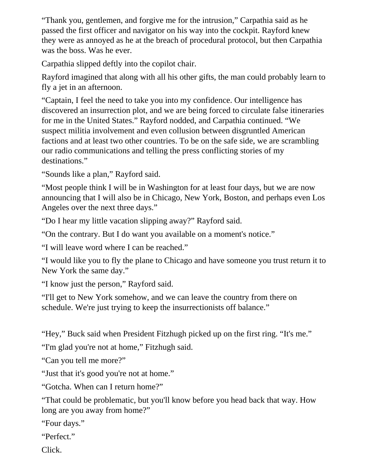"Thank you, gentlemen, and forgive me for the intrusion," Carpathia said as he passed the first officer and navigator on his way into the cockpit. Rayford knew they were as annoyed as he at the breach of procedural protocol, but then Carpathia was the boss. Was he ever.

Carpathia slipped deftly into the copilot chair.

Rayford imagined that along with all his other gifts, the man could probably learn to fly a jet in an afternoon.

"Captain, I feel the need to take you into my confidence. Our intelligence has discovered an insurrection plot, and we are being forced to circulate false itineraries for me in the United States." Rayford nodded, and Carpathia continued. "We suspect militia involvement and even collusion between disgruntled American factions and at least two other countries. To be on the safe side, we are scrambling our radio communications and telling the press conflicting stories of my destinations."

"Sounds like a plan," Rayford said.

"Most people think I will be in Washington for at least four days, but we are now announcing that I will also be in Chicago, New York, Boston, and perhaps even Los Angeles over the next three days."

"Do I hear my little vacation slipping away?" Rayford said.

"On the contrary. But I do want you available on a moment's notice."

"I will leave word where I can be reached."

"I would like you to fly the plane to Chicago and have someone you trust return it to New York the same day."

"I know just the person," Rayford said.

"I'll get to New York somehow, and we can leave the country from there on schedule. We're just trying to keep the insurrectionists off balance."

"Hey," Buck said when President Fitzhugh picked up on the first ring. "It's me."

"I'm glad you're not at home," Fitzhugh said.

"Can you tell me more?"

"Just that it's good you're not at home."

"Gotcha. When can I return home?"

"That could be problematic, but you'll know before you head back that way. How long are you away from home?"

"Four days."

"Perfect."

Click.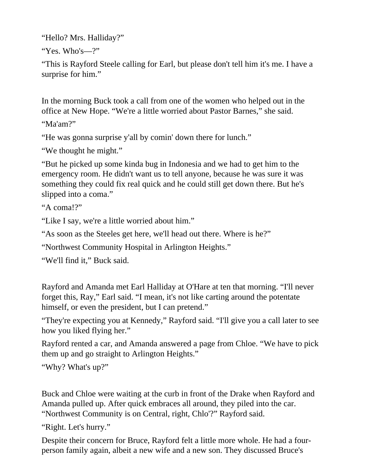"Hello? Mrs. Halliday?"

"Yes. Who's—?"

"This is Rayford Steele calling for Earl, but please don't tell him it's me. I have a surprise for him."

In the morning Buck took a call from one of the women who helped out in the office at New Hope. "We're a little worried about Pastor Barnes," she said.

"Ma'am?"

"He was gonna surprise y'all by comin' down there for lunch."

"We thought he might."

"But he picked up some kinda bug in Indonesia and we had to get him to the emergency room. He didn't want us to tell anyone, because he was sure it was something they could fix real quick and he could still get down there. But he's slipped into a coma."

"A coma!?"

"Like I say, we're a little worried about him."

"As soon as the Steeles get here, we'll head out there. Where is he?"

"Northwest Community Hospital in Arlington Heights."

"We'll find it," Buck said.

Rayford and Amanda met Earl Halliday at O'Hare at ten that morning. "I'll never forget this, Ray," Earl said. "I mean, it's not like carting around the potentate himself, or even the president, but I can pretend."

"They're expecting you at Kennedy," Rayford said. "I'll give you a call later to see how you liked flying her."

Rayford rented a car, and Amanda answered a page from Chloe. "We have to pick them up and go straight to Arlington Heights."

"Why? What's up?"

Buck and Chloe were waiting at the curb in front of the Drake when Rayford and Amanda pulled up. After quick embraces all around, they piled into the car. "Northwest Community is on Central, right, Chlo'?" Rayford said.

"Right. Let's hurry."

Despite their concern for Bruce, Rayford felt a little more whole. He had a fourperson family again, albeit a new wife and a new son. They discussed Bruce's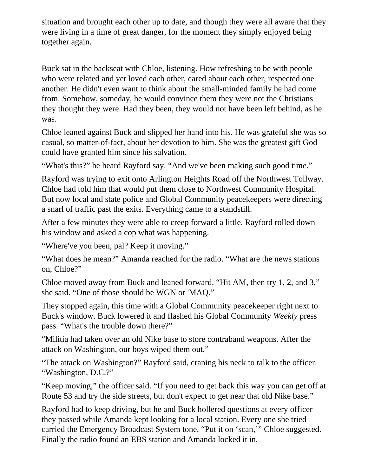situation and brought each other up to date, and though they were all aware that they were living in a time of great danger, for the moment they simply enjoyed being together again.

Buck sat in the backseat with Chloe, listening. How refreshing to be with people who were related and yet loved each other, cared about each other, respected one another. He didn't even want to think about the small-minded family he had come from. Somehow, someday, he would convince them they were not the Christians they thought they were. Had they been, they would not have been left behind, as he was.

Chloe leaned against Buck and slipped her hand into his. He was grateful she was so casual, so matter-of-fact, about her devotion to him. She was the greatest gift God could have granted him since his salvation.

"What's this?" he heard Rayford say. "And we've been making such good time."

Rayford was trying to exit onto Arlington Heights Road off the Northwest Tollway. Chloe had told him that would put them close to Northwest Community Hospital. But now local and state police and Global Community peacekeepers were directing a snarl of traffic past the exits. Everything came to a standstill.

After a few minutes they were able to creep forward a little. Rayford rolled down his window and asked a cop what was happening.

"Where've you been, pal? Keep it moving."

"What does he mean?" Amanda reached for the radio. "What are the news stations on, Chloe?"

Chloe moved away from Buck and leaned forward. "Hit AM, then try 1, 2, and 3," she said. "One of those should be WGN or 'MAQ."

They stopped again, this time with a Global Community peacekeeper right next to Buck's window. Buck lowered it and flashed his Global Community *Weekly* press pass. "What's the trouble down there?"

"Militia had taken over an old Nike base to store contraband weapons. After the attack on Washington, our boys wiped them out."

"The attack on Washington?" Rayford said, craning his neck to talk to the officer. "Washington, D.C.?"

"Keep moving," the officer said. "If you need to get back this way you can get off at Route 53 and try the side streets, but don't expect to get near that old Nike base."

Rayford had to keep driving, but he and Buck hollered questions at every officer they passed while Amanda kept looking for a local station. Every one she tried carried the Emergency Broadcast System tone. "Put it on 'scan,'" Chloe suggested. Finally the radio found an EBS station and Amanda locked it in.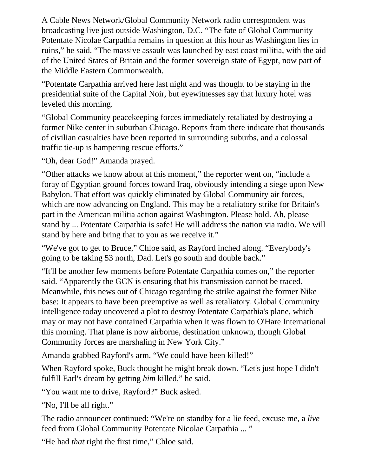A Cable News Network/Global Community Network radio correspondent was broadcasting live just outside Washington, D.C. "The fate of Global Community Potentate Nicolae Carpathia remains in question at this hour as Washington lies in ruins," he said. "The massive assault was launched by east coast militia, with the aid of the United States of Britain and the former sovereign state of Egypt, now part of the Middle Eastern Commonwealth.

"Potentate Carpathia arrived here last night and was thought to be staying in the presidential suite of the Capital Noir, but eyewitnesses say that luxury hotel was leveled this morning.

"Global Community peacekeeping forces immediately retaliated by destroying a former Nike center in suburban Chicago. Reports from there indicate that thousands of civilian casualties have been reported in surrounding suburbs, and a colossal traffic tie-up is hampering rescue efforts."

"Oh, dear God!" Amanda prayed.

"Other attacks we know about at this moment," the reporter went on, "include a foray of Egyptian ground forces toward Iraq, obviously intending a siege upon New Babylon. That effort was quickly eliminated by Global Community air forces, which are now advancing on England. This may be a retaliatory strike for Britain's part in the American militia action against Washington. Please hold. Ah, please stand by ... Potentate Carpathia is safe! He will address the nation via radio. We will stand by here and bring that to you as we receive it."

"We've got to get to Bruce," Chloe said, as Rayford inched along. "Everybody's going to be taking 53 north, Dad. Let's go south and double back."

"It'll be another few moments before Potentate Carpathia comes on," the reporter said. "Apparently the GCN is ensuring that his transmission cannot be traced. Meanwhile, this news out of Chicago regarding the strike against the former Nike base: It appears to have been preemptive as well as retaliatory. Global Community intelligence today uncovered a plot to destroy Potentate Carpathia's plane, which may or may not have contained Carpathia when it was flown to O'Hare International this morning. That plane is now airborne, destination unknown, though Global Community forces are marshaling in New York City."

Amanda grabbed Rayford's arm. "We could have been killed!"

When Rayford spoke, Buck thought he might break down. "Let's just hope I didn't fulfill Earl's dream by getting *him* killed," he said.

"You want me to drive, Rayford?" Buck asked.

"No, I'll be all right."

The radio announcer continued: "We're on standby for a lie feed, excuse me, a *live* feed from Global Community Potentate Nicolae Carpathia ... "

"He had *that* right the first time," Chloe said.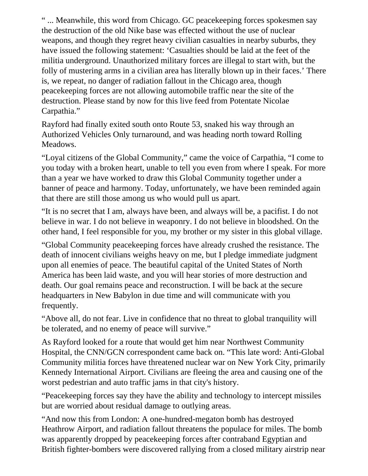" ... Meanwhile, this word from Chicago. GC peacekeeping forces spokesmen say the destruction of the old Nike base was effected without the use of nuclear weapons, and though they regret heavy civilian casualties in nearby suburbs, they have issued the following statement: 'Casualties should be laid at the feet of the militia underground. Unauthorized military forces are illegal to start with, but the folly of mustering arms in a civilian area has literally blown up in their faces.' There is, we repeat, no danger of radiation fallout in the Chicago area, though peacekeeping forces are not allowing automobile traffic near the site of the destruction. Please stand by now for this live feed from Potentate Nicolae Carpathia."

Rayford had finally exited south onto Route 53, snaked his way through an Authorized Vehicles Only turnaround, and was heading north toward Rolling Meadows.

"Loyal citizens of the Global Community," came the voice of Carpathia, "I come to you today with a broken heart, unable to tell you even from where I speak. For more than a year we have worked to draw this Global Community together under a banner of peace and harmony. Today, unfortunately, we have been reminded again that there are still those among us who would pull us apart.

"It is no secret that I am, always have been, and always will be, a pacifist. I do not believe in war. I do not believe in weaponry. I do not believe in bloodshed. On the other hand, I feel responsible for you, my brother or my sister in this global village.

"Global Community peacekeeping forces have already crushed the resistance. The death of innocent civilians weighs heavy on me, but I pledge immediate judgment upon all enemies of peace. The beautiful capital of the United States of North America has been laid waste, and you will hear stories of more destruction and death. Our goal remains peace and reconstruction. I will be back at the secure headquarters in New Babylon in due time and will communicate with you frequently.

"Above all, do not fear. Live in confidence that no threat to global tranquility will be tolerated, and no enemy of peace will survive."

As Rayford looked for a route that would get him near Northwest Community Hospital, the CNN/GCN correspondent came back on. "This late word: Anti-Global Community militia forces have threatened nuclear war on New York City, primarily Kennedy International Airport. Civilians are fleeing the area and causing one of the worst pedestrian and auto traffic jams in that city's history.

"Peacekeeping forces say they have the ability and technology to intercept missiles but are worried about residual damage to outlying areas.

"And now this from London: A one-hundred-megaton bomb has destroyed Heathrow Airport, and radiation fallout threatens the populace for miles. The bomb was apparently dropped by peacekeeping forces after contraband Egyptian and British fighter-bombers were discovered rallying from a closed military airstrip near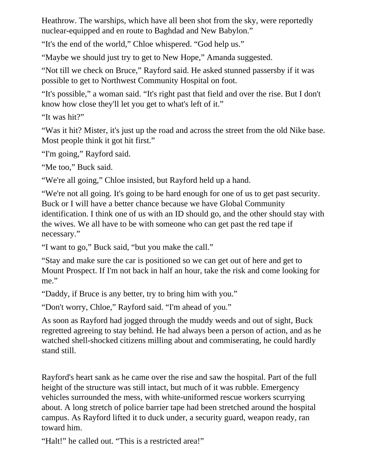Heathrow. The warships, which have all been shot from the sky, were reportedly nuclear-equipped and en route to Baghdad and New Babylon."

"It's the end of the world," Chloe whispered. "God help us."

"Maybe we should just try to get to New Hope," Amanda suggested.

"Not till we check on Bruce," Rayford said. He asked stunned passersby if it was possible to get to Northwest Community Hospital on foot.

"It's possible," a woman said. "It's right past that field and over the rise. But I don't know how close they'll let you get to what's left of it."

"It was hit?"

"Was it hit? Mister, it's just up the road and across the street from the old Nike base. Most people think it got hit first."

"I'm going," Rayford said.

"Me too," Buck said.

"We're all going," Chloe insisted, but Rayford held up a hand.

"We're not all going. It's going to be hard enough for one of us to get past security. Buck or I will have a better chance because we have Global Community identification. I think one of us with an ID should go, and the other should stay with the wives. We all have to be with someone who can get past the red tape if necessary."

"I want to go," Buck said, "but you make the call."

"Stay and make sure the car is positioned so we can get out of here and get to Mount Prospect. If I'm not back in half an hour, take the risk and come looking for me."

"Daddy, if Bruce is any better, try to bring him with you."

"Don't worry, Chloe," Rayford said. "I'm ahead of you."

As soon as Rayford had jogged through the muddy weeds and out of sight, Buck regretted agreeing to stay behind. He had always been a person of action, and as he watched shell-shocked citizens milling about and commiserating, he could hardly stand still.

Rayford's heart sank as he came over the rise and saw the hospital. Part of the full height of the structure was still intact, but much of it was rubble. Emergency vehicles surrounded the mess, with white-uniformed rescue workers scurrying about. A long stretch of police barrier tape had been stretched around the hospital campus. As Rayford lifted it to duck under, a security guard, weapon ready, ran toward him.

"Halt!" he called out. "This is a restricted area!"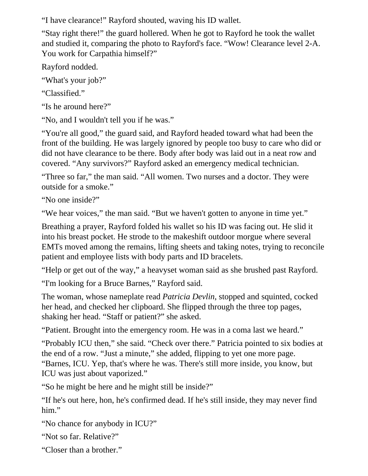"I have clearance!" Rayford shouted, waving his ID wallet.

"Stay right there!" the guard hollered. When he got to Rayford he took the wallet and studied it, comparing the photo to Rayford's face. "Wow! Clearance level 2-A. You work for Carpathia himself?"

Rayford nodded.

"What's your job?"

"Classified."

"Is he around here?"

"No, and I wouldn't tell you if he was."

"You're all good," the guard said, and Rayford headed toward what had been the front of the building. He was largely ignored by people too busy to care who did or did not have clearance to be there. Body after body was laid out in a neat row and covered. "Any survivors?" Rayford asked an emergency medical technician.

"Three so far," the man said. "All women. Two nurses and a doctor. They were outside for a smoke."

"No one inside?"

"We hear voices," the man said. "But we haven't gotten to anyone in time yet."

Breathing a prayer, Rayford folded his wallet so his ID was facing out. He slid it into his breast pocket. He strode to the makeshift outdoor morgue where several EMTs moved among the remains, lifting sheets and taking notes, trying to reconcile patient and employee lists with body parts and ID bracelets.

"Help or get out of the way," a heavyset woman said as she brushed past Rayford.

"I'm looking for a Bruce Barnes," Rayford said.

The woman, whose nameplate read *Patricia Devlin*, stopped and squinted, cocked her head, and checked her clipboard. She flipped through the three top pages, shaking her head. "Staff or patient?" she asked.

"Patient. Brought into the emergency room. He was in a coma last we heard."

"Probably ICU then," she said. "Check over there." Patricia pointed to six bodies at the end of a row. "Just a minute," she added, flipping to yet one more page. "Barnes, ICU. Yep, that's where he was. There's still more inside, you know, but ICU was just about vaporized."

"So he might be here and he might still be inside?"

"If he's out here, hon, he's confirmed dead. If he's still inside, they may never find him."

"No chance for anybody in ICU?"

"Not so far. Relative?"

"Closer than a brother."